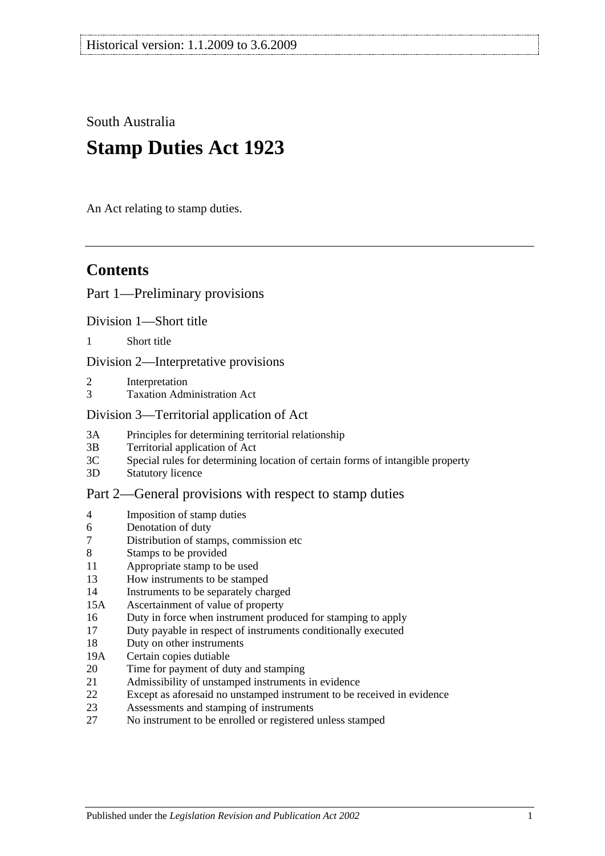South Australia

# **Stamp Duties Act 1923**

An Act relating to stamp duties.

# **Contents**

#### [Part 1—Preliminary provisions](#page-6-0)

[Division 1—Short title](#page-6-1)

1 [Short title](#page-6-2)

[Division 2—Interpretative provisions](#page-6-3)

- 2 [Interpretation](#page-6-4)
- 3 [Taxation Administration Act](#page-9-0)

#### [Division 3—Territorial application of Act](#page-9-1)

- 3A [Principles for determining territorial relationship](#page-9-2)
- 3B [Territorial application of Act](#page-9-3)
- 3C [Special rules for determining location of certain forms of intangible property](#page-10-0)
- 3D [Statutory licence](#page-11-0)

#### [Part 2—General provisions with respect to stamp duties](#page-12-0)

- 4 [Imposition of stamp duties](#page-12-1)
- 6 [Denotation of duty](#page-12-2)
- 7 [Distribution of stamps, commission etc](#page-12-3)
- 8 [Stamps to be provided](#page-12-4)
- 11 [Appropriate stamp to be used](#page-12-5)
- 13 [How instruments to be stamped](#page-12-6)
- 14 [Instruments to be separately charged](#page-13-0)
- 15A [Ascertainment of value of property](#page-13-1)
- 16 [Duty in force when instrument produced for stamping to apply](#page-13-2)
- 17 [Duty payable in respect of instruments conditionally executed](#page-13-3)
- 18 [Duty on other instruments](#page-13-4)
- 19A [Certain copies dutiable](#page-14-0)
- 20 [Time for payment of duty and stamping](#page-14-1)
- 21 [Admissibility of unstamped instruments in evidence](#page-15-0)
- 22 [Except as aforesaid no unstamped instrument to be received in evidence](#page-15-1)
- 23 [Assessments and stamping of instruments](#page-15-2)
- 27 [No instrument to be enrolled or registered unless stamped](#page-16-0)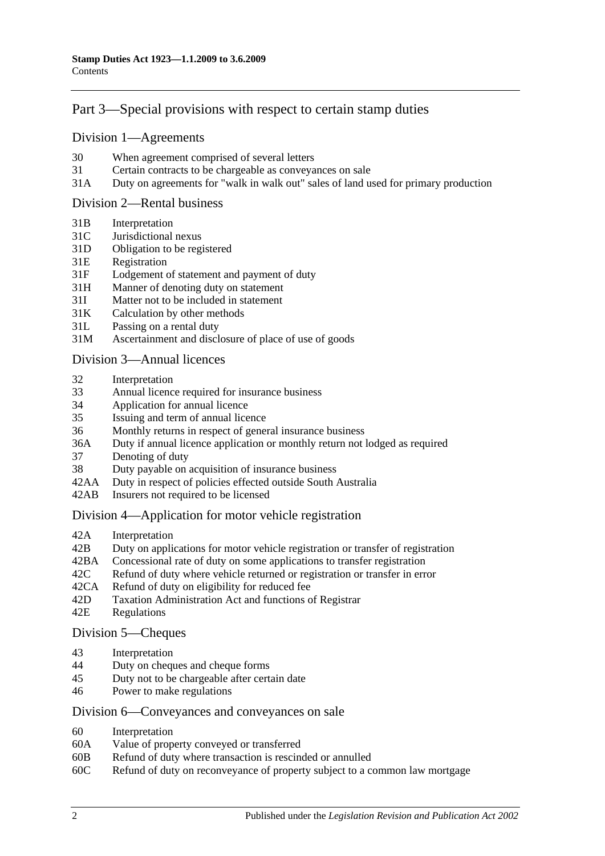# [Part 3—Special provisions with respect to certain stamp duties](#page-18-0)

#### [Division 1—Agreements](#page-18-1)

- 30 [When agreement comprised of several letters](#page-18-2)
- 31 [Certain contracts to be chargeable as conveyances on sale](#page-18-3)
- 31A [Duty on agreements for "walk in walk out" sales of land used](#page-19-0) for primary production

#### [Division 2—Rental business](#page-19-1)

- 31B [Interpretation](#page-19-2)
- 31C [Jurisdictional nexus](#page-21-0)
- 31D [Obligation to be registered](#page-21-1)
- 31E [Registration](#page-21-2)
- 31F [Lodgement of statement and payment of duty](#page-21-3)
- 31H [Manner of denoting duty on statement](#page-23-0)
- 31I [Matter not to be included in statement](#page-23-1)
- 31K [Calculation by other methods](#page-25-0)
- 31L [Passing on a rental duty](#page-25-1)
- 31M [Ascertainment and disclosure of place of use of goods](#page-26-0)

[Division 3—Annual licences](#page-26-1)

- 32 [Interpretation](#page-26-2)
- 33 [Annual licence required for insurance business](#page-27-0)
- 34 [Application for annual licence](#page-27-1)
- 35 [Issuing and term of annual licence](#page-27-2)
- 36 [Monthly returns in respect of general insurance business](#page-28-0)
- 36A [Duty if annual licence application or monthly return not lodged as required](#page-28-1)
- 37 [Denoting of duty](#page-28-2)
- 38 [Duty payable on acquisition of insurance business](#page-28-3)
- 42AA [Duty in respect of policies effected outside South Australia](#page-29-0)
- 42AB [Insurers not required to be licensed](#page-29-1)

#### [Division 4—Application for motor vehicle registration](#page-30-0)

- 42A [Interpretation](#page-30-1)
- 42B [Duty on applications for motor vehicle registration or transfer of registration](#page-31-0)
- 42BA [Concessional rate of duty on some applications to transfer registration](#page-33-0)
- 42C [Refund of duty where vehicle returned or registration or transfer in error](#page-33-1)
- 42CA [Refund of duty on eligibility for reduced fee](#page-34-0)
- 42D [Taxation Administration Act and functions of Registrar](#page-34-1)
- 42E [Regulations](#page-34-2)

#### [Division 5—Cheques](#page-34-3)

- 43 [Interpretation](#page-34-4)
- 44 [Duty on cheques and cheque forms](#page-34-5)
- 45 [Duty not to be chargeable after certain date](#page-35-0)
- 46 [Power to make regulations](#page-35-1)

#### [Division 6—Conveyances and conveyances on sale](#page-36-0)

- 60 [Interpretation](#page-36-1)
- 60A [Value of property conveyed or transferred](#page-36-2)
- 60B [Refund of duty where transaction is rescinded or annulled](#page-38-0)
- 60C [Refund of duty on reconveyance of property subject to a common law mortgage](#page-38-1)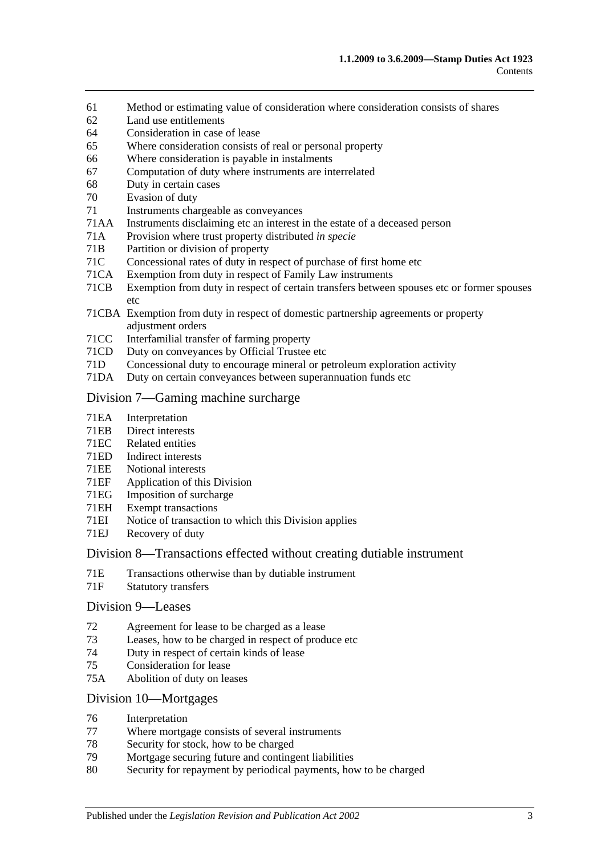- 61 [Method or estimating value of consideration where consideration](#page-39-0) consists of shares
- 62 [Land use entitlements](#page-39-1)
- 64 [Consideration in case of lease](#page-40-0)
- 65 [Where consideration consists of real or personal property](#page-40-1)
- 66 [Where consideration is payable in instalments](#page-40-2)
- 67 [Computation of duty where instruments are interrelated](#page-40-3)
- 68 [Duty in certain cases](#page-41-0)
- 70 [Evasion of duty](#page-41-1)
- 71 [Instruments chargeable as conveyances](#page-42-0)
- 71AA [Instruments disclaiming etc an interest in the estate of a deceased person](#page-47-0)
- 71A [Provision where trust property distributed](#page-47-1) *in specie*
- 71B [Partition or division of property](#page-47-2)
- 71C [Concessional rates of duty in respect of purchase of first home etc](#page-48-0)
- 71CA [Exemption from duty in respect of Family Law instruments](#page-52-0)
- 71CB [Exemption from duty in respect of certain transfers between spouses etc or former spouses](#page-54-0)   $_{\text{e}^{\text{t}}$
- 71CBA Exemption from [duty in respect of domestic partnership agreements or property](#page-55-0)  [adjustment orders](#page-55-0)
- 71CC [Interfamilial transfer of farming property](#page-57-0)
- 71CD [Duty on conveyances by Official Trustee etc](#page-59-0)
- 71D [Concessional duty to encourage mineral or petroleum exploration activity](#page-59-1)
- 71DA [Duty on certain conveyances between superannuation funds etc](#page-60-0)

#### [Division 7—Gaming machine surcharge](#page-62-0)

- 71EA [Interpretation](#page-62-1)
- 71EB [Direct interests](#page-63-0)
- 71EC [Related entities](#page-64-0)
- 71ED [Indirect interests](#page-64-1)
- 71EE [Notional interests](#page-64-2)
- 71EF [Application of this Division](#page-65-0)
- 71EG [Imposition of surcharge](#page-65-1)
- 71EH [Exempt transactions](#page-66-0)
- 71EI [Notice of transaction to which this Division applies](#page-66-1)
- 71EJ [Recovery of duty](#page-66-2)

#### [Division 8—Transactions effected without creating dutiable instrument](#page-67-0)

- 71E [Transactions otherwise than by dutiable instrument](#page-67-1)<br>71F Statutory transfers
- **[Statutory transfers](#page-68-0)**

#### [Division 9—Leases](#page-69-0)

- 72 [Agreement for lease to be charged as a lease](#page-69-1)
- 73 [Leases, how to be charged in respect of produce etc](#page-69-2)
- 74 [Duty in respect of certain kinds of lease](#page-70-0)
- 75 [Consideration for lease](#page-70-1)
- 75A [Abolition of duty on leases](#page-71-0)

#### [Division 10—Mortgages](#page-71-1)

- 76 [Interpretation](#page-71-2)
- 77 [Where mortgage consists of several instruments](#page-71-3)
- 78 [Security for stock, how to be charged](#page-71-4)
- 79 [Mortgage securing future and contingent liabilities](#page-72-0)
- 80 [Security for repayment by periodical payments, how to be charged](#page-73-0)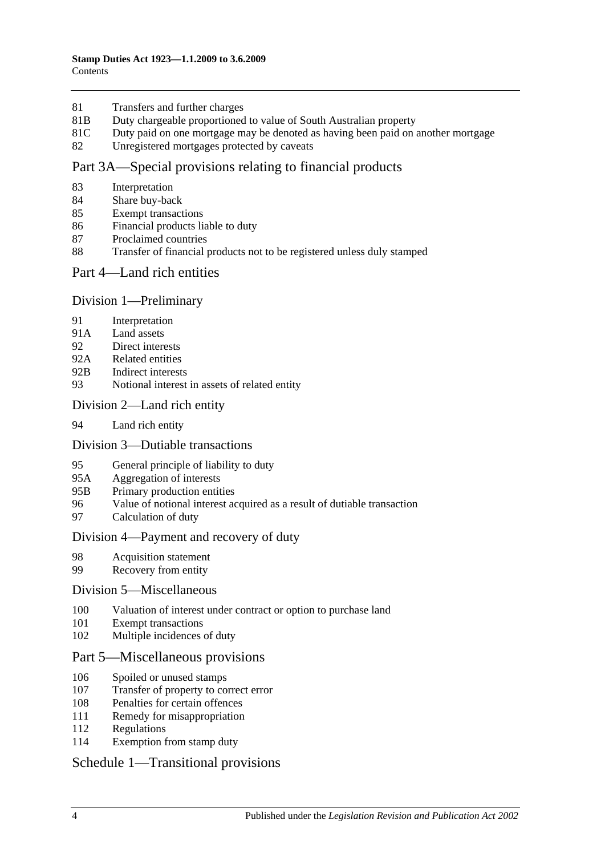- 81 [Transfers and further charges](#page-74-0)
- 81B [Duty chargeable proportioned to value of South Australian property](#page-74-1)
- 81C [Duty paid on one mortgage may be denoted as having been paid on another mortgage](#page-74-2)
- 82 [Unregistered mortgages protected by caveats](#page-75-0)

## [Part 3A—Special provisions relating to financial products](#page-76-0)

- 83 [Interpretation](#page-76-1)
- 84 [Share buy-back](#page-76-2)
- 85 [Exempt transactions](#page-76-3)
- 86 [Financial products liable to duty](#page-76-4)
- 87 [Proclaimed countries](#page-77-0)
- 88 [Transfer of financial products not to be registered unless duly stamped](#page-77-1)

### [Part 4—Land rich entities](#page-80-0)

#### [Division 1—Preliminary](#page-80-1)

- 91 [Interpretation](#page-80-2)
- 91A [Land assets](#page-82-0)
- 92 [Direct interests](#page-83-0)
- 92A [Related entities](#page-83-1)
- 92B [Indirect interests](#page-84-0)
- 93 [Notional interest in assets of related entity](#page-84-1)

#### [Division 2—Land rich entity](#page-84-2)

94 [Land rich entity](#page-84-3)

#### [Division 3—Dutiable transactions](#page-85-0)

- 95 [General principle of liability to duty](#page-85-1)
- 95A [Aggregation of interests](#page-86-0)
- 95B [Primary production entities](#page-86-1)
- 96 [Value of notional interest acquired as a result of dutiable transaction](#page-87-0)
- 97 [Calculation of duty](#page-87-1)

#### [Division 4—Payment and recovery of duty](#page-88-0)

- 98 [Acquisition statement](#page-88-1)
- 99 [Recovery from entity](#page-89-0)

#### [Division 5—Miscellaneous](#page-90-0)

- 100 [Valuation of interest under contract or option to purchase land](#page-90-1)
- 101 [Exempt transactions](#page-90-2)
- 102 [Multiple incidences of duty](#page-90-3)

#### [Part 5—Miscellaneous provisions](#page-92-0)

- 106 [Spoiled or unused stamps](#page-92-1)
- 107 [Transfer of property to correct error](#page-92-2)
- 108 [Penalties for certain offences](#page-92-3)
- 111 [Remedy for misappropriation](#page-93-0)
- 112 [Regulations](#page-93-1)
- 114 [Exemption from stamp duty](#page-94-0)

#### [Schedule 1—Transitional provisions](#page-96-0)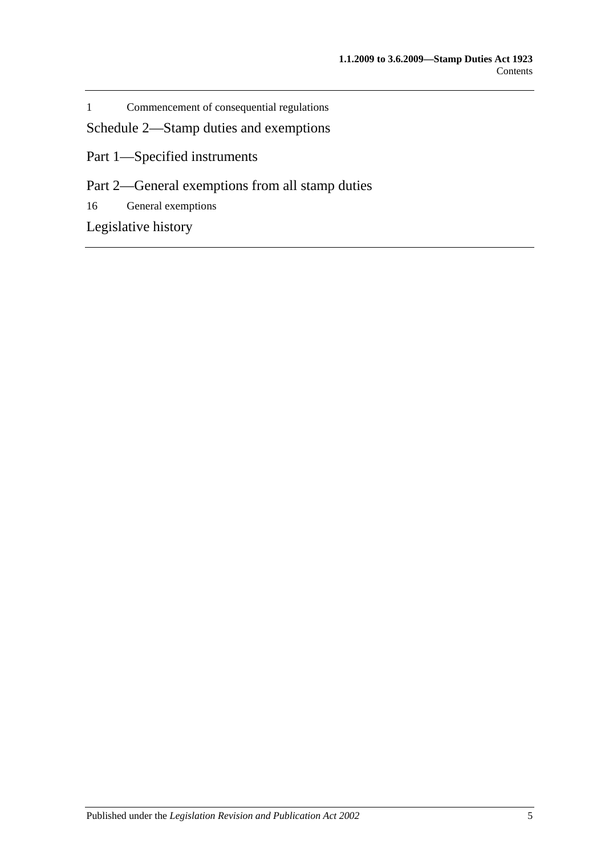1 [Commencement of consequential regulations](#page-96-1)

[Schedule 2—Stamp duties and exemptions](#page-96-2)

Part 1—Specified instruments

Part 2—General exemptions from all stamp duties

16 [General exemptions](#page-109-0)

[Legislative history](#page-114-0)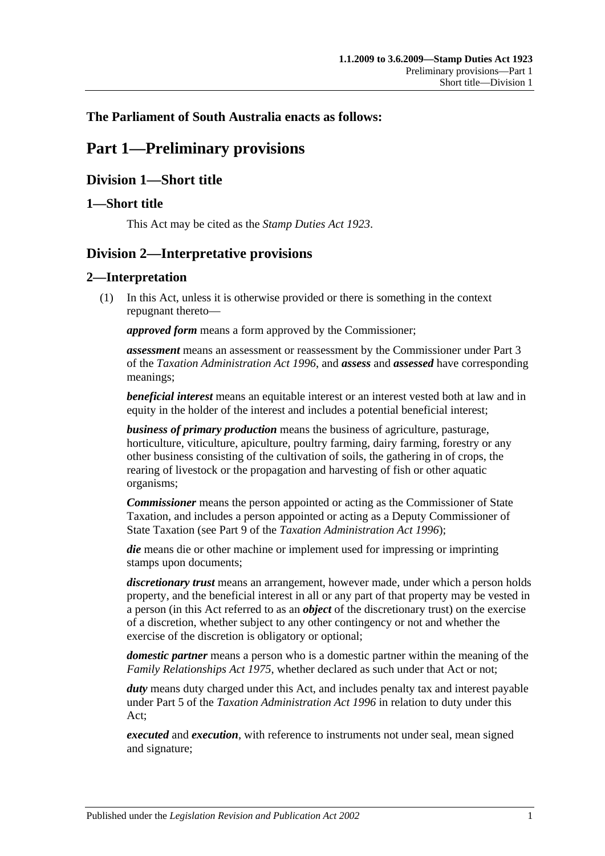# <span id="page-6-0"></span>**The Parliament of South Australia enacts as follows:**

# **Part 1—Preliminary provisions**

# <span id="page-6-1"></span>**Division 1—Short title**

# <span id="page-6-2"></span>**1—Short title**

This Act may be cited as the *Stamp Duties Act 1923*.

# <span id="page-6-3"></span>**Division 2—Interpretative provisions**

## <span id="page-6-4"></span>**2—Interpretation**

(1) In this Act, unless it is otherwise provided or there is something in the context repugnant thereto—

*approved form* means a form approved by the Commissioner;

*assessment* means an assessment or reassessment by the Commissioner under Part 3 of the *[Taxation Administration Act](http://www.legislation.sa.gov.au/index.aspx?action=legref&type=act&legtitle=Taxation%20Administration%20Act%201996) 1996*, and *assess* and *assessed* have corresponding meanings;

*beneficial interest* means an equitable interest or an interest vested both at law and in equity in the holder of the interest and includes a potential beneficial interest;

*business of primary production* means the business of agriculture, pasturage, horticulture, viticulture, apiculture, poultry farming, dairy farming, forestry or any other business consisting of the cultivation of soils, the gathering in of crops, the rearing of livestock or the propagation and harvesting of fish or other aquatic organisms;

*Commissioner* means the person appointed or acting as the Commissioner of State Taxation, and includes a person appointed or acting as a Deputy Commissioner of State Taxation (see Part 9 of the *[Taxation Administration Act](http://www.legislation.sa.gov.au/index.aspx?action=legref&type=act&legtitle=Taxation%20Administration%20Act%201996) 1996*);

*die* means die or other machine or implement used for impressing or imprinting stamps upon documents;

*discretionary trust* means an arrangement, however made, under which a person holds property, and the beneficial interest in all or any part of that property may be vested in a person (in this Act referred to as an *object* of the discretionary trust) on the exercise of a discretion, whether subject to any other contingency or not and whether the exercise of the discretion is obligatory or optional;

*domestic partner* means a person who is a domestic partner within the meaning of the *[Family Relationships Act](http://www.legislation.sa.gov.au/index.aspx?action=legref&type=act&legtitle=Family%20Relationships%20Act%201975) 1975*, whether declared as such under that Act or not;

*duty* means duty charged under this Act, and includes penalty tax and interest payable under Part 5 of the *[Taxation Administration Act](http://www.legislation.sa.gov.au/index.aspx?action=legref&type=act&legtitle=Taxation%20Administration%20Act%201996) 1996* in relation to duty under this Act;

*executed* and *execution*, with reference to instruments not under seal, mean signed and signature;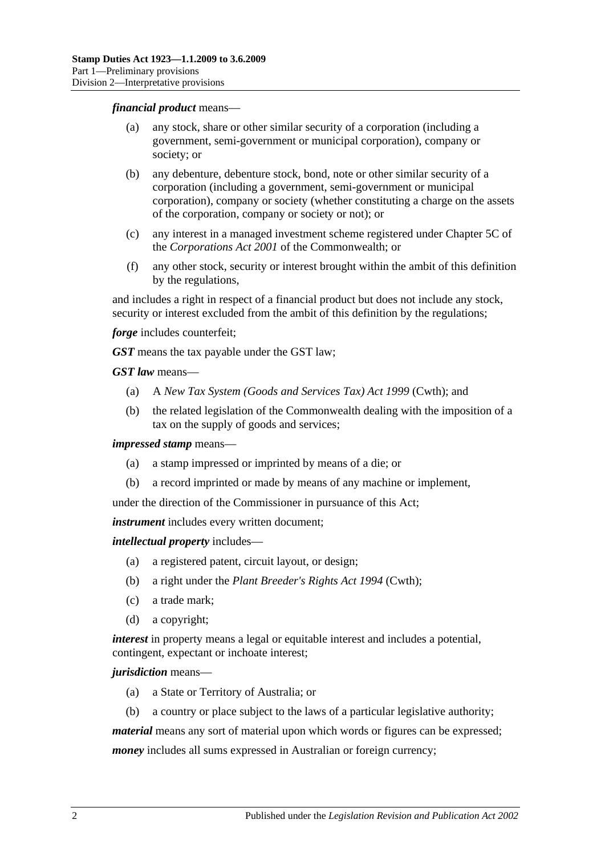#### *financial product* means—

- (a) any stock, share or other similar security of a corporation (including a government, semi-government or municipal corporation), company or society; or
- (b) any debenture, debenture stock, bond, note or other similar security of a corporation (including a government, semi-government or municipal corporation), company or society (whether constituting a charge on the assets of the corporation, company or society or not); or
- (c) any interest in a managed investment scheme registered under Chapter 5C of the *Corporations Act 2001* of the Commonwealth; or
- (f) any other stock, security or interest brought within the ambit of this definition by the regulations,

and includes a right in respect of a financial product but does not include any stock, security or interest excluded from the ambit of this definition by the regulations;

*forge* includes counterfeit;

*GST* means the tax payable under the GST law;

*GST law* means—

- (a) A *New Tax System (Goods and Services Tax) Act 1999* (Cwth); and
- (b) the related legislation of the Commonwealth dealing with the imposition of a tax on the supply of goods and services;

*impressed stamp* means—

- (a) a stamp impressed or imprinted by means of a die; or
- (b) a record imprinted or made by means of any machine or implement,

under the direction of the Commissioner in pursuance of this Act;

*instrument* includes every written document;

*intellectual property* includes—

- (a) a registered patent, circuit layout, or design;
- (b) a right under the *Plant Breeder's Rights Act 1994* (Cwth);
- (c) a trade mark;
- (d) a copyright;

*interest* in property means a legal or equitable interest and includes a potential, contingent, expectant or inchoate interest;

#### *jurisdiction* means—

- (a) a State or Territory of Australia; or
- (b) a country or place subject to the laws of a particular legislative authority;

*material* means any sort of material upon which words or figures can be expressed;

*money* includes all sums expressed in Australian or foreign currency;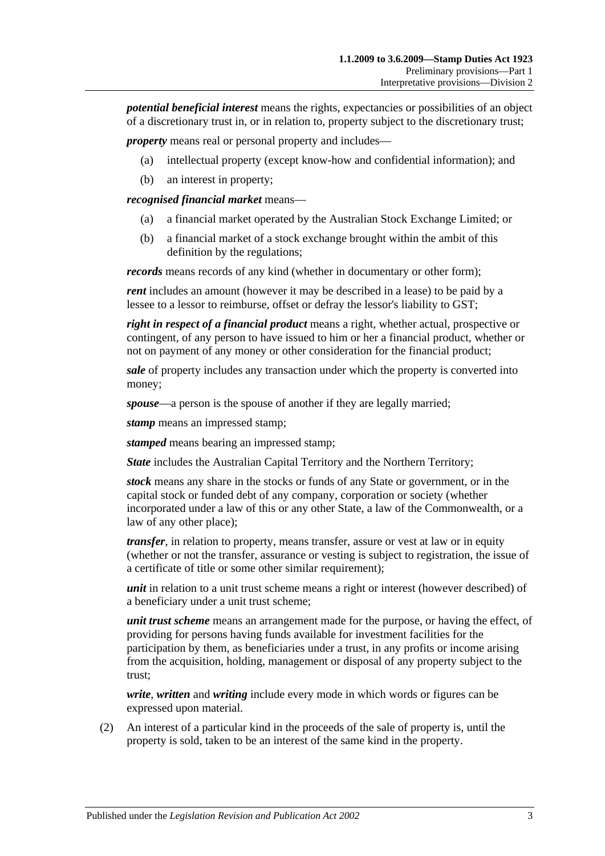*potential beneficial interest* means the rights, expectancies or possibilities of an object of a discretionary trust in, or in relation to, property subject to the discretionary trust;

*property* means real or personal property and includes—

- (a) intellectual property (except know-how and confidential information); and
- (b) an interest in property;

*recognised financial market* means—

- (a) a financial market operated by the Australian Stock Exchange Limited; or
- (b) a financial market of a stock exchange brought within the ambit of this definition by the regulations;

*records* means records of any kind (whether in documentary or other form);

*rent* includes an amount (however it may be described in a lease) to be paid by a lessee to a lessor to reimburse, offset or defray the lessor's liability to GST;

*right in respect of a financial product* means a right, whether actual, prospective or contingent, of any person to have issued to him or her a financial product, whether or not on payment of any money or other consideration for the financial product;

*sale* of property includes any transaction under which the property is converted into money;

*spouse*—a person is the spouse of another if they are legally married;

*stamp* means an impressed stamp;

*stamped* means bearing an impressed stamp;

*State* includes the Australian Capital Territory and the Northern Territory;

*stock* means any share in the stocks or funds of any State or government, or in the capital stock or funded debt of any company, corporation or society (whether incorporated under a law of this or any other State, a law of the Commonwealth, or a law of any other place);

*transfer*, in relation to property, means transfer, assure or vest at law or in equity (whether or not the transfer, assurance or vesting is subject to registration, the issue of a certificate of title or some other similar requirement);

*unit* in relation to a unit trust scheme means a right or interest (however described) of a beneficiary under a unit trust scheme;

*unit trust scheme* means an arrangement made for the purpose, or having the effect, of providing for persons having funds available for investment facilities for the participation by them, as beneficiaries under a trust, in any profits or income arising from the acquisition, holding, management or disposal of any property subject to the trust;

*write*, *written* and *writing* include every mode in which words or figures can be expressed upon material.

(2) An interest of a particular kind in the proceeds of the sale of property is, until the property is sold, taken to be an interest of the same kind in the property.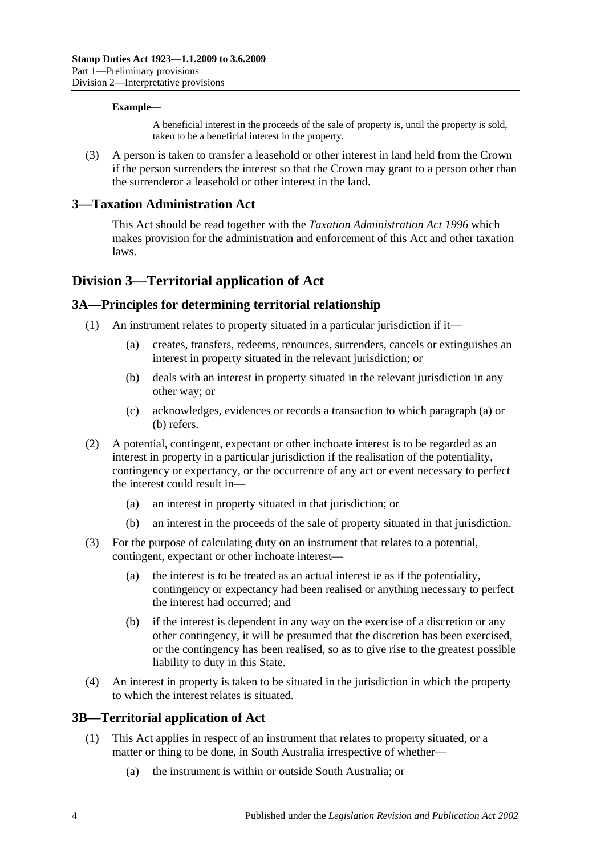#### **Example—**

A beneficial interest in the proceeds of the sale of property is, until the property is sold, taken to be a beneficial interest in the property.

(3) A person is taken to transfer a leasehold or other interest in land held from the Crown if the person surrenders the interest so that the Crown may grant to a person other than the surrenderor a leasehold or other interest in the land.

### <span id="page-9-0"></span>**3—Taxation Administration Act**

This Act should be read together with the *[Taxation Administration Act](http://www.legislation.sa.gov.au/index.aspx?action=legref&type=act&legtitle=Taxation%20Administration%20Act%201996) 1996* which makes provision for the administration and enforcement of this Act and other taxation laws.

# <span id="page-9-1"></span>**Division 3—Territorial application of Act**

### <span id="page-9-2"></span>**3A—Principles for determining territorial relationship**

- <span id="page-9-5"></span><span id="page-9-4"></span>(1) An instrument relates to property situated in a particular jurisdiction if it—
	- (a) creates, transfers, redeems, renounces, surrenders, cancels or extinguishes an interest in property situated in the relevant jurisdiction; or
	- (b) deals with an interest in property situated in the relevant jurisdiction in any other way; or
	- (c) acknowledges, evidences or records a transaction to which [paragraph](#page-9-4) (a) or [\(b\)](#page-9-5) refers.
- (2) A potential, contingent, expectant or other inchoate interest is to be regarded as an interest in property in a particular jurisdiction if the realisation of the potentiality, contingency or expectancy, or the occurrence of any act or event necessary to perfect the interest could result in—
	- (a) an interest in property situated in that jurisdiction; or
	- (b) an interest in the proceeds of the sale of property situated in that jurisdiction.
- (3) For the purpose of calculating duty on an instrument that relates to a potential, contingent, expectant or other inchoate interest-
	- (a) the interest is to be treated as an actual interest ie as if the potentiality, contingency or expectancy had been realised or anything necessary to perfect the interest had occurred; and
	- (b) if the interest is dependent in any way on the exercise of a discretion or any other contingency, it will be presumed that the discretion has been exercised, or the contingency has been realised, so as to give rise to the greatest possible liability to duty in this State.
- (4) An interest in property is taken to be situated in the jurisdiction in which the property to which the interest relates is situated.

#### <span id="page-9-3"></span>**3B—Territorial application of Act**

- (1) This Act applies in respect of an instrument that relates to property situated, or a matter or thing to be done, in South Australia irrespective of whether—
	- (a) the instrument is within or outside South Australia; or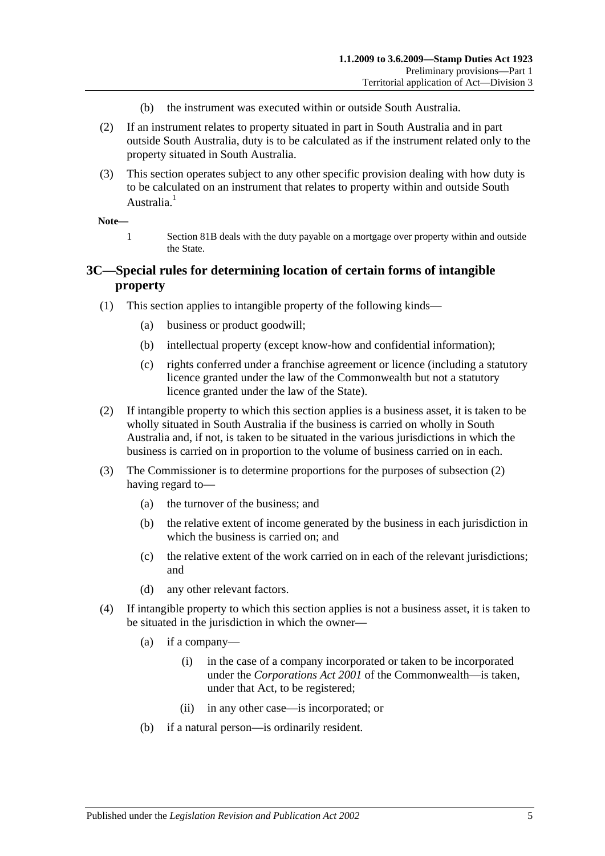- (b) the instrument was executed within or outside South Australia.
- (2) If an instrument relates to property situated in part in South Australia and in part outside South Australia, duty is to be calculated as if the instrument related only to the property situated in South Australia.
- (3) This section operates subject to any other specific provision dealing with how duty is to be calculated on an instrument that relates to property within and outside South Australia.<sup>1</sup>

#### **Note—**

1 [Section](#page-74-1) 81B deals with the duty payable on a mortgage over property within and outside the State.

# <span id="page-10-0"></span>**3C—Special rules for determining location of certain forms of intangible property**

- (1) This section applies to intangible property of the following kinds—
	- (a) business or product goodwill;
	- (b) intellectual property (except know-how and confidential information);
	- (c) rights conferred under a franchise agreement or licence (including a statutory licence granted under the law of the Commonwealth but not a statutory licence granted under the law of the State).
- <span id="page-10-1"></span>(2) If intangible property to which this section applies is a business asset, it is taken to be wholly situated in South Australia if the business is carried on wholly in South Australia and, if not, is taken to be situated in the various jurisdictions in which the business is carried on in proportion to the volume of business carried on in each.
- (3) The Commissioner is to determine proportions for the purposes of [subsection](#page-10-1) (2) having regard to—
	- (a) the turnover of the business; and
	- (b) the relative extent of income generated by the business in each jurisdiction in which the business is carried on; and
	- (c) the relative extent of the work carried on in each of the relevant jurisdictions; and
	- (d) any other relevant factors.
- (4) If intangible property to which this section applies is not a business asset, it is taken to be situated in the jurisdiction in which the owner—
	- (a) if a company—
		- (i) in the case of a company incorporated or taken to be incorporated under the *Corporations Act 2001* of the Commonwealth—is taken, under that Act, to be registered;
		- (ii) in any other case—is incorporated; or
	- (b) if a natural person—is ordinarily resident.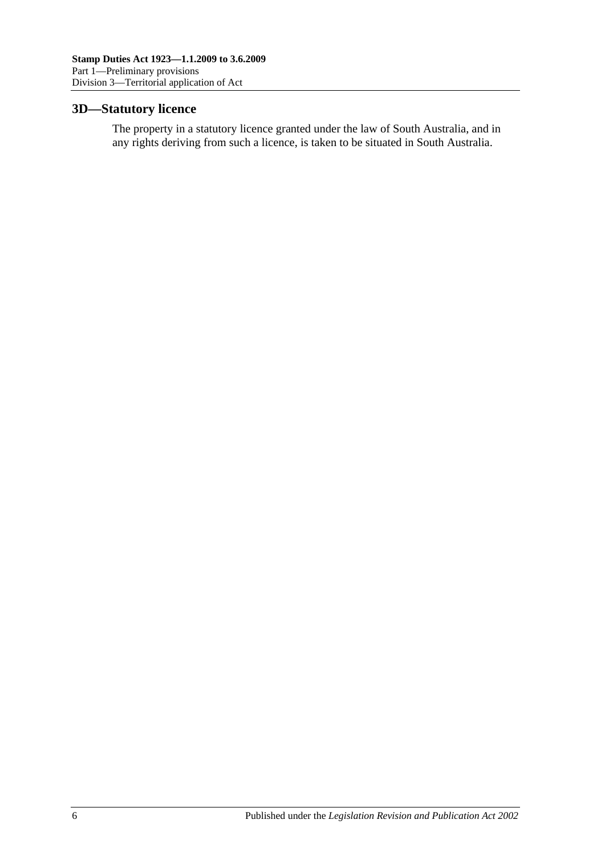# <span id="page-11-0"></span>**3D—Statutory licence**

The property in a statutory licence granted under the law of South Australia, and in any rights deriving from such a licence, is taken to be situated in South Australia.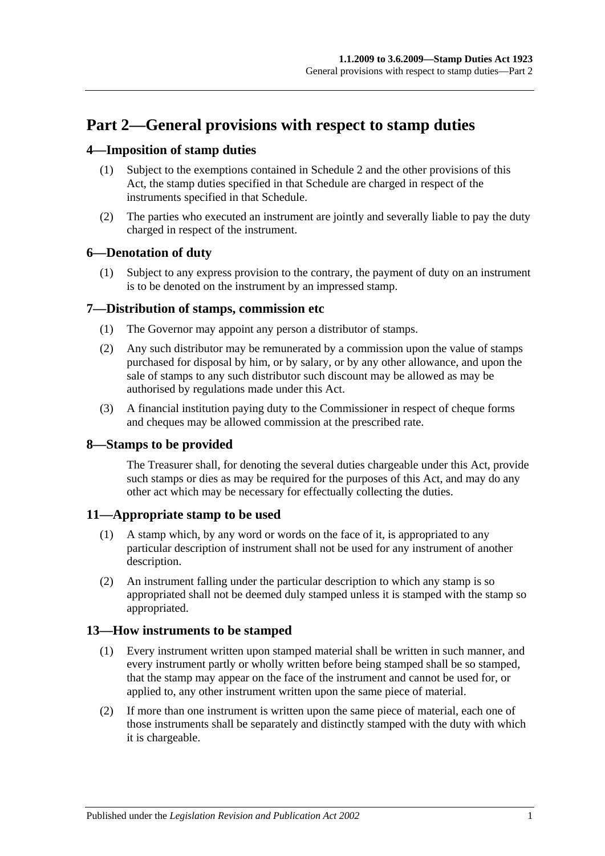# <span id="page-12-0"></span>**Part 2—General provisions with respect to stamp duties**

# <span id="page-12-1"></span>**4—Imposition of stamp duties**

- (1) Subject to the exemptions contained in [Schedule 2](#page-96-2) and the other provisions of this Act, the stamp duties specified in that Schedule are charged in respect of the instruments specified in that Schedule.
- (2) The parties who executed an instrument are jointly and severally liable to pay the duty charged in respect of the instrument.

# <span id="page-12-2"></span>**6—Denotation of duty**

(1) Subject to any express provision to the contrary, the payment of duty on an instrument is to be denoted on the instrument by an impressed stamp.

## <span id="page-12-3"></span>**7—Distribution of stamps, commission etc**

- (1) The Governor may appoint any person a distributor of stamps.
- (2) Any such distributor may be remunerated by a commission upon the value of stamps purchased for disposal by him, or by salary, or by any other allowance, and upon the sale of stamps to any such distributor such discount may be allowed as may be authorised by regulations made under this Act.
- (3) A financial institution paying duty to the Commissioner in respect of cheque forms and cheques may be allowed commission at the prescribed rate.

# <span id="page-12-4"></span>**8—Stamps to be provided**

The Treasurer shall, for denoting the several duties chargeable under this Act, provide such stamps or dies as may be required for the purposes of this Act, and may do any other act which may be necessary for effectually collecting the duties.

## <span id="page-12-5"></span>**11—Appropriate stamp to be used**

- (1) A stamp which, by any word or words on the face of it, is appropriated to any particular description of instrument shall not be used for any instrument of another description.
- (2) An instrument falling under the particular description to which any stamp is so appropriated shall not be deemed duly stamped unless it is stamped with the stamp so appropriated.

# <span id="page-12-6"></span>**13—How instruments to be stamped**

- (1) Every instrument written upon stamped material shall be written in such manner, and every instrument partly or wholly written before being stamped shall be so stamped, that the stamp may appear on the face of the instrument and cannot be used for, or applied to, any other instrument written upon the same piece of material.
- (2) If more than one instrument is written upon the same piece of material, each one of those instruments shall be separately and distinctly stamped with the duty with which it is chargeable.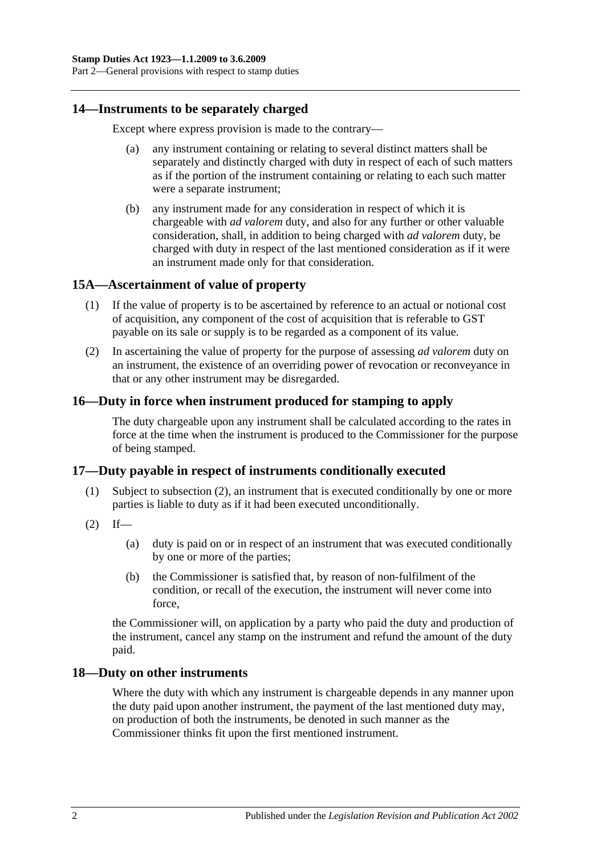Part 2—General provisions with respect to stamp duties

### <span id="page-13-0"></span>**14—Instruments to be separately charged**

Except where express provision is made to the contrary—

- (a) any instrument containing or relating to several distinct matters shall be separately and distinctly charged with duty in respect of each of such matters as if the portion of the instrument containing or relating to each such matter were a separate instrument;
- (b) any instrument made for any consideration in respect of which it is chargeable with *ad valorem* duty, and also for any further or other valuable consideration, shall, in addition to being charged with *ad valorem* duty, be charged with duty in respect of the last mentioned consideration as if it were an instrument made only for that consideration.

### <span id="page-13-1"></span>**15A—Ascertainment of value of property**

- (1) If the value of property is to be ascertained by reference to an actual or notional cost of acquisition, any component of the cost of acquisition that is referable to GST payable on its sale or supply is to be regarded as a component of its value.
- (2) In ascertaining the value of property for the purpose of assessing *ad valorem* duty on an instrument, the existence of an overriding power of revocation or reconveyance in that or any other instrument may be disregarded.

## <span id="page-13-2"></span>**16—Duty in force when instrument produced for stamping to apply**

The duty chargeable upon any instrument shall be calculated according to the rates in force at the time when the instrument is produced to the Commissioner for the purpose of being stamped.

#### <span id="page-13-3"></span>**17—Duty payable in respect of instruments conditionally executed**

- (1) Subject to [subsection](#page-13-5) (2), an instrument that is executed conditionally by one or more parties is liable to duty as if it had been executed unconditionally.
- <span id="page-13-5"></span> $(2)$  If—
	- (a) duty is paid on or in respect of an instrument that was executed conditionally by one or more of the parties;
	- (b) the Commissioner is satisfied that, by reason of non-fulfilment of the condition, or recall of the execution, the instrument will never come into force,

the Commissioner will, on application by a party who paid the duty and production of the instrument, cancel any stamp on the instrument and refund the amount of the duty paid.

#### <span id="page-13-4"></span>**18—Duty on other instruments**

Where the duty with which any instrument is chargeable depends in any manner upon the duty paid upon another instrument, the payment of the last mentioned duty may, on production of both the instruments, be denoted in such manner as the Commissioner thinks fit upon the first mentioned instrument.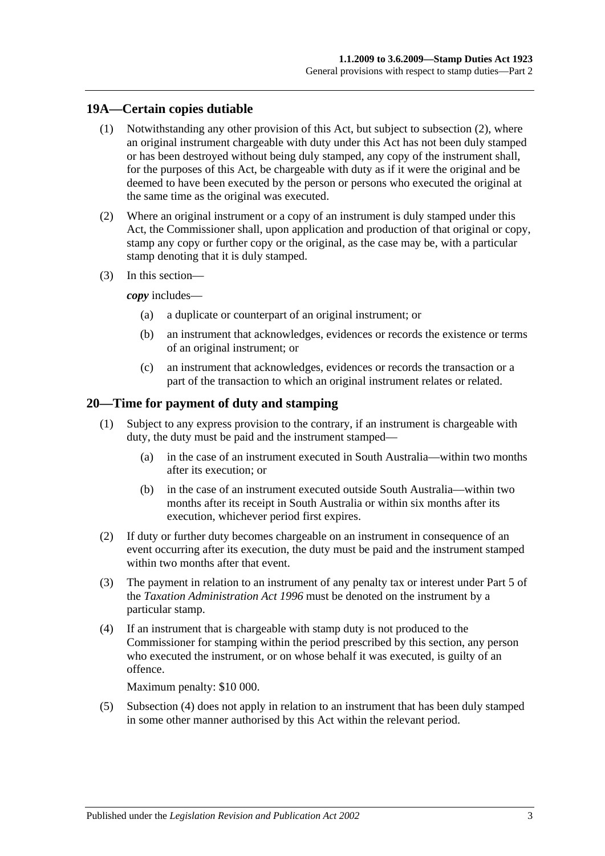# <span id="page-14-0"></span>**19A—Certain copies dutiable**

- (1) Notwithstanding any other provision of this Act, but subject to [subsection](#page-14-2) (2), where an original instrument chargeable with duty under this Act has not been duly stamped or has been destroyed without being duly stamped, any copy of the instrument shall, for the purposes of this Act, be chargeable with duty as if it were the original and be deemed to have been executed by the person or persons who executed the original at the same time as the original was executed.
- <span id="page-14-2"></span>(2) Where an original instrument or a copy of an instrument is duly stamped under this Act, the Commissioner shall, upon application and production of that original or copy, stamp any copy or further copy or the original, as the case may be, with a particular stamp denoting that it is duly stamped.
- (3) In this section—

*copy* includes—

- (a) a duplicate or counterpart of an original instrument; or
- (b) an instrument that acknowledges, evidences or records the existence or terms of an original instrument; or
- (c) an instrument that acknowledges, evidences or records the transaction or a part of the transaction to which an original instrument relates or related.

### <span id="page-14-1"></span>**20—Time for payment of duty and stamping**

- (1) Subject to any express provision to the contrary, if an instrument is chargeable with duty, the duty must be paid and the instrument stamped—
	- (a) in the case of an instrument executed in South Australia—within two months after its execution; or
	- (b) in the case of an instrument executed outside South Australia—within two months after its receipt in South Australia or within six months after its execution, whichever period first expires.
- (2) If duty or further duty becomes chargeable on an instrument in consequence of an event occurring after its execution, the duty must be paid and the instrument stamped within two months after that event.
- (3) The payment in relation to an instrument of any penalty tax or interest under Part 5 of the *[Taxation Administration Act](http://www.legislation.sa.gov.au/index.aspx?action=legref&type=act&legtitle=Taxation%20Administration%20Act%201996) 1996* must be denoted on the instrument by a particular stamp.
- <span id="page-14-3"></span>(4) If an instrument that is chargeable with stamp duty is not produced to the Commissioner for stamping within the period prescribed by this section, any person who executed the instrument, or on whose behalf it was executed, is guilty of an offence.

Maximum penalty: \$10 000.

(5) [Subsection](#page-14-3) (4) does not apply in relation to an instrument that has been duly stamped in some other manner authorised by this Act within the relevant period.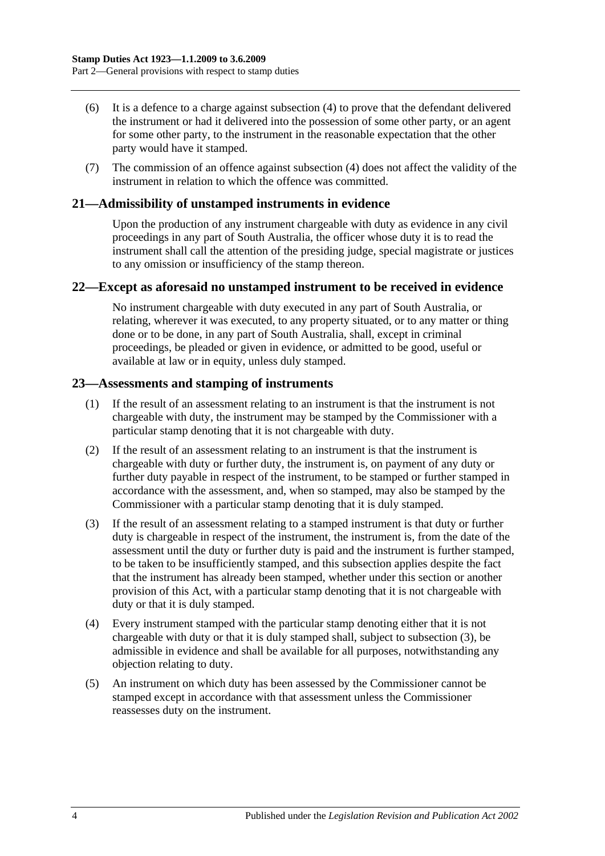- (6) It is a defence to a charge against [subsection](#page-14-3) (4) to prove that the defendant delivered the instrument or had it delivered into the possession of some other party, or an agent for some other party, to the instrument in the reasonable expectation that the other party would have it stamped.
- (7) The commission of an offence against [subsection](#page-14-3) (4) does not affect the validity of the instrument in relation to which the offence was committed.

# <span id="page-15-0"></span>**21—Admissibility of unstamped instruments in evidence**

Upon the production of any instrument chargeable with duty as evidence in any civil proceedings in any part of South Australia, the officer whose duty it is to read the instrument shall call the attention of the presiding judge, special magistrate or justices to any omission or insufficiency of the stamp thereon.

#### <span id="page-15-1"></span>**22—Except as aforesaid no unstamped instrument to be received in evidence**

No instrument chargeable with duty executed in any part of South Australia, or relating, wherever it was executed, to any property situated, or to any matter or thing done or to be done, in any part of South Australia, shall, except in criminal proceedings, be pleaded or given in evidence, or admitted to be good, useful or available at law or in equity, unless duly stamped.

### <span id="page-15-2"></span>**23—Assessments and stamping of instruments**

- (1) If the result of an assessment relating to an instrument is that the instrument is not chargeable with duty, the instrument may be stamped by the Commissioner with a particular stamp denoting that it is not chargeable with duty.
- (2) If the result of an assessment relating to an instrument is that the instrument is chargeable with duty or further duty, the instrument is, on payment of any duty or further duty payable in respect of the instrument, to be stamped or further stamped in accordance with the assessment, and, when so stamped, may also be stamped by the Commissioner with a particular stamp denoting that it is duly stamped.
- <span id="page-15-3"></span>(3) If the result of an assessment relating to a stamped instrument is that duty or further duty is chargeable in respect of the instrument, the instrument is, from the date of the assessment until the duty or further duty is paid and the instrument is further stamped, to be taken to be insufficiently stamped, and this subsection applies despite the fact that the instrument has already been stamped, whether under this section or another provision of this Act, with a particular stamp denoting that it is not chargeable with duty or that it is duly stamped.
- (4) Every instrument stamped with the particular stamp denoting either that it is not chargeable with duty or that it is duly stamped shall, subject to [subsection](#page-15-3) (3), be admissible in evidence and shall be available for all purposes, notwithstanding any objection relating to duty.
- (5) An instrument on which duty has been assessed by the Commissioner cannot be stamped except in accordance with that assessment unless the Commissioner reassesses duty on the instrument.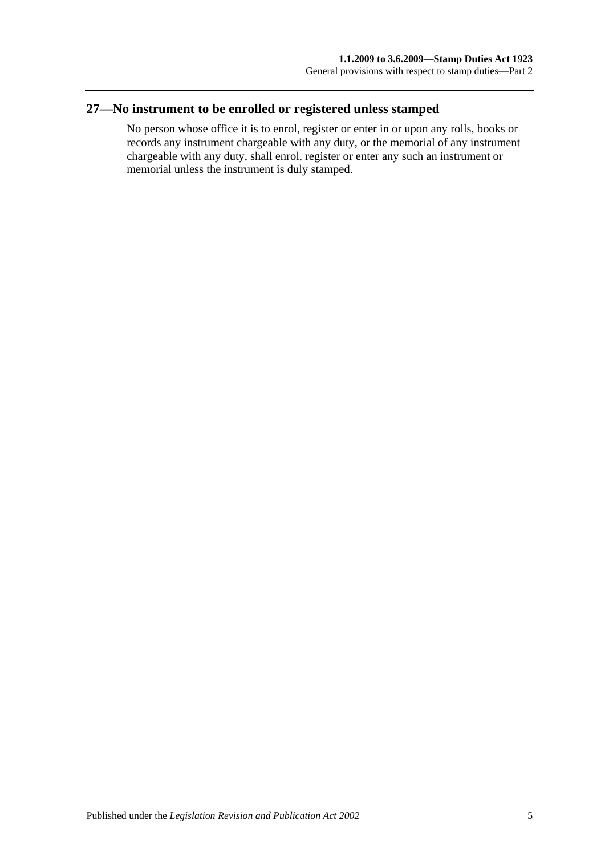# <span id="page-16-0"></span>**27—No instrument to be enrolled or registered unless stamped**

No person whose office it is to enrol, register or enter in or upon any rolls, books or records any instrument chargeable with any duty, or the memorial of any instrument chargeable with any duty, shall enrol, register or enter any such an instrument or memorial unless the instrument is duly stamped.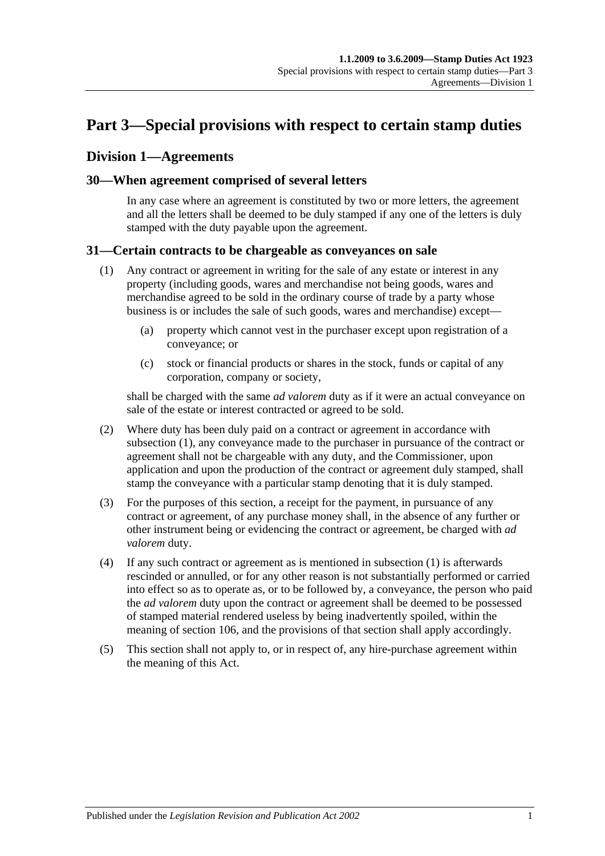# <span id="page-18-0"></span>**Part 3—Special provisions with respect to certain stamp duties**

# <span id="page-18-1"></span>**Division 1—Agreements**

### <span id="page-18-2"></span>**30—When agreement comprised of several letters**

In any case where an agreement is constituted by two or more letters, the agreement and all the letters shall be deemed to be duly stamped if any one of the letters is duly stamped with the duty payable upon the agreement.

#### <span id="page-18-4"></span><span id="page-18-3"></span>**31—Certain contracts to be chargeable as conveyances on sale**

- (1) Any contract or agreement in writing for the sale of any estate or interest in any property (including goods, wares and merchandise not being goods, wares and merchandise agreed to be sold in the ordinary course of trade by a party whose business is or includes the sale of such goods, wares and merchandise) except—
	- (a) property which cannot vest in the purchaser except upon registration of a conveyance; or
	- (c) stock or financial products or shares in the stock, funds or capital of any corporation, company or society,

shall be charged with the same *ad valorem* duty as if it were an actual conveyance on sale of the estate or interest contracted or agreed to be sold.

- (2) Where duty has been duly paid on a contract or agreement in accordance with [subsection](#page-18-4) (1), any conveyance made to the purchaser in pursuance of the contract or agreement shall not be chargeable with any duty, and the Commissioner, upon application and upon the production of the contract or agreement duly stamped, shall stamp the conveyance with a particular stamp denoting that it is duly stamped.
- (3) For the purposes of this section, a receipt for the payment, in pursuance of any contract or agreement, of any purchase money shall, in the absence of any further or other instrument being or evidencing the contract or agreement, be charged with *ad valorem* duty.
- (4) If any such contract or agreement as is mentioned in [subsection](#page-18-4) (1) is afterwards rescinded or annulled, or for any other reason is not substantially performed or carried into effect so as to operate as, or to be followed by, a conveyance, the person who paid the *ad valorem* duty upon the contract or agreement shall be deemed to be possessed of stamped material rendered useless by being inadvertently spoiled, within the meaning of [section](#page-92-1) 106, and the provisions of that section shall apply accordingly.
- (5) This section shall not apply to, or in respect of, any hire-purchase agreement within the meaning of this Act.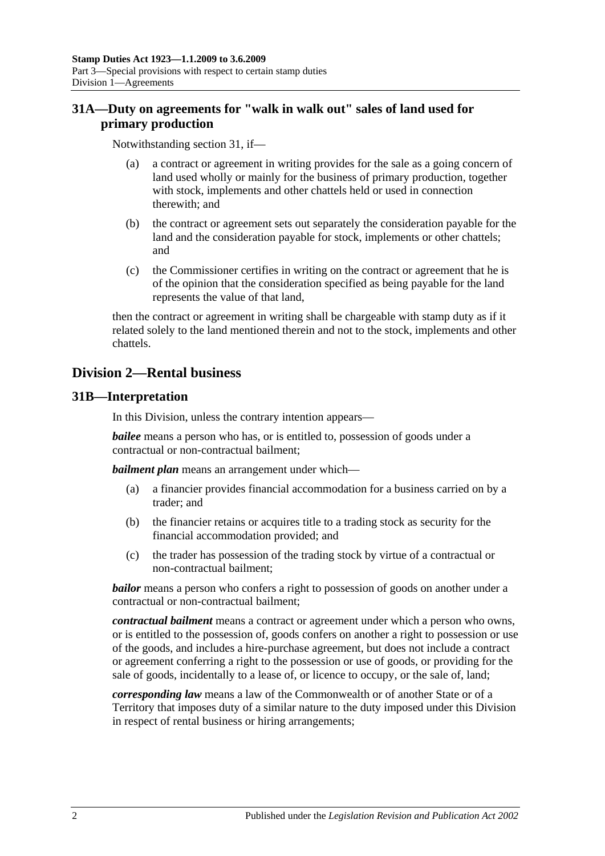# <span id="page-19-0"></span>**31A—Duty on agreements for "walk in walk out" sales of land used for primary production**

Notwithstanding [section](#page-18-3) 31, if—

- (a) a contract or agreement in writing provides for the sale as a going concern of land used wholly or mainly for the business of primary production, together with stock, implements and other chattels held or used in connection therewith; and
- (b) the contract or agreement sets out separately the consideration payable for the land and the consideration payable for stock, implements or other chattels; and
- (c) the Commissioner certifies in writing on the contract or agreement that he is of the opinion that the consideration specified as being payable for the land represents the value of that land,

then the contract or agreement in writing shall be chargeable with stamp duty as if it related solely to the land mentioned therein and not to the stock, implements and other chattels.

# <span id="page-19-1"></span>**Division 2—Rental business**

## <span id="page-19-2"></span>**31B—Interpretation**

In this Division, unless the contrary intention appears—

*bailee* means a person who has, or is entitled to, possession of goods under a contractual or non-contractual bailment;

*bailment plan* means an arrangement under which—

- (a) a financier provides financial accommodation for a business carried on by a trader; and
- (b) the financier retains or acquires title to a trading stock as security for the financial accommodation provided; and
- (c) the trader has possession of the trading stock by virtue of a contractual or non-contractual bailment;

*bailor* means a person who confers a right to possession of goods on another under a contractual or non-contractual bailment;

*contractual bailment* means a contract or agreement under which a person who owns, or is entitled to the possession of, goods confers on another a right to possession or use of the goods, and includes a hire-purchase agreement, but does not include a contract or agreement conferring a right to the possession or use of goods, or providing for the sale of goods, incidentally to a lease of, or licence to occupy, or the sale of, land;

*corresponding law* means a law of the Commonwealth or of another State or of a Territory that imposes duty of a similar nature to the duty imposed under this Division in respect of rental business or hiring arrangements;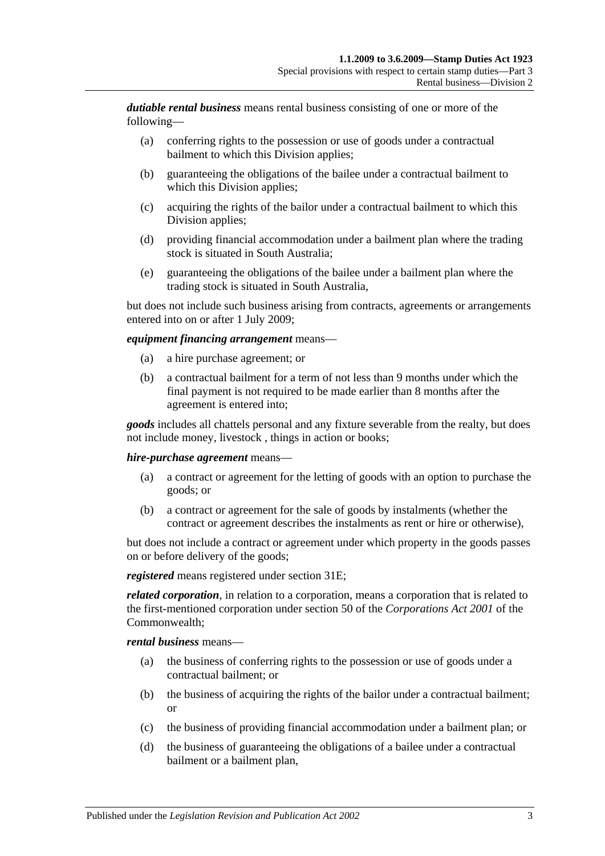*dutiable rental business* means rental business consisting of one or more of the following—

- (a) conferring rights to the possession or use of goods under a contractual bailment to which this Division applies;
- (b) guaranteeing the obligations of the bailee under a contractual bailment to which this Division applies;
- (c) acquiring the rights of the bailor under a contractual bailment to which this Division applies;
- (d) providing financial accommodation under a bailment plan where the trading stock is situated in South Australia;
- (e) guaranteeing the obligations of the bailee under a bailment plan where the trading stock is situated in South Australia,

but does not include such business arising from contracts, agreements or arrangements entered into on or after 1 July 2009;

#### *equipment financing arrangement* means—

- (a) a hire purchase agreement; or
- (b) a contractual bailment for a term of not less than 9 months under which the final payment is not required to be made earlier than 8 months after the agreement is entered into;

*goods* includes all chattels personal and any fixture severable from the realty, but does not include money, livestock , things in action or books;

#### *hire-purchase agreement* means—

- (a) a contract or agreement for the letting of goods with an option to purchase the goods; or
- (b) a contract or agreement for the sale of goods by instalments (whether the contract or agreement describes the instalments as rent or hire or otherwise),

but does not include a contract or agreement under which property in the goods passes on or before delivery of the goods;

*registered* means registered under [section](#page-21-2) 31E;

*related corporation*, in relation to a corporation, means a corporation that is related to the first-mentioned corporation under section 50 of the *Corporations Act 2001* of the Commonwealth;

*rental business* means—

- (a) the business of conferring rights to the possession or use of goods under a contractual bailment; or
- (b) the business of acquiring the rights of the bailor under a contractual bailment; or
- (c) the business of providing financial accommodation under a bailment plan; or
- (d) the business of guaranteeing the obligations of a bailee under a contractual bailment or a bailment plan,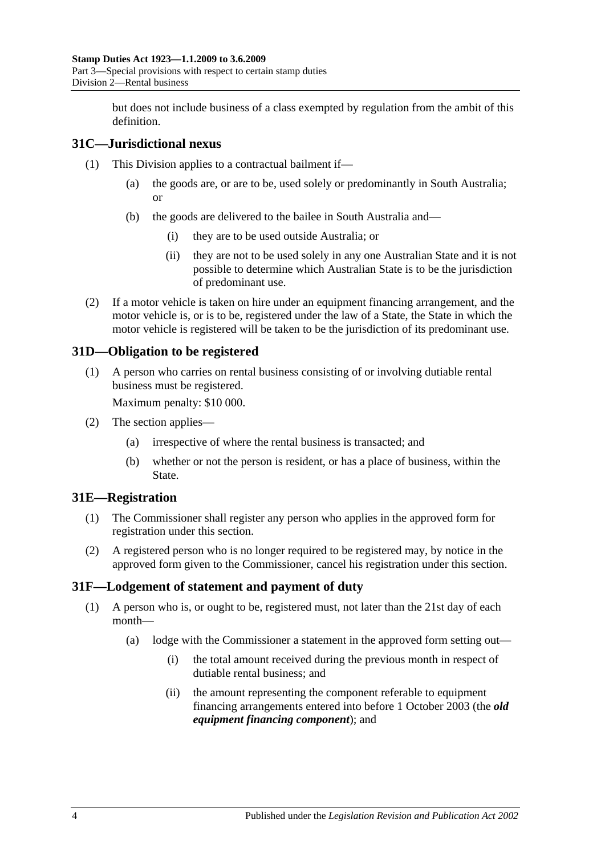but does not include business of a class exempted by regulation from the ambit of this definition.

## <span id="page-21-0"></span>**31C—Jurisdictional nexus**

- (1) This Division applies to a contractual bailment if—
	- (a) the goods are, or are to be, used solely or predominantly in South Australia; or
	- (b) the goods are delivered to the bailee in South Australia and—
		- (i) they are to be used outside Australia; or
		- (ii) they are not to be used solely in any one Australian State and it is not possible to determine which Australian State is to be the jurisdiction of predominant use.
- (2) If a motor vehicle is taken on hire under an equipment financing arrangement, and the motor vehicle is, or is to be, registered under the law of a State, the State in which the motor vehicle is registered will be taken to be the jurisdiction of its predominant use.

## <span id="page-21-1"></span>**31D—Obligation to be registered**

(1) A person who carries on rental business consisting of or involving dutiable rental business must be registered.

Maximum penalty: \$10 000.

- (2) The section applies—
	- (a) irrespective of where the rental business is transacted; and
	- (b) whether or not the person is resident, or has a place of business, within the State.

#### <span id="page-21-2"></span>**31E—Registration**

- (1) The Commissioner shall register any person who applies in the approved form for registration under this section.
- (2) A registered person who is no longer required to be registered may, by notice in the approved form given to the Commissioner, cancel his registration under this section.

## <span id="page-21-4"></span><span id="page-21-3"></span>**31F—Lodgement of statement and payment of duty**

- (1) A person who is, or ought to be, registered must, not later than the 21st day of each month—
	- (a) lodge with the Commissioner a statement in the approved form setting out—
		- (i) the total amount received during the previous month in respect of dutiable rental business; and
		- (ii) the amount representing the component referable to equipment financing arrangements entered into before 1 October 2003 (the *old equipment financing component*); and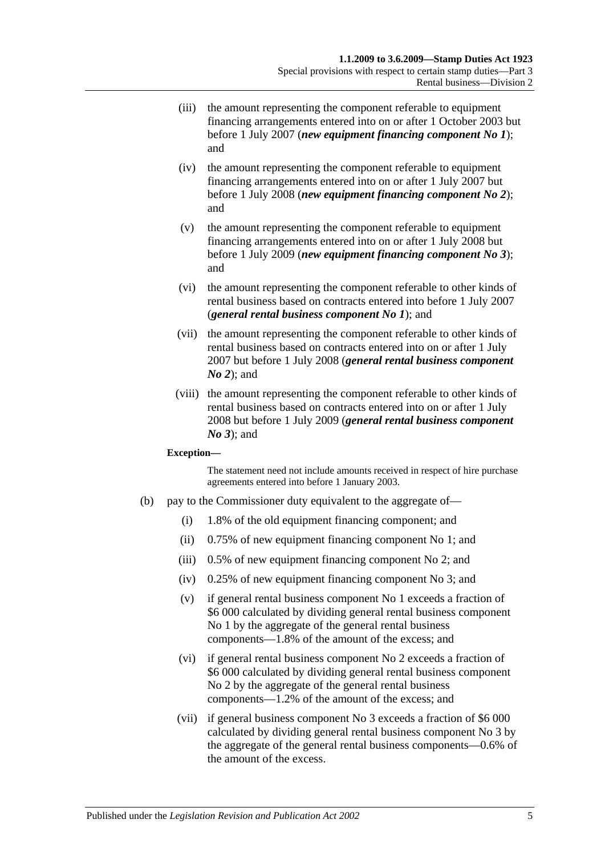- (iii) the amount representing the component referable to equipment financing arrangements entered into on or after 1 October 2003 but before 1 July 2007 (*new equipment financing component No 1*); and
- (iv) the amount representing the component referable to equipment financing arrangements entered into on or after 1 July 2007 but before 1 July 2008 (*new equipment financing component No 2*); and
- (v) the amount representing the component referable to equipment financing arrangements entered into on or after 1 July 2008 but before 1 July 2009 (*new equipment financing component No 3*); and
- (vi) the amount representing the component referable to other kinds of rental business based on contracts entered into before 1 July 2007 (*general rental business component No 1*); and
- (vii) the amount representing the component referable to other kinds of rental business based on contracts entered into on or after 1 July 2007 but before 1 July 2008 (*general rental business component No 2*); and
- (viii) the amount representing the component referable to other kinds of rental business based on contracts entered into on or after 1 July 2008 but before 1 July 2009 (*general rental business component No 3*); and

#### **Exception—**

The statement need not include amounts received in respect of hire purchase agreements entered into before 1 January 2003.

- (b) pay to the Commissioner duty equivalent to the aggregate of—
	- (i) 1.8% of the old equipment financing component; and
	- (ii) 0.75% of new equipment financing component No 1; and
	- (iii) 0.5% of new equipment financing component No 2; and
	- (iv) 0.25% of new equipment financing component No 3; and
	- (v) if general rental business component No 1 exceeds a fraction of \$6 000 calculated by dividing general rental business component No 1 by the aggregate of the general rental business components—1.8% of the amount of the excess; and
	- (vi) if general rental business component No 2 exceeds a fraction of \$6 000 calculated by dividing general rental business component No 2 by the aggregate of the general rental business components—1.2% of the amount of the excess; and
	- (vii) if general business component No 3 exceeds a fraction of \$6 000 calculated by dividing general rental business component No 3 by the aggregate of the general rental business components—0.6% of the amount of the excess.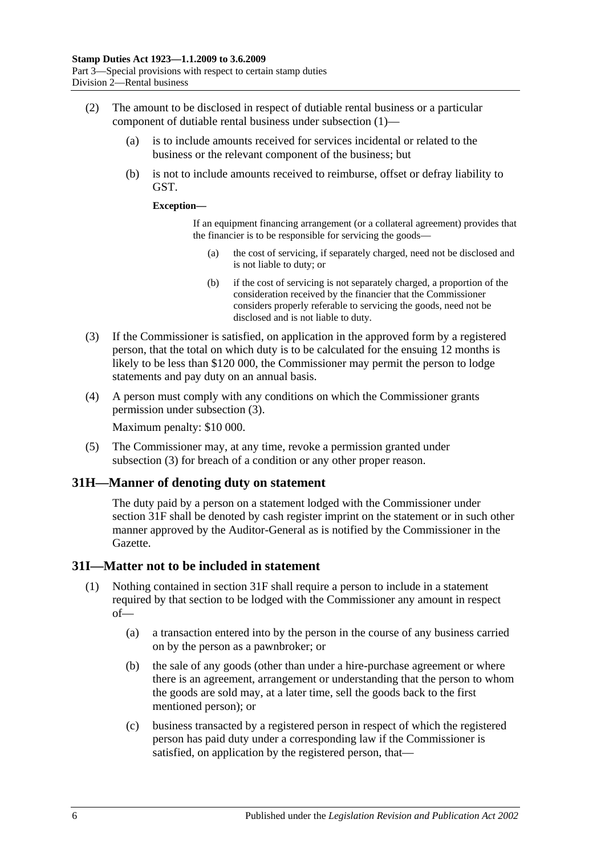- (2) The amount to be disclosed in respect of dutiable rental business or a particular component of dutiable rental business under [subsection](#page-21-4) (1)—
	- (a) is to include amounts received for services incidental or related to the business or the relevant component of the business; but
	- (b) is not to include amounts received to reimburse, offset or defray liability to GST.

#### **Exception—**

If an equipment financing arrangement (or a collateral agreement) provides that the financier is to be responsible for servicing the goods—

- (a) the cost of servicing, if separately charged, need not be disclosed and is not liable to duty; or
- (b) if the cost of servicing is not separately charged, a proportion of the consideration received by the financier that the Commissioner considers properly referable to servicing the goods, need not be disclosed and is not liable to duty.
- <span id="page-23-2"></span>(3) If the Commissioner is satisfied, on application in the approved form by a registered person, that the total on which duty is to be calculated for the ensuing 12 months is likely to be less than \$120 000, the Commissioner may permit the person to lodge statements and pay duty on an annual basis.
- (4) A person must comply with any conditions on which the Commissioner grants permission under [subsection](#page-23-2) (3).

Maximum penalty: \$10 000.

(5) The Commissioner may, at any time, revoke a permission granted under [subsection](#page-23-2) (3) for breach of a condition or any other proper reason.

#### <span id="page-23-0"></span>**31H—Manner of denoting duty on statement**

The duty paid by a person on a statement lodged with the Commissioner under [section](#page-21-3) 31F shall be denoted by cash register imprint on the statement or in such other manner approved by the Auditor-General as is notified by the Commissioner in the Gazette.

## <span id="page-23-1"></span>**31I—Matter not to be included in statement**

- (1) Nothing contained in [section](#page-21-3) 31F shall require a person to include in a statement required by that section to be lodged with the Commissioner any amount in respect of—
	- (a) a transaction entered into by the person in the course of any business carried on by the person as a pawnbroker; or
	- (b) the sale of any goods (other than under a hire-purchase agreement or where there is an agreement, arrangement or understanding that the person to whom the goods are sold may, at a later time, sell the goods back to the first mentioned person); or
	- (c) business transacted by a registered person in respect of which the registered person has paid duty under a corresponding law if the Commissioner is satisfied, on application by the registered person, that—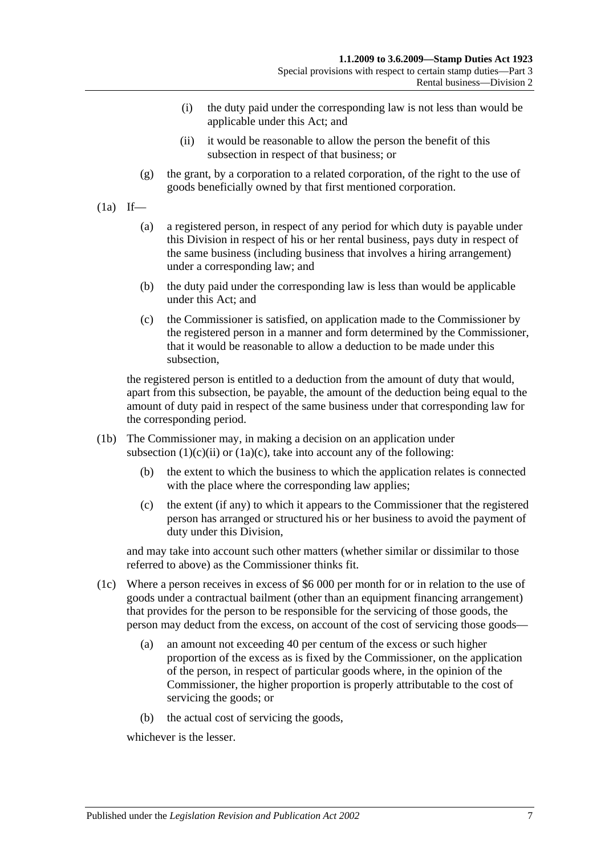- (i) the duty paid under the corresponding law is not less than would be applicable under this Act; and
- (ii) it would be reasonable to allow the person the benefit of this subsection in respect of that business; or
- <span id="page-24-0"></span>(g) the grant, by a corporation to a related corporation, of the right to the use of goods beneficially owned by that first mentioned corporation.

 $(1a)$  If—

- (a) a registered person, in respect of any period for which duty is payable under this Division in respect of his or her rental business, pays duty in respect of the same business (including business that involves a hiring arrangement) under a corresponding law; and
- (b) the duty paid under the corresponding law is less than would be applicable under this Act; and
- <span id="page-24-1"></span>(c) the Commissioner is satisfied, on application made to the Commissioner by the registered person in a manner and form determined by the Commissioner, that it would be reasonable to allow a deduction to be made under this subsection,

the registered person is entitled to a deduction from the amount of duty that would, apart from this subsection, be payable, the amount of the deduction being equal to the amount of duty paid in respect of the same business under that corresponding law for the corresponding period.

- (1b) The Commissioner may, in making a decision on an application under [subsection](#page-24-0)  $(1)(c)(ii)$  or  $(1a)(c)$ , take into account any of the following:
	- (b) the extent to which the business to which the application relates is connected with the place where the corresponding law applies;
	- (c) the extent (if any) to which it appears to the Commissioner that the registered person has arranged or structured his or her business to avoid the payment of duty under this Division,

and may take into account such other matters (whether similar or dissimilar to those referred to above) as the Commissioner thinks fit.

- (1c) Where a person receives in excess of \$6 000 per month for or in relation to the use of goods under a contractual bailment (other than an equipment financing arrangement) that provides for the person to be responsible for the servicing of those goods, the person may deduct from the excess, on account of the cost of servicing those goods—
	- (a) an amount not exceeding 40 per centum of the excess or such higher proportion of the excess as is fixed by the Commissioner, on the application of the person, in respect of particular goods where, in the opinion of the Commissioner, the higher proportion is properly attributable to the cost of servicing the goods; or
	- (b) the actual cost of servicing the goods,

whichever is the lesser.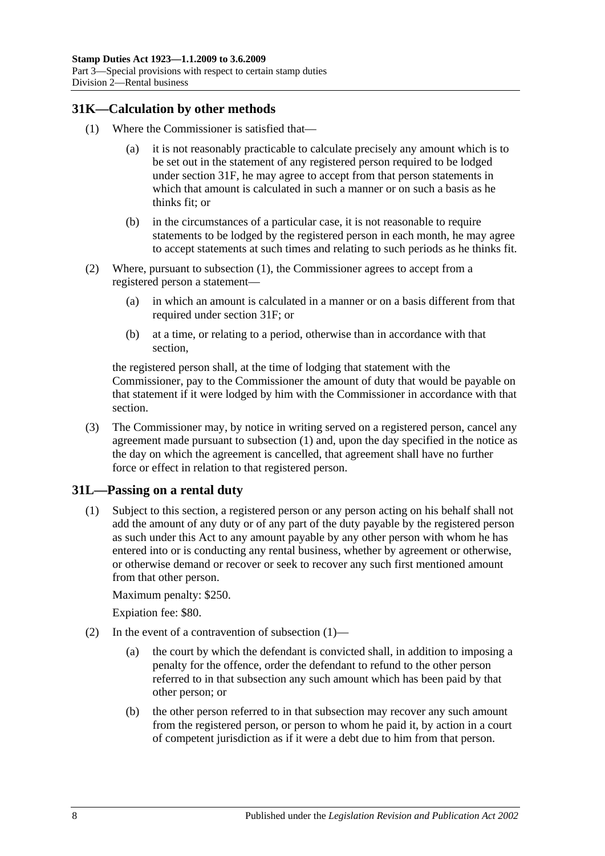# <span id="page-25-2"></span><span id="page-25-0"></span>**31K—Calculation by other methods**

- (1) Where the Commissioner is satisfied that—
	- (a) it is not reasonably practicable to calculate precisely any amount which is to be set out in the statement of any registered person required to be lodged under [section](#page-21-3) 31F, he may agree to accept from that person statements in which that amount is calculated in such a manner or on such a basis as he thinks fit; or
	- (b) in the circumstances of a particular case, it is not reasonable to require statements to be lodged by the registered person in each month, he may agree to accept statements at such times and relating to such periods as he thinks fit.
- (2) Where, pursuant to [subsection](#page-25-2) (1), the Commissioner agrees to accept from a registered person a statement—
	- (a) in which an amount is calculated in a manner or on a basis different from that required under [section](#page-21-3) 31F; or
	- (b) at a time, or relating to a period, otherwise than in accordance with that section,

the registered person shall, at the time of lodging that statement with the Commissioner, pay to the Commissioner the amount of duty that would be payable on that statement if it were lodged by him with the Commissioner in accordance with that section.

(3) The Commissioner may, by notice in writing served on a registered person, cancel any agreement made pursuant to [subsection](#page-25-2) (1) and, upon the day specified in the notice as the day on which the agreement is cancelled, that agreement shall have no further force or effect in relation to that registered person.

## <span id="page-25-3"></span><span id="page-25-1"></span>**31L—Passing on a rental duty**

(1) Subject to this section, a registered person or any person acting on his behalf shall not add the amount of any duty or of any part of the duty payable by the registered person as such under this Act to any amount payable by any other person with whom he has entered into or is conducting any rental business, whether by agreement or otherwise, or otherwise demand or recover or seek to recover any such first mentioned amount from that other person.

Maximum penalty: \$250.

Expiation fee: \$80.

- (2) In the event of a contravention of [subsection](#page-25-3)  $(1)$ 
	- (a) the court by which the defendant is convicted shall, in addition to imposing a penalty for the offence, order the defendant to refund to the other person referred to in that subsection any such amount which has been paid by that other person; or
	- (b) the other person referred to in that subsection may recover any such amount from the registered person, or person to whom he paid it, by action in a court of competent jurisdiction as if it were a debt due to him from that person.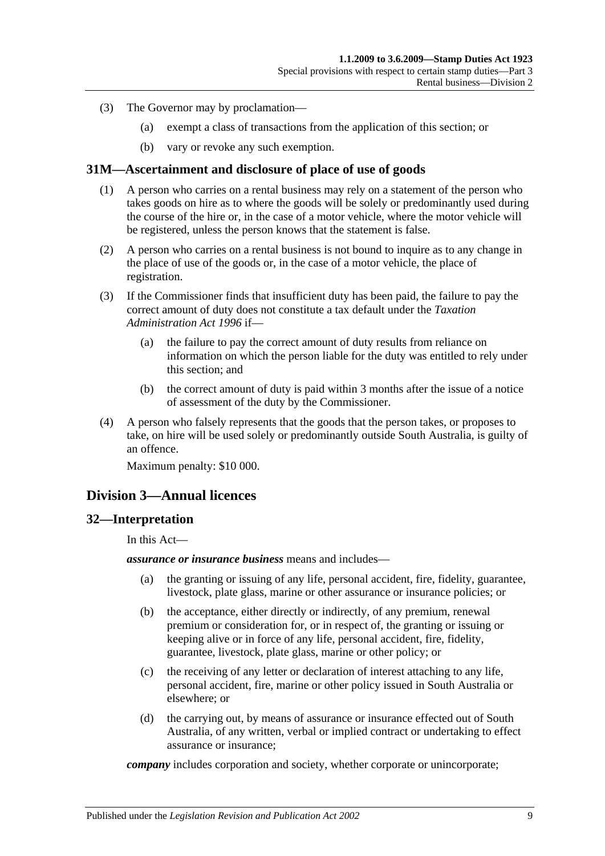- (3) The Governor may by proclamation—
	- (a) exempt a class of transactions from the application of this section; or
	- (b) vary or revoke any such exemption.

## <span id="page-26-0"></span>**31M—Ascertainment and disclosure of place of use of goods**

- (1) A person who carries on a rental business may rely on a statement of the person who takes goods on hire as to where the goods will be solely or predominantly used during the course of the hire or, in the case of a motor vehicle, where the motor vehicle will be registered, unless the person knows that the statement is false.
- (2) A person who carries on a rental business is not bound to inquire as to any change in the place of use of the goods or, in the case of a motor vehicle, the place of registration.
- (3) If the Commissioner finds that insufficient duty has been paid, the failure to pay the correct amount of duty does not constitute a tax default under the *[Taxation](http://www.legislation.sa.gov.au/index.aspx?action=legref&type=act&legtitle=Taxation%20Administration%20Act%201996)  [Administration Act](http://www.legislation.sa.gov.au/index.aspx?action=legref&type=act&legtitle=Taxation%20Administration%20Act%201996) 1996* if—
	- (a) the failure to pay the correct amount of duty results from reliance on information on which the person liable for the duty was entitled to rely under this section; and
	- (b) the correct amount of duty is paid within 3 months after the issue of a notice of assessment of the duty by the Commissioner.
- (4) A person who falsely represents that the goods that the person takes, or proposes to take, on hire will be used solely or predominantly outside South Australia, is guilty of an offence.

Maximum penalty: \$10 000.

## <span id="page-26-1"></span>**Division 3—Annual licences**

#### <span id="page-26-2"></span>**32—Interpretation**

In this Act—

*assurance or insurance business* means and includes—

- (a) the granting or issuing of any life, personal accident, fire, fidelity, guarantee, livestock, plate glass, marine or other assurance or insurance policies; or
- (b) the acceptance, either directly or indirectly, of any premium, renewal premium or consideration for, or in respect of, the granting or issuing or keeping alive or in force of any life, personal accident, fire, fidelity, guarantee, livestock, plate glass, marine or other policy; or
- (c) the receiving of any letter or declaration of interest attaching to any life, personal accident, fire, marine or other policy issued in South Australia or elsewhere; or
- (d) the carrying out, by means of assurance or insurance effected out of South Australia, of any written, verbal or implied contract or undertaking to effect assurance or insurance;

*company* includes corporation and society, whether corporate or unincorporate;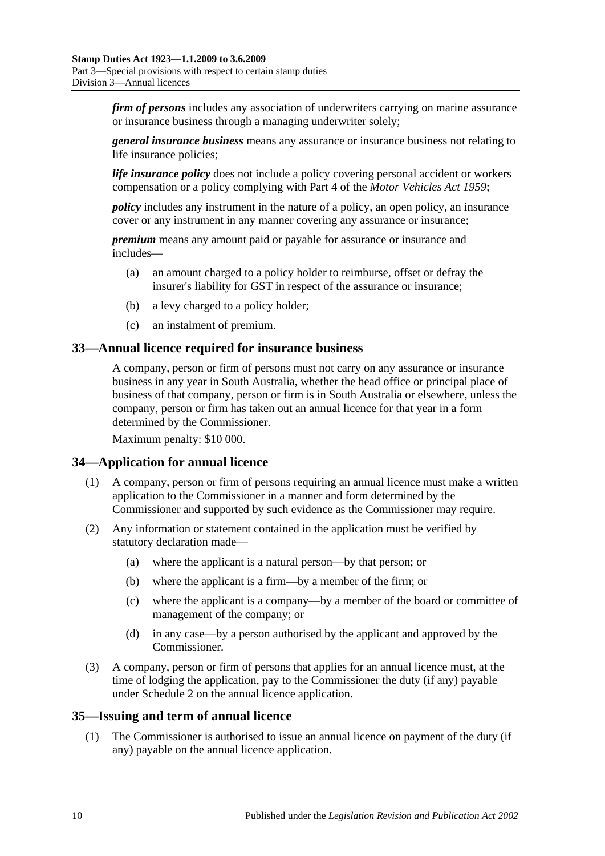*firm of persons* includes any association of underwriters carrying on marine assurance or insurance business through a managing underwriter solely;

*general insurance business* means any assurance or insurance business not relating to life insurance policies;

*life insurance policy* does not include a policy covering personal accident or workers compensation or a policy complying with Part 4 of the *[Motor Vehicles Act](http://www.legislation.sa.gov.au/index.aspx?action=legref&type=act&legtitle=Motor%20Vehicles%20Act%201959) 1959*;

*policy* includes any instrument in the nature of a policy, an open policy, an insurance cover or any instrument in any manner covering any assurance or insurance;

*premium* means any amount paid or payable for assurance or insurance and includes—

- (a) an amount charged to a policy holder to reimburse, offset or defray the insurer's liability for GST in respect of the assurance or insurance;
- (b) a levy charged to a policy holder;
- (c) an instalment of premium.

### <span id="page-27-0"></span>**33—Annual licence required for insurance business**

A company, person or firm of persons must not carry on any assurance or insurance business in any year in South Australia, whether the head office or principal place of business of that company, person or firm is in South Australia or elsewhere, unless the company, person or firm has taken out an annual licence for that year in a form determined by the Commissioner.

Maximum penalty: \$10 000.

## <span id="page-27-1"></span>**34—Application for annual licence**

- (1) A company, person or firm of persons requiring an annual licence must make a written application to the Commissioner in a manner and form determined by the Commissioner and supported by such evidence as the Commissioner may require.
- (2) Any information or statement contained in the application must be verified by statutory declaration made—
	- (a) where the applicant is a natural person—by that person; or
	- (b) where the applicant is a firm—by a member of the firm; or
	- (c) where the applicant is a company—by a member of the board or committee of management of the company; or
	- (d) in any case—by a person authorised by the applicant and approved by the Commissioner.
- (3) A company, person or firm of persons that applies for an annual licence must, at the time of lodging the application, pay to the Commissioner the duty (if any) payable under [Schedule 2](#page-96-2) on the annual licence application.

#### <span id="page-27-2"></span>**35—Issuing and term of annual licence**

(1) The Commissioner is authorised to issue an annual licence on payment of the duty (if any) payable on the annual licence application.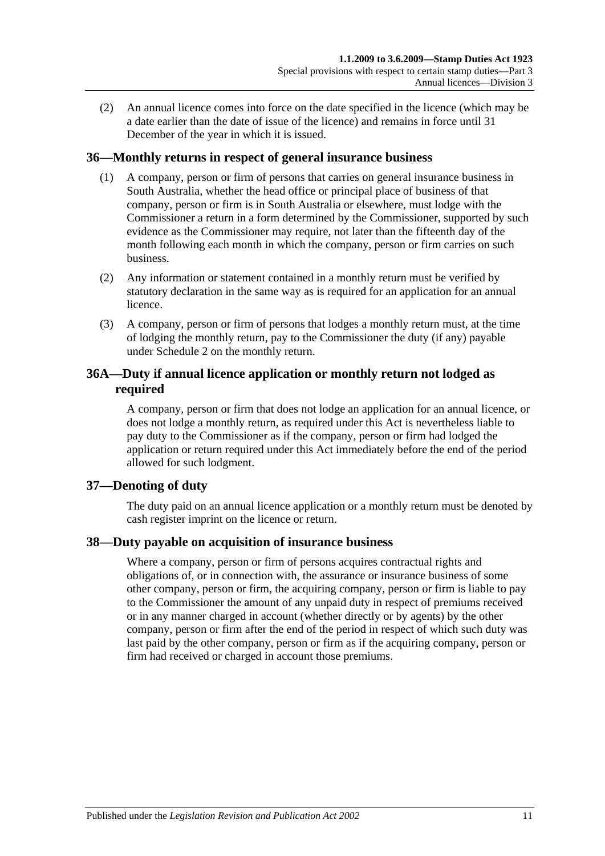(2) An annual licence comes into force on the date specified in the licence (which may be a date earlier than the date of issue of the licence) and remains in force until 31 December of the year in which it is issued.

# <span id="page-28-0"></span>**36—Monthly returns in respect of general insurance business**

- (1) A company, person or firm of persons that carries on general insurance business in South Australia, whether the head office or principal place of business of that company, person or firm is in South Australia or elsewhere, must lodge with the Commissioner a return in a form determined by the Commissioner, supported by such evidence as the Commissioner may require, not later than the fifteenth day of the month following each month in which the company, person or firm carries on such business.
- (2) Any information or statement contained in a monthly return must be verified by statutory declaration in the same way as is required for an application for an annual licence.
- (3) A company, person or firm of persons that lodges a monthly return must, at the time of lodging the monthly return, pay to the Commissioner the duty (if any) payable under [Schedule 2](#page-96-2) on the monthly return.

# <span id="page-28-1"></span>**36A—Duty if annual licence application or monthly return not lodged as required**

A company, person or firm that does not lodge an application for an annual licence, or does not lodge a monthly return, as required under this Act is nevertheless liable to pay duty to the Commissioner as if the company, person or firm had lodged the application or return required under this Act immediately before the end of the period allowed for such lodgment.

## <span id="page-28-2"></span>**37—Denoting of duty**

The duty paid on an annual licence application or a monthly return must be denoted by cash register imprint on the licence or return.

## <span id="page-28-3"></span>**38—Duty payable on acquisition of insurance business**

Where a company, person or firm of persons acquires contractual rights and obligations of, or in connection with, the assurance or insurance business of some other company, person or firm, the acquiring company, person or firm is liable to pay to the Commissioner the amount of any unpaid duty in respect of premiums received or in any manner charged in account (whether directly or by agents) by the other company, person or firm after the end of the period in respect of which such duty was last paid by the other company, person or firm as if the acquiring company, person or firm had received or charged in account those premiums.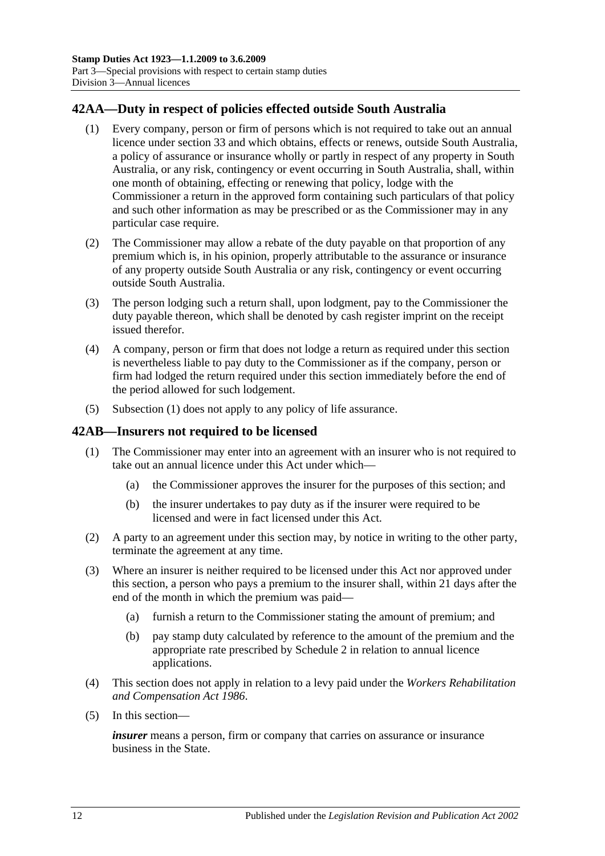# <span id="page-29-2"></span><span id="page-29-0"></span>**42AA—Duty in respect of policies effected outside South Australia**

- (1) Every company, person or firm of persons which is not required to take out an annual licence under [section](#page-27-0) 33 and which obtains, effects or renews, outside South Australia, a policy of assurance or insurance wholly or partly in respect of any property in South Australia, or any risk, contingency or event occurring in South Australia, shall, within one month of obtaining, effecting or renewing that policy, lodge with the Commissioner a return in the approved form containing such particulars of that policy and such other information as may be prescribed or as the Commissioner may in any particular case require.
- (2) The Commissioner may allow a rebate of the duty payable on that proportion of any premium which is, in his opinion, properly attributable to the assurance or insurance of any property outside South Australia or any risk, contingency or event occurring outside South Australia.
- (3) The person lodging such a return shall, upon lodgment, pay to the Commissioner the duty payable thereon, which shall be denoted by cash register imprint on the receipt issued therefor.
- (4) A company, person or firm that does not lodge a return as required under this section is nevertheless liable to pay duty to the Commissioner as if the company, person or firm had lodged the return required under this section immediately before the end of the period allowed for such lodgement.
- (5) [Subsection](#page-29-2) (1) does not apply to any policy of life assurance.

## <span id="page-29-1"></span>**42AB—Insurers not required to be licensed**

- (1) The Commissioner may enter into an agreement with an insurer who is not required to take out an annual licence under this Act under which—
	- (a) the Commissioner approves the insurer for the purposes of this section; and
	- (b) the insurer undertakes to pay duty as if the insurer were required to be licensed and were in fact licensed under this Act.
- (2) A party to an agreement under this section may, by notice in writing to the other party, terminate the agreement at any time.
- (3) Where an insurer is neither required to be licensed under this Act nor approved under this section, a person who pays a premium to the insurer shall, within 21 days after the end of the month in which the premium was paid—
	- (a) furnish a return to the Commissioner stating the amount of premium; and
	- (b) pay stamp duty calculated by reference to the amount of the premium and the appropriate rate prescribed by [Schedule 2](#page-96-2) in relation to annual licence applications.
- (4) This section does not apply in relation to a levy paid under the *[Workers Rehabilitation](http://www.legislation.sa.gov.au/index.aspx?action=legref&type=act&legtitle=Workers%20Rehabilitation%20and%20Compensation%20Act%201986)  [and Compensation Act](http://www.legislation.sa.gov.au/index.aspx?action=legref&type=act&legtitle=Workers%20Rehabilitation%20and%20Compensation%20Act%201986) 1986*.
- (5) In this section—

*insurer* means a person, firm or company that carries on assurance or insurance business in the State.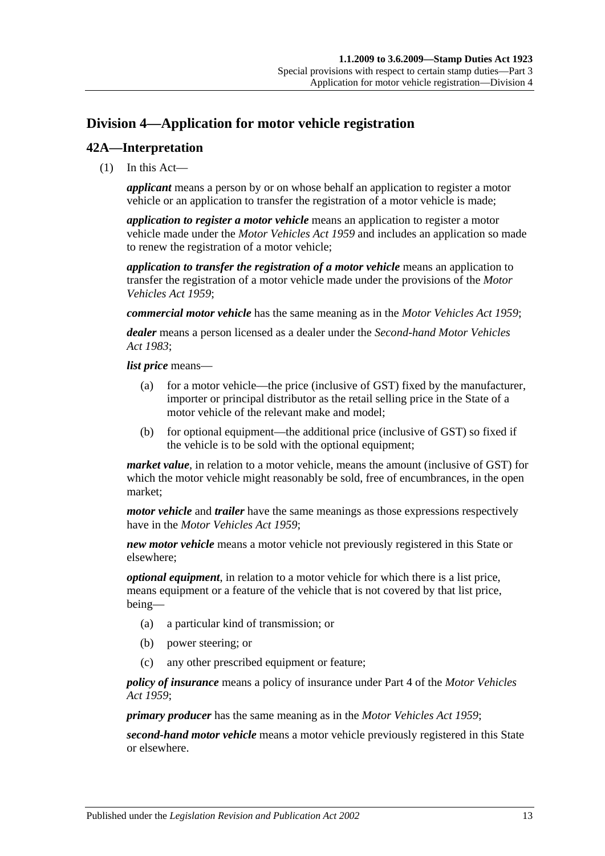# <span id="page-30-0"></span>**Division 4—Application for motor vehicle registration**

# <span id="page-30-1"></span>**42A—Interpretation**

(1) In this Act—

*applicant* means a person by or on whose behalf an application to register a motor vehicle or an application to transfer the registration of a motor vehicle is made;

*application to register a motor vehicle* means an application to register a motor vehicle made under the *[Motor Vehicles Act](http://www.legislation.sa.gov.au/index.aspx?action=legref&type=act&legtitle=Motor%20Vehicles%20Act%201959) 1959* and includes an application so made to renew the registration of a motor vehicle;

*application to transfer the registration of a motor vehicle* means an application to transfer the registration of a motor vehicle made under the provisions of the *[Motor](http://www.legislation.sa.gov.au/index.aspx?action=legref&type=act&legtitle=Motor%20Vehicles%20Act%201959)  [Vehicles Act](http://www.legislation.sa.gov.au/index.aspx?action=legref&type=act&legtitle=Motor%20Vehicles%20Act%201959) 1959*;

*commercial motor vehicle* has the same meaning as in the *[Motor Vehicles Act](http://www.legislation.sa.gov.au/index.aspx?action=legref&type=act&legtitle=Motor%20Vehicles%20Act%201959) 1959*;

*dealer* means a person licensed as a dealer under the *[Second-hand Motor Vehicles](http://www.legislation.sa.gov.au/index.aspx?action=legref&type=act&legtitle=Second-hand%20Motor%20Vehicles%20Act%201983)  Act [1983](http://www.legislation.sa.gov.au/index.aspx?action=legref&type=act&legtitle=Second-hand%20Motor%20Vehicles%20Act%201983)*;

*list price* means—

- (a) for a motor vehicle—the price (inclusive of GST) fixed by the manufacturer, importer or principal distributor as the retail selling price in the State of a motor vehicle of the relevant make and model;
- (b) for optional equipment—the additional price (inclusive of GST) so fixed if the vehicle is to be sold with the optional equipment;

*market value*, in relation to a motor vehicle, means the amount (inclusive of GST) for which the motor vehicle might reasonably be sold, free of encumbrances, in the open market;

*motor vehicle* and *trailer* have the same meanings as those expressions respectively have in the *[Motor Vehicles Act](http://www.legislation.sa.gov.au/index.aspx?action=legref&type=act&legtitle=Motor%20Vehicles%20Act%201959) 1959*;

*new motor vehicle* means a motor vehicle not previously registered in this State or elsewhere;

*optional equipment*, in relation to a motor vehicle for which there is a list price, means equipment or a feature of the vehicle that is not covered by that list price, being—

- (a) a particular kind of transmission; or
- (b) power steering; or
- (c) any other prescribed equipment or feature;

*policy of insurance* means a policy of insurance under Part 4 of the *[Motor Vehicles](http://www.legislation.sa.gov.au/index.aspx?action=legref&type=act&legtitle=Motor%20Vehicles%20Act%201959)  Act [1959](http://www.legislation.sa.gov.au/index.aspx?action=legref&type=act&legtitle=Motor%20Vehicles%20Act%201959)*;

*primary producer* has the same meaning as in the *[Motor Vehicles Act](http://www.legislation.sa.gov.au/index.aspx?action=legref&type=act&legtitle=Motor%20Vehicles%20Act%201959) 1959*;

*second-hand motor vehicle* means a motor vehicle previously registered in this State or elsewhere.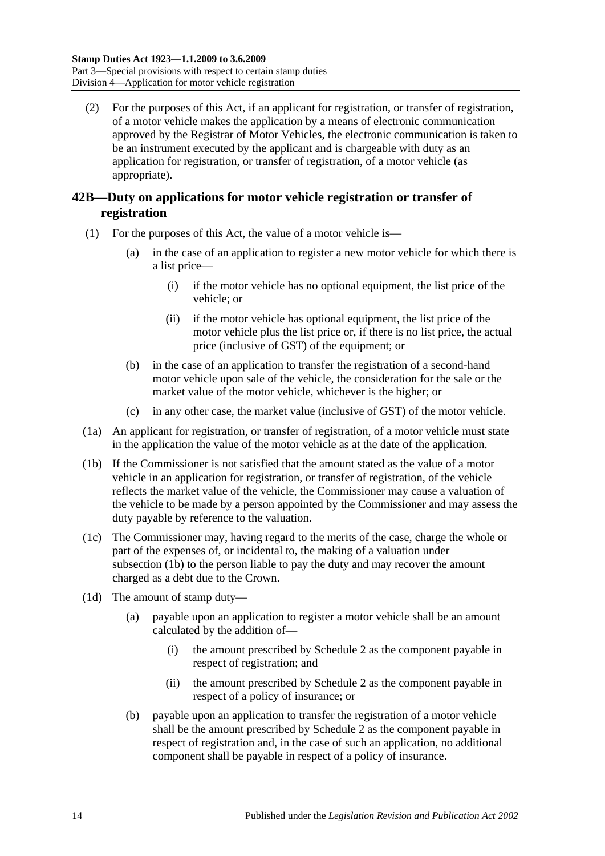(2) For the purposes of this Act, if an applicant for registration, or transfer of registration, of a motor vehicle makes the application by a means of electronic communication approved by the Registrar of Motor Vehicles, the electronic communication is taken to be an instrument executed by the applicant and is chargeable with duty as an application for registration, or transfer of registration, of a motor vehicle (as appropriate).

# <span id="page-31-0"></span>**42B—Duty on applications for motor vehicle registration or transfer of registration**

- (1) For the purposes of this Act, the value of a motor vehicle is—
	- (a) in the case of an application to register a new motor vehicle for which there is a list price—
		- (i) if the motor vehicle has no optional equipment, the list price of the vehicle; or
		- (ii) if the motor vehicle has optional equipment, the list price of the motor vehicle plus the list price or, if there is no list price, the actual price (inclusive of GST) of the equipment; or
	- (b) in the case of an application to transfer the registration of a second-hand motor vehicle upon sale of the vehicle, the consideration for the sale or the market value of the motor vehicle, whichever is the higher; or
	- (c) in any other case, the market value (inclusive of GST) of the motor vehicle.
- (1a) An applicant for registration, or transfer of registration, of a motor vehicle must state in the application the value of the motor vehicle as at the date of the application.
- <span id="page-31-1"></span>(1b) If the Commissioner is not satisfied that the amount stated as the value of a motor vehicle in an application for registration, or transfer of registration, of the vehicle reflects the market value of the vehicle, the Commissioner may cause a valuation of the vehicle to be made by a person appointed by the Commissioner and may assess the duty payable by reference to the valuation.
- (1c) The Commissioner may, having regard to the merits of the case, charge the whole or part of the expenses of, or incidental to, the making of a valuation under [subsection](#page-31-1)  $(\overline{1b})$  to the person liable to pay the duty and may recover the amount charged as a debt due to the Crown.
- <span id="page-31-2"></span>(1d) The amount of stamp duty—
	- (a) payable upon an application to register a motor vehicle shall be an amount calculated by the addition of—
		- (i) the amount prescribed by [Schedule 2](#page-96-2) as the component payable in respect of registration; and
		- (ii) the amount prescribed by [Schedule 2](#page-96-2) as the component payable in respect of a policy of insurance; or
	- (b) payable upon an application to transfer the registration of a motor vehicle shall be the amount prescribed by [Schedule 2](#page-96-2) as the component payable in respect of registration and, in the case of such an application, no additional component shall be payable in respect of a policy of insurance.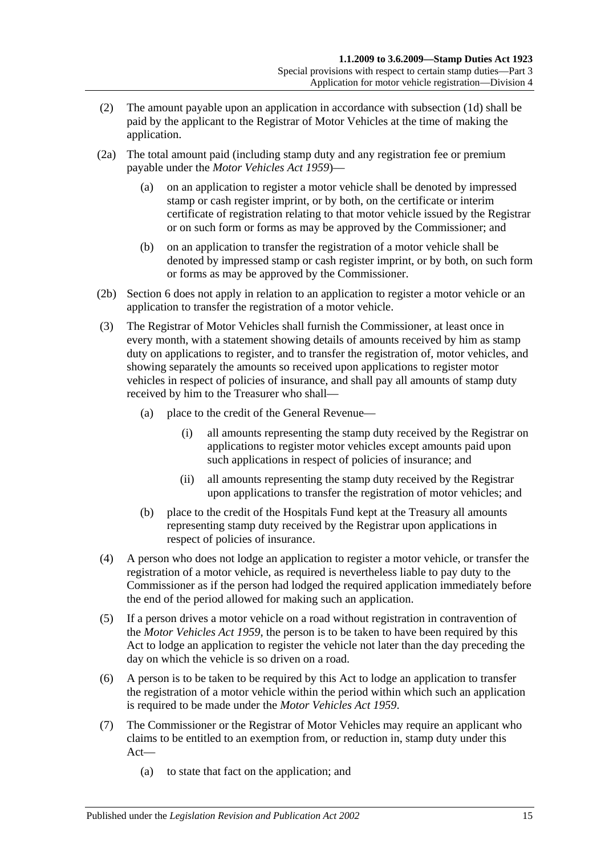- (2) The amount payable upon an application in accordance with [subsection](#page-31-2) (1d) shall be paid by the applicant to the Registrar of Motor Vehicles at the time of making the application.
- (2a) The total amount paid (including stamp duty and any registration fee or premium payable under the *[Motor Vehicles Act](http://www.legislation.sa.gov.au/index.aspx?action=legref&type=act&legtitle=Motor%20Vehicles%20Act%201959) 1959*)—
	- (a) on an application to register a motor vehicle shall be denoted by impressed stamp or cash register imprint, or by both, on the certificate or interim certificate of registration relating to that motor vehicle issued by the Registrar or on such form or forms as may be approved by the Commissioner; and
	- (b) on an application to transfer the registration of a motor vehicle shall be denoted by impressed stamp or cash register imprint, or by both, on such form or forms as may be approved by the Commissioner.
- (2b) Section 6 does not apply in relation to an application to register a motor vehicle or an application to transfer the registration of a motor vehicle.
- (3) The Registrar of Motor Vehicles shall furnish the Commissioner, at least once in every month, with a statement showing details of amounts received by him as stamp duty on applications to register, and to transfer the registration of, motor vehicles, and showing separately the amounts so received upon applications to register motor vehicles in respect of policies of insurance, and shall pay all amounts of stamp duty received by him to the Treasurer who shall—
	- (a) place to the credit of the General Revenue—
		- (i) all amounts representing the stamp duty received by the Registrar on applications to register motor vehicles except amounts paid upon such applications in respect of policies of insurance; and
		- (ii) all amounts representing the stamp duty received by the Registrar upon applications to transfer the registration of motor vehicles; and
	- (b) place to the credit of the Hospitals Fund kept at the Treasury all amounts representing stamp duty received by the Registrar upon applications in respect of policies of insurance.
- (4) A person who does not lodge an application to register a motor vehicle, or transfer the registration of a motor vehicle, as required is nevertheless liable to pay duty to the Commissioner as if the person had lodged the required application immediately before the end of the period allowed for making such an application.
- (5) If a person drives a motor vehicle on a road without registration in contravention of the *[Motor Vehicles Act](http://www.legislation.sa.gov.au/index.aspx?action=legref&type=act&legtitle=Motor%20Vehicles%20Act%201959) 1959*, the person is to be taken to have been required by this Act to lodge an application to register the vehicle not later than the day preceding the day on which the vehicle is so driven on a road.
- (6) A person is to be taken to be required by this Act to lodge an application to transfer the registration of a motor vehicle within the period within which such an application is required to be made under the *[Motor Vehicles Act](http://www.legislation.sa.gov.au/index.aspx?action=legref&type=act&legtitle=Motor%20Vehicles%20Act%201959) 1959*.
- (7) The Commissioner or the Registrar of Motor Vehicles may require an applicant who claims to be entitled to an exemption from, or reduction in, stamp duty under this Act—
	- (a) to state that fact on the application; and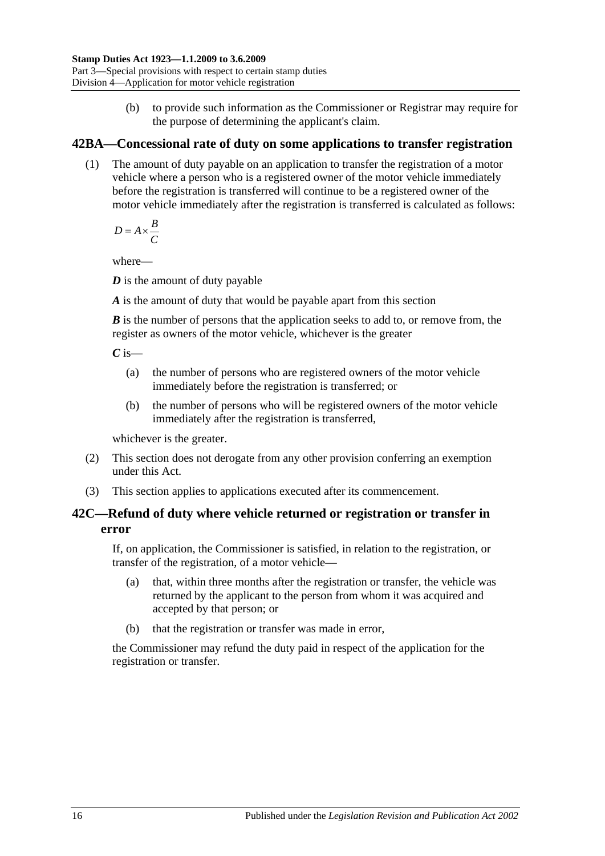(b) to provide such information as the Commissioner or Registrar may require for the purpose of determining the applicant's claim.

# <span id="page-33-0"></span>**42BA—Concessional rate of duty on some applications to transfer registration**

(1) The amount of duty payable on an application to transfer the registration of a motor vehicle where a person who is a registered owner of the motor vehicle immediately before the registration is transferred will continue to be a registered owner of the motor vehicle immediately after the registration is transferred is calculated as follows:

 $D = A \times \frac{B}{a}$ *C*  $= A \times$ 

where—

*D* is the amount of duty payable

*A* is the amount of duty that would be payable apart from this section

*B* is the number of persons that the application seeks to add to, or remove from, the register as owners of the motor vehicle, whichever is the greater

 $C$  is—

- (a) the number of persons who are registered owners of the motor vehicle immediately before the registration is transferred; or
- (b) the number of persons who will be registered owners of the motor vehicle immediately after the registration is transferred,

whichever is the greater.

- (2) This section does not derogate from any other provision conferring an exemption under this Act.
- (3) This section applies to applications executed after its commencement.

# <span id="page-33-1"></span>**42C—Refund of duty where vehicle returned or registration or transfer in error**

If, on application, the Commissioner is satisfied, in relation to the registration, or transfer of the registration, of a motor vehicle—

- (a) that, within three months after the registration or transfer, the vehicle was returned by the applicant to the person from whom it was acquired and accepted by that person; or
- (b) that the registration or transfer was made in error,

the Commissioner may refund the duty paid in respect of the application for the registration or transfer.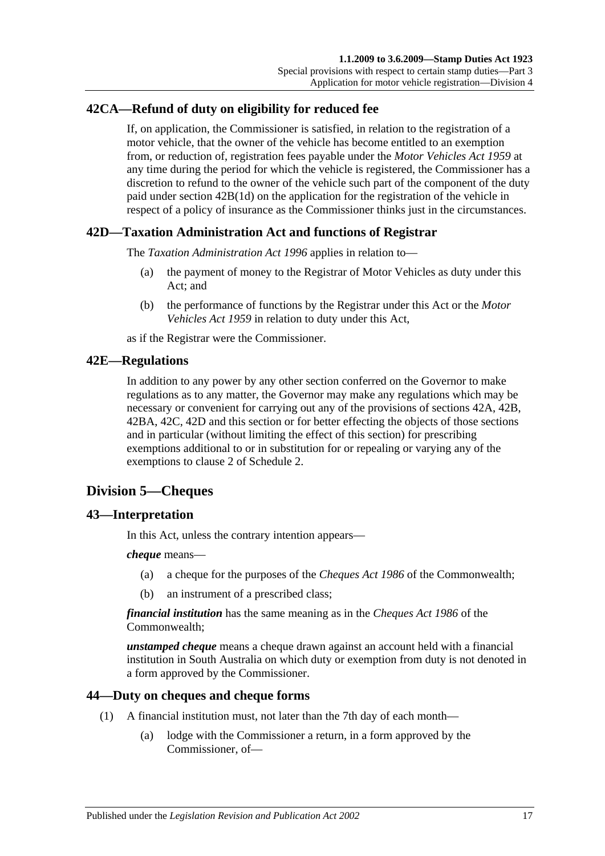# <span id="page-34-0"></span>**42CA—Refund of duty on eligibility for reduced fee**

If, on application, the Commissioner is satisfied, in relation to the registration of a motor vehicle, that the owner of the vehicle has become entitled to an exemption from, or reduction of, registration fees payable under the *[Motor Vehicles Act](http://www.legislation.sa.gov.au/index.aspx?action=legref&type=act&legtitle=Motor%20Vehicles%20Act%201959) 1959* at any time during the period for which the vehicle is registered, the Commissioner has a discretion to refund to the owner of the vehicle such part of the component of the duty paid under section [42B\(1d\)](#page-31-2) on the application for the registration of the vehicle in respect of a policy of insurance as the Commissioner thinks just in the circumstances.

# <span id="page-34-1"></span>**42D—Taxation Administration Act and functions of Registrar**

The *[Taxation Administration Act](http://www.legislation.sa.gov.au/index.aspx?action=legref&type=act&legtitle=Taxation%20Administration%20Act%201996) 1996* applies in relation to—

- (a) the payment of money to the Registrar of Motor Vehicles as duty under this Act; and
- (b) the performance of functions by the Registrar under this Act or the *[Motor](http://www.legislation.sa.gov.au/index.aspx?action=legref&type=act&legtitle=Motor%20Vehicles%20Act%201959)  [Vehicles Act](http://www.legislation.sa.gov.au/index.aspx?action=legref&type=act&legtitle=Motor%20Vehicles%20Act%201959) 1959* in relation to duty under this Act,

as if the Registrar were the Commissioner.

## <span id="page-34-2"></span>**42E—Regulations**

In addition to any power by any other section conferred on the Governor to make regulations as to any matter, the Governor may make any regulations which may be necessary or convenient for carrying out any of the provisions of [sections](#page-30-1) 42A, [42B,](#page-31-0) [42BA,](#page-33-0) [42C,](#page-33-1) [42D](#page-34-1) and this section or for better effecting the objects of those sections and in particular (without limiting the effect of this section) for prescribing exemptions additional to or in substitution for or repealing or varying any of the exemptions to clause 2 of [Schedule 2.](#page-96-2)

# <span id="page-34-3"></span>**Division 5—Cheques**

## <span id="page-34-4"></span>**43—Interpretation**

In this Act, unless the contrary intention appears—

#### *cheque* means—

- (a) a cheque for the purposes of the *Cheques Act 1986* of the Commonwealth;
- (b) an instrument of a prescribed class;

*financial institution* has the same meaning as in the *Cheques Act 1986* of the Commonwealth;

*unstamped cheque* means a cheque drawn against an account held with a financial institution in South Australia on which duty or exemption from duty is not denoted in a form approved by the Commissioner.

#### <span id="page-34-6"></span><span id="page-34-5"></span>**44—Duty on cheques and cheque forms**

- (1) A financial institution must, not later than the 7th day of each month—
	- (a) lodge with the Commissioner a return, in a form approved by the Commissioner, of—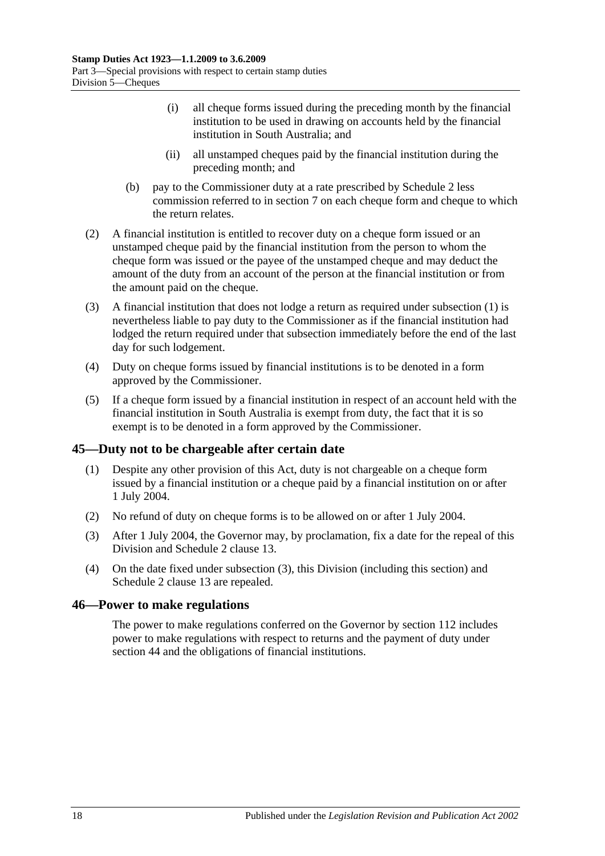- (i) all cheque forms issued during the preceding month by the financial institution to be used in drawing on accounts held by the financial institution in South Australia; and
- (ii) all unstamped cheques paid by the financial institution during the preceding month; and
- (b) pay to the Commissioner duty at a rate prescribed by [Schedule 2](#page-96-2) less commission referred to in [section](#page-12-3) 7 on each cheque form and cheque to which the return relates.
- (2) A financial institution is entitled to recover duty on a cheque form issued or an unstamped cheque paid by the financial institution from the person to whom the cheque form was issued or the payee of the unstamped cheque and may deduct the amount of the duty from an account of the person at the financial institution or from the amount paid on the cheque.
- (3) A financial institution that does not lodge a return as required under [subsection](#page-34-6) (1) is nevertheless liable to pay duty to the Commissioner as if the financial institution had lodged the return required under that subsection immediately before the end of the last day for such lodgement.
- (4) Duty on cheque forms issued by financial institutions is to be denoted in a form approved by the Commissioner.
- (5) If a cheque form issued by a financial institution in respect of an account held with the financial institution in South Australia is exempt from duty, the fact that it is so exempt is to be denoted in a form approved by the Commissioner.

# <span id="page-35-0"></span>**45—Duty not to be chargeable after certain date**

- (1) Despite any other provision of this Act, duty is not chargeable on a cheque form issued by a financial institution or a cheque paid by a financial institution on or after 1 July 2004.
- (2) No refund of duty on cheque forms is to be allowed on or after 1 July 2004.
- <span id="page-35-2"></span>(3) After 1 July 2004, the Governor may, by proclamation, fix a date for the repeal of this Division and Schedule 2 clause 13.
- (4) On the date fixed under [subsection](#page-35-2) (3), this Division (including this section) and Schedule 2 clause 13 are repealed.

## <span id="page-35-1"></span>**46—Power to make regulations**

The power to make regulations conferred on the Governor by [section](#page-93-1) 112 includes power to make regulations with respect to returns and the payment of duty under [section](#page-34-5) 44 and the obligations of financial institutions.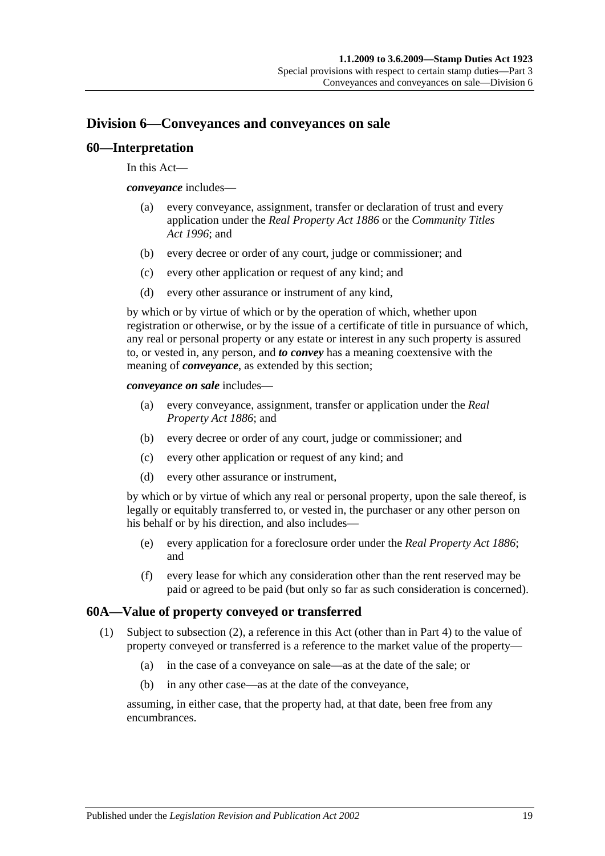# **Division 6—Conveyances and conveyances on sale**

## **60—Interpretation**

In this Act—

*conveyance* includes—

- (a) every conveyance, assignment, transfer or declaration of trust and every application under the *[Real Property Act](http://www.legislation.sa.gov.au/index.aspx?action=legref&type=act&legtitle=Real%20Property%20Act%201886) 1886* or the *[Community Titles](http://www.legislation.sa.gov.au/index.aspx?action=legref&type=act&legtitle=Community%20Titles%20Act%201996)  Act [1996](http://www.legislation.sa.gov.au/index.aspx?action=legref&type=act&legtitle=Community%20Titles%20Act%201996)*; and
- (b) every decree or order of any court, judge or commissioner; and
- (c) every other application or request of any kind; and
- (d) every other assurance or instrument of any kind,

by which or by virtue of which or by the operation of which, whether upon registration or otherwise, or by the issue of a certificate of title in pursuance of which, any real or personal property or any estate or interest in any such property is assured to, or vested in, any person, and *to convey* has a meaning coextensive with the meaning of *conveyance*, as extended by this section;

*conveyance on sale* includes—

- (a) every conveyance, assignment, transfer or application under the *[Real](http://www.legislation.sa.gov.au/index.aspx?action=legref&type=act&legtitle=Real%20Property%20Act%201886)  [Property Act](http://www.legislation.sa.gov.au/index.aspx?action=legref&type=act&legtitle=Real%20Property%20Act%201886) 1886*; and
- (b) every decree or order of any court, judge or commissioner; and
- (c) every other application or request of any kind; and
- (d) every other assurance or instrument,

by which or by virtue of which any real or personal property, upon the sale thereof, is legally or equitably transferred to, or vested in, the purchaser or any other person on his behalf or by his direction, and also includes—

- (e) every application for a foreclosure order under the *[Real Property Act](http://www.legislation.sa.gov.au/index.aspx?action=legref&type=act&legtitle=Real%20Property%20Act%201886) 1886*; and
- (f) every lease for which any consideration other than the rent reserved may be paid or agreed to be paid (but only so far as such consideration is concerned).

# <span id="page-36-0"></span>**60A—Value of property conveyed or transferred**

- (1) Subject to [subsection](#page-37-0) (2), a reference in this Act (other than in [Part 4\)](#page-80-0) to the value of property conveyed or transferred is a reference to the market value of the property—
	- (a) in the case of a conveyance on sale—as at the date of the sale; or
	- (b) in any other case—as at the date of the conveyance,

assuming, in either case, that the property had, at that date, been free from any encumbrances.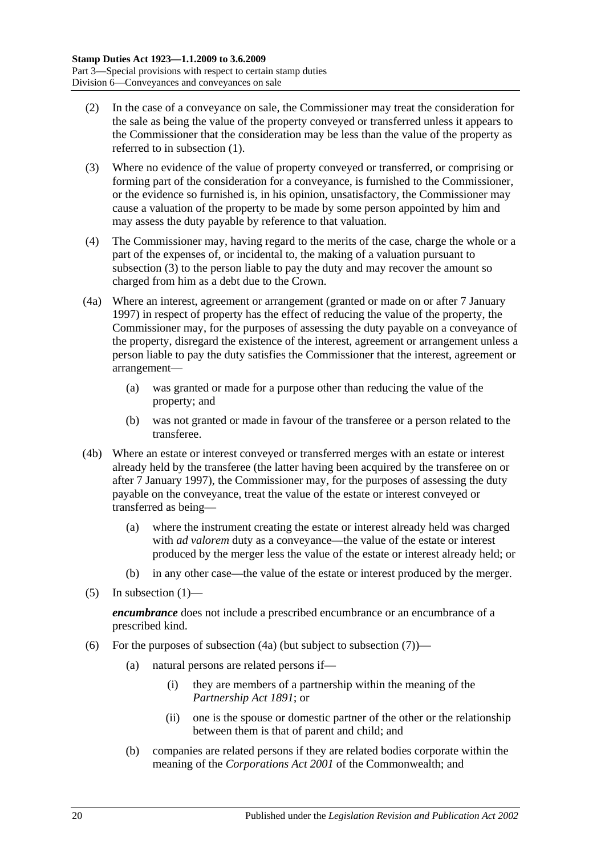- <span id="page-37-0"></span>(2) In the case of a conveyance on sale, the Commissioner may treat the consideration for the sale as being the value of the property conveyed or transferred unless it appears to the Commissioner that the consideration may be less than the value of the property as referred to in [subsection](#page-36-0) (1).
- <span id="page-37-1"></span>(3) Where no evidence of the value of property conveyed or transferred, or comprising or forming part of the consideration for a conveyance, is furnished to the Commissioner, or the evidence so furnished is, in his opinion, unsatisfactory, the Commissioner may cause a valuation of the property to be made by some person appointed by him and may assess the duty payable by reference to that valuation.
- (4) The Commissioner may, having regard to the merits of the case, charge the whole or a part of the expenses of, or incidental to, the making of a valuation pursuant to [subsection](#page-37-1) (3) to the person liable to pay the duty and may recover the amount so charged from him as a debt due to the Crown.
- <span id="page-37-2"></span>(4a) Where an interest, agreement or arrangement (granted or made on or after 7 January 1997) in respect of property has the effect of reducing the value of the property, the Commissioner may, for the purposes of assessing the duty payable on a conveyance of the property, disregard the existence of the interest, agreement or arrangement unless a person liable to pay the duty satisfies the Commissioner that the interest, agreement or arrangement—
	- (a) was granted or made for a purpose other than reducing the value of the property; and
	- (b) was not granted or made in favour of the transferee or a person related to the transferee.
- (4b) Where an estate or interest conveyed or transferred merges with an estate or interest already held by the transferee (the latter having been acquired by the transferee on or after 7 January 1997), the Commissioner may, for the purposes of assessing the duty payable on the conveyance, treat the value of the estate or interest conveyed or transferred as being—
	- (a) where the instrument creating the estate or interest already held was charged with *ad valorem* duty as a conveyance—the value of the estate or interest produced by the merger less the value of the estate or interest already held; or
	- (b) in any other case—the value of the estate or interest produced by the merger.
- (5) In [subsection](#page-36-0)  $(1)$ —

*encumbrance* does not include a prescribed encumbrance or an encumbrance of a prescribed kind.

- <span id="page-37-3"></span>(6) For the purposes of [subsection](#page-38-0)  $(4a)$  (but subject to subsection  $(7)$ )—
	- (a) natural persons are related persons if—
		- (i) they are members of a partnership within the meaning of the *[Partnership Act](http://www.legislation.sa.gov.au/index.aspx?action=legref&type=act&legtitle=Partnership%20Act%201891) 1891*; or
		- (ii) one is the spouse or domestic partner of the other or the relationship between them is that of parent and child; and
	- (b) companies are related persons if they are related bodies corporate within the meaning of the *Corporations Act 2001* of the Commonwealth; and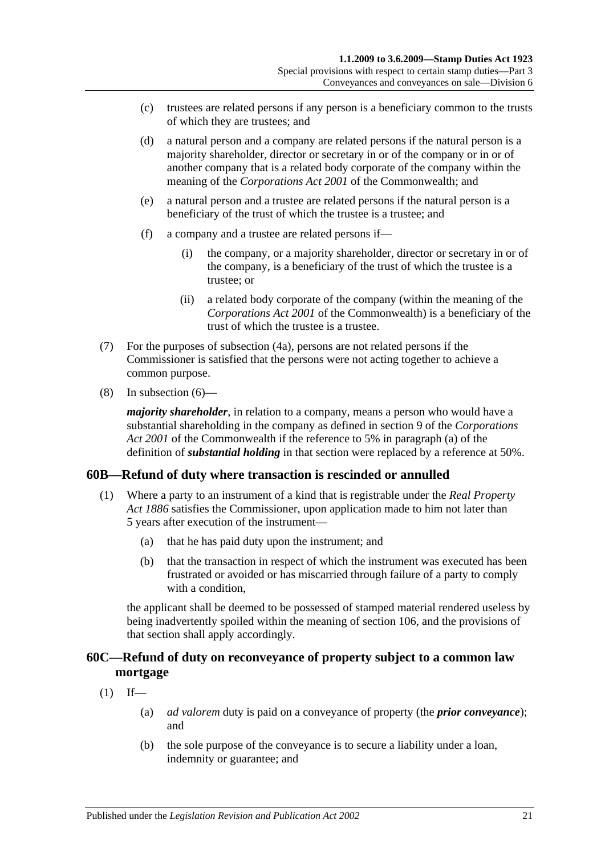- (c) trustees are related persons if any person is a beneficiary common to the trusts of which they are trustees; and
- (d) a natural person and a company are related persons if the natural person is a majority shareholder, director or secretary in or of the company or in or of another company that is a related body corporate of the company within the meaning of the *Corporations Act 2001* of the Commonwealth; and
- (e) a natural person and a trustee are related persons if the natural person is a beneficiary of the trust of which the trustee is a trustee; and
- (f) a company and a trustee are related persons if—
	- (i) the company, or a majority shareholder, director or secretary in or of the company, is a beneficiary of the trust of which the trustee is a trustee; or
	- (ii) a related body corporate of the company (within the meaning of the *Corporations Act 2001* of the Commonwealth) is a beneficiary of the trust of which the trustee is a trustee.
- <span id="page-38-0"></span>(7) For the purposes of [subsection](#page-37-2) (4a), persons are not related persons if the Commissioner is satisfied that the persons were not acting together to achieve a common purpose.
- (8) In [subsection](#page-37-3) (6)—

*majority shareholder*, in relation to a company, means a person who would have a substantial shareholding in the company as defined in section 9 of the *Corporations Act 2001* of the Commonwealth if the reference to 5% in paragraph (a) of the definition of *substantial holding* in that section were replaced by a reference at 50%.

# **60B—Refund of duty where transaction is rescinded or annulled**

- (1) Where a party to an instrument of a kind that is registrable under the *[Real Property](http://www.legislation.sa.gov.au/index.aspx?action=legref&type=act&legtitle=Real%20Property%20Act%201886)  Act [1886](http://www.legislation.sa.gov.au/index.aspx?action=legref&type=act&legtitle=Real%20Property%20Act%201886)* satisfies the Commissioner, upon application made to him not later than 5 years after execution of the instrument—
	- (a) that he has paid duty upon the instrument; and
	- (b) that the transaction in respect of which the instrument was executed has been frustrated or avoided or has miscarried through failure of a party to comply with a condition.

the applicant shall be deemed to be possessed of stamped material rendered useless by being inadvertently spoiled within the meaning of [section](#page-92-0) 106, and the provisions of that section shall apply accordingly.

# **60C—Refund of duty on reconveyance of property subject to a common law mortgage**

- $(1)$  If—
	- (a) *ad valorem* duty is paid on a conveyance of property (the *prior conveyance*); and
	- (b) the sole purpose of the conveyance is to secure a liability under a loan, indemnity or guarantee; and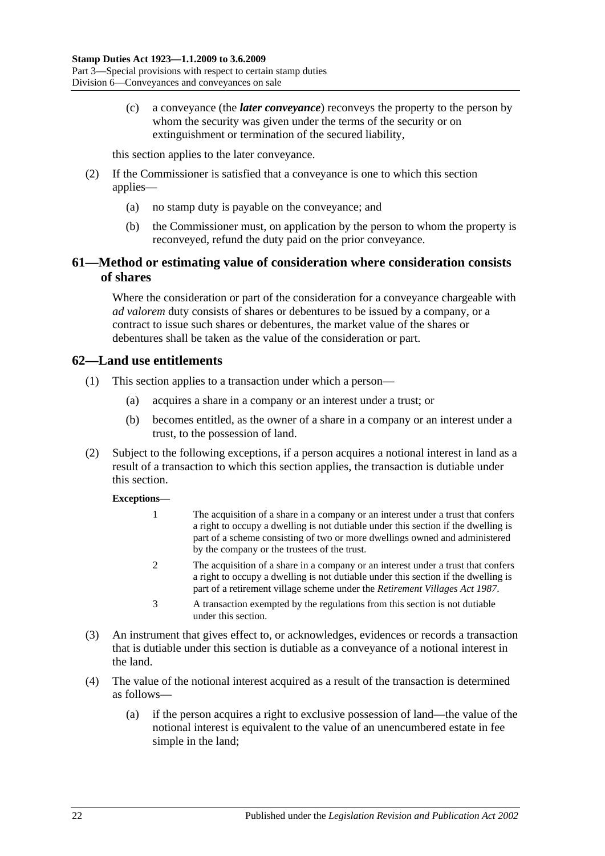(c) a conveyance (the *later conveyance*) reconveys the property to the person by whom the security was given under the terms of the security or on extinguishment or termination of the secured liability,

this section applies to the later conveyance.

- (2) If the Commissioner is satisfied that a conveyance is one to which this section applies—
	- (a) no stamp duty is payable on the conveyance; and
	- (b) the Commissioner must, on application by the person to whom the property is reconveyed, refund the duty paid on the prior conveyance.

# **61—Method or estimating value of consideration where consideration consists of shares**

Where the consideration or part of the consideration for a conveyance chargeable with *ad valorem* duty consists of shares or debentures to be issued by a company, or a contract to issue such shares or debentures, the market value of the shares or debentures shall be taken as the value of the consideration or part.

## **62—Land use entitlements**

- (1) This section applies to a transaction under which a person—
	- (a) acquires a share in a company or an interest under a trust; or
	- (b) becomes entitled, as the owner of a share in a company or an interest under a trust, to the possession of land.
- (2) Subject to the following exceptions, if a person acquires a notional interest in land as a result of a transaction to which this section applies, the transaction is dutiable under this section.

### **Exceptions—**

- 1 The acquisition of a share in a company or an interest under a trust that confers a right to occupy a dwelling is not dutiable under this section if the dwelling is part of a scheme consisting of two or more dwellings owned and administered by the company or the trustees of the trust.
- 2 The acquisition of a share in a company or an interest under a trust that confers a right to occupy a dwelling is not dutiable under this section if the dwelling is part of a retirement village scheme under the *[Retirement Villages Act](http://www.legislation.sa.gov.au/index.aspx?action=legref&type=act&legtitle=Retirement%20Villages%20Act%201987) 1987*.
- 3 A transaction exempted by the regulations from this section is not dutiable under this section.
- (3) An instrument that gives effect to, or acknowledges, evidences or records a transaction that is dutiable under this section is dutiable as a conveyance of a notional interest in the land.
- (4) The value of the notional interest acquired as a result of the transaction is determined as follows—
	- (a) if the person acquires a right to exclusive possession of land—the value of the notional interest is equivalent to the value of an unencumbered estate in fee simple in the land;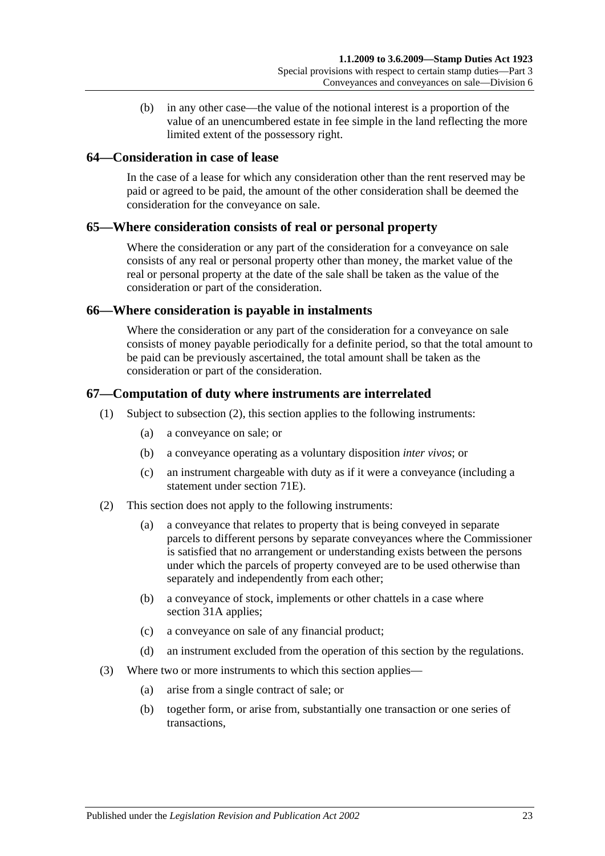(b) in any other case—the value of the notional interest is a proportion of the value of an unencumbered estate in fee simple in the land reflecting the more limited extent of the possessory right.

## **64—Consideration in case of lease**

In the case of a lease for which any consideration other than the rent reserved may be paid or agreed to be paid, the amount of the other consideration shall be deemed the consideration for the conveyance on sale.

## **65—Where consideration consists of real or personal property**

Where the consideration or any part of the consideration for a conveyance on sale consists of any real or personal property other than money, the market value of the real or personal property at the date of the sale shall be taken as the value of the consideration or part of the consideration.

## **66—Where consideration is payable in instalments**

Where the consideration or any part of the consideration for a conveyance on sale consists of money payable periodically for a definite period, so that the total amount to be paid can be previously ascertained, the total amount shall be taken as the consideration or part of the consideration.

## **67—Computation of duty where instruments are interrelated**

- (1) Subject to [subsection](#page-40-0) (2), this section applies to the following instruments:
	- (a) a conveyance on sale; or
	- (b) a conveyance operating as a voluntary disposition *inter vivos*; or
	- (c) an instrument chargeable with duty as if it were a conveyance (including a statement under [section](#page-67-0) 71E).
- <span id="page-40-0"></span>(2) This section does not apply to the following instruments:
	- (a) a conveyance that relates to property that is being conveyed in separate parcels to different persons by separate conveyances where the Commissioner is satisfied that no arrangement or understanding exists between the persons under which the parcels of property conveyed are to be used otherwise than separately and independently from each other;
	- (b) a conveyance of stock, implements or other chattels in a case where [section](#page-19-0) 31A applies;
	- (c) a conveyance on sale of any financial product;
	- (d) an instrument excluded from the operation of this section by the regulations.
- (3) Where two or more instruments to which this section applies—
	- (a) arise from a single contract of sale; or
	- (b) together form, or arise from, substantially one transaction or one series of transactions,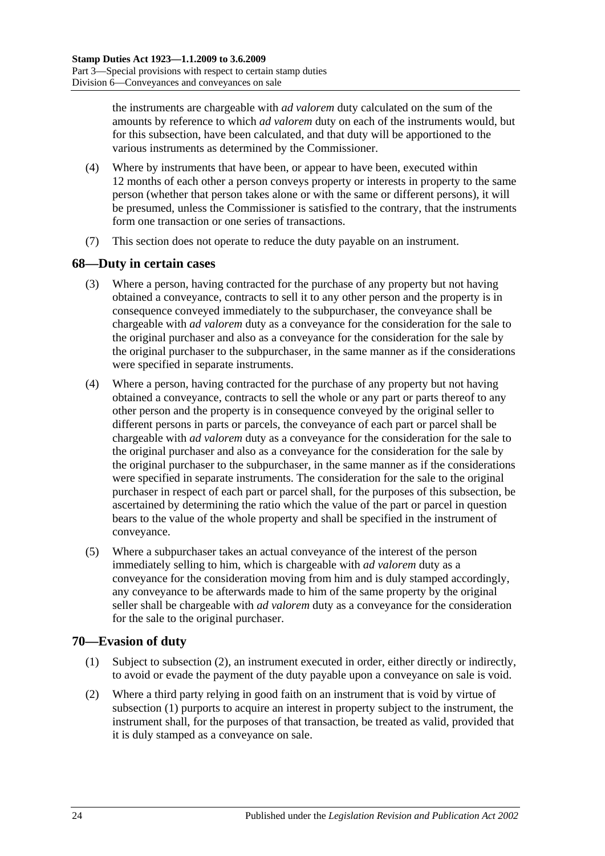the instruments are chargeable with *ad valorem* duty calculated on the sum of the amounts by reference to which *ad valorem* duty on each of the instruments would, but for this subsection, have been calculated, and that duty will be apportioned to the various instruments as determined by the Commissioner.

- (4) Where by instruments that have been, or appear to have been, executed within 12 months of each other a person conveys property or interests in property to the same person (whether that person takes alone or with the same or different persons), it will be presumed, unless the Commissioner is satisfied to the contrary, that the instruments form one transaction or one series of transactions.
- (7) This section does not operate to reduce the duty payable on an instrument.

## **68—Duty in certain cases**

- (3) Where a person, having contracted for the purchase of any property but not having obtained a conveyance, contracts to sell it to any other person and the property is in consequence conveyed immediately to the subpurchaser, the conveyance shall be chargeable with *ad valorem* duty as a conveyance for the consideration for the sale to the original purchaser and also as a conveyance for the consideration for the sale by the original purchaser to the subpurchaser, in the same manner as if the considerations were specified in separate instruments.
- (4) Where a person, having contracted for the purchase of any property but not having obtained a conveyance, contracts to sell the whole or any part or parts thereof to any other person and the property is in consequence conveyed by the original seller to different persons in parts or parcels, the conveyance of each part or parcel shall be chargeable with *ad valorem* duty as a conveyance for the consideration for the sale to the original purchaser and also as a conveyance for the consideration for the sale by the original purchaser to the subpurchaser, in the same manner as if the considerations were specified in separate instruments. The consideration for the sale to the original purchaser in respect of each part or parcel shall, for the purposes of this subsection, be ascertained by determining the ratio which the value of the part or parcel in question bears to the value of the whole property and shall be specified in the instrument of conveyance.
- (5) Where a subpurchaser takes an actual conveyance of the interest of the person immediately selling to him, which is chargeable with *ad valorem* duty as a conveyance for the consideration moving from him and is duly stamped accordingly, any conveyance to be afterwards made to him of the same property by the original seller shall be chargeable with *ad valorem* duty as a conveyance for the consideration for the sale to the original purchaser.

# <span id="page-41-1"></span>**70—Evasion of duty**

- (1) Subject to [subsection](#page-41-0) (2), an instrument executed in order, either directly or indirectly, to avoid or evade the payment of the duty payable upon a conveyance on sale is void.
- <span id="page-41-0"></span>(2) Where a third party relying in good faith on an instrument that is void by virtue of [subsection](#page-41-1) (1) purports to acquire an interest in property subject to the instrument, the instrument shall, for the purposes of that transaction, be treated as valid, provided that it is duly stamped as a conveyance on sale.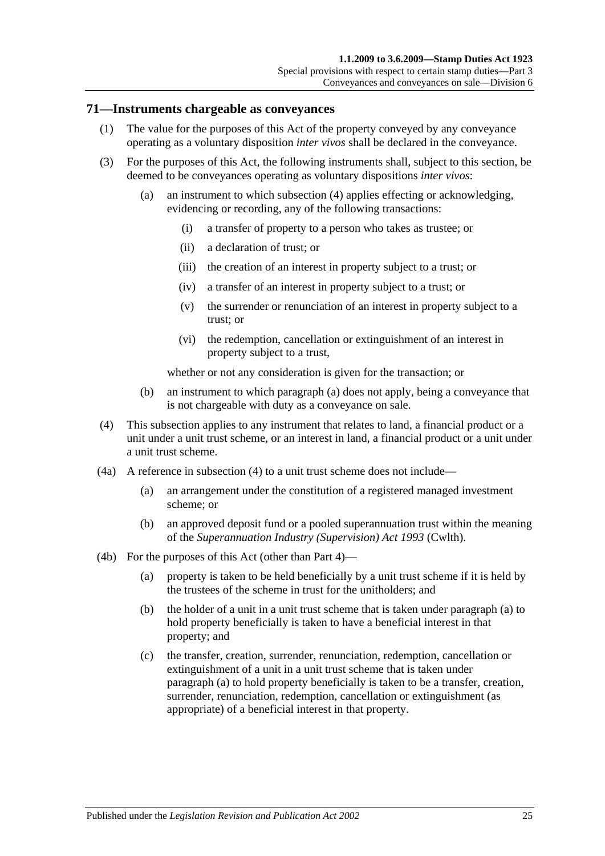### **71—Instruments chargeable as conveyances**

- (1) The value for the purposes of this Act of the property conveyed by any conveyance operating as a voluntary disposition *inter vivos* shall be declared in the conveyance.
- <span id="page-42-1"></span>(3) For the purposes of this Act, the following instruments shall, subject to this section, be deemed to be conveyances operating as voluntary dispositions *inter vivos*:
	- (a) an instrument to which [subsection](#page-42-0) (4) applies effecting or acknowledging, evidencing or recording, any of the following transactions:
		- (i) a transfer of property to a person who takes as trustee; or
		- (ii) a declaration of trust; or
		- (iii) the creation of an interest in property subject to a trust; or
		- (iv) a transfer of an interest in property subject to a trust; or
		- (v) the surrender or renunciation of an interest in property subject to a trust; or
		- (vi) the redemption, cancellation or extinguishment of an interest in property subject to a trust,

whether or not any consideration is given for the transaction; or

- (b) an instrument to which [paragraph](#page-42-1) (a) does not apply, being a conveyance that is not chargeable with duty as a conveyance on sale.
- <span id="page-42-0"></span>(4) This subsection applies to any instrument that relates to land, a financial product or a unit under a unit trust scheme, or an interest in land, a financial product or a unit under a unit trust scheme.
- (4a) A reference in [subsection](#page-42-0) (4) to a unit trust scheme does not include—
	- (a) an arrangement under the constitution of a registered managed investment scheme; or
	- (b) an approved deposit fund or a pooled superannuation trust within the meaning of the *Superannuation Industry (Supervision) Act 1993* (Cwlth).
- <span id="page-42-2"></span>(4b) For the purposes of this Act (other than [Part 4\)](#page-80-0)—
	- (a) property is taken to be held beneficially by a unit trust scheme if it is held by the trustees of the scheme in trust for the unitholders; and
	- (b) the holder of a unit in a unit trust scheme that is taken under [paragraph](#page-42-2) (a) to hold property beneficially is taken to have a beneficial interest in that property; and
	- (c) the transfer, creation, surrender, renunciation, redemption, cancellation or extinguishment of a unit in a unit trust scheme that is taken under [paragraph](#page-42-2) (a) to hold property beneficially is taken to be a transfer, creation, surrender, renunciation, redemption, cancellation or extinguishment (as appropriate) of a beneficial interest in that property.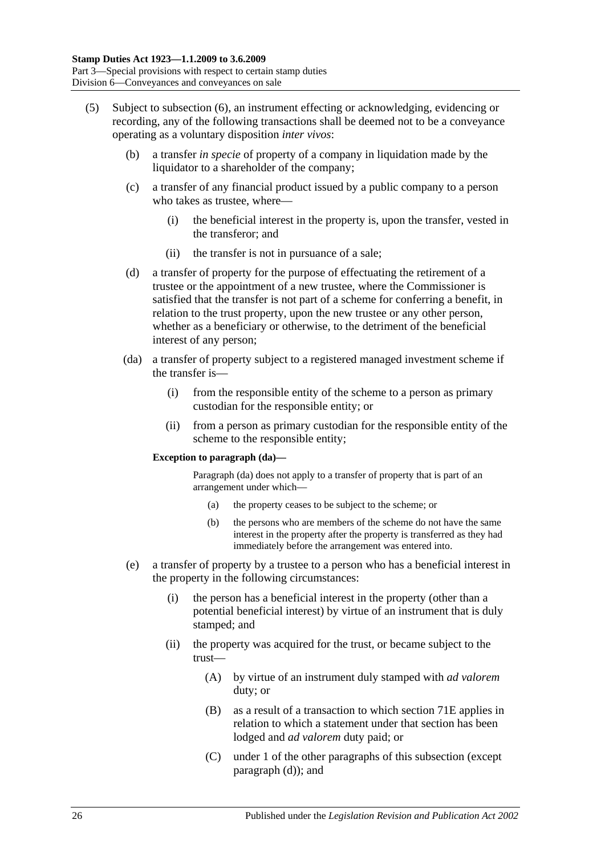- <span id="page-43-0"></span>(5) Subject to [subsection](#page-45-0) (6), an instrument effecting or acknowledging, evidencing or recording, any of the following transactions shall be deemed not to be a conveyance operating as a voluntary disposition *inter vivos*:
	- (b) a transfer *in specie* of property of a company in liquidation made by the liquidator to a shareholder of the company;
	- (c) a transfer of any financial product issued by a public company to a person who takes as trustee, where—
		- (i) the beneficial interest in the property is, upon the transfer, vested in the transferor; and
		- (ii) the transfer is not in pursuance of a sale;
	- (d) a transfer of property for the purpose of effectuating the retirement of a trustee or the appointment of a new trustee, where the Commissioner is satisfied that the transfer is not part of a scheme for conferring a benefit, in relation to the trust property, upon the new trustee or any other person, whether as a beneficiary or otherwise, to the detriment of the beneficial interest of any person;
	- (da) a transfer of property subject to a registered managed investment scheme if the transfer is—
		- (i) from the responsible entity of the scheme to a person as primary custodian for the responsible entity; or
		- (ii) from a person as primary custodian for the responsible entity of the scheme to the responsible entity;

### **Exception to paragraph (da)—**

Paragraph (da) does not apply to a transfer of property that is part of an arrangement under which—

- (a) the property ceases to be subject to the scheme; or
- (b) the persons who are members of the scheme do not have the same interest in the property after the property is transferred as they had immediately before the arrangement was entered into.
- <span id="page-43-1"></span>(e) a transfer of property by a trustee to a person who has a beneficial interest in the property in the following circumstances:
	- (i) the person has a beneficial interest in the property (other than a potential beneficial interest) by virtue of an instrument that is duly stamped; and
	- (ii) the property was acquired for the trust, or became subject to the trust—
		- (A) by virtue of an instrument duly stamped with *ad valorem* duty; or
		- (B) as a result of a transaction to which section 71E applies in relation to which a statement under that section has been lodged and *ad valorem* duty paid; or
		- (C) under 1 of the other paragraphs of this subsection (except paragraph (d)); and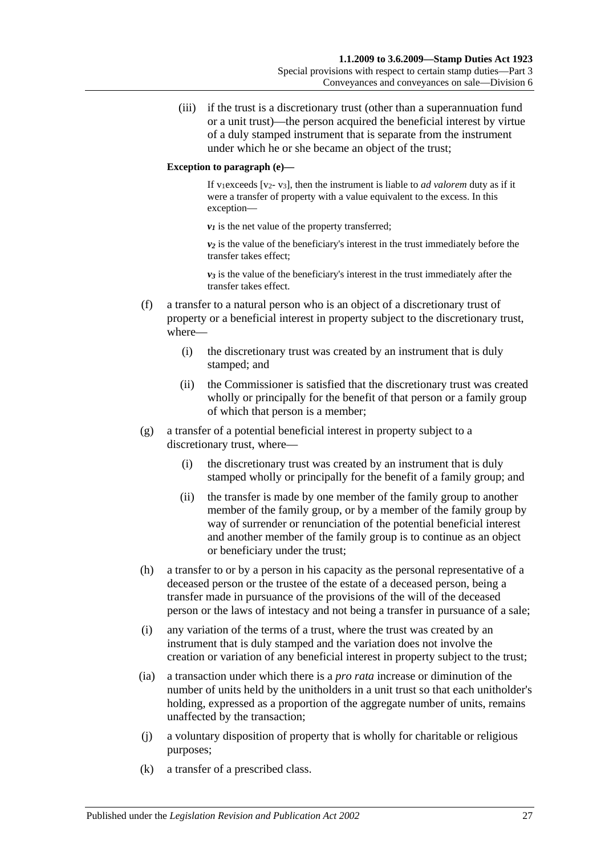(iii) if the trust is a discretionary trust (other than a superannuation fund or a unit trust)—the person acquired the beneficial interest by virtue of a duly stamped instrument that is separate from the instrument under which he or she became an object of the trust;

### **Exception to paragraph (e)—**

If v<sub>1</sub>exceeds [v<sub>2</sub>- v<sub>3</sub>], then the instrument is liable to *ad valorem* duty as if it were a transfer of property with a value equivalent to the excess. In this exception—

 $v_1$  is the net value of the property transferred;

*v2* is the value of the beneficiary's interest in the trust immediately before the transfer takes effect;

 $v_3$  is the value of the beneficiary's interest in the trust immediately after the transfer takes effect.

- (f) a transfer to a natural person who is an object of a discretionary trust of property or a beneficial interest in property subject to the discretionary trust, where—
	- (i) the discretionary trust was created by an instrument that is duly stamped; and
	- (ii) the Commissioner is satisfied that the discretionary trust was created wholly or principally for the benefit of that person or a family group of which that person is a member;
- (g) a transfer of a potential beneficial interest in property subject to a discretionary trust, where—
	- (i) the discretionary trust was created by an instrument that is duly stamped wholly or principally for the benefit of a family group; and
	- (ii) the transfer is made by one member of the family group to another member of the family group, or by a member of the family group by way of surrender or renunciation of the potential beneficial interest and another member of the family group is to continue as an object or beneficiary under the trust;
- (h) a transfer to or by a person in his capacity as the personal representative of a deceased person or the trustee of the estate of a deceased person, being a transfer made in pursuance of the provisions of the will of the deceased person or the laws of intestacy and not being a transfer in pursuance of a sale;
- (i) any variation of the terms of a trust, where the trust was created by an instrument that is duly stamped and the variation does not involve the creation or variation of any beneficial interest in property subject to the trust;
- (ia) a transaction under which there is a *pro rata* increase or diminution of the number of units held by the unitholders in a unit trust so that each unitholder's holding, expressed as a proportion of the aggregate number of units, remains unaffected by the transaction;
- (j) a voluntary disposition of property that is wholly for charitable or religious purposes;
- (k) a transfer of a prescribed class.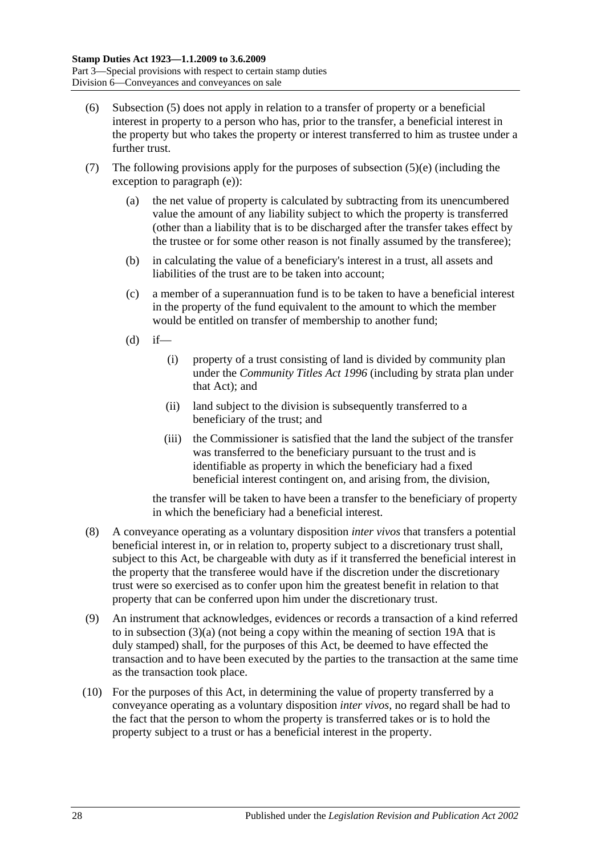- <span id="page-45-0"></span>(6) [Subsection](#page-43-0) (5) does not apply in relation to a transfer of property or a beneficial interest in property to a person who has, prior to the transfer, a beneficial interest in the property but who takes the property or interest transferred to him as trustee under a further trust.
- (7) The following provisions apply for the purposes of [subsection](#page-43-1)  $(5)(e)$  (including the exception to [paragraph](#page-43-1) (e)):
	- (a) the net value of property is calculated by subtracting from its unencumbered value the amount of any liability subject to which the property is transferred (other than a liability that is to be discharged after the transfer takes effect by the trustee or for some other reason is not finally assumed by the transferee);
	- (b) in calculating the value of a beneficiary's interest in a trust, all assets and liabilities of the trust are to be taken into account;
	- (c) a member of a superannuation fund is to be taken to have a beneficial interest in the property of the fund equivalent to the amount to which the member would be entitled on transfer of membership to another fund;
	- $(d)$  if—
		- (i) property of a trust consisting of land is divided by community plan under the *[Community Titles Act](http://www.legislation.sa.gov.au/index.aspx?action=legref&type=act&legtitle=Community%20Titles%20Act%201996) 1996* (including by strata plan under that Act); and
		- (ii) land subject to the division is subsequently transferred to a beneficiary of the trust; and
		- (iii) the Commissioner is satisfied that the land the subject of the transfer was transferred to the beneficiary pursuant to the trust and is identifiable as property in which the beneficiary had a fixed beneficial interest contingent on, and arising from, the division,

the transfer will be taken to have been a transfer to the beneficiary of property in which the beneficiary had a beneficial interest.

- (8) A conveyance operating as a voluntary disposition *inter vivos* that transfers a potential beneficial interest in, or in relation to, property subject to a discretionary trust shall, subject to this Act, be chargeable with duty as if it transferred the beneficial interest in the property that the transferee would have if the discretion under the discretionary trust were so exercised as to confer upon him the greatest benefit in relation to that property that can be conferred upon him under the discretionary trust.
- (9) An instrument that acknowledges, evidences or records a transaction of a kind referred to in [subsection](#page-42-1) (3)(a) (not being a copy within the meaning of [section](#page-14-0) 19A that is duly stamped) shall, for the purposes of this Act, be deemed to have effected the transaction and to have been executed by the parties to the transaction at the same time as the transaction took place.
- (10) For the purposes of this Act, in determining the value of property transferred by a conveyance operating as a voluntary disposition *inter vivos*, no regard shall be had to the fact that the person to whom the property is transferred takes or is to hold the property subject to a trust or has a beneficial interest in the property.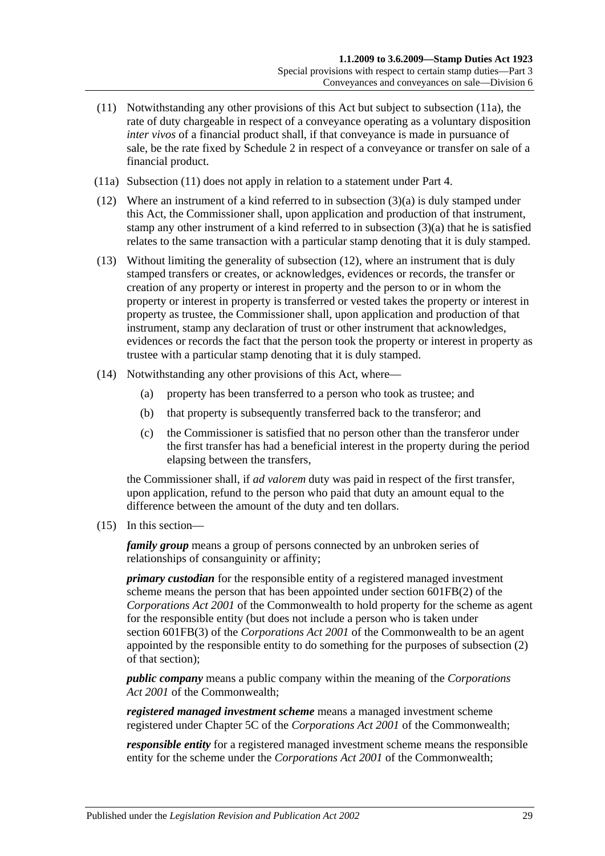- <span id="page-46-1"></span>(11) Notwithstanding any other provisions of this Act but subject to [subsection](#page-46-0) (11a), the rate of duty chargeable in respect of a conveyance operating as a voluntary disposition *inter vivos* of a financial product shall, if that conveyance is made in pursuance of sale, be the rate fixed by [Schedule 2](#page-96-0) in respect of a conveyance or transfer on sale of a financial product.
- <span id="page-46-0"></span>(11a) [Subsection](#page-46-1) (11) does not apply in relation to a statement under [Part 4.](#page-80-0)
- <span id="page-46-2"></span>(12) Where an instrument of a kind referred to in [subsection](#page-42-1) (3)(a) is duly stamped under this Act, the Commissioner shall, upon application and production of that instrument, stamp any other instrument of a kind referred to in [subsection](#page-42-1) (3)(a) that he is satisfied relates to the same transaction with a particular stamp denoting that it is duly stamped.
- (13) Without limiting the generality of [subsection](#page-46-2) (12), where an instrument that is duly stamped transfers or creates, or acknowledges, evidences or records, the transfer or creation of any property or interest in property and the person to or in whom the property or interest in property is transferred or vested takes the property or interest in property as trustee, the Commissioner shall, upon application and production of that instrument, stamp any declaration of trust or other instrument that acknowledges, evidences or records the fact that the person took the property or interest in property as trustee with a particular stamp denoting that it is duly stamped.
- (14) Notwithstanding any other provisions of this Act, where—
	- (a) property has been transferred to a person who took as trustee; and
	- (b) that property is subsequently transferred back to the transferor; and
	- (c) the Commissioner is satisfied that no person other than the transferor under the first transfer has had a beneficial interest in the property during the period elapsing between the transfers,

the Commissioner shall, if *ad valorem* duty was paid in respect of the first transfer, upon application, refund to the person who paid that duty an amount equal to the difference between the amount of the duty and ten dollars.

<span id="page-46-3"></span>(15) In this section—

*family group* means a group of persons connected by an unbroken series of relationships of consanguinity or affinity;

*primary custodian* for the responsible entity of a registered managed investment scheme means the person that has been appointed under section 601FB(2) of the *Corporations Act 2001* of the Commonwealth to hold property for the scheme as agent for the responsible entity (but does not include a person who is taken under section 601FB(3) of the *Corporations Act 2001* of the Commonwealth to be an agent appointed by the responsible entity to do something for the purposes of subsection (2) of that section);

*public company* means a public company within the meaning of the *Corporations Act 2001* of the Commonwealth;

*registered managed investment scheme* means a managed investment scheme registered under Chapter 5C of the *Corporations Act 2001* of the Commonwealth;

*responsible entity* for a registered managed investment scheme means the responsible entity for the scheme under the *Corporations Act 2001* of the Commonwealth;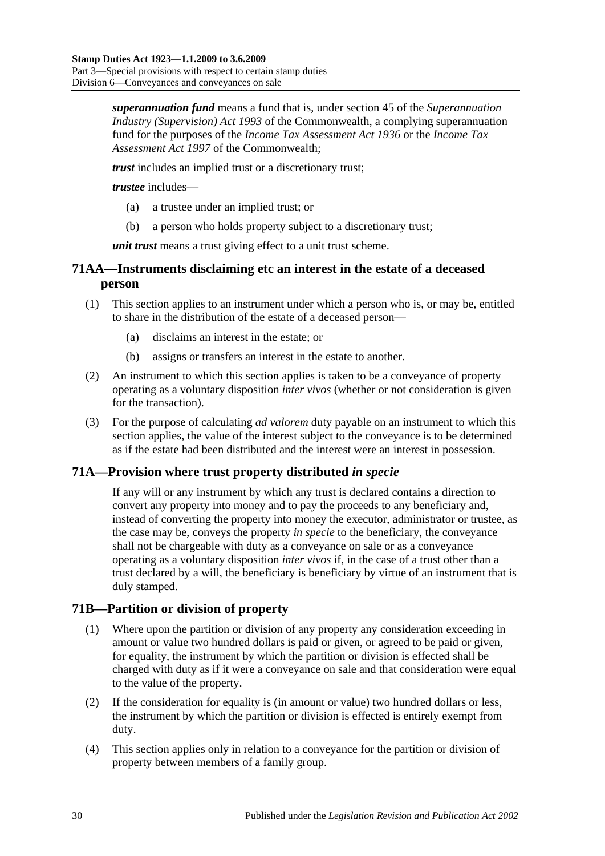*superannuation fund* means a fund that is, under section 45 of the *Superannuation Industry (Supervision) Act 1993* of the Commonwealth, a complying superannuation fund for the purposes of the *Income Tax Assessment Act 1936* or the *Income Tax Assessment Act 1997* of the Commonwealth;

*trust* includes an implied trust or a discretionary trust;

*trustee* includes—

- (a) a trustee under an implied trust; or
- (b) a person who holds property subject to a discretionary trust;

*unit trust* means a trust giving effect to a unit trust scheme.

# **71AA—Instruments disclaiming etc an interest in the estate of a deceased person**

- (1) This section applies to an instrument under which a person who is, or may be, entitled to share in the distribution of the estate of a deceased person—
	- (a) disclaims an interest in the estate; or
	- (b) assigns or transfers an interest in the estate to another.
- (2) An instrument to which this section applies is taken to be a conveyance of property operating as a voluntary disposition *inter vivos* (whether or not consideration is given for the transaction).
- (3) For the purpose of calculating *ad valorem* duty payable on an instrument to which this section applies, the value of the interest subject to the conveyance is to be determined as if the estate had been distributed and the interest were an interest in possession.

# **71A—Provision where trust property distributed** *in specie*

If any will or any instrument by which any trust is declared contains a direction to convert any property into money and to pay the proceeds to any beneficiary and, instead of converting the property into money the executor, administrator or trustee, as the case may be, conveys the property *in specie* to the beneficiary, the conveyance shall not be chargeable with duty as a conveyance on sale or as a conveyance operating as a voluntary disposition *inter vivos* if, in the case of a trust other than a trust declared by a will, the beneficiary is beneficiary by virtue of an instrument that is duly stamped.

# **71B—Partition or division of property**

- (1) Where upon the partition or division of any property any consideration exceeding in amount or value two hundred dollars is paid or given, or agreed to be paid or given, for equality, the instrument by which the partition or division is effected shall be charged with duty as if it were a conveyance on sale and that consideration were equal to the value of the property.
- (2) If the consideration for equality is (in amount or value) two hundred dollars or less, the instrument by which the partition or division is effected is entirely exempt from duty.
- (4) This section applies only in relation to a conveyance for the partition or division of property between members of a family group.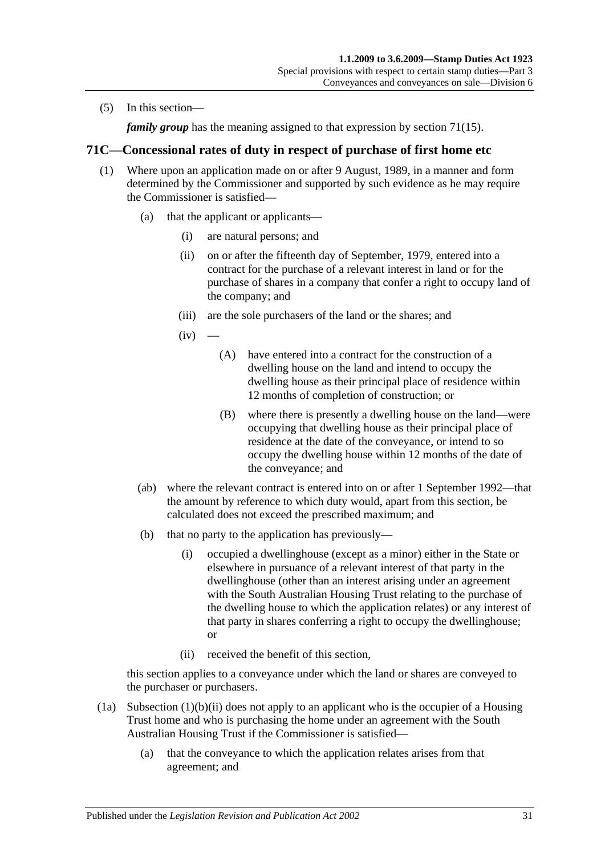(5) In this section—

*family group* has the meaning assigned to that expression by [section](#page-46-3) 71(15).

## **71C—Concessional rates of duty in respect of purchase of first home etc**

- <span id="page-48-2"></span>(1) Where upon an application made on or after 9 August, 1989, in a manner and form determined by the Commissioner and supported by such evidence as he may require the Commissioner is satisfied—
	- (a) that the applicant or applicants—
		- (i) are natural persons; and
		- (ii) on or after the fifteenth day of September, 1979, entered into a contract for the purchase of a relevant interest in land or for the purchase of shares in a company that confer a right to occupy land of the company; and
		- (iii) are the sole purchasers of the land or the shares; and
		- $(iv)$
- <span id="page-48-3"></span><span id="page-48-1"></span>(A) have entered into a contract for the construction of a dwelling house on the land and intend to occupy the dwelling house as their principal place of residence within 12 months of completion of construction; or
- (B) where there is presently a dwelling house on the land—were occupying that dwelling house as their principal place of residence at the date of the conveyance, or intend to so occupy the dwelling house within 12 months of the date of the conveyance; and
- (ab) where the relevant contract is entered into on or after 1 September 1992—that the amount by reference to which duty would, apart from this section, be calculated does not exceed the prescribed maximum; and
- (b) that no party to the application has previously—
	- (i) occupied a dwellinghouse (except as a minor) either in the State or elsewhere in pursuance of a relevant interest of that party in the dwellinghouse (other than an interest arising under an agreement with the South Australian Housing Trust relating to the purchase of the dwelling house to which the application relates) or any interest of that party in shares conferring a right to occupy the dwellinghouse; or
	- (ii) received the benefit of this section,

<span id="page-48-0"></span>this section applies to a conveyance under which the land or shares are conveyed to the purchaser or purchasers.

- (1a) [Subsection](#page-48-0) (1)(b)(ii) does not apply to an applicant who is the occupier of a Housing Trust home and who is purchasing the home under an agreement with the South Australian Housing Trust if the Commissioner is satisfied—
	- (a) that the conveyance to which the application relates arises from that agreement; and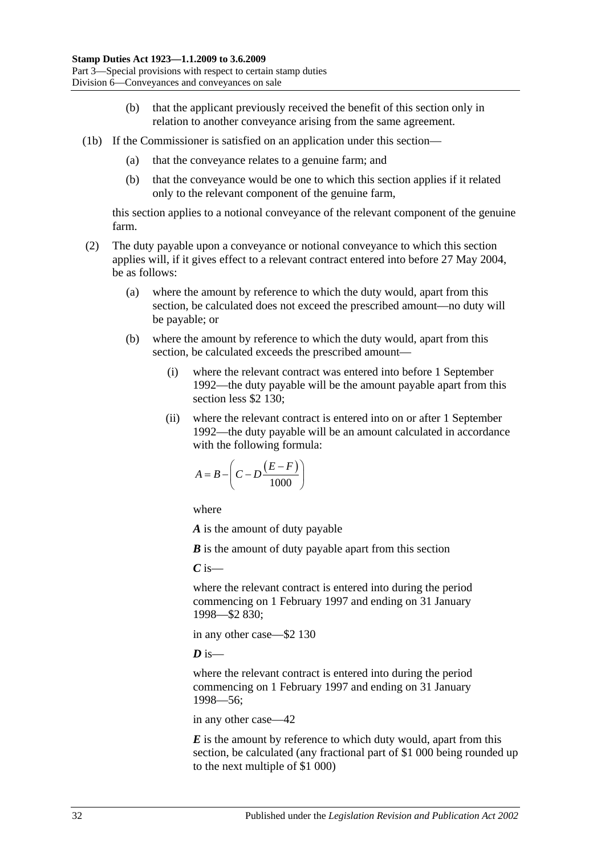- (b) that the applicant previously received the benefit of this section only in relation to another conveyance arising from the same agreement.
- (1b) If the Commissioner is satisfied on an application under this section—
	- (a) that the conveyance relates to a genuine farm; and
	- (b) that the conveyance would be one to which this section applies if it related only to the relevant component of the genuine farm,

this section applies to a notional conveyance of the relevant component of the genuine farm.

- (2) The duty payable upon a conveyance or notional conveyance to which this section applies will, if it gives effect to a relevant contract entered into before 27 May 2004, be as follows:
	- (a) where the amount by reference to which the duty would, apart from this section, be calculated does not exceed the prescribed amount—no duty will be payable; or
	- (b) where the amount by reference to which the duty would, apart from this section, be calculated exceeds the prescribed amount—
		- (i) where the relevant contract was entered into before 1 September 1992—the duty payable will be the amount payable apart from this section less \$2 130;
		- (ii) where the relevant contract is entered into on or after 1 September 1992—the duty payable will be an amount calculated in accordance with the following formula:

$$
A = B - \left(C - D \frac{(E - F)}{1000}\right)
$$

where

*A* is the amount of duty payable

*B* is the amount of duty payable apart from this section

*C* is—

where the relevant contract is entered into during the period commencing on 1 February 1997 and ending on 31 January 1998—\$2 830;

in any other case—\$2 130

 $\overline{D}$  is—

where the relevant contract is entered into during the period commencing on 1 February 1997 and ending on 31 January 1998—56;

in any other case—42

*E* is the amount by reference to which duty would, apart from this section, be calculated (any fractional part of \$1 000 being rounded up to the next multiple of \$1 000)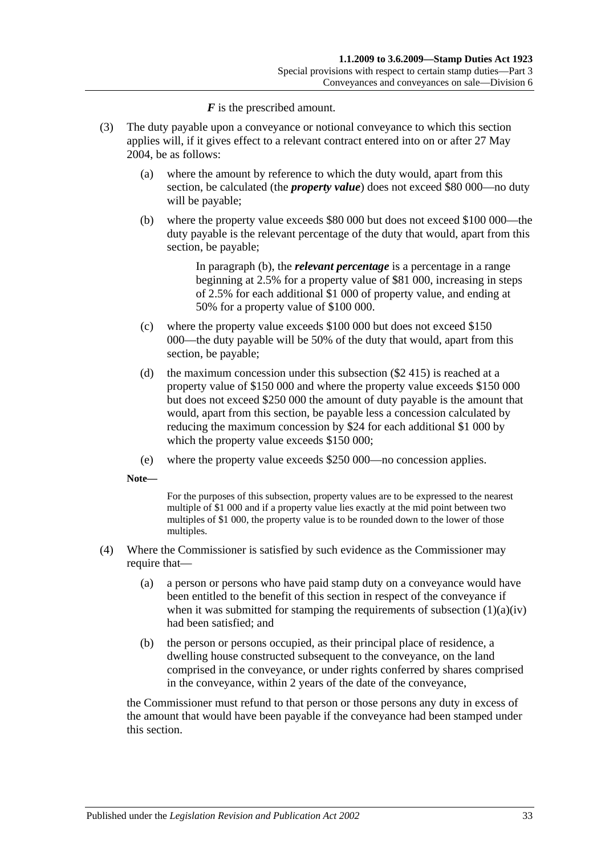*F* is the prescribed amount.

- <span id="page-50-0"></span>(3) The duty payable upon a conveyance or notional conveyance to which this section applies will, if it gives effect to a relevant contract entered into on or after 27 May 2004, be as follows:
	- (a) where the amount by reference to which the duty would, apart from this section, be calculated (the *property value*) does not exceed \$80 000—no duty will be payable;
	- (b) where the property value exceeds \$80 000 but does not exceed \$100 000—the duty payable is the relevant percentage of the duty that would, apart from this section, be payable;

In [paragraph](#page-50-0) (b), the *relevant percentage* is a percentage in a range beginning at 2.5% for a property value of \$81 000, increasing in steps of 2.5% for each additional \$1 000 of property value, and ending at 50% for a property value of \$100 000.

- (c) where the property value exceeds \$100 000 but does not exceed \$150 000—the duty payable will be 50% of the duty that would, apart from this section, be payable;
- (d) the maximum concession under this subsection (\$2 415) is reached at a property value of \$150 000 and where the property value exceeds \$150 000 but does not exceed \$250 000 the amount of duty payable is the amount that would, apart from this section, be payable less a concession calculated by reducing the maximum concession by \$24 for each additional \$1 000 by which the property value exceeds \$150 000;
- (e) where the property value exceeds \$250 000—no concession applies.

**Note—**

For the purposes of this subsection, property values are to be expressed to the nearest multiple of \$1 000 and if a property value lies exactly at the mid point between two multiples of \$1 000, the property value is to be rounded down to the lower of those multiples.

- (4) Where the Commissioner is satisfied by such evidence as the Commissioner may require that—
	- (a) a person or persons who have paid stamp duty on a conveyance would have been entitled to the benefit of this section in respect of the conveyance if when it was submitted for stamping the requirements of [subsection](#page-48-1)  $(1)(a)(iv)$ had been satisfied; and
	- (b) the person or persons occupied, as their principal place of residence, a dwelling house constructed subsequent to the conveyance, on the land comprised in the conveyance, or under rights conferred by shares comprised in the conveyance, within 2 years of the date of the conveyance,

the Commissioner must refund to that person or those persons any duty in excess of the amount that would have been payable if the conveyance had been stamped under this section.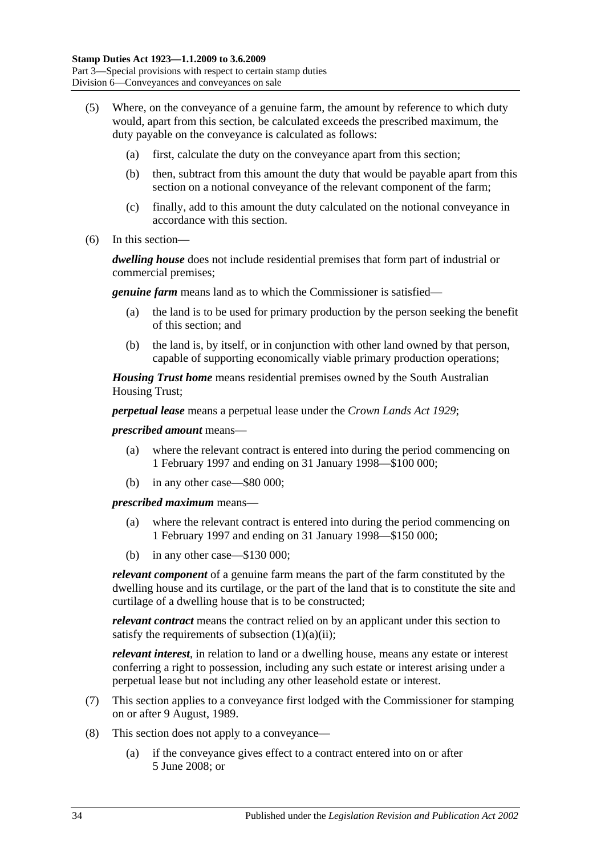- (5) Where, on the conveyance of a genuine farm, the amount by reference to which duty would, apart from this section, be calculated exceeds the prescribed maximum, the duty payable on the conveyance is calculated as follows:
	- (a) first, calculate the duty on the conveyance apart from this section;
	- (b) then, subtract from this amount the duty that would be payable apart from this section on a notional conveyance of the relevant component of the farm;
	- (c) finally, add to this amount the duty calculated on the notional conveyance in accordance with this section.
- (6) In this section—

*dwelling house* does not include residential premises that form part of industrial or commercial premises;

*genuine farm* means land as to which the Commissioner is satisfied—

- (a) the land is to be used for primary production by the person seeking the benefit of this section; and
- (b) the land is, by itself, or in conjunction with other land owned by that person, capable of supporting economically viable primary production operations;

*Housing Trust home* means residential premises owned by the South Australian Housing Trust;

*perpetual lease* means a perpetual lease under the *[Crown Lands Act](http://www.legislation.sa.gov.au/index.aspx?action=legref&type=act&legtitle=Crown%20Lands%20Act%201929) 1929*;

### *prescribed amount* means—

- (a) where the relevant contract is entered into during the period commencing on 1 February 1997 and ending on 31 January 1998—\$100 000;
- (b) in any other case—\$80 000;

*prescribed maximum* means—

- (a) where the relevant contract is entered into during the period commencing on 1 February 1997 and ending on 31 January 1998—\$150 000;
- (b) in any other case—\$130 000;

*relevant component* of a genuine farm means the part of the farm constituted by the dwelling house and its curtilage, or the part of the land that is to constitute the site and curtilage of a dwelling house that is to be constructed;

*relevant contract* means the contract relied on by an applicant under this section to satisfy the requirements of [subsection](#page-48-2)  $(1)(a)(ii)$ ;

*relevant interest*, in relation to land or a dwelling house, means any estate or interest conferring a right to possession, including any such estate or interest arising under a perpetual lease but not including any other leasehold estate or interest.

- (7) This section applies to a conveyance first lodged with the Commissioner for stamping on or after 9 August, 1989.
- (8) This section does not apply to a conveyance—
	- (a) if the conveyance gives effect to a contract entered into on or after 5 June 2008; or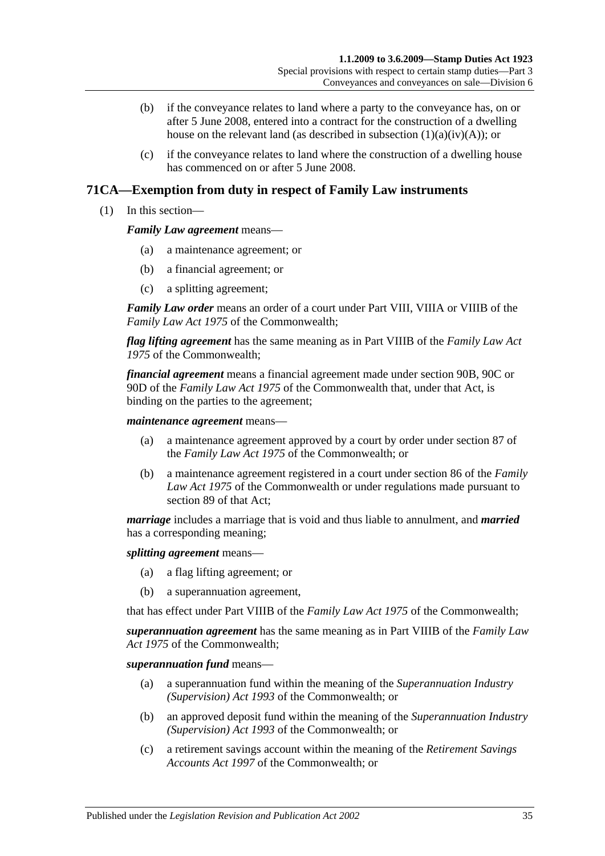- (b) if the conveyance relates to land where a party to the conveyance has, on or after 5 June 2008, entered into a contract for the construction of a dwelling house on the relevant land (as described in subsection  $(1)(a)(iv)(A)$ ); or
- (c) if the conveyance relates to land where the construction of a dwelling house has commenced on or after 5 June 2008.

# **71CA—Exemption from duty in respect of Family Law instruments**

(1) In this section—

### *Family Law agreement* means—

- (a) a maintenance agreement; or
- (b) a financial agreement; or
- (c) a splitting agreement;

*Family Law order* means an order of a court under Part VIII, VIIIA or VIIIB of the *Family Law Act 1975* of the Commonwealth;

*flag lifting agreement* has the same meaning as in Part VIIIB of the *Family Law Act 1975* of the Commonwealth;

*financial agreement* means a financial agreement made under section 90B, 90C or 90D of the *Family Law Act 1975* of the Commonwealth that, under that Act, is binding on the parties to the agreement;

*maintenance agreement* means—

- (a) a maintenance agreement approved by a court by order under section 87 of the *Family Law Act 1975* of the Commonwealth; or
- (b) a maintenance agreement registered in a court under section 86 of the *Family Law Act 1975* of the Commonwealth or under regulations made pursuant to section 89 of that Act;

*marriage* includes a marriage that is void and thus liable to annulment, and *married* has a corresponding meaning;

*splitting agreement* means—

- (a) a flag lifting agreement; or
- (b) a superannuation agreement,

that has effect under Part VIIIB of the *Family Law Act 1975* of the Commonwealth;

*superannuation agreement* has the same meaning as in Part VIIIB of the *Family Law Act 1975* of the Commonwealth;

*superannuation fund* means—

- (a) a superannuation fund within the meaning of the *Superannuation Industry (Supervision) Act 1993* of the Commonwealth; or
- (b) an approved deposit fund within the meaning of the *Superannuation Industry (Supervision) Act 1993* of the Commonwealth; or
- (c) a retirement savings account within the meaning of the *Retirement Savings Accounts Act 1997* of the Commonwealth; or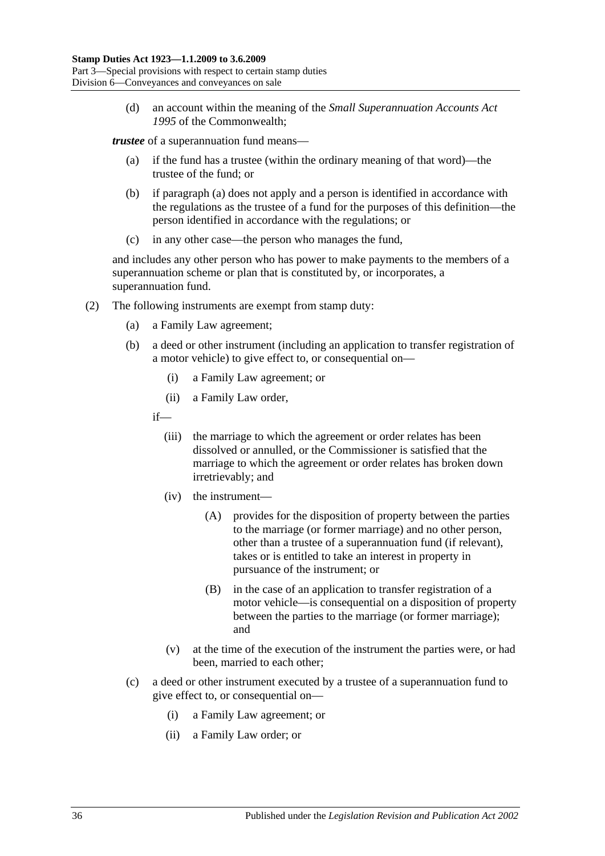(d) an account within the meaning of the *Small Superannuation Accounts Act 1995* of the Commonwealth;

<span id="page-53-0"></span>*trustee* of a superannuation fund means—

- (a) if the fund has a trustee (within the ordinary meaning of that word)—the trustee of the fund; or
- (b) if [paragraph](#page-53-0) (a) does not apply and a person is identified in accordance with the regulations as the trustee of a fund for the purposes of this definition—the person identified in accordance with the regulations; or
- (c) in any other case—the person who manages the fund,

and includes any other person who has power to make payments to the members of a superannuation scheme or plan that is constituted by, or incorporates, a superannuation fund.

- (2) The following instruments are exempt from stamp duty:
	- (a) a Family Law agreement;
	- (b) a deed or other instrument (including an application to transfer registration of a motor vehicle) to give effect to, or consequential on—
		- (i) a Family Law agreement; or
		- (ii) a Family Law order,

if—

- (iii) the marriage to which the agreement or order relates has been dissolved or annulled, or the Commissioner is satisfied that the marriage to which the agreement or order relates has broken down irretrievably; and
- (iv) the instrument—
	- (A) provides for the disposition of property between the parties to the marriage (or former marriage) and no other person, other than a trustee of a superannuation fund (if relevant), takes or is entitled to take an interest in property in pursuance of the instrument; or
	- (B) in the case of an application to transfer registration of a motor vehicle—is consequential on a disposition of property between the parties to the marriage (or former marriage); and
- (v) at the time of the execution of the instrument the parties were, or had been, married to each other;
- (c) a deed or other instrument executed by a trustee of a superannuation fund to give effect to, or consequential on—
	- (i) a Family Law agreement; or
	- (ii) a Family Law order; or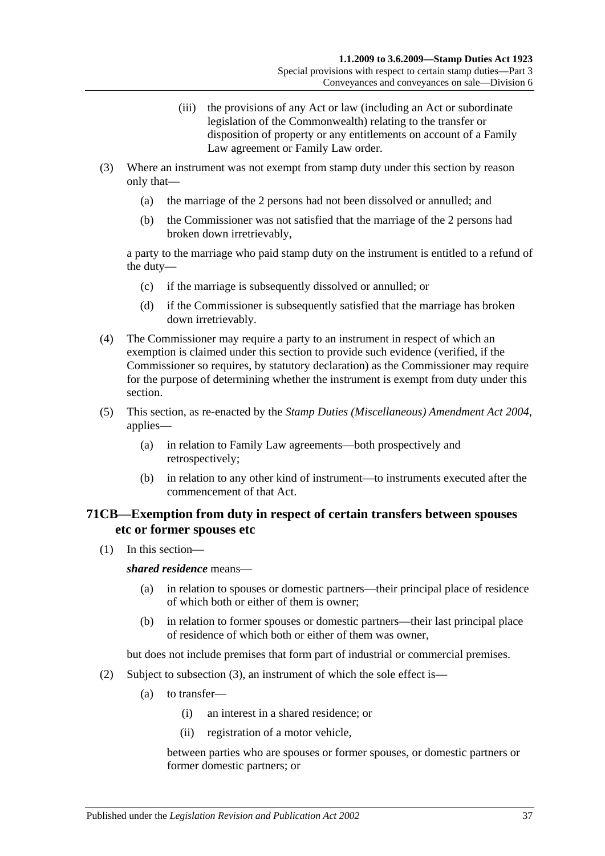- (iii) the provisions of any Act or law (including an Act or subordinate legislation of the Commonwealth) relating to the transfer or disposition of property or any entitlements on account of a Family Law agreement or Family Law order.
- (3) Where an instrument was not exempt from stamp duty under this section by reason only that—
	- (a) the marriage of the 2 persons had not been dissolved or annulled; and
	- (b) the Commissioner was not satisfied that the marriage of the 2 persons had broken down irretrievably,

a party to the marriage who paid stamp duty on the instrument is entitled to a refund of the duty—

- (c) if the marriage is subsequently dissolved or annulled; or
- (d) if the Commissioner is subsequently satisfied that the marriage has broken down irretrievably.
- (4) The Commissioner may require a party to an instrument in respect of which an exemption is claimed under this section to provide such evidence (verified, if the Commissioner so requires, by statutory declaration) as the Commissioner may require for the purpose of determining whether the instrument is exempt from duty under this section.
- (5) This section, as re-enacted by the *[Stamp Duties \(Miscellaneous\) Amendment Act 2004](http://www.legislation.sa.gov.au/index.aspx?action=legref&type=act&legtitle=Stamp%20Duties%20(Miscellaneous)%20Amendment%20Act%202004)*, applies—
	- (a) in relation to Family Law agreements—both prospectively and retrospectively;
	- (b) in relation to any other kind of instrument—to instruments executed after the commencement of that Act.

# **71CB—Exemption from duty in respect of certain transfers between spouses etc or former spouses etc**

(1) In this section—

*shared residence* means—

- (a) in relation to spouses or domestic partners—their principal place of residence of which both or either of them is owner;
- (b) in relation to former spouses or domestic partners—their last principal place of residence of which both or either of them was owner,

but does not include premises that form part of industrial or commercial premises.

- (2) Subject to [subsection](#page-55-0) (3), an instrument of which the sole effect is—
	- (a) to transfer—
		- (i) an interest in a shared residence; or
		- (ii) registration of a motor vehicle,

between parties who are spouses or former spouses, or domestic partners or former domestic partners; or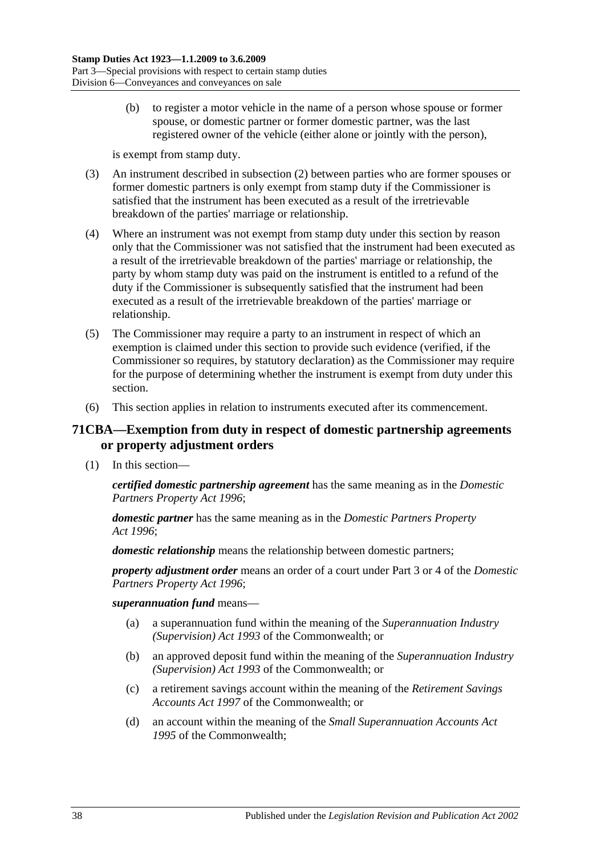(b) to register a motor vehicle in the name of a person whose spouse or former spouse, or domestic partner or former domestic partner, was the last registered owner of the vehicle (either alone or jointly with the person),

is exempt from stamp duty.

- <span id="page-55-0"></span>(3) An instrument described in subsection (2) between parties who are former spouses or former domestic partners is only exempt from stamp duty if the Commissioner is satisfied that the instrument has been executed as a result of the irretrievable breakdown of the parties' marriage or relationship.
- (4) Where an instrument was not exempt from stamp duty under this section by reason only that the Commissioner was not satisfied that the instrument had been executed as a result of the irretrievable breakdown of the parties' marriage or relationship, the party by whom stamp duty was paid on the instrument is entitled to a refund of the duty if the Commissioner is subsequently satisfied that the instrument had been executed as a result of the irretrievable breakdown of the parties' marriage or relationship.
- (5) The Commissioner may require a party to an instrument in respect of which an exemption is claimed under this section to provide such evidence (verified, if the Commissioner so requires, by statutory declaration) as the Commissioner may require for the purpose of determining whether the instrument is exempt from duty under this section.
- (6) This section applies in relation to instruments executed after its commencement.

# **71CBA—Exemption from duty in respect of domestic partnership agreements or property adjustment orders**

(1) In this section—

*certified domestic partnership agreement* has the same meaning as in the *[Domestic](http://www.legislation.sa.gov.au/index.aspx?action=legref&type=act&legtitle=Domestic%20Partners%20Property%20Act%201996)  [Partners Property Act](http://www.legislation.sa.gov.au/index.aspx?action=legref&type=act&legtitle=Domestic%20Partners%20Property%20Act%201996) 1996*;

*domestic partner* has the same meaning as in the *[Domestic Partners Property](http://www.legislation.sa.gov.au/index.aspx?action=legref&type=act&legtitle=Domestic%20Partners%20Property%20Act%201996)  Act [1996](http://www.legislation.sa.gov.au/index.aspx?action=legref&type=act&legtitle=Domestic%20Partners%20Property%20Act%201996)*;

*domestic relationship* means the relationship between domestic partners;

*property adjustment order* means an order of a court under Part 3 or 4 of the *[Domestic](http://www.legislation.sa.gov.au/index.aspx?action=legref&type=act&legtitle=Domestic%20Partners%20Property%20Act%201996)  [Partners Property Act](http://www.legislation.sa.gov.au/index.aspx?action=legref&type=act&legtitle=Domestic%20Partners%20Property%20Act%201996) 1996*;

## *superannuation fund* means—

- (a) a superannuation fund within the meaning of the *Superannuation Industry (Supervision) Act 1993* of the Commonwealth; or
- (b) an approved deposit fund within the meaning of the *Superannuation Industry (Supervision) Act 1993* of the Commonwealth; or
- (c) a retirement savings account within the meaning of the *Retirement Savings Accounts Act 1997* of the Commonwealth; or
- (d) an account within the meaning of the *Small Superannuation Accounts Act 1995* of the Commonwealth;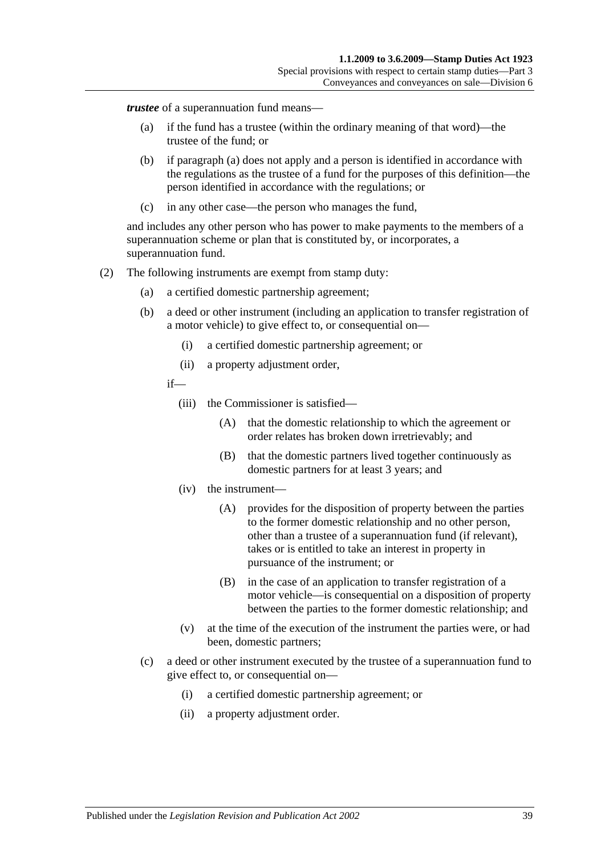<span id="page-56-0"></span>*trustee* of a superannuation fund means—

- (a) if the fund has a trustee (within the ordinary meaning of that word)—the trustee of the fund; or
- (b) if [paragraph](#page-56-0) (a) does not apply and a person is identified in accordance with the regulations as the trustee of a fund for the purposes of this definition—the person identified in accordance with the regulations; or
- (c) in any other case—the person who manages the fund,

and includes any other person who has power to make payments to the members of a superannuation scheme or plan that is constituted by, or incorporates, a superannuation fund.

- (2) The following instruments are exempt from stamp duty:
	- (a) a certified domestic partnership agreement;
	- (b) a deed or other instrument (including an application to transfer registration of a motor vehicle) to give effect to, or consequential on—
		- (i) a certified domestic partnership agreement; or
		- (ii) a property adjustment order,
		- if—
			- (iii) the Commissioner is satisfied—
				- (A) that the domestic relationship to which the agreement or order relates has broken down irretrievably; and
				- (B) that the domestic partners lived together continuously as domestic partners for at least 3 years; and
			- (iv) the instrument—
				- (A) provides for the disposition of property between the parties to the former domestic relationship and no other person, other than a trustee of a superannuation fund (if relevant), takes or is entitled to take an interest in property in pursuance of the instrument; or
				- (B) in the case of an application to transfer registration of a motor vehicle—is consequential on a disposition of property between the parties to the former domestic relationship; and
			- (v) at the time of the execution of the instrument the parties were, or had been, domestic partners;
	- (c) a deed or other instrument executed by the trustee of a superannuation fund to give effect to, or consequential on—
		- (i) a certified domestic partnership agreement; or
		- (ii) a property adjustment order.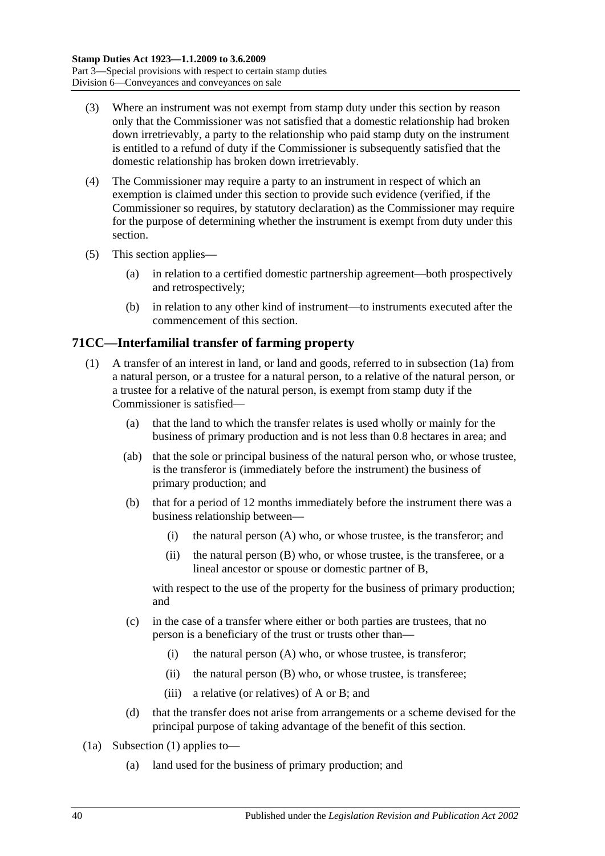- (3) Where an instrument was not exempt from stamp duty under this section by reason only that the Commissioner was not satisfied that a domestic relationship had broken down irretrievably, a party to the relationship who paid stamp duty on the instrument is entitled to a refund of duty if the Commissioner is subsequently satisfied that the domestic relationship has broken down irretrievably.
- (4) The Commissioner may require a party to an instrument in respect of which an exemption is claimed under this section to provide such evidence (verified, if the Commissioner so requires, by statutory declaration) as the Commissioner may require for the purpose of determining whether the instrument is exempt from duty under this section.
- (5) This section applies—
	- (a) in relation to a certified domestic partnership agreement—both prospectively and retrospectively;
	- (b) in relation to any other kind of instrument—to instruments executed after the commencement of this section.

# <span id="page-57-1"></span>**71CC—Interfamilial transfer of farming property**

- (1) A transfer of an interest in land, or land and goods, referred to in [subsection](#page-57-0) (1a) from a natural person, or a trustee for a natural person, to a relative of the natural person, or a trustee for a relative of the natural person, is exempt from stamp duty if the Commissioner is satisfied—
	- (a) that the land to which the transfer relates is used wholly or mainly for the business of primary production and is not less than 0.8 hectares in area; and
	- (ab) that the sole or principal business of the natural person who, or whose trustee, is the transferor is (immediately before the instrument) the business of primary production; and
	- (b) that for a period of 12 months immediately before the instrument there was a business relationship between—
		- (i) the natural person (A) who, or whose trustee, is the transferor; and
		- (ii) the natural person (B) who, or whose trustee, is the transferee, or a lineal ancestor or spouse or domestic partner of B,

<span id="page-57-3"></span>with respect to the use of the property for the business of primary production; and

- (c) in the case of a transfer where either or both parties are trustees, that no person is a beneficiary of the trust or trusts other than—
	- (i) the natural person (A) who, or whose trustee, is transferor;
	- (ii) the natural person (B) who, or whose trustee, is transferee;
	- (iii) a relative (or relatives) of A or B; and
- (d) that the transfer does not arise from arrangements or a scheme devised for the principal purpose of taking advantage of the benefit of this section.
- <span id="page-57-2"></span><span id="page-57-0"></span>(1a) [Subsection](#page-57-1) (1) applies to—
	- (a) land used for the business of primary production; and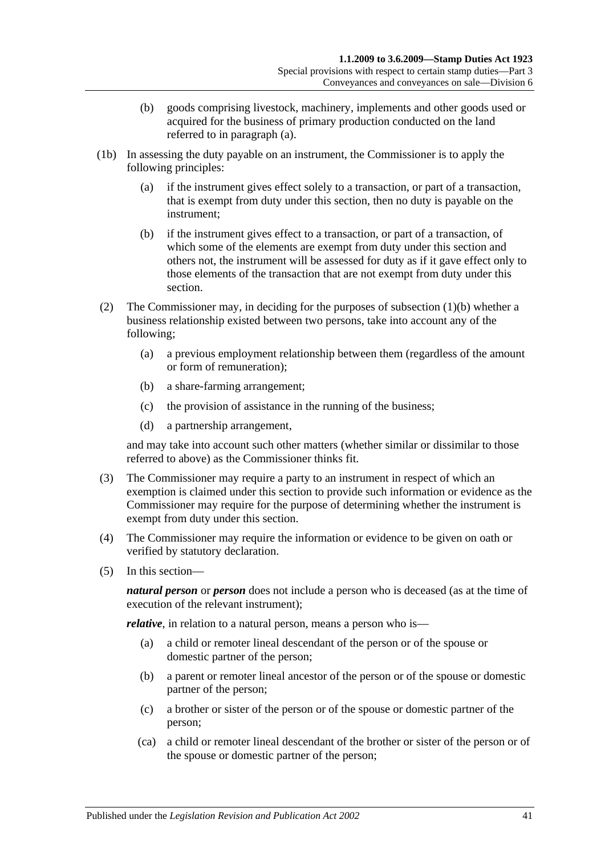- (b) goods comprising livestock, machinery, implements and other goods used or acquired for the business of primary production conducted on the land referred to in [paragraph](#page-57-2) (a).
- (1b) In assessing the duty payable on an instrument, the Commissioner is to apply the following principles:
	- (a) if the instrument gives effect solely to a transaction, or part of a transaction, that is exempt from duty under this section, then no duty is payable on the instrument;
	- (b) if the instrument gives effect to a transaction, or part of a transaction, of which some of the elements are exempt from duty under this section and others not, the instrument will be assessed for duty as if it gave effect only to those elements of the transaction that are not exempt from duty under this section.
- (2) The Commissioner may, in deciding for the purposes of [subsection](#page-57-3) (1)(b) whether a business relationship existed between two persons, take into account any of the following;
	- (a) a previous employment relationship between them (regardless of the amount or form of remuneration);
	- (b) a share-farming arrangement;
	- (c) the provision of assistance in the running of the business;
	- (d) a partnership arrangement,

and may take into account such other matters (whether similar or dissimilar to those referred to above) as the Commissioner thinks fit.

- (3) The Commissioner may require a party to an instrument in respect of which an exemption is claimed under this section to provide such information or evidence as the Commissioner may require for the purpose of determining whether the instrument is exempt from duty under this section.
- (4) The Commissioner may require the information or evidence to be given on oath or verified by statutory declaration.
- (5) In this section—

*natural person* or *person* does not include a person who is deceased (as at the time of execution of the relevant instrument);

<span id="page-58-0"></span>*relative*, in relation to a natural person, means a person who is—

- (a) a child or remoter lineal descendant of the person or of the spouse or domestic partner of the person;
- <span id="page-58-1"></span>(b) a parent or remoter lineal ancestor of the person or of the spouse or domestic partner of the person;
- <span id="page-58-2"></span>(c) a brother or sister of the person or of the spouse or domestic partner of the person;
- (ca) a child or remoter lineal descendant of the brother or sister of the person or of the spouse or domestic partner of the person;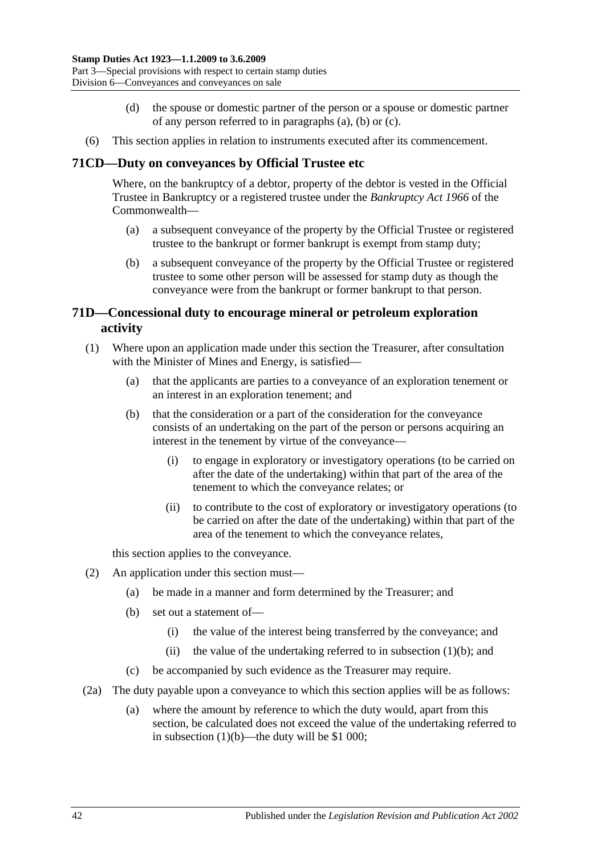- (d) the spouse or domestic partner of the person or a spouse or domestic partner of any person referred to in [paragraphs](#page-58-0) (a), [\(b\)](#page-58-1) or [\(c\).](#page-58-2)
- (6) This section applies in relation to instruments executed after its commencement.

# **71CD—Duty on conveyances by Official Trustee etc**

Where, on the bankruptcy of a debtor, property of the debtor is vested in the Official Trustee in Bankruptcy or a registered trustee under the *Bankruptcy Act 1966* of the Commonwealth—

- (a) a subsequent conveyance of the property by the Official Trustee or registered trustee to the bankrupt or former bankrupt is exempt from stamp duty;
- (b) a subsequent conveyance of the property by the Official Trustee or registered trustee to some other person will be assessed for stamp duty as though the conveyance were from the bankrupt or former bankrupt to that person.

# **71D—Concessional duty to encourage mineral or petroleum exploration activity**

- <span id="page-59-0"></span>(1) Where upon an application made under this section the Treasurer, after consultation with the Minister of Mines and Energy, is satisfied—
	- (a) that the applicants are parties to a conveyance of an exploration tenement or an interest in an exploration tenement; and
	- (b) that the consideration or a part of the consideration for the conveyance consists of an undertaking on the part of the person or persons acquiring an interest in the tenement by virtue of the conveyance—
		- (i) to engage in exploratory or investigatory operations (to be carried on after the date of the undertaking) within that part of the area of the tenement to which the conveyance relates; or
		- (ii) to contribute to the cost of exploratory or investigatory operations (to be carried on after the date of the undertaking) within that part of the area of the tenement to which the conveyance relates,

this section applies to the conveyance.

- (2) An application under this section must—
	- (a) be made in a manner and form determined by the Treasurer; and
	- (b) set out a statement of—
		- (i) the value of the interest being transferred by the conveyance; and
		- (ii) the value of the undertaking referred to in [subsection](#page-59-0)  $(1)(b)$ ; and
	- (c) be accompanied by such evidence as the Treasurer may require.
- (2a) The duty payable upon a conveyance to which this section applies will be as follows:
	- (a) where the amount by reference to which the duty would, apart from this section, be calculated does not exceed the value of the undertaking referred to in [subsection](#page-59-0)  $(1)(b)$ —the duty will be \$1 000;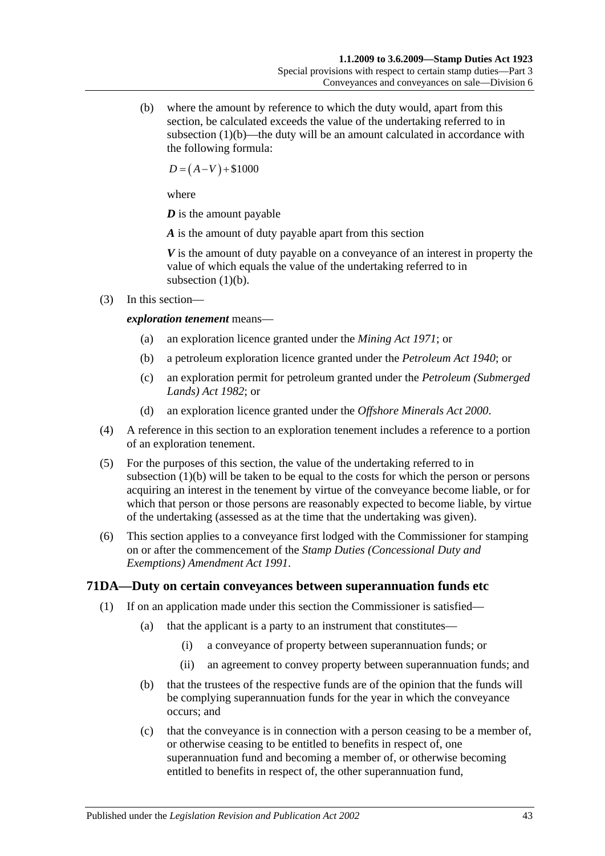(b) where the amount by reference to which the duty would, apart from this section, be calculated exceeds the value of the undertaking referred to in [subsection](#page-59-0)  $(1)(b)$ —the duty will be an amount calculated in accordance with the following formula:

 $D = (A-V) + $1000$ 

where

*D* is the amount payable

*A* is the amount of duty payable apart from this section

*V* is the amount of duty payable on a conveyance of an interest in property the value of which equals the value of the undertaking referred to in [subsection](#page-59-0)  $(1)(b)$ .

(3) In this section—

## *exploration tenement* means—

- (a) an exploration licence granted under the *[Mining Act](http://www.legislation.sa.gov.au/index.aspx?action=legref&type=act&legtitle=Mining%20Act%201971) 1971*; or
- (b) a petroleum exploration licence granted under the *[Petroleum Act](http://www.legislation.sa.gov.au/index.aspx?action=legref&type=act&legtitle=Petroleum%20Act%201940) 1940*; or
- (c) an exploration permit for petroleum granted under the *[Petroleum \(Submerged](http://www.legislation.sa.gov.au/index.aspx?action=legref&type=act&legtitle=Petroleum%20(Submerged%20Lands)%20Act%201982)  [Lands\) Act](http://www.legislation.sa.gov.au/index.aspx?action=legref&type=act&legtitle=Petroleum%20(Submerged%20Lands)%20Act%201982) 1982*; or
- (d) an exploration licence granted under the *[Offshore Minerals Act](http://www.legislation.sa.gov.au/index.aspx?action=legref&type=act&legtitle=Offshore%20Minerals%20Act%202000) 2000*.
- (4) A reference in this section to an exploration tenement includes a reference to a portion of an exploration tenement.
- (5) For the purposes of this section, the value of the undertaking referred to in [subsection](#page-59-0) (1)(b) will be taken to be equal to the costs for which the person or persons acquiring an interest in the tenement by virtue of the conveyance become liable, or for which that person or those persons are reasonably expected to become liable, by virtue of the undertaking (assessed as at the time that the undertaking was given).
- (6) This section applies to a conveyance first lodged with the Commissioner for stamping on or after the commencement of the *[Stamp Duties \(Concessional Duty and](http://www.legislation.sa.gov.au/index.aspx?action=legref&type=act&legtitle=Stamp%20Duties%20(Concessional%20Duty%20and%20Exemptions)%20Amendment%20Act%201991)  [Exemptions\) Amendment Act](http://www.legislation.sa.gov.au/index.aspx?action=legref&type=act&legtitle=Stamp%20Duties%20(Concessional%20Duty%20and%20Exemptions)%20Amendment%20Act%201991) 1991*.

# <span id="page-60-0"></span>**71DA—Duty on certain conveyances between superannuation funds etc**

- (1) If on an application made under this section the Commissioner is satisfied—
	- (a) that the applicant is a party to an instrument that constitutes—
		- (i) a conveyance of property between superannuation funds; or
		- (ii) an agreement to convey property between superannuation funds; and
	- (b) that the trustees of the respective funds are of the opinion that the funds will be complying superannuation funds for the year in which the conveyance occurs; and
	- (c) that the conveyance is in connection with a person ceasing to be a member of, or otherwise ceasing to be entitled to benefits in respect of, one superannuation fund and becoming a member of, or otherwise becoming entitled to benefits in respect of, the other superannuation fund,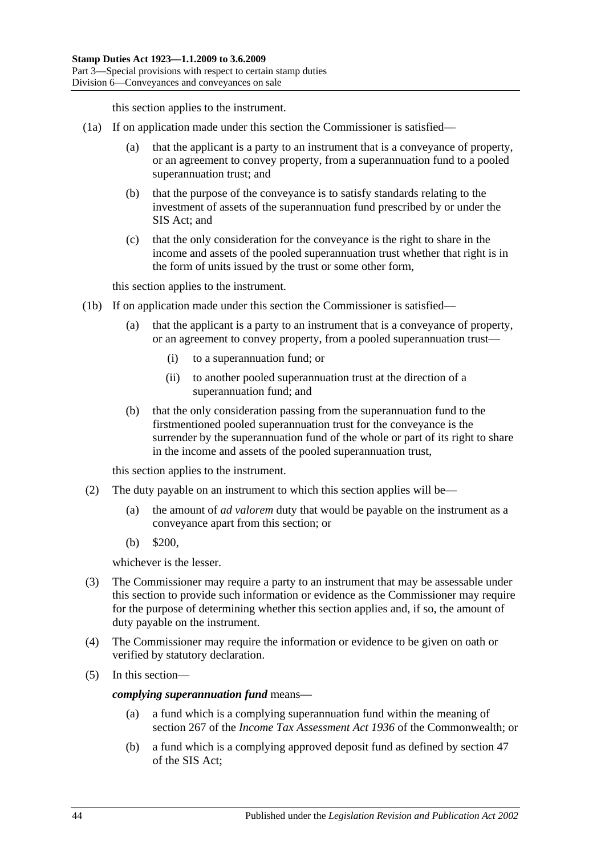this section applies to the instrument.

- <span id="page-61-0"></span>(1a) If on application made under this section the Commissioner is satisfied—
	- (a) that the applicant is a party to an instrument that is a conveyance of property, or an agreement to convey property, from a superannuation fund to a pooled superannuation trust; and
	- (b) that the purpose of the conveyance is to satisfy standards relating to the investment of assets of the superannuation fund prescribed by or under the SIS Act; and
	- (c) that the only consideration for the conveyance is the right to share in the income and assets of the pooled superannuation trust whether that right is in the form of units issued by the trust or some other form,

this section applies to the instrument.

- <span id="page-61-1"></span>(1b) If on application made under this section the Commissioner is satisfied—
	- (a) that the applicant is a party to an instrument that is a conveyance of property, or an agreement to convey property, from a pooled superannuation trust—
		- (i) to a superannuation fund; or
		- (ii) to another pooled superannuation trust at the direction of a superannuation fund; and
	- (b) that the only consideration passing from the superannuation fund to the firstmentioned pooled superannuation trust for the conveyance is the surrender by the superannuation fund of the whole or part of its right to share in the income and assets of the pooled superannuation trust,

this section applies to the instrument.

- (2) The duty payable on an instrument to which this section applies will be—
	- (a) the amount of *ad valorem* duty that would be payable on the instrument as a conveyance apart from this section; or
	- (b) \$200,

whichever is the lesser.

- (3) The Commissioner may require a party to an instrument that may be assessable under this section to provide such information or evidence as the Commissioner may require for the purpose of determining whether this section applies and, if so, the amount of duty payable on the instrument.
- (4) The Commissioner may require the information or evidence to be given on oath or verified by statutory declaration.
- (5) In this section—

*complying superannuation fund* means—

- (a) a fund which is a complying superannuation fund within the meaning of section 267 of the *Income Tax Assessment Act 1936* of the Commonwealth; or
- (b) a fund which is a complying approved deposit fund as defined by section 47 of the SIS Act;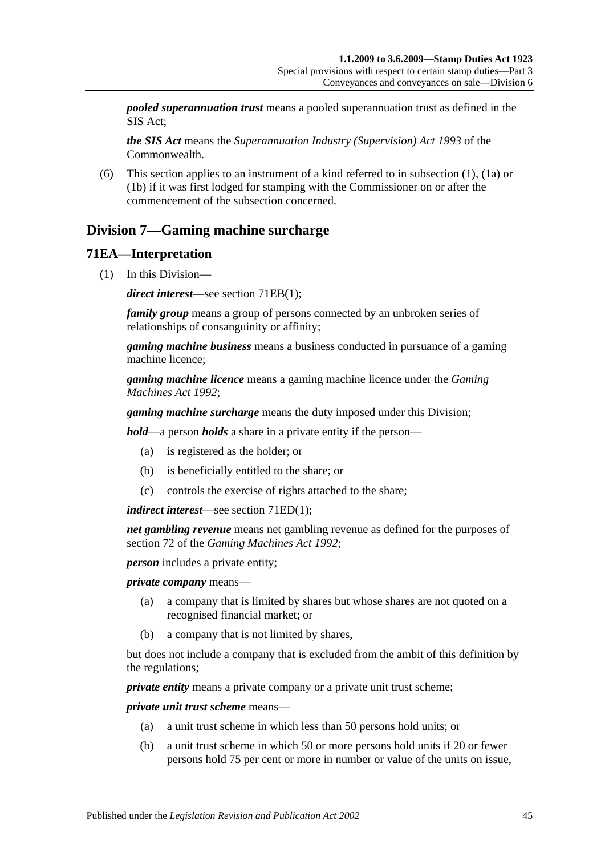*pooled superannuation trust* means a pooled superannuation trust as defined in the SIS Act;

*the SIS Act* means the *Superannuation Industry (Supervision) Act 1993* of the Commonwealth.

(6) This section applies to an instrument of a kind referred to in [subsection](#page-60-0) (1), [\(1a\)](#page-61-0) or [\(1b\)](#page-61-1) if it was first lodged for stamping with the Commissioner on or after the commencement of the subsection concerned.

# **Division 7—Gaming machine surcharge**

## **71EA—Interpretation**

(1) In this Division—

*direct interest*—see section [71EB\(1\);](#page-63-0)

*family group* means a group of persons connected by an unbroken series of relationships of consanguinity or affinity;

*gaming machine business* means a business conducted in pursuance of a gaming machine licence;

*gaming machine licence* means a gaming machine licence under the *[Gaming](http://www.legislation.sa.gov.au/index.aspx?action=legref&type=act&legtitle=Gaming%20Machines%20Act%201992)  [Machines Act](http://www.legislation.sa.gov.au/index.aspx?action=legref&type=act&legtitle=Gaming%20Machines%20Act%201992) 1992*;

*gaming machine surcharge* means the duty imposed under this Division;

*hold*—a person *holds* a share in a private entity if the person—

- (a) is registered as the holder; or
- (b) is beneficially entitled to the share; or
- (c) controls the exercise of rights attached to the share;

*indirect interest*—see section [71ED\(1\);](#page-64-0)

*net gambling revenue* means net gambling revenue as defined for the purposes of section 72 of the *[Gaming Machines Act](http://www.legislation.sa.gov.au/index.aspx?action=legref&type=act&legtitle=Gaming%20Machines%20Act%201992) 1992*;

*person* includes a private entity;

*private company* means—

- (a) a company that is limited by shares but whose shares are not quoted on a recognised financial market; or
- (b) a company that is not limited by shares,

but does not include a company that is excluded from the ambit of this definition by the regulations;

*private entity* means a private company or a private unit trust scheme:

*private unit trust scheme* means—

- (a) a unit trust scheme in which less than 50 persons hold units; or
- (b) a unit trust scheme in which 50 or more persons hold units if 20 or fewer persons hold 75 per cent or more in number or value of the units on issue,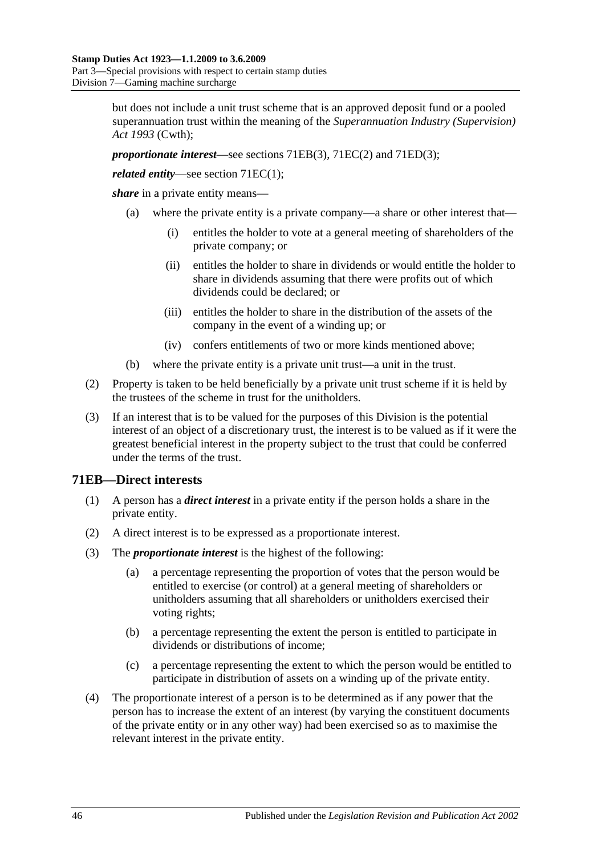but does not include a unit trust scheme that is an approved deposit fund or a pooled superannuation trust within the meaning of the *Superannuation Industry (Supervision) Act 1993* (Cwth);

*proportionate interest*—see sections [71EB\(3\),](#page-63-1) [71EC\(2\)](#page-64-1) and [71ED\(3\);](#page-64-2)

*related entity—see section [71EC\(1\);](#page-64-3)* 

*share* in a private entity means—

- (a) where the private entity is a private company—a share or other interest that—
	- (i) entitles the holder to vote at a general meeting of shareholders of the private company; or
	- (ii) entitles the holder to share in dividends or would entitle the holder to share in dividends assuming that there were profits out of which dividends could be declared; or
	- (iii) entitles the holder to share in the distribution of the assets of the company in the event of a winding up; or
	- (iv) confers entitlements of two or more kinds mentioned above;
- (b) where the private entity is a private unit trust—a unit in the trust.
- (2) Property is taken to be held beneficially by a private unit trust scheme if it is held by the trustees of the scheme in trust for the unitholders.
- (3) If an interest that is to be valued for the purposes of this Division is the potential interest of an object of a discretionary trust, the interest is to be valued as if it were the greatest beneficial interest in the property subject to the trust that could be conferred under the terms of the trust.

# <span id="page-63-0"></span>**71EB—Direct interests**

- (1) A person has a *direct interest* in a private entity if the person holds a share in the private entity.
- (2) A direct interest is to be expressed as a proportionate interest.
- <span id="page-63-1"></span>(3) The *proportionate interest* is the highest of the following:
	- (a) a percentage representing the proportion of votes that the person would be entitled to exercise (or control) at a general meeting of shareholders or unitholders assuming that all shareholders or unitholders exercised their voting rights;
	- (b) a percentage representing the extent the person is entitled to participate in dividends or distributions of income;
	- (c) a percentage representing the extent to which the person would be entitled to participate in distribution of assets on a winding up of the private entity.
- (4) The proportionate interest of a person is to be determined as if any power that the person has to increase the extent of an interest (by varying the constituent documents of the private entity or in any other way) had been exercised so as to maximise the relevant interest in the private entity.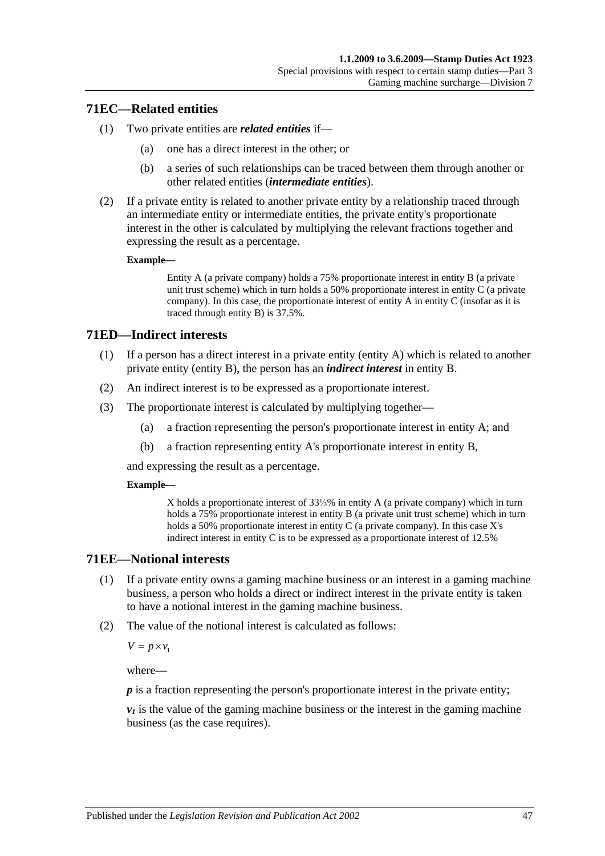## <span id="page-64-3"></span>**71EC—Related entities**

- (1) Two private entities are *related entities* if—
	- (a) one has a direct interest in the other; or
	- (b) a series of such relationships can be traced between them through another or other related entities (*intermediate entities*).
- <span id="page-64-1"></span>(2) If a private entity is related to another private entity by a relationship traced through an intermediate entity or intermediate entities, the private entity's proportionate interest in the other is calculated by multiplying the relevant fractions together and expressing the result as a percentage.

### **Example—**

Entity A (a private company) holds a 75% proportionate interest in entity B (a private unit trust scheme) which in turn holds a 50% proportionate interest in entity C (a private company). In this case, the proportionate interest of entity A in entity C (insofar as it is traced through entity B) is 37.5%.

# <span id="page-64-0"></span>**71ED—Indirect interests**

- (1) If a person has a direct interest in a private entity (entity A) which is related to another private entity (entity B), the person has an *indirect interest* in entity B.
- (2) An indirect interest is to be expressed as a proportionate interest.
- <span id="page-64-2"></span>(3) The proportionate interest is calculated by multiplying together—
	- (a) a fraction representing the person's proportionate interest in entity A; and
	- (b) a fraction representing entity A's proportionate interest in entity B,

and expressing the result as a percentage.

### **Example—**

X holds a proportionate interest of 33⅓% in entity A (a private company) which in turn holds a 75% proportionate interest in entity B (a private unit trust scheme) which in turn holds a 50% proportionate interest in entity C (a private company). In this case X's indirect interest in entity C is to be expressed as a proportionate interest of 12.5%

## **71EE—Notional interests**

- (1) If a private entity owns a gaming machine business or an interest in a gaming machine business, a person who holds a direct or indirect interest in the private entity is taken to have a notional interest in the gaming machine business.
- (2) The value of the notional interest is calculated as follows:

 $V = p \times v_1$ 

where—

*p* is a fraction representing the person's proportionate interest in the private entity;

 $v_1$  is the value of the gaming machine business or the interest in the gaming machine business (as the case requires).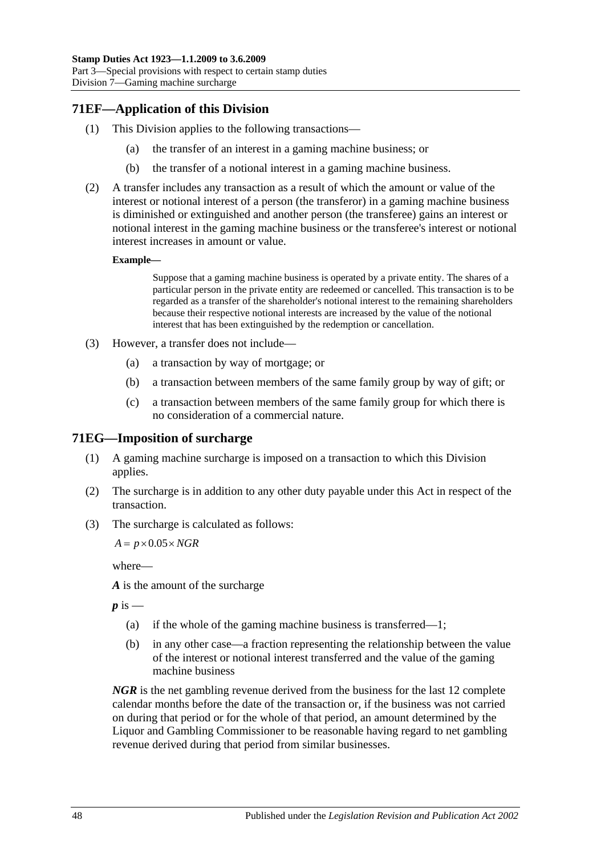# **71EF—Application of this Division**

- (1) This Division applies to the following transactions—
	- (a) the transfer of an interest in a gaming machine business; or
	- (b) the transfer of a notional interest in a gaming machine business.
- (2) A transfer includes any transaction as a result of which the amount or value of the interest or notional interest of a person (the transferor) in a gaming machine business is diminished or extinguished and another person (the transferee) gains an interest or notional interest in the gaming machine business or the transferee's interest or notional interest increases in amount or value.

### **Example—**

Suppose that a gaming machine business is operated by a private entity. The shares of a particular person in the private entity are redeemed or cancelled. This transaction is to be regarded as a transfer of the shareholder's notional interest to the remaining shareholders because their respective notional interests are increased by the value of the notional interest that has been extinguished by the redemption or cancellation.

- (3) However, a transfer does not include—
	- (a) a transaction by way of mortgage; or
	- (b) a transaction between members of the same family group by way of gift; or
	- (c) a transaction between members of the same family group for which there is no consideration of a commercial nature.

## **71EG—Imposition of surcharge**

- (1) A gaming machine surcharge is imposed on a transaction to which this Division applies.
- (2) The surcharge is in addition to any other duty payable under this Act in respect of the transaction.
- (3) The surcharge is calculated as follows:

 $A = p \times 0.05 \times NGR$ 

where—

*A* is the amount of the surcharge

 $p$  is  $-$ 

- (a) if the whole of the gaming machine business is transferred—1;
- (b) in any other case—a fraction representing the relationship between the value of the interest or notional interest transferred and the value of the gaming machine business

*NGR* is the net gambling revenue derived from the business for the last 12 complete calendar months before the date of the transaction or, if the business was not carried on during that period or for the whole of that period, an amount determined by the Liquor and Gambling Commissioner to be reasonable having regard to net gambling revenue derived during that period from similar businesses.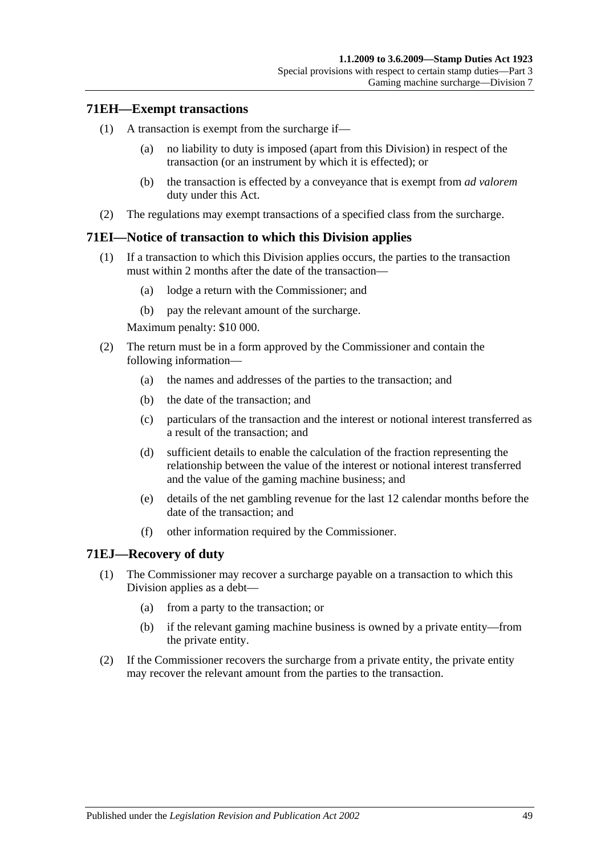## **71EH—Exempt transactions**

- (1) A transaction is exempt from the surcharge if—
	- (a) no liability to duty is imposed (apart from this Division) in respect of the transaction (or an instrument by which it is effected); or
	- (b) the transaction is effected by a conveyance that is exempt from *ad valorem* duty under this Act.
- (2) The regulations may exempt transactions of a specified class from the surcharge.

# **71EI—Notice of transaction to which this Division applies**

- (1) If a transaction to which this Division applies occurs, the parties to the transaction must within 2 months after the date of the transaction—
	- (a) lodge a return with the Commissioner; and
	- (b) pay the relevant amount of the surcharge.

Maximum penalty: \$10 000.

- (2) The return must be in a form approved by the Commissioner and contain the following information—
	- (a) the names and addresses of the parties to the transaction; and
	- (b) the date of the transaction; and
	- (c) particulars of the transaction and the interest or notional interest transferred as a result of the transaction; and
	- (d) sufficient details to enable the calculation of the fraction representing the relationship between the value of the interest or notional interest transferred and the value of the gaming machine business; and
	- (e) details of the net gambling revenue for the last 12 calendar months before the date of the transaction; and
	- (f) other information required by the Commissioner.

## **71EJ—Recovery of duty**

- (1) The Commissioner may recover a surcharge payable on a transaction to which this Division applies as a debt—
	- (a) from a party to the transaction; or
	- (b) if the relevant gaming machine business is owned by a private entity—from the private entity.
- (2) If the Commissioner recovers the surcharge from a private entity, the private entity may recover the relevant amount from the parties to the transaction.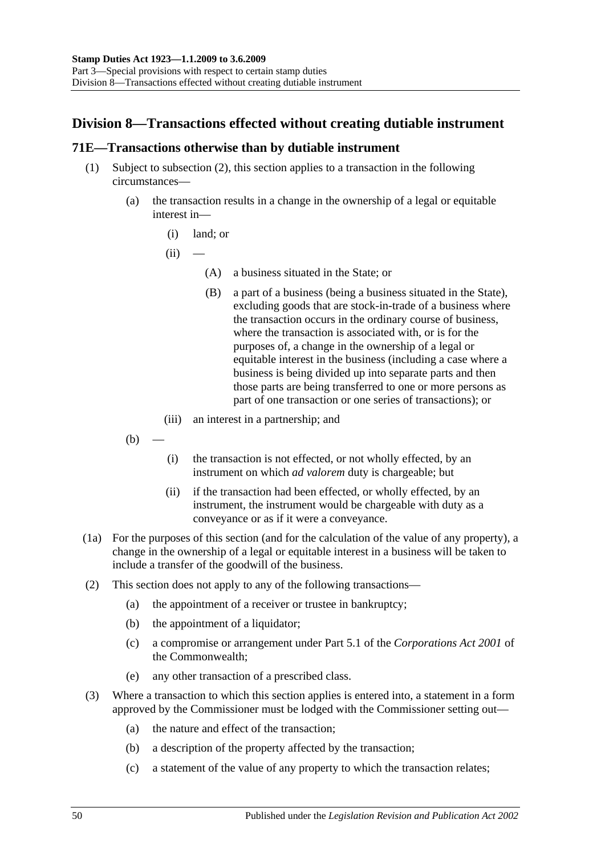# **Division 8—Transactions effected without creating dutiable instrument**

## <span id="page-67-0"></span>**71E—Transactions otherwise than by dutiable instrument**

- (1) Subject to [subsection](#page-67-1) (2), this section applies to a transaction in the following circumstances—
	- (a) the transaction results in a change in the ownership of a legal or equitable interest in—
		- (i) land; or
		- $(ii)$ 
			- (A) a business situated in the State; or
			- (B) a part of a business (being a business situated in the State), excluding goods that are stock-in-trade of a business where the transaction occurs in the ordinary course of business, where the transaction is associated with, or is for the purposes of, a change in the ownership of a legal or equitable interest in the business (including a case where a business is being divided up into separate parts and then those parts are being transferred to one or more persons as part of one transaction or one series of transactions); or
		- (iii) an interest in a partnership; and
	- $(b)$
- (i) the transaction is not effected, or not wholly effected, by an instrument on which *ad valorem* duty is chargeable; but
- (ii) if the transaction had been effected, or wholly effected, by an instrument, the instrument would be chargeable with duty as a conveyance or as if it were a conveyance.
- (1a) For the purposes of this section (and for the calculation of the value of any property), a change in the ownership of a legal or equitable interest in a business will be taken to include a transfer of the goodwill of the business.
- <span id="page-67-1"></span>(2) This section does not apply to any of the following transactions—
	- (a) the appointment of a receiver or trustee in bankruptcy;
	- (b) the appointment of a liquidator;
	- (c) a compromise or arrangement under Part 5.1 of the *Corporations Act 2001* of the Commonwealth;
	- (e) any other transaction of a prescribed class.
- (3) Where a transaction to which this section applies is entered into, a statement in a form approved by the Commissioner must be lodged with the Commissioner setting out—
	- (a) the nature and effect of the transaction;
	- (b) a description of the property affected by the transaction;
	- (c) a statement of the value of any property to which the transaction relates;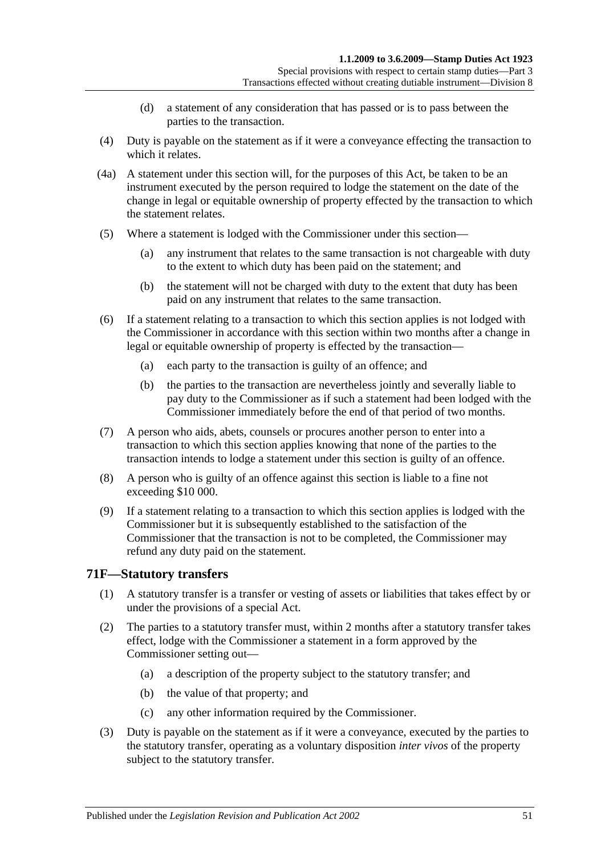- (d) a statement of any consideration that has passed or is to pass between the parties to the transaction.
- (4) Duty is payable on the statement as if it were a conveyance effecting the transaction to which it relates.
- (4a) A statement under this section will, for the purposes of this Act, be taken to be an instrument executed by the person required to lodge the statement on the date of the change in legal or equitable ownership of property effected by the transaction to which the statement relates.
- (5) Where a statement is lodged with the Commissioner under this section—
	- (a) any instrument that relates to the same transaction is not chargeable with duty to the extent to which duty has been paid on the statement; and
	- (b) the statement will not be charged with duty to the extent that duty has been paid on any instrument that relates to the same transaction.
- (6) If a statement relating to a transaction to which this section applies is not lodged with the Commissioner in accordance with this section within two months after a change in legal or equitable ownership of property is effected by the transaction—
	- (a) each party to the transaction is guilty of an offence; and
	- (b) the parties to the transaction are nevertheless jointly and severally liable to pay duty to the Commissioner as if such a statement had been lodged with the Commissioner immediately before the end of that period of two months.
- (7) A person who aids, abets, counsels or procures another person to enter into a transaction to which this section applies knowing that none of the parties to the transaction intends to lodge a statement under this section is guilty of an offence.
- (8) A person who is guilty of an offence against this section is liable to a fine not exceeding \$10 000.
- (9) If a statement relating to a transaction to which this section applies is lodged with the Commissioner but it is subsequently established to the satisfaction of the Commissioner that the transaction is not to be completed, the Commissioner may refund any duty paid on the statement.

## **71F—Statutory transfers**

- (1) A statutory transfer is a transfer or vesting of assets or liabilities that takes effect by or under the provisions of a special Act.
- (2) The parties to a statutory transfer must, within 2 months after a statutory transfer takes effect, lodge with the Commissioner a statement in a form approved by the Commissioner setting out—
	- (a) a description of the property subject to the statutory transfer; and
	- (b) the value of that property; and
	- (c) any other information required by the Commissioner.
- (3) Duty is payable on the statement as if it were a conveyance, executed by the parties to the statutory transfer, operating as a voluntary disposition *inter vivos* of the property subject to the statutory transfer.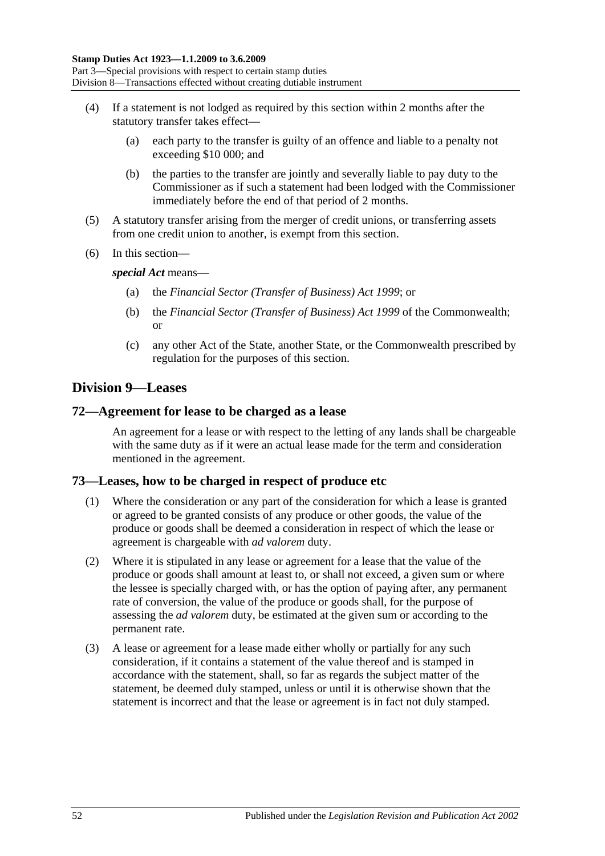- (4) If a statement is not lodged as required by this section within 2 months after the statutory transfer takes effect—
	- (a) each party to the transfer is guilty of an offence and liable to a penalty not exceeding \$10 000; and
	- (b) the parties to the transfer are jointly and severally liable to pay duty to the Commissioner as if such a statement had been lodged with the Commissioner immediately before the end of that period of 2 months.
- (5) A statutory transfer arising from the merger of credit unions, or transferring assets from one credit union to another, is exempt from this section.
- (6) In this section—

*special Act* means—

- (a) the *[Financial Sector \(Transfer of Business\) Act](http://www.legislation.sa.gov.au/index.aspx?action=legref&type=act&legtitle=Financial%20Sector%20(Transfer%20of%20Business)%20Act%201999) 1999*; or
- (b) the *Financial Sector (Transfer of Business) Act 1999* of the Commonwealth; or
- (c) any other Act of the State, another State, or the Commonwealth prescribed by regulation for the purposes of this section.

# **Division 9—Leases**

## **72—Agreement for lease to be charged as a lease**

An agreement for a lease or with respect to the letting of any lands shall be chargeable with the same duty as if it were an actual lease made for the term and consideration mentioned in the agreement.

# **73—Leases, how to be charged in respect of produce etc**

- (1) Where the consideration or any part of the consideration for which a lease is granted or agreed to be granted consists of any produce or other goods, the value of the produce or goods shall be deemed a consideration in respect of which the lease or agreement is chargeable with *ad valorem* duty.
- (2) Where it is stipulated in any lease or agreement for a lease that the value of the produce or goods shall amount at least to, or shall not exceed, a given sum or where the lessee is specially charged with, or has the option of paying after, any permanent rate of conversion, the value of the produce or goods shall, for the purpose of assessing the *ad valorem* duty, be estimated at the given sum or according to the permanent rate.
- (3) A lease or agreement for a lease made either wholly or partially for any such consideration, if it contains a statement of the value thereof and is stamped in accordance with the statement, shall, so far as regards the subject matter of the statement, be deemed duly stamped, unless or until it is otherwise shown that the statement is incorrect and that the lease or agreement is in fact not duly stamped.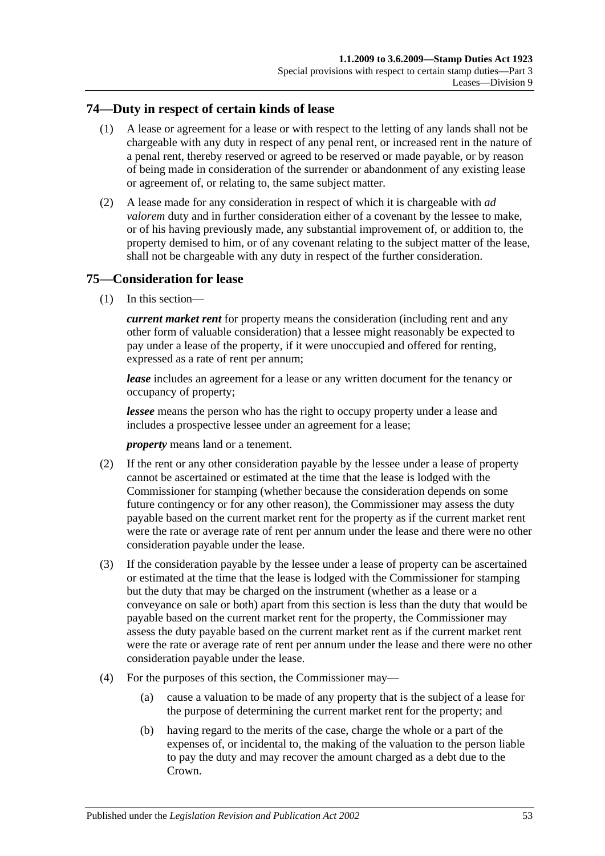# **74—Duty in respect of certain kinds of lease**

- (1) A lease or agreement for a lease or with respect to the letting of any lands shall not be chargeable with any duty in respect of any penal rent, or increased rent in the nature of a penal rent, thereby reserved or agreed to be reserved or made payable, or by reason of being made in consideration of the surrender or abandonment of any existing lease or agreement of, or relating to, the same subject matter.
- (2) A lease made for any consideration in respect of which it is chargeable with *ad valorem* duty and in further consideration either of a covenant by the lessee to make, or of his having previously made, any substantial improvement of, or addition to, the property demised to him, or of any covenant relating to the subject matter of the lease, shall not be chargeable with any duty in respect of the further consideration.

# **75—Consideration for lease**

(1) In this section—

*current market rent* for property means the consideration (including rent and any other form of valuable consideration) that a lessee might reasonably be expected to pay under a lease of the property, if it were unoccupied and offered for renting, expressed as a rate of rent per annum;

*lease* includes an agreement for a lease or any written document for the tenancy or occupancy of property;

*lessee* means the person who has the right to occupy property under a lease and includes a prospective lessee under an agreement for a lease;

*property* means land or a tenement.

- (2) If the rent or any other consideration payable by the lessee under a lease of property cannot be ascertained or estimated at the time that the lease is lodged with the Commissioner for stamping (whether because the consideration depends on some future contingency or for any other reason), the Commissioner may assess the duty payable based on the current market rent for the property as if the current market rent were the rate or average rate of rent per annum under the lease and there were no other consideration payable under the lease.
- (3) If the consideration payable by the lessee under a lease of property can be ascertained or estimated at the time that the lease is lodged with the Commissioner for stamping but the duty that may be charged on the instrument (whether as a lease or a conveyance on sale or both) apart from this section is less than the duty that would be payable based on the current market rent for the property, the Commissioner may assess the duty payable based on the current market rent as if the current market rent were the rate or average rate of rent per annum under the lease and there were no other consideration payable under the lease.
- (4) For the purposes of this section, the Commissioner may—
	- (a) cause a valuation to be made of any property that is the subject of a lease for the purpose of determining the current market rent for the property; and
	- (b) having regard to the merits of the case, charge the whole or a part of the expenses of, or incidental to, the making of the valuation to the person liable to pay the duty and may recover the amount charged as a debt due to the Crown.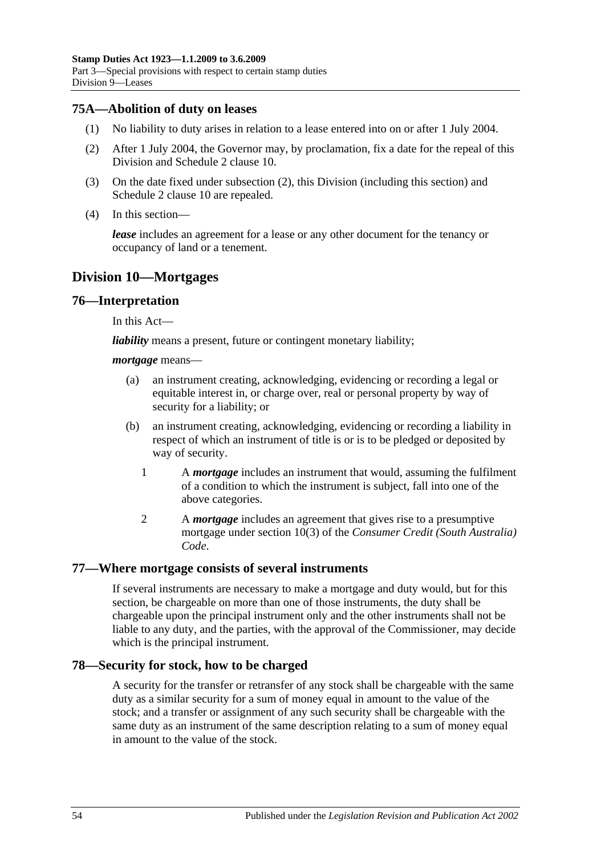# **75A—Abolition of duty on leases**

- (1) No liability to duty arises in relation to a lease entered into on or after 1 July 2004.
- <span id="page-71-0"></span>(2) After 1 July 2004, the Governor may, by proclamation, fix a date for the repeal of this Division and Schedule 2 clause 10.
- (3) On the date fixed under [subsection](#page-71-0) (2), this Division (including this section) and Schedule 2 clause 10 are repealed.
- (4) In this section—

*lease* includes an agreement for a lease or any other document for the tenancy or occupancy of land or a tenement.

# **Division 10—Mortgages**

## **76—Interpretation**

In this Act—

*liability* means a present, future or contingent monetary liability;

### *mortgage* means—

- (a) an instrument creating, acknowledging, evidencing or recording a legal or equitable interest in, or charge over, real or personal property by way of security for a liability; or
- (b) an instrument creating, acknowledging, evidencing or recording a liability in respect of which an instrument of title is or is to be pledged or deposited by way of security.
	- 1 A *mortgage* includes an instrument that would, assuming the fulfilment of a condition to which the instrument is subject, fall into one of the above categories.
	- 2 A *mortgage* includes an agreement that gives rise to a presumptive mortgage under section 10(3) of the *Consumer Credit (South Australia) Code*.

## **77—Where mortgage consists of several instruments**

If several instruments are necessary to make a mortgage and duty would, but for this section, be chargeable on more than one of those instruments, the duty shall be chargeable upon the principal instrument only and the other instruments shall not be liable to any duty, and the parties, with the approval of the Commissioner, may decide which is the principal instrument.

# **78—Security for stock, how to be charged**

A security for the transfer or retransfer of any stock shall be chargeable with the same duty as a similar security for a sum of money equal in amount to the value of the stock; and a transfer or assignment of any such security shall be chargeable with the same duty as an instrument of the same description relating to a sum of money equal in amount to the value of the stock.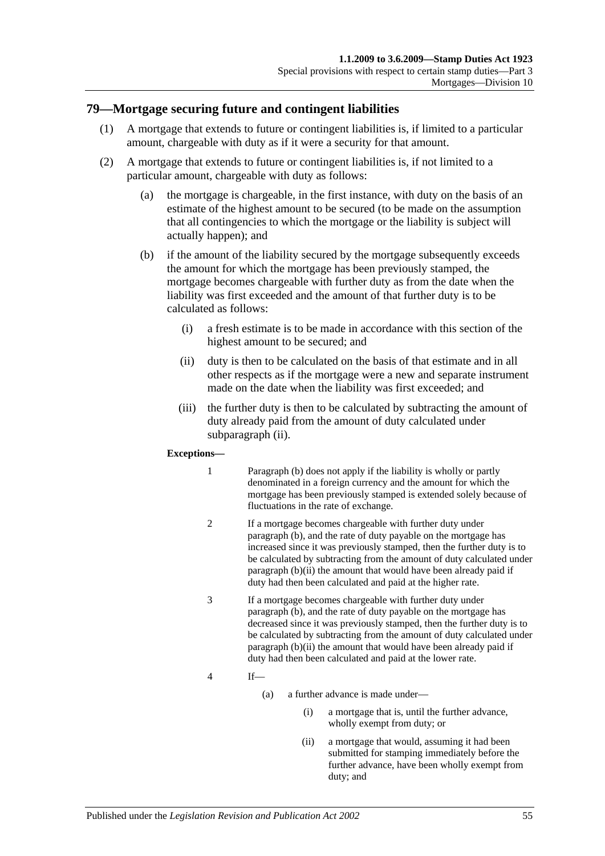### **79—Mortgage securing future and contingent liabilities**

- (1) A mortgage that extends to future or contingent liabilities is, if limited to a particular amount, chargeable with duty as if it were a security for that amount.
- <span id="page-72-2"></span><span id="page-72-1"></span>(2) A mortgage that extends to future or contingent liabilities is, if not limited to a particular amount, chargeable with duty as follows:
	- (a) the mortgage is chargeable, in the first instance, with duty on the basis of an estimate of the highest amount to be secured (to be made on the assumption that all contingencies to which the mortgage or the liability is subject will actually happen); and
	- (b) if the amount of the liability secured by the mortgage subsequently exceeds the amount for which the mortgage has been previously stamped, the mortgage becomes chargeable with further duty as from the date when the liability was first exceeded and the amount of that further duty is to be calculated as follows:
		- (i) a fresh estimate is to be made in accordance with this section of the highest amount to be secured; and
		- (ii) duty is then to be calculated on the basis of that estimate and in all other respects as if the mortgage were a new and separate instrument made on the date when the liability was first exceeded; and
		- (iii) the further duty is then to be calculated by subtracting the amount of duty already paid from the amount of duty calculated under [subparagraph](#page-72-0) (ii).

#### <span id="page-72-0"></span>**Exceptions—**

- 1 [Paragraph](#page-72-1) (b) does not apply if the liability is wholly or partly denominated in a foreign currency and the amount for which the mortgage has been previously stamped is extended solely because of fluctuations in the rate of exchange.
- 2 If a mortgage becomes chargeable with further duty under [paragraph](#page-72-1) (b), and the rate of duty payable on the mortgage has increased since it was previously stamped, then the further duty is to be calculated by subtracting from the amount of duty calculated under [paragraph](#page-72-0) (b)(ii) the amount that would have been already paid if duty had then been calculated and paid at the higher rate.
- 3 If a mortgage becomes chargeable with further duty under [paragraph](#page-72-1) (b), and the rate of duty payable on the mortgage has decreased since it was previously stamped, then the further duty is to be calculated by subtracting from the amount of duty calculated under [paragraph](#page-72-0) (b)(ii) the amount that would have been already paid if duty had then been calculated and paid at the lower rate.
- 4 If—
	- (a) a further advance is made under—
		- (i) a mortgage that is, until the further advance, wholly exempt from duty; or
		- (ii) a mortgage that would, assuming it had been submitted for stamping immediately before the further advance, have been wholly exempt from duty; and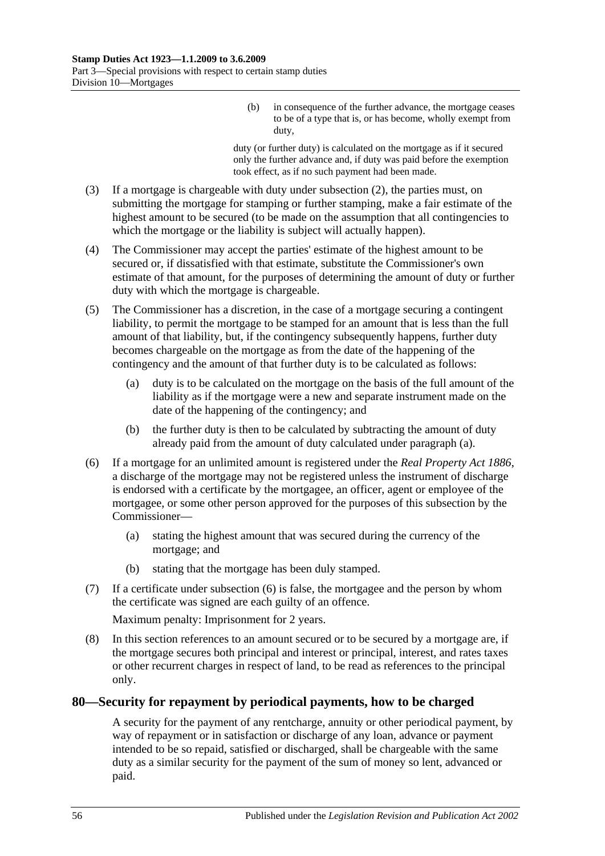(b) in consequence of the further advance, the mortgage ceases to be of a type that is, or has become, wholly exempt from duty,

duty (or further duty) is calculated on the mortgage as if it secured only the further advance and, if duty was paid before the exemption took effect, as if no such payment had been made.

- (3) If a mortgage is chargeable with duty under [subsection](#page-72-2) (2), the parties must, on submitting the mortgage for stamping or further stamping, make a fair estimate of the highest amount to be secured (to be made on the assumption that all contingencies to which the mortgage or the liability is subject will actually happen).
- (4) The Commissioner may accept the parties' estimate of the highest amount to be secured or, if dissatisfied with that estimate, substitute the Commissioner's own estimate of that amount, for the purposes of determining the amount of duty or further duty with which the mortgage is chargeable.
- <span id="page-73-0"></span>(5) The Commissioner has a discretion, in the case of a mortgage securing a contingent liability, to permit the mortgage to be stamped for an amount that is less than the full amount of that liability, but, if the contingency subsequently happens, further duty becomes chargeable on the mortgage as from the date of the happening of the contingency and the amount of that further duty is to be calculated as follows:
	- (a) duty is to be calculated on the mortgage on the basis of the full amount of the liability as if the mortgage were a new and separate instrument made on the date of the happening of the contingency; and
	- (b) the further duty is then to be calculated by subtracting the amount of duty already paid from the amount of duty calculated under [paragraph](#page-73-0) (a).
- <span id="page-73-1"></span>(6) If a mortgage for an unlimited amount is registered under the *[Real Property Act](http://www.legislation.sa.gov.au/index.aspx?action=legref&type=act&legtitle=Real%20Property%20Act%201886) 1886*, a discharge of the mortgage may not be registered unless the instrument of discharge is endorsed with a certificate by the mortgagee, an officer, agent or employee of the mortgagee, or some other person approved for the purposes of this subsection by the Commissioner—
	- (a) stating the highest amount that was secured during the currency of the mortgage; and
	- (b) stating that the mortgage has been duly stamped.
- (7) If a certificate under [subsection](#page-73-1) (6) is false, the mortgagee and the person by whom the certificate was signed are each guilty of an offence.

Maximum penalty: Imprisonment for 2 years.

(8) In this section references to an amount secured or to be secured by a mortgage are, if the mortgage secures both principal and interest or principal, interest, and rates taxes or other recurrent charges in respect of land, to be read as references to the principal only.

# **80—Security for repayment by periodical payments, how to be charged**

A security for the payment of any rentcharge, annuity or other periodical payment, by way of repayment or in satisfaction or discharge of any loan, advance or payment intended to be so repaid, satisfied or discharged, shall be chargeable with the same duty as a similar security for the payment of the sum of money so lent, advanced or paid.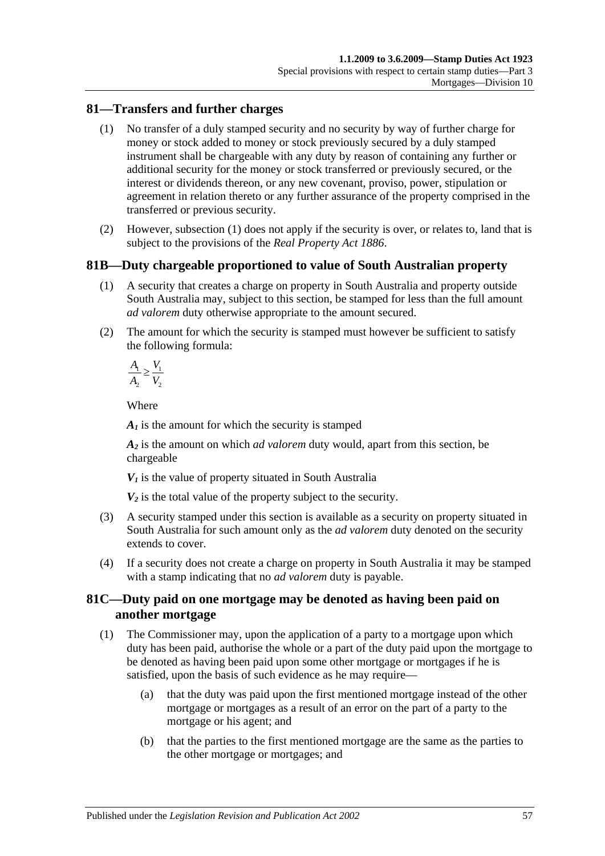### <span id="page-74-0"></span>**81—Transfers and further charges**

- (1) No transfer of a duly stamped security and no security by way of further charge for money or stock added to money or stock previously secured by a duly stamped instrument shall be chargeable with any duty by reason of containing any further or additional security for the money or stock transferred or previously secured, or the interest or dividends thereon, or any new covenant, proviso, power, stipulation or agreement in relation thereto or any further assurance of the property comprised in the transferred or previous security.
- (2) However, [subsection](#page-74-0) (1) does not apply if the security is over, or relates to, land that is subject to the provisions of the *[Real Property Act](http://www.legislation.sa.gov.au/index.aspx?action=legref&type=act&legtitle=Real%20Property%20Act%201886) 1886*.

## **81B—Duty chargeable proportioned to value of South Australian property**

- (1) A security that creates a charge on property in South Australia and property outside South Australia may, subject to this section, be stamped for less than the full amount *ad valorem* duty otherwise appropriate to the amount secured.
- (2) The amount for which the security is stamped must however be sufficient to satisfy the following formula:

 $^{1}$   $>$   $^{1}$ 2  $\sqrt{2}$  $A_{\!\scriptscriptstyle 1} \supset V$  $A_2$ <sup>-</sup> *V* ≥

Where

 $A<sub>I</sub>$  is the amount for which the security is stamped

*A2* is the amount on which *ad valorem* duty would, apart from this section, be chargeable

 $V_1$  is the value of property situated in South Australia

 $V_2$  is the total value of the property subject to the security.

- (3) A security stamped under this section is available as a security on property situated in South Australia for such amount only as the *ad valorem* duty denoted on the security extends to cover.
- (4) If a security does not create a charge on property in South Australia it may be stamped with a stamp indicating that no *ad valorem* duty is payable.

## **81C—Duty paid on one mortgage may be denoted as having been paid on another mortgage**

- <span id="page-74-1"></span>(1) The Commissioner may, upon the application of a party to a mortgage upon which duty has been paid, authorise the whole or a part of the duty paid upon the mortgage to be denoted as having been paid upon some other mortgage or mortgages if he is satisfied, upon the basis of such evidence as he may require—
	- (a) that the duty was paid upon the first mentioned mortgage instead of the other mortgage or mortgages as a result of an error on the part of a party to the mortgage or his agent; and
	- (b) that the parties to the first mentioned mortgage are the same as the parties to the other mortgage or mortgages; and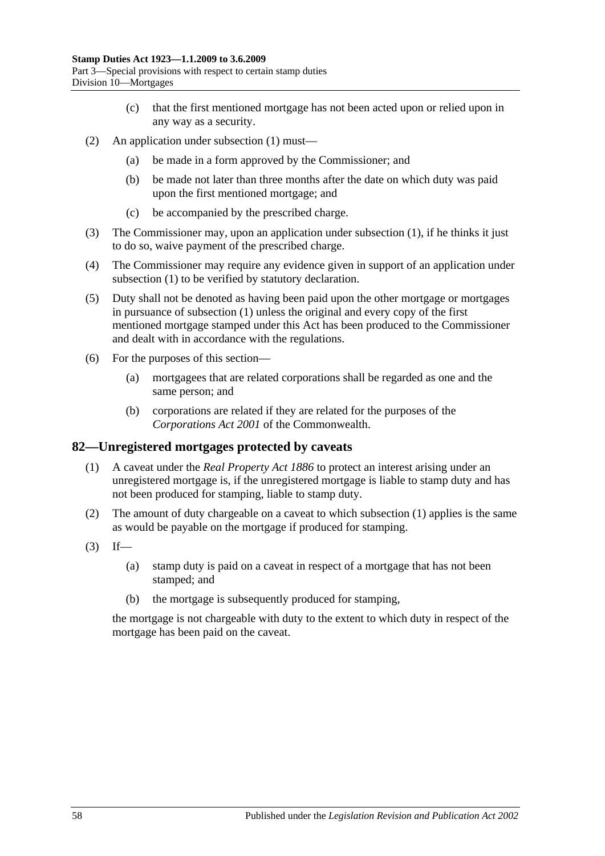- (c) that the first mentioned mortgage has not been acted upon or relied upon in any way as a security.
- (2) An application under [subsection](#page-74-1) (1) must—
	- (a) be made in a form approved by the Commissioner; and
	- (b) be made not later than three months after the date on which duty was paid upon the first mentioned mortgage; and
	- (c) be accompanied by the prescribed charge.
- (3) The Commissioner may, upon an application under [subsection](#page-74-1) (1), if he thinks it just to do so, waive payment of the prescribed charge.
- (4) The Commissioner may require any evidence given in support of an application under [subsection](#page-74-1) (1) to be verified by statutory declaration.
- (5) Duty shall not be denoted as having been paid upon the other mortgage or mortgages in pursuance of [subsection](#page-74-1) (1) unless the original and every copy of the first mentioned mortgage stamped under this Act has been produced to the Commissioner and dealt with in accordance with the regulations.
- (6) For the purposes of this section—
	- (a) mortgagees that are related corporations shall be regarded as one and the same person; and
	- (b) corporations are related if they are related for the purposes of the *Corporations Act 2001* of the Commonwealth.

### <span id="page-75-0"></span>**82—Unregistered mortgages protected by caveats**

- (1) A caveat under the *[Real Property Act](http://www.legislation.sa.gov.au/index.aspx?action=legref&type=act&legtitle=Real%20Property%20Act%201886) 1886* to protect an interest arising under an unregistered mortgage is, if the unregistered mortgage is liable to stamp duty and has not been produced for stamping, liable to stamp duty.
- (2) The amount of duty chargeable on a caveat to which [subsection](#page-75-0) (1) applies is the same as would be payable on the mortgage if produced for stamping.
- $(3)$  If—
	- (a) stamp duty is paid on a caveat in respect of a mortgage that has not been stamped; and
	- (b) the mortgage is subsequently produced for stamping,

the mortgage is not chargeable with duty to the extent to which duty in respect of the mortgage has been paid on the caveat.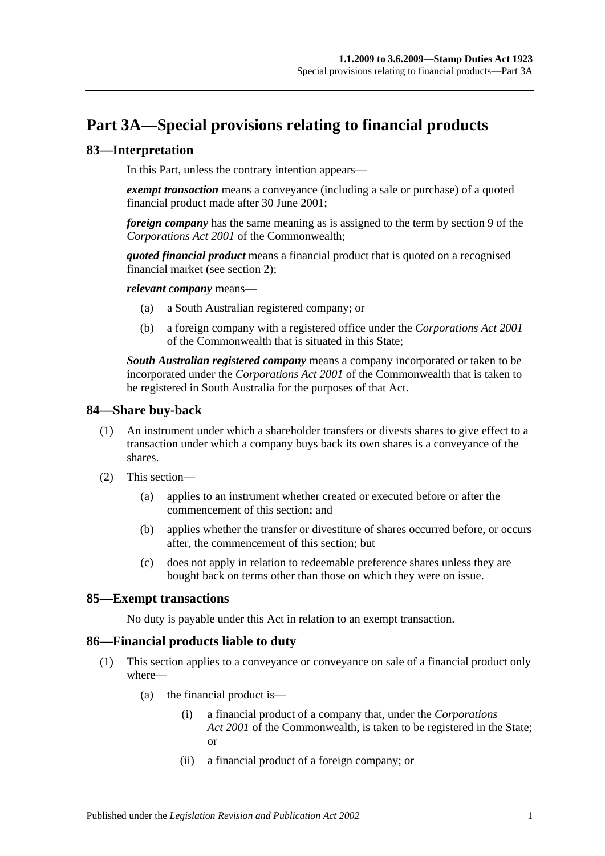# **Part 3A—Special provisions relating to financial products**

## **83—Interpretation**

In this Part, unless the contrary intention appears—

*exempt transaction* means a conveyance (including a sale or purchase) of a quoted financial product made after 30 June 2001;

*foreign company* has the same meaning as is assigned to the term by section 9 of the *Corporations Act 2001* of the Commonwealth;

*quoted financial product* means a financial product that is quoted on a recognised financial market (see [section](#page-6-0) 2);

*relevant company* means—

- (a) a South Australian registered company; or
- (b) a foreign company with a registered office under the *Corporations Act 2001* of the Commonwealth that is situated in this State;

*South Australian registered company* means a company incorporated or taken to be incorporated under the *Corporations Act 2001* of the Commonwealth that is taken to be registered in South Australia for the purposes of that Act.

### **84—Share buy-back**

- (1) An instrument under which a shareholder transfers or divests shares to give effect to a transaction under which a company buys back its own shares is a conveyance of the shares.
- (2) This section—
	- (a) applies to an instrument whether created or executed before or after the commencement of this section; and
	- (b) applies whether the transfer or divestiture of shares occurred before, or occurs after, the commencement of this section; but
	- (c) does not apply in relation to redeemable preference shares unless they are bought back on terms other than those on which they were on issue.

### **85—Exempt transactions**

No duty is payable under this Act in relation to an exempt transaction.

### <span id="page-76-0"></span>**86—Financial products liable to duty**

- (1) This section applies to a conveyance or conveyance on sale of a financial product only where—
	- (a) the financial product is—
		- (i) a financial product of a company that, under the *Corporations Act 2001* of the Commonwealth, is taken to be registered in the State; or
		- (ii) a financial product of a foreign company; or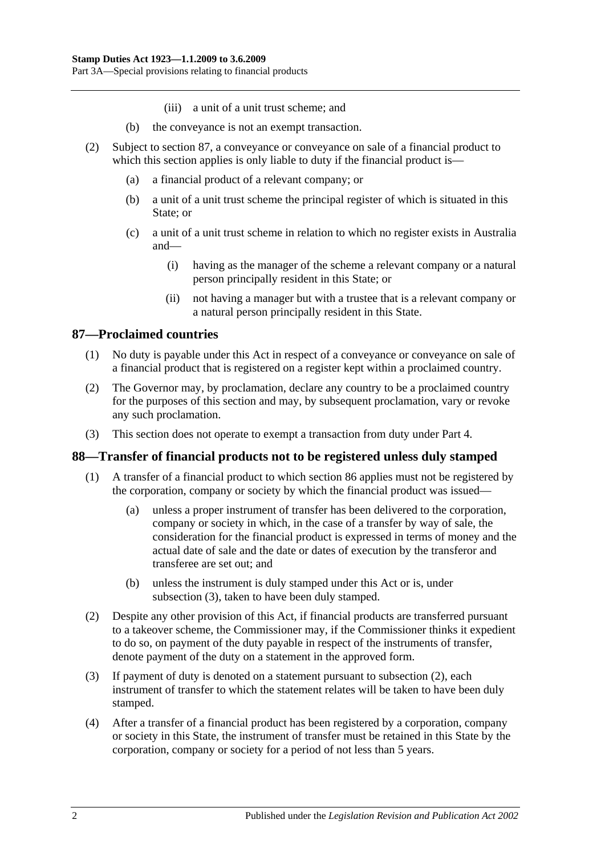- (iii) a unit of a unit trust scheme; and
- (b) the conveyance is not an exempt transaction.
- (2) Subject to [section](#page-77-0) 87, a conveyance or conveyance on sale of a financial product to which this section applies is only liable to duty if the financial product is—
	- (a) a financial product of a relevant company; or
	- (b) a unit of a unit trust scheme the principal register of which is situated in this State; or
	- (c) a unit of a unit trust scheme in relation to which no register exists in Australia and—
		- (i) having as the manager of the scheme a relevant company or a natural person principally resident in this State; or
		- (ii) not having a manager but with a trustee that is a relevant company or a natural person principally resident in this State.

## <span id="page-77-0"></span>**87—Proclaimed countries**

- (1) No duty is payable under this Act in respect of a conveyance or conveyance on sale of a financial product that is registered on a register kept within a proclaimed country.
- (2) The Governor may, by proclamation, declare any country to be a proclaimed country for the purposes of this section and may, by subsequent proclamation, vary or revoke any such proclamation.
- (3) This section does not operate to exempt a transaction from duty under [Part 4.](#page-80-0)

### **88—Transfer of financial products not to be registered unless duly stamped**

- (1) A transfer of a financial product to which [section](#page-76-0) 86 applies must not be registered by the corporation, company or society by which the financial product was issued—
	- (a) unless a proper instrument of transfer has been delivered to the corporation, company or society in which, in the case of a transfer by way of sale, the consideration for the financial product is expressed in terms of money and the actual date of sale and the date or dates of execution by the transferor and transferee are set out; and
	- (b) unless the instrument is duly stamped under this Act or is, under [subsection](#page-77-1) (3), taken to have been duly stamped.
- <span id="page-77-2"></span>(2) Despite any other provision of this Act, if financial products are transferred pursuant to a takeover scheme, the Commissioner may, if the Commissioner thinks it expedient to do so, on payment of the duty payable in respect of the instruments of transfer, denote payment of the duty on a statement in the approved form.
- <span id="page-77-1"></span>(3) If payment of duty is denoted on a statement pursuant to [subsection](#page-77-2) (2), each instrument of transfer to which the statement relates will be taken to have been duly stamped.
- (4) After a transfer of a financial product has been registered by a corporation, company or society in this State, the instrument of transfer must be retained in this State by the corporation, company or society for a period of not less than 5 years.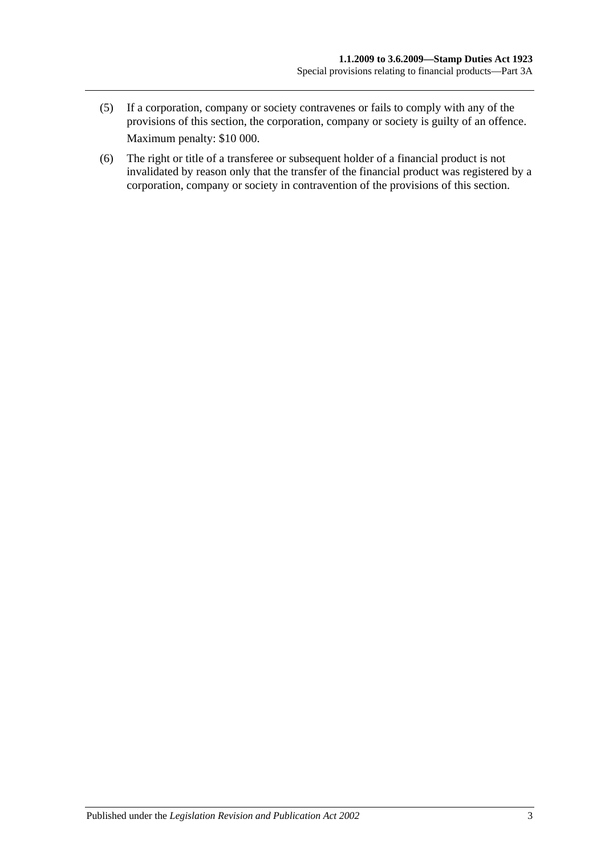- (5) If a corporation, company or society contravenes or fails to comply with any of the provisions of this section, the corporation, company or society is guilty of an offence. Maximum penalty: \$10 000.
- (6) The right or title of a transferee or subsequent holder of a financial product is not invalidated by reason only that the transfer of the financial product was registered by a corporation, company or society in contravention of the provisions of this section.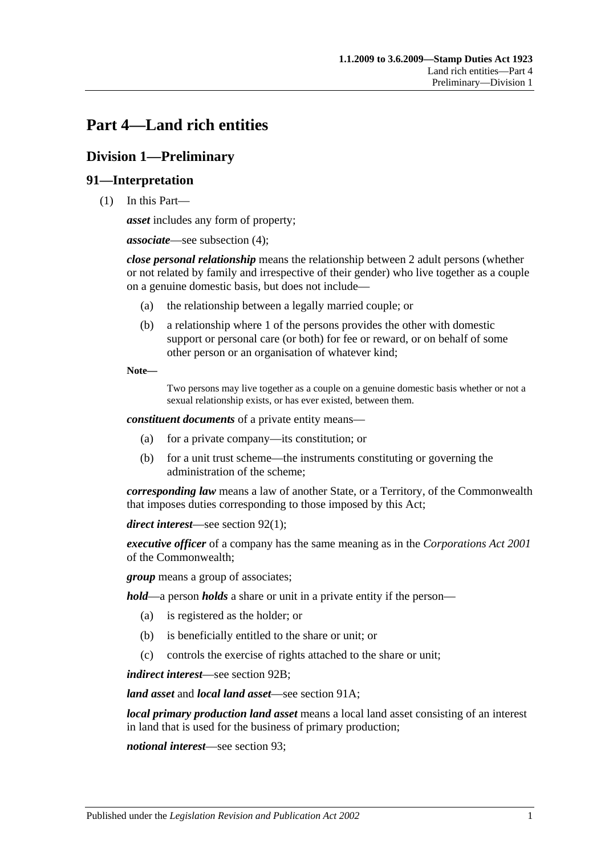# <span id="page-80-0"></span>**Part 4—Land rich entities**

# **Division 1—Preliminary**

## **91—Interpretation**

(1) In this Part—

*asset* includes any form of property;

*associate*—see [subsection](#page-82-0) (4);

*close personal relationship* means the relationship between 2 adult persons (whether or not related by family and irrespective of their gender) who live together as a couple on a genuine domestic basis, but does not include—

- (a) the relationship between a legally married couple; or
- (b) a relationship where 1 of the persons provides the other with domestic support or personal care (or both) for fee or reward, or on behalf of some other person or an organisation of whatever kind;

**Note—**

Two persons may live together as a couple on a genuine domestic basis whether or not a sexual relationship exists, or has ever existed, between them.

*constituent documents* of a private entity means—

- (a) for a private company—its constitution; or
- (b) for a unit trust scheme—the instruments constituting or governing the administration of the scheme;

*corresponding law* means a law of another State, or a Territory, of the Commonwealth that imposes duties corresponding to those imposed by this Act;

*direct interest*—see [section](#page-83-0) 92(1);

*executive officer* of a company has the same meaning as in the *Corporations Act 2001* of the Commonwealth;

*group* means a group of associates;

*hold*—a person *holds* a share or unit in a private entity if the person—

- (a) is registered as the holder; or
- (b) is beneficially entitled to the share or unit; or
- (c) controls the exercise of rights attached to the share or unit;

*indirect interest*—see [section](#page-84-0) 92B;

*land asset* and *local land asset*—see [section](#page-82-1) 91A;

*local primary production land asset* means a local land asset consisting of an interest in land that is used for the business of primary production;

*notional interest*—see [section](#page-84-1) 93;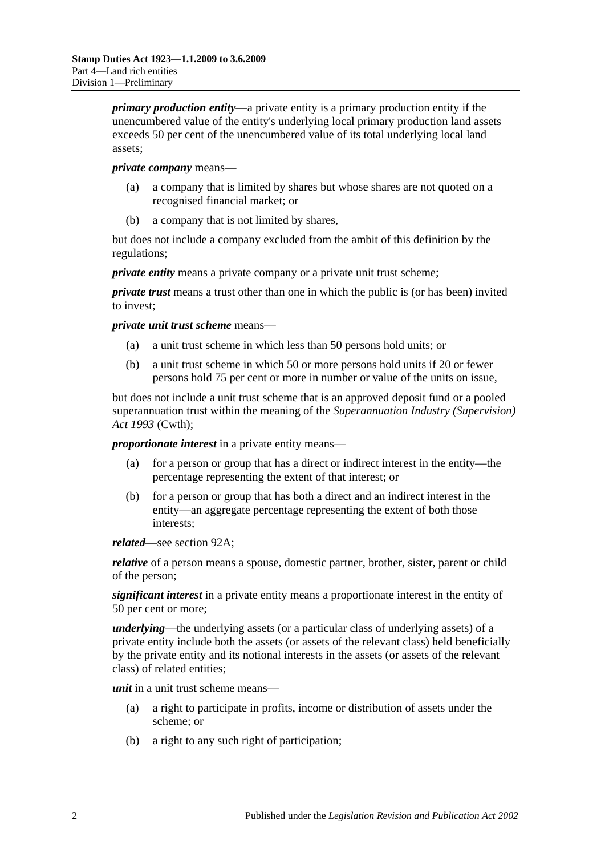*primary production entity*—a private entity is a primary production entity if the unencumbered value of the entity's underlying local primary production land assets exceeds 50 per cent of the unencumbered value of its total underlying local land assets;

#### *private company* means—

- (a) a company that is limited by shares but whose shares are not quoted on a recognised financial market; or
- (b) a company that is not limited by shares,

but does not include a company excluded from the ambit of this definition by the regulations;

*private entity* means a private company or a private unit trust scheme;

*private trust* means a trust other than one in which the public is (or has been) invited to invest;

*private unit trust scheme* means—

- (a) a unit trust scheme in which less than 50 persons hold units; or
- (b) a unit trust scheme in which 50 or more persons hold units if 20 or fewer persons hold 75 per cent or more in number or value of the units on issue,

but does not include a unit trust scheme that is an approved deposit fund or a pooled superannuation trust within the meaning of the *Superannuation Industry (Supervision) Act 1993* (Cwth);

*proportionate interest* in a private entity means—

- (a) for a person or group that has a direct or indirect interest in the entity—the percentage representing the extent of that interest; or
- (b) for a person or group that has both a direct and an indirect interest in the entity—an aggregate percentage representing the extent of both those interests;

*related*—see [section](#page-83-1) 92A;

*relative* of a person means a spouse, domestic partner, brother, sister, parent or child of the person;

*significant interest* in a private entity means a proportionate interest in the entity of 50 per cent or more;

*underlying*—the underlying assets (or a particular class of underlying assets) of a private entity include both the assets (or assets of the relevant class) held beneficially by the private entity and its notional interests in the assets (or assets of the relevant class) of related entities;

*unit* in a unit trust scheme means—

- (a) a right to participate in profits, income or distribution of assets under the scheme; or
- (b) a right to any such right of participation;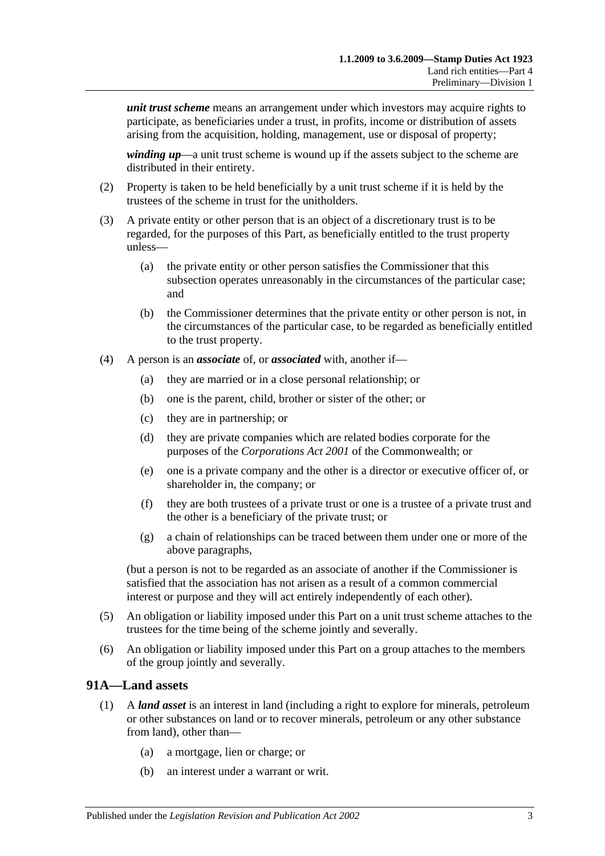*unit trust scheme* means an arrangement under which investors may acquire rights to participate, as beneficiaries under a trust, in profits, income or distribution of assets arising from the acquisition, holding, management, use or disposal of property;

*winding up*—a unit trust scheme is wound up if the assets subject to the scheme are distributed in their entirety.

- (2) Property is taken to be held beneficially by a unit trust scheme if it is held by the trustees of the scheme in trust for the unitholders.
- (3) A private entity or other person that is an object of a discretionary trust is to be regarded, for the purposes of this Part, as beneficially entitled to the trust property unless—
	- (a) the private entity or other person satisfies the Commissioner that this subsection operates unreasonably in the circumstances of the particular case; and
	- (b) the Commissioner determines that the private entity or other person is not, in the circumstances of the particular case, to be regarded as beneficially entitled to the trust property.
- <span id="page-82-0"></span>(4) A person is an *associate* of, or *associated* with, another if—
	- (a) they are married or in a close personal relationship; or
	- (b) one is the parent, child, brother or sister of the other; or
	- (c) they are in partnership; or
	- (d) they are private companies which are related bodies corporate for the purposes of the *Corporations Act 2001* of the Commonwealth; or
	- (e) one is a private company and the other is a director or executive officer of, or shareholder in, the company; or
	- (f) they are both trustees of a private trust or one is a trustee of a private trust and the other is a beneficiary of the private trust; or
	- (g) a chain of relationships can be traced between them under one or more of the above paragraphs,

(but a person is not to be regarded as an associate of another if the Commissioner is satisfied that the association has not arisen as a result of a common commercial interest or purpose and they will act entirely independently of each other).

- (5) An obligation or liability imposed under this Part on a unit trust scheme attaches to the trustees for the time being of the scheme jointly and severally.
- (6) An obligation or liability imposed under this Part on a group attaches to the members of the group jointly and severally.

### <span id="page-82-1"></span>**91A—Land assets**

- (1) A *land asset* is an interest in land (including a right to explore for minerals, petroleum or other substances on land or to recover minerals, petroleum or any other substance from land), other than—
	- (a) a mortgage, lien or charge; or
	- (b) an interest under a warrant or writ.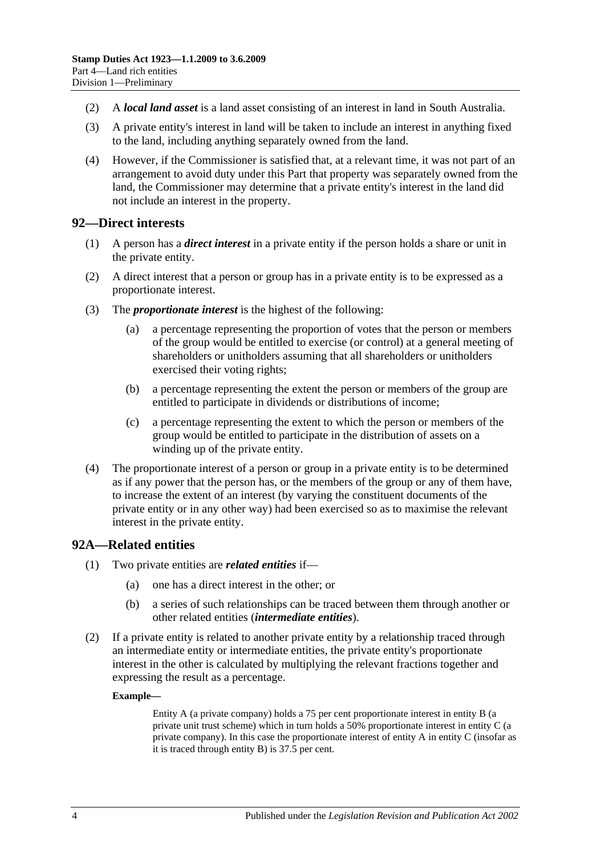- (2) A *local land asset* is a land asset consisting of an interest in land in South Australia.
- (3) A private entity's interest in land will be taken to include an interest in anything fixed to the land, including anything separately owned from the land.
- (4) However, if the Commissioner is satisfied that, at a relevant time, it was not part of an arrangement to avoid duty under this Part that property was separately owned from the land, the Commissioner may determine that a private entity's interest in the land did not include an interest in the property.

### <span id="page-83-0"></span>**92—Direct interests**

- (1) A person has a *direct interest* in a private entity if the person holds a share or unit in the private entity.
- (2) A direct interest that a person or group has in a private entity is to be expressed as a proportionate interest.
- (3) The *proportionate interest* is the highest of the following:
	- (a) a percentage representing the proportion of votes that the person or members of the group would be entitled to exercise (or control) at a general meeting of shareholders or unitholders assuming that all shareholders or unitholders exercised their voting rights;
	- (b) a percentage representing the extent the person or members of the group are entitled to participate in dividends or distributions of income;
	- (c) a percentage representing the extent to which the person or members of the group would be entitled to participate in the distribution of assets on a winding up of the private entity.
- (4) The proportionate interest of a person or group in a private entity is to be determined as if any power that the person has, or the members of the group or any of them have, to increase the extent of an interest (by varying the constituent documents of the private entity or in any other way) had been exercised so as to maximise the relevant interest in the private entity.

### <span id="page-83-1"></span>**92A—Related entities**

- (1) Two private entities are *related entities* if—
	- (a) one has a direct interest in the other; or
	- (b) a series of such relationships can be traced between them through another or other related entities (*intermediate entities*).
- (2) If a private entity is related to another private entity by a relationship traced through an intermediate entity or intermediate entities, the private entity's proportionate interest in the other is calculated by multiplying the relevant fractions together and expressing the result as a percentage.

#### **Example—**

Entity A (a private company) holds a 75 per cent proportionate interest in entity B (a private unit trust scheme) which in turn holds a 50% proportionate interest in entity C (a private company). In this case the proportionate interest of entity A in entity C (insofar as it is traced through entity B) is 37.5 per cent.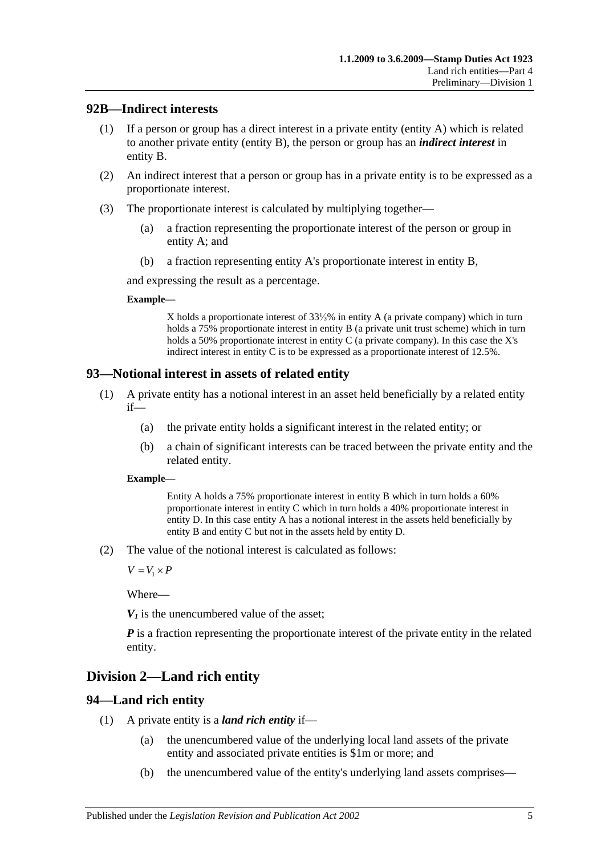## <span id="page-84-0"></span>**92B—Indirect interests**

- (1) If a person or group has a direct interest in a private entity (entity A) which is related to another private entity (entity B), the person or group has an *indirect interest* in entity B.
- (2) An indirect interest that a person or group has in a private entity is to be expressed as a proportionate interest.
- (3) The proportionate interest is calculated by multiplying together—
	- (a) a fraction representing the proportionate interest of the person or group in entity A; and
	- (b) a fraction representing entity A's proportionate interest in entity B,

and expressing the result as a percentage.

### **Example—**

X holds a proportionate interest of 33⅓% in entity A (a private company) which in turn holds a 75% proportionate interest in entity B (a private unit trust scheme) which in turn holds a 50% proportionate interest in entity C (a private company). In this case the X's indirect interest in entity C is to be expressed as a proportionate interest of 12.5%.

## <span id="page-84-1"></span>**93—Notional interest in assets of related entity**

- (1) A private entity has a notional interest in an asset held beneficially by a related entity if—
	- (a) the private entity holds a significant interest in the related entity; or
	- (b) a chain of significant interests can be traced between the private entity and the related entity.

### **Example—**

Entity A holds a 75% proportionate interest in entity B which in turn holds a 60% proportionate interest in entity C which in turn holds a 40% proportionate interest in entity D. In this case entity A has a notional interest in the assets held beneficially by entity B and entity C but not in the assets held by entity D.

(2) The value of the notional interest is calculated as follows:

 $V = V_1 \times P$ 

Where—

 $V_1$  is the unencumbered value of the asset:

*P* is a fraction representing the proportionate interest of the private entity in the related entity.

# **Division 2—Land rich entity**

# <span id="page-84-2"></span>**94—Land rich entity**

- (1) A private entity is a *land rich entity* if—
	- (a) the unencumbered value of the underlying local land assets of the private entity and associated private entities is \$1m or more; and
	- (b) the unencumbered value of the entity's underlying land assets comprises—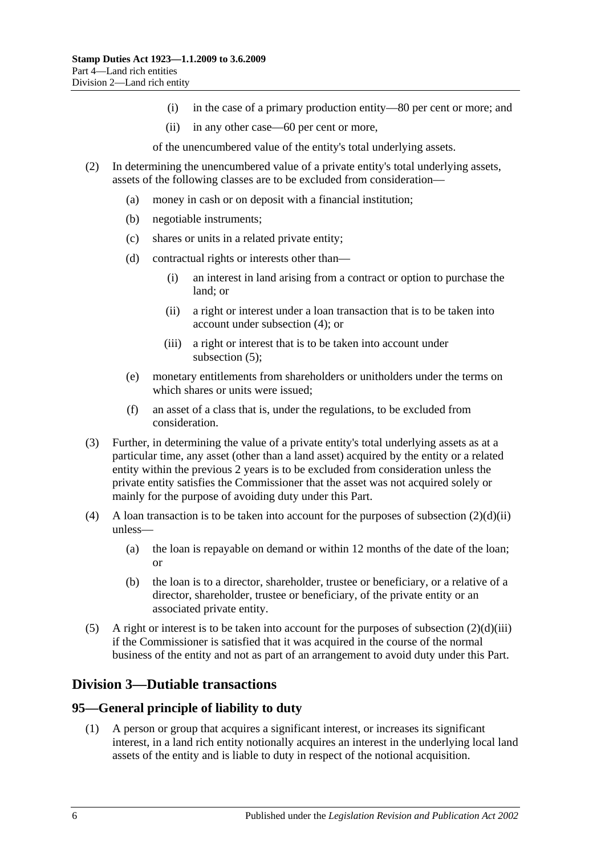- (i) in the case of a primary production entity—80 per cent or more; and
- (ii) in any other case—60 per cent or more,

of the unencumbered value of the entity's total underlying assets.

- <span id="page-85-2"></span>(2) In determining the unencumbered value of a private entity's total underlying assets, assets of the following classes are to be excluded from consideration—
	- (a) money in cash or on deposit with a financial institution;
	- (b) negotiable instruments;
	- (c) shares or units in a related private entity;
	- (d) contractual rights or interests other than—
		- (i) an interest in land arising from a contract or option to purchase the land; or
		- (ii) a right or interest under a loan transaction that is to be taken into account under [subsection](#page-85-0) (4); or
		- (iii) a right or interest that is to be taken into account under [subsection](#page-85-1) (5);
	- (e) monetary entitlements from shareholders or unitholders under the terms on which shares or units were issued;
	- (f) an asset of a class that is, under the regulations, to be excluded from consideration.
- <span id="page-85-3"></span>(3) Further, in determining the value of a private entity's total underlying assets as at a particular time, any asset (other than a land asset) acquired by the entity or a related entity within the previous 2 years is to be excluded from consideration unless the private entity satisfies the Commissioner that the asset was not acquired solely or mainly for the purpose of avoiding duty under this Part.
- <span id="page-85-0"></span>(4) A loan transaction is to be taken into account for the purposes of [subsection](#page-85-2)  $(2)(d)(ii)$ unless—
	- (a) the loan is repayable on demand or within 12 months of the date of the loan; or
	- (b) the loan is to a director, shareholder, trustee or beneficiary, or a relative of a director, shareholder, trustee or beneficiary, of the private entity or an associated private entity.
- <span id="page-85-1"></span>(5) A right or interest is to be taken into account for the purposes of [subsection](#page-85-3)  $(2)(d)(iii)$ if the Commissioner is satisfied that it was acquired in the course of the normal business of the entity and not as part of an arrangement to avoid duty under this Part.

# **Division 3—Dutiable transactions**

### **95—General principle of liability to duty**

(1) A person or group that acquires a significant interest, or increases its significant interest, in a land rich entity notionally acquires an interest in the underlying local land assets of the entity and is liable to duty in respect of the notional acquisition.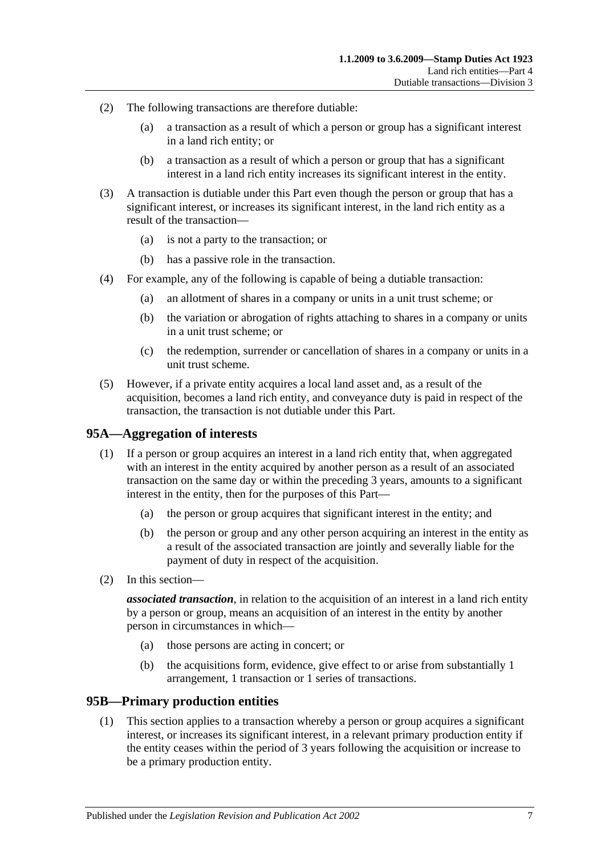- (2) The following transactions are therefore dutiable:
	- (a) a transaction as a result of which a person or group has a significant interest in a land rich entity; or
	- (b) a transaction as a result of which a person or group that has a significant interest in a land rich entity increases its significant interest in the entity.
- (3) A transaction is dutiable under this Part even though the person or group that has a significant interest, or increases its significant interest, in the land rich entity as a result of the transaction—
	- (a) is not a party to the transaction; or
	- (b) has a passive role in the transaction.
- (4) For example, any of the following is capable of being a dutiable transaction:
	- (a) an allotment of shares in a company or units in a unit trust scheme; or
	- (b) the variation or abrogation of rights attaching to shares in a company or units in a unit trust scheme; or
	- (c) the redemption, surrender or cancellation of shares in a company or units in a unit trust scheme.
- (5) However, if a private entity acquires a local land asset and, as a result of the acquisition, becomes a land rich entity, and conveyance duty is paid in respect of the transaction, the transaction is not dutiable under this Part.

### **95A—Aggregation of interests**

- (1) If a person or group acquires an interest in a land rich entity that, when aggregated with an interest in the entity acquired by another person as a result of an associated transaction on the same day or within the preceding 3 years, amounts to a significant interest in the entity, then for the purposes of this Part—
	- (a) the person or group acquires that significant interest in the entity; and
	- (b) the person or group and any other person acquiring an interest in the entity as a result of the associated transaction are jointly and severally liable for the payment of duty in respect of the acquisition.
- (2) In this section—

*associated transaction*, in relation to the acquisition of an interest in a land rich entity by a person or group, means an acquisition of an interest in the entity by another person in circumstances in which—

- (a) those persons are acting in concert; or
- (b) the acquisitions form, evidence, give effect to or arise from substantially 1 arrangement, 1 transaction or 1 series of transactions.

### <span id="page-86-0"></span>**95B—Primary production entities**

(1) This section applies to a transaction whereby a person or group acquires a significant interest, or increases its significant interest, in a relevant primary production entity if the entity ceases within the period of 3 years following the acquisition or increase to be a primary production entity.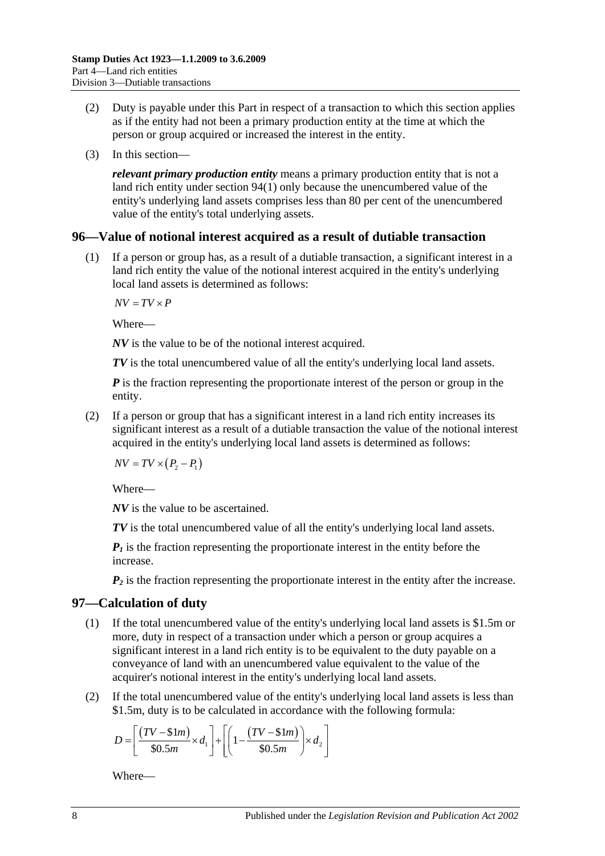- (2) Duty is payable under this Part in respect of a transaction to which this section applies as if the entity had not been a primary production entity at the time at which the person or group acquired or increased the interest in the entity.
- (3) In this section—

*relevant primary production entity* means a primary production entity that is not a land rich entity under [section](#page-84-2) 94(1) only because the unencumbered value of the entity's underlying land assets comprises less than 80 per cent of the unencumbered value of the entity's total underlying assets.

### **96—Value of notional interest acquired as a result of dutiable transaction**

(1) If a person or group has, as a result of a dutiable transaction, a significant interest in a land rich entity the value of the notional interest acquired in the entity's underlying local land assets is determined as follows:

 $\overline{AV} = \overline{TV} \times \overline{P}$ 

Where—

*NV* is the value to be of the notional interest acquired.

*TV* is the total unencumbered value of all the entity's underlying local land assets.

*P* is the fraction representing the proportionate interest of the person or group in the entity.

(2) If a person or group that has a significant interest in a land rich entity increases its significant interest as a result of a dutiable transaction the value of the notional interest acquired in the entity's underlying local land assets is determined as follows:

 $NV = TV \times (P_2 - P_1)$ 

Where—

*NV* is the value to be ascertained.

*TV* is the total unencumbered value of all the entity's underlying local land assets.

 $P_1$  is the fraction representing the proportionate interest in the entity before the increase.

 $P_2$  is the fraction representing the proportionate interest in the entity after the increase.

### <span id="page-87-0"></span>**97—Calculation of duty**

- (1) If the total unencumbered value of the entity's underlying local land assets is \$1.5m or more, duty in respect of a transaction under which a person or group acquires a significant interest in a land rich entity is to be equivalent to the duty payable on a conveyance of land with an unencumbered value equivalent to the value of the acquirer's notional interest in the entity's underlying local land assets.
- (2) If the total unencumbered value of the entity's underlying local land assets is less than \$1.5m, duty is to be calculated in accordance with the following formula:

$$
D = \left[ \frac{(TV - $1m)}{$30.5m} \times d_1 \right] + \left[ \left( 1 - \frac{(TV - $1m)}{$30.5m} \right) \times d_2 \right]
$$

Where—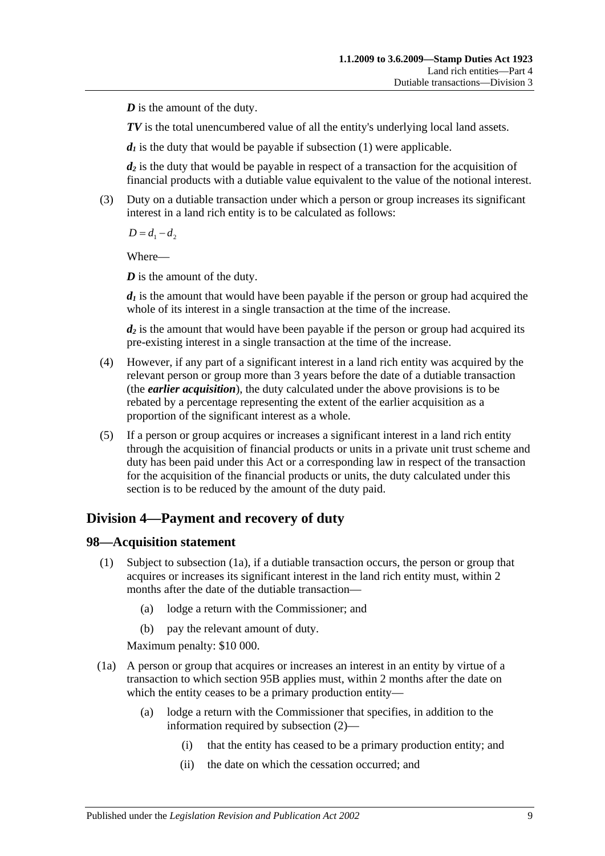*D* is the amount of the duty.

*TV* is the total unencumbered value of all the entity's underlying local land assets.

 $d_1$  is the duty that would be payable if [subsection](#page-87-0) (1) were applicable.

*d2* is the duty that would be payable in respect of a transaction for the acquisition of financial products with a dutiable value equivalent to the value of the notional interest.

(3) Duty on a dutiable transaction under which a person or group increases its significant interest in a land rich entity is to be calculated as follows:

 $D = d_1 - d_2$ 

Where—

*D* is the amount of the duty.

 $d_1$  is the amount that would have been payable if the person or group had acquired the whole of its interest in a single transaction at the time of the increase.

*d2* is the amount that would have been payable if the person or group had acquired its pre-existing interest in a single transaction at the time of the increase.

- (4) However, if any part of a significant interest in a land rich entity was acquired by the relevant person or group more than 3 years before the date of a dutiable transaction (the *earlier acquisition*), the duty calculated under the above provisions is to be rebated by a percentage representing the extent of the earlier acquisition as a proportion of the significant interest as a whole.
- (5) If a person or group acquires or increases a significant interest in a land rich entity through the acquisition of financial products or units in a private unit trust scheme and duty has been paid under this Act or a corresponding law in respect of the transaction for the acquisition of the financial products or units, the duty calculated under this section is to be reduced by the amount of the duty paid.

# **Division 4—Payment and recovery of duty**

### **98—Acquisition statement**

- (1) Subject to [subsection](#page-88-0) (1a), if a dutiable transaction occurs, the person or group that acquires or increases its significant interest in the land rich entity must, within 2 months after the date of the dutiable transaction—
	- (a) lodge a return with the Commissioner; and
	- (b) pay the relevant amount of duty.

Maximum penalty: \$10 000.

- <span id="page-88-0"></span>(1a) A person or group that acquires or increases an interest in an entity by virtue of a transaction to which [section](#page-86-0) 95B applies must, within 2 months after the date on which the entity ceases to be a primary production entity—
	- (a) lodge a return with the Commissioner that specifies, in addition to the information required by [subsection](#page-89-0) (2)—
		- (i) that the entity has ceased to be a primary production entity; and
		- (ii) the date on which the cessation occurred; and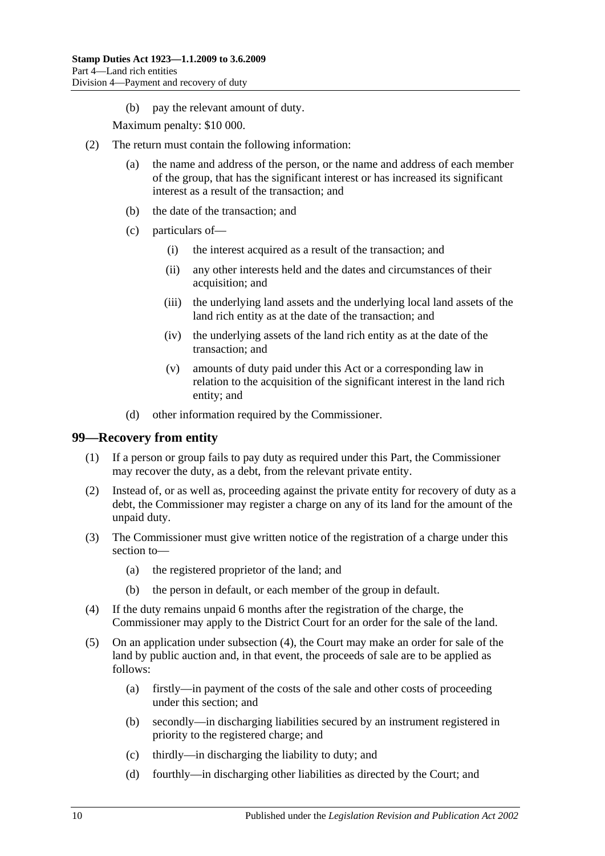(b) pay the relevant amount of duty.

Maximum penalty: \$10 000.

- <span id="page-89-0"></span>(2) The return must contain the following information:
	- (a) the name and address of the person, or the name and address of each member of the group, that has the significant interest or has increased its significant interest as a result of the transaction; and
	- (b) the date of the transaction; and
	- (c) particulars of—
		- (i) the interest acquired as a result of the transaction; and
		- (ii) any other interests held and the dates and circumstances of their acquisition; and
		- (iii) the underlying land assets and the underlying local land assets of the land rich entity as at the date of the transaction; and
		- (iv) the underlying assets of the land rich entity as at the date of the transaction; and
		- (v) amounts of duty paid under this Act or a corresponding law in relation to the acquisition of the significant interest in the land rich entity; and
	- (d) other information required by the Commissioner.

### **99—Recovery from entity**

- (1) If a person or group fails to pay duty as required under this Part, the Commissioner may recover the duty, as a debt, from the relevant private entity.
- (2) Instead of, or as well as, proceeding against the private entity for recovery of duty as a debt, the Commissioner may register a charge on any of its land for the amount of the unpaid duty.
- (3) The Commissioner must give written notice of the registration of a charge under this section to—
	- (a) the registered proprietor of the land; and
	- (b) the person in default, or each member of the group in default.
- <span id="page-89-1"></span>(4) If the duty remains unpaid 6 months after the registration of the charge, the Commissioner may apply to the District Court for an order for the sale of the land.
- (5) On an application under [subsection](#page-89-1) (4), the Court may make an order for sale of the land by public auction and, in that event, the proceeds of sale are to be applied as follows:
	- (a) firstly—in payment of the costs of the sale and other costs of proceeding under this section; and
	- (b) secondly—in discharging liabilities secured by an instrument registered in priority to the registered charge; and
	- (c) thirdly—in discharging the liability to duty; and
	- (d) fourthly—in discharging other liabilities as directed by the Court; and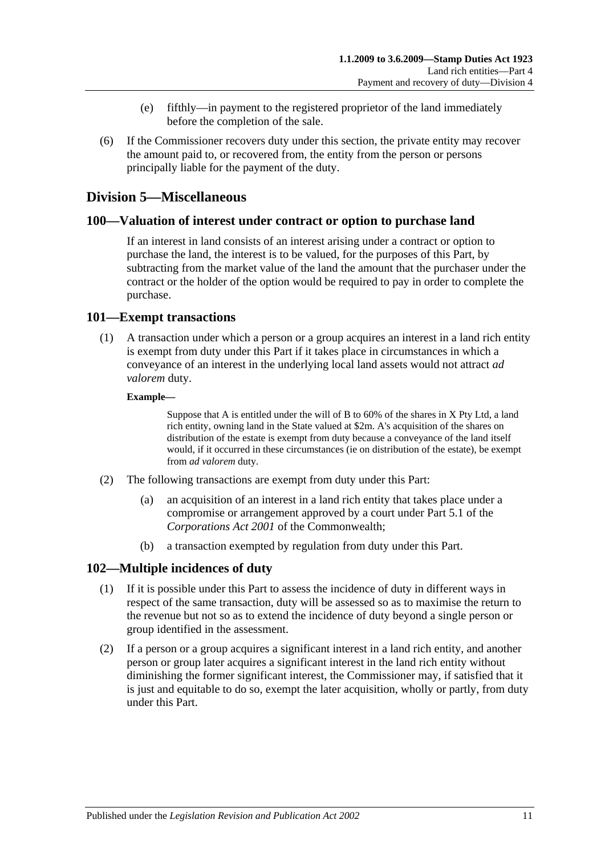- (e) fifthly—in payment to the registered proprietor of the land immediately before the completion of the sale.
- (6) If the Commissioner recovers duty under this section, the private entity may recover the amount paid to, or recovered from, the entity from the person or persons principally liable for the payment of the duty.

# **Division 5—Miscellaneous**

### **100—Valuation of interest under contract or option to purchase land**

If an interest in land consists of an interest arising under a contract or option to purchase the land, the interest is to be valued, for the purposes of this Part, by subtracting from the market value of the land the amount that the purchaser under the contract or the holder of the option would be required to pay in order to complete the purchase.

### **101—Exempt transactions**

(1) A transaction under which a person or a group acquires an interest in a land rich entity is exempt from duty under this Part if it takes place in circumstances in which a conveyance of an interest in the underlying local land assets would not attract *ad valorem* duty.

#### **Example—**

Suppose that A is entitled under the will of B to 60% of the shares in X Pty Ltd, a land rich entity, owning land in the State valued at \$2m. A's acquisition of the shares on distribution of the estate is exempt from duty because a conveyance of the land itself would, if it occurred in these circumstances (ie on distribution of the estate), be exempt from *ad valorem* duty.

- (2) The following transactions are exempt from duty under this Part:
	- (a) an acquisition of an interest in a land rich entity that takes place under a compromise or arrangement approved by a court under Part 5.1 of the *Corporations Act 2001* of the Commonwealth;
	- (b) a transaction exempted by regulation from duty under this Part.

### **102—Multiple incidences of duty**

- (1) If it is possible under this Part to assess the incidence of duty in different ways in respect of the same transaction, duty will be assessed so as to maximise the return to the revenue but not so as to extend the incidence of duty beyond a single person or group identified in the assessment.
- (2) If a person or a group acquires a significant interest in a land rich entity, and another person or group later acquires a significant interest in the land rich entity without diminishing the former significant interest, the Commissioner may, if satisfied that it is just and equitable to do so, exempt the later acquisition, wholly or partly, from duty under this Part.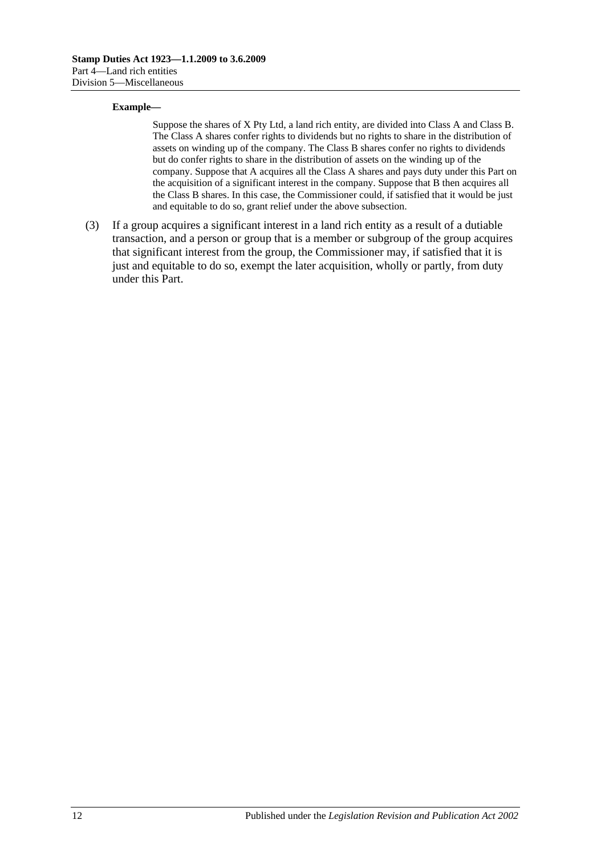#### **Example—**

Suppose the shares of X Pty Ltd, a land rich entity, are divided into Class A and Class B. The Class A shares confer rights to dividends but no rights to share in the distribution of assets on winding up of the company. The Class B shares confer no rights to dividends but do confer rights to share in the distribution of assets on the winding up of the company. Suppose that A acquires all the Class A shares and pays duty under this Part on the acquisition of a significant interest in the company. Suppose that B then acquires all the Class B shares. In this case, the Commissioner could, if satisfied that it would be just and equitable to do so, grant relief under the above subsection.

(3) If a group acquires a significant interest in a land rich entity as a result of a dutiable transaction, and a person or group that is a member or subgroup of the group acquires that significant interest from the group, the Commissioner may, if satisfied that it is just and equitable to do so, exempt the later acquisition, wholly or partly, from duty under this Part.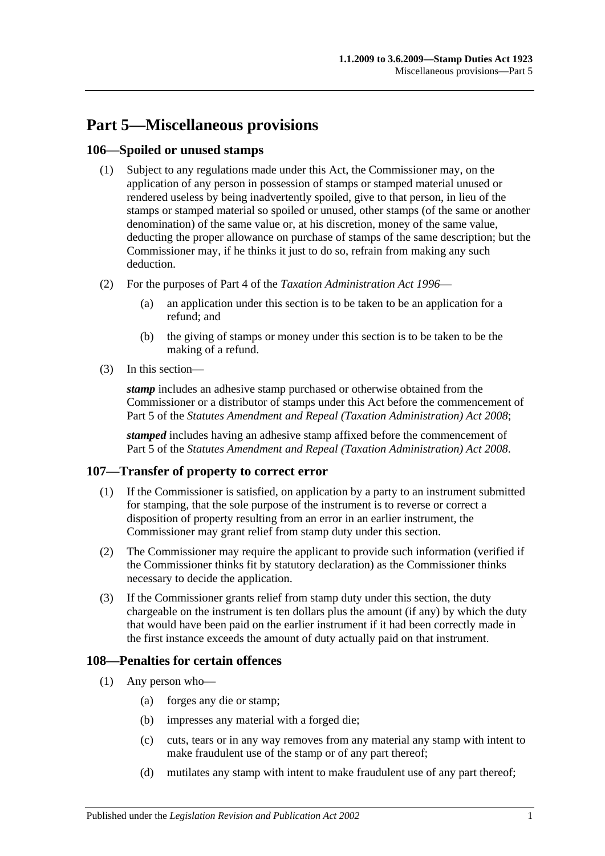# **Part 5—Miscellaneous provisions**

### **106—Spoiled or unused stamps**

- (1) Subject to any regulations made under this Act, the Commissioner may, on the application of any person in possession of stamps or stamped material unused or rendered useless by being inadvertently spoiled, give to that person, in lieu of the stamps or stamped material so spoiled or unused, other stamps (of the same or another denomination) of the same value or, at his discretion, money of the same value, deducting the proper allowance on purchase of stamps of the same description; but the Commissioner may, if he thinks it just to do so, refrain from making any such deduction.
- (2) For the purposes of Part 4 of the *[Taxation Administration Act](http://www.legislation.sa.gov.au/index.aspx?action=legref&type=act&legtitle=Taxation%20Administration%20Act%201996) 1996*
	- (a) an application under this section is to be taken to be an application for a refund; and
	- (b) the giving of stamps or money under this section is to be taken to be the making of a refund.
- (3) In this section—

*stamp* includes an adhesive stamp purchased or otherwise obtained from the Commissioner or a distributor of stamps under this Act before the commencement of Part 5 of the *[Statutes Amendment and Repeal \(Taxation Administration\) Act 2008](http://www.legislation.sa.gov.au/index.aspx?action=legref&type=act&legtitle=Statutes%20Amendment%20and%20Repeal%20(Taxation%20Administration)%20Act%202008)*;

*stamped* includes having an adhesive stamp affixed before the commencement of Part 5 of the *[Statutes Amendment and Repeal \(Taxation Administration\) Act 2008](http://www.legislation.sa.gov.au/index.aspx?action=legref&type=act&legtitle=Statutes%20Amendment%20and%20Repeal%20(Taxation%20Administration)%20Act%202008)*.

# **107—Transfer of property to correct error**

- (1) If the Commissioner is satisfied, on application by a party to an instrument submitted for stamping, that the sole purpose of the instrument is to reverse or correct a disposition of property resulting from an error in an earlier instrument, the Commissioner may grant relief from stamp duty under this section.
- (2) The Commissioner may require the applicant to provide such information (verified if the Commissioner thinks fit by statutory declaration) as the Commissioner thinks necessary to decide the application.
- (3) If the Commissioner grants relief from stamp duty under this section, the duty chargeable on the instrument is ten dollars plus the amount (if any) by which the duty that would have been paid on the earlier instrument if it had been correctly made in the first instance exceeds the amount of duty actually paid on that instrument.

### **108—Penalties for certain offences**

- <span id="page-92-0"></span>(1) Any person who—
	- (a) forges any die or stamp;
	- (b) impresses any material with a forged die;
	- (c) cuts, tears or in any way removes from any material any stamp with intent to make fraudulent use of the stamp or of any part thereof;
	- (d) mutilates any stamp with intent to make fraudulent use of any part thereof;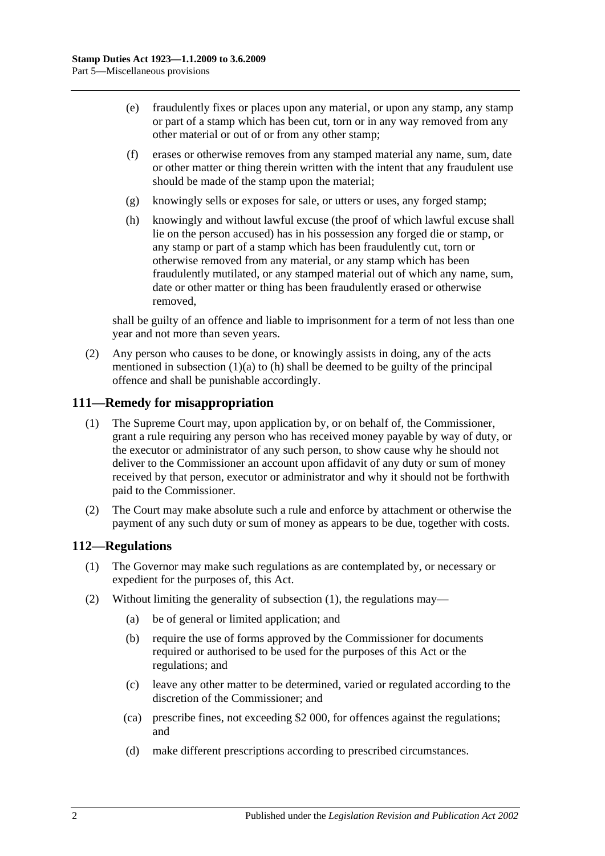- (e) fraudulently fixes or places upon any material, or upon any stamp, any stamp or part of a stamp which has been cut, torn or in any way removed from any other material or out of or from any other stamp;
- (f) erases or otherwise removes from any stamped material any name, sum, date or other matter or thing therein written with the intent that any fraudulent use should be made of the stamp upon the material;
- (g) knowingly sells or exposes for sale, or utters or uses, any forged stamp;
- <span id="page-93-0"></span>(h) knowingly and without lawful excuse (the proof of which lawful excuse shall lie on the person accused) has in his possession any forged die or stamp, or any stamp or part of a stamp which has been fraudulently cut, torn or otherwise removed from any material, or any stamp which has been fraudulently mutilated, or any stamped material out of which any name, sum, date or other matter or thing has been fraudulently erased or otherwise removed,

shall be guilty of an offence and liable to imprisonment for a term of not less than one year and not more than seven years.

(2) Any person who causes to be done, or knowingly assists in doing, any of the acts mentioned in [subsection](#page-92-0)  $(1)(a)$  to  $(h)$  shall be deemed to be guilty of the principal offence and shall be punishable accordingly.

### **111—Remedy for misappropriation**

- (1) The Supreme Court may, upon application by, or on behalf of, the Commissioner, grant a rule requiring any person who has received money payable by way of duty, or the executor or administrator of any such person, to show cause why he should not deliver to the Commissioner an account upon affidavit of any duty or sum of money received by that person, executor or administrator and why it should not be forthwith paid to the Commissioner.
- (2) The Court may make absolute such a rule and enforce by attachment or otherwise the payment of any such duty or sum of money as appears to be due, together with costs.

### <span id="page-93-1"></span>**112—Regulations**

- (1) The Governor may make such regulations as are contemplated by, or necessary or expedient for the purposes of, this Act.
- (2) Without limiting the generality of [subsection](#page-93-1) (1), the regulations may—
	- (a) be of general or limited application; and
	- (b) require the use of forms approved by the Commissioner for documents required or authorised to be used for the purposes of this Act or the regulations; and
	- (c) leave any other matter to be determined, varied or regulated according to the discretion of the Commissioner; and
	- (ca) prescribe fines, not exceeding \$2 000, for offences against the regulations; and
	- (d) make different prescriptions according to prescribed circumstances.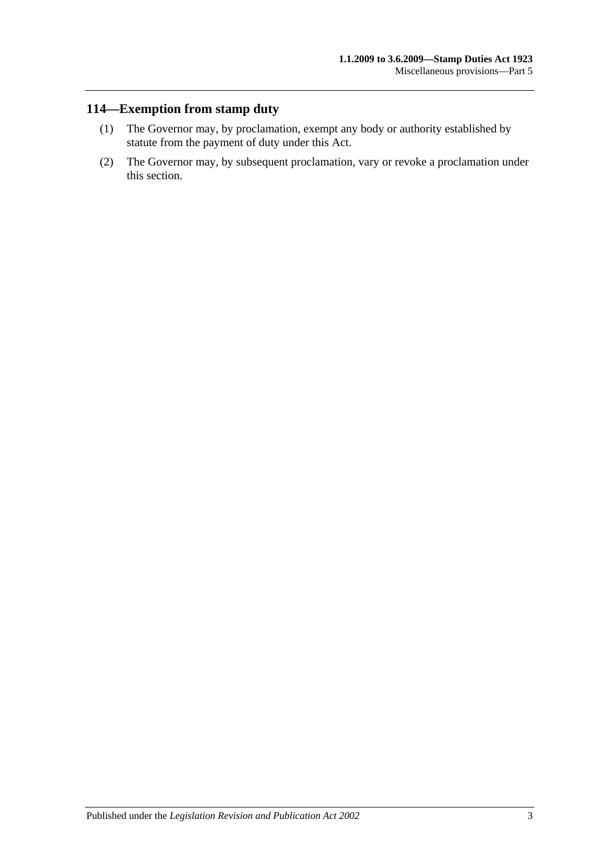# **114—Exemption from stamp duty**

- (1) The Governor may, by proclamation, exempt any body or authority established by statute from the payment of duty under this Act.
- (2) The Governor may, by subsequent proclamation, vary or revoke a proclamation under this section.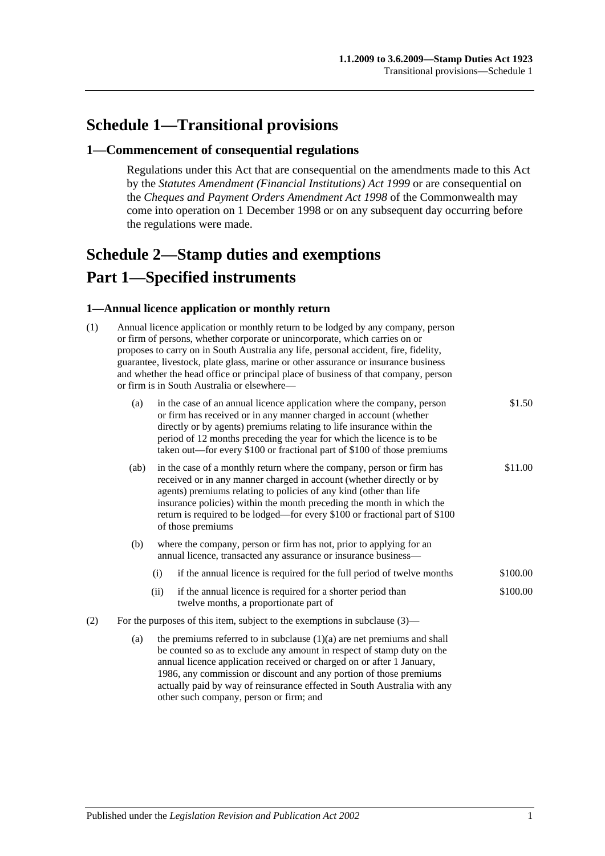# **Schedule 1—Transitional provisions**

### **1—Commencement of consequential regulations**

Regulations under this Act that are consequential on the amendments made to this Act by the *[Statutes Amendment \(Financial Institutions\) Act](http://www.legislation.sa.gov.au/index.aspx?action=legref&type=act&legtitle=Statutes%20Amendment%20(Financial%20Institutions)%20Act%201999) 1999* or are consequential on the *Cheques and Payment Orders Amendment Act 1998* of the Commonwealth may come into operation on 1 December 1998 or on any subsequent day occurring before the regulations were made.

# **Schedule 2—Stamp duties and exemptions Part 1—Specified instruments**

#### **1—Annual licence application or monthly return**

| (1) | Annual licence application or monthly return to be lodged by any company, person<br>or firm of persons, whether corporate or unincorporate, which carries on or<br>proposes to carry on in South Australia any life, personal accident, fire, fidelity,<br>guarantee, livestock, plate glass, marine or other assurance or insurance business<br>and whether the head office or principal place of business of that company, person<br>or firm is in South Australia or elsewhere- |      |                                                                                                                                                                                                                                                                                                                                                                                                  |          |  |
|-----|------------------------------------------------------------------------------------------------------------------------------------------------------------------------------------------------------------------------------------------------------------------------------------------------------------------------------------------------------------------------------------------------------------------------------------------------------------------------------------|------|--------------------------------------------------------------------------------------------------------------------------------------------------------------------------------------------------------------------------------------------------------------------------------------------------------------------------------------------------------------------------------------------------|----------|--|
|     | (a)                                                                                                                                                                                                                                                                                                                                                                                                                                                                                |      | in the case of an annual licence application where the company, person<br>or firm has received or in any manner charged in account (whether<br>directly or by agents) premiums relating to life insurance within the<br>period of 12 months preceding the year for which the licence is to be<br>taken out—for every \$100 or fractional part of \$100 of those premiums                         | \$1.50   |  |
|     | (ab)                                                                                                                                                                                                                                                                                                                                                                                                                                                                               |      | in the case of a monthly return where the company, person or firm has<br>received or in any manner charged in account (whether directly or by<br>agents) premiums relating to policies of any kind (other than life<br>insurance policies) within the month preceding the month in which the<br>return is required to be lodged—for every \$100 or fractional part of \$100<br>of those premiums | \$11.00  |  |
|     | (b)                                                                                                                                                                                                                                                                                                                                                                                                                                                                                |      | where the company, person or firm has not, prior to applying for an<br>annual licence, transacted any assurance or insurance business-                                                                                                                                                                                                                                                           |          |  |
|     |                                                                                                                                                                                                                                                                                                                                                                                                                                                                                    | (i)  | if the annual licence is required for the full period of twelve months                                                                                                                                                                                                                                                                                                                           | \$100.00 |  |
|     |                                                                                                                                                                                                                                                                                                                                                                                                                                                                                    | (ii) | if the annual licence is required for a shorter period than<br>twelve months, a proportionate part of                                                                                                                                                                                                                                                                                            | \$100.00 |  |
| (2) |                                                                                                                                                                                                                                                                                                                                                                                                                                                                                    |      | For the purposes of this item, subject to the exemptions in subclause $(3)$ —                                                                                                                                                                                                                                                                                                                    |          |  |
|     | the premiums referred to in subclause $(1)(a)$ are net premiums and shall<br>(a)<br>be counted so as to exclude any amount in respect of stamp duty on the<br>annual licence application received or charged on or after 1 January,<br>1986, any commission or discount and any portion of those premiums<br>actually paid by way of reinsurance effected in South Australia with any                                                                                              |      |                                                                                                                                                                                                                                                                                                                                                                                                  |          |  |

other such company, person or firm; and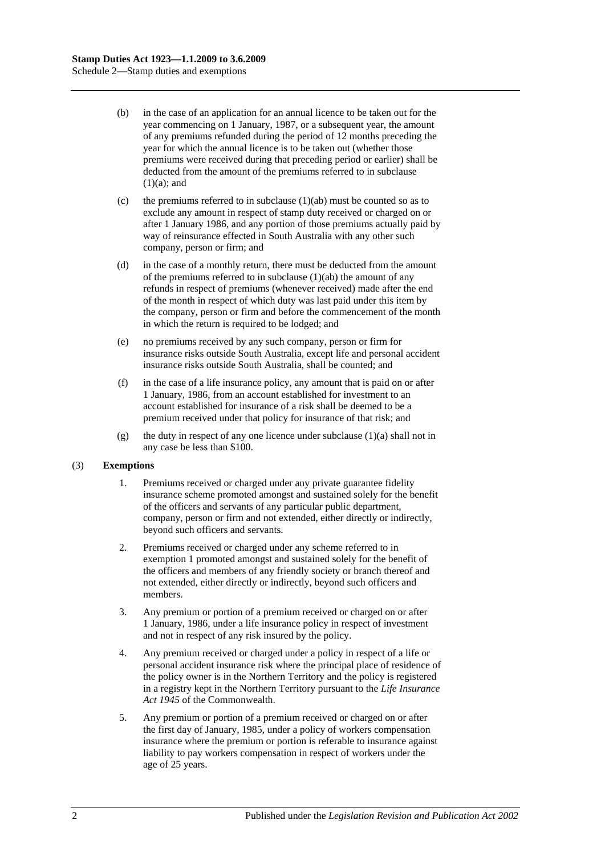- (b) in the case of an application for an annual licence to be taken out for the year commencing on 1 January, 1987, or a subsequent year, the amount of any premiums refunded during the period of 12 months preceding the year for which the annual licence is to be taken out (whether those premiums were received during that preceding period or earlier) shall be deducted from the amount of the premiums referred to in subclause  $(1)(a)$ ; and
- (c) the premiums referred to in subclause  $(1)(ab)$  must be counted so as to exclude any amount in respect of stamp duty received or charged on or after 1 January 1986, and any portion of those premiums actually paid by way of reinsurance effected in South Australia with any other such company, person or firm; and
- (d) in the case of a monthly return, there must be deducted from the amount of the premiums referred to in subclause  $(1)(ab)$  the amount of any refunds in respect of premiums (whenever received) made after the end of the month in respect of which duty was last paid under this item by the company, person or firm and before the commencement of the month in which the return is required to be lodged; and
- (e) no premiums received by any such company, person or firm for insurance risks outside South Australia, except life and personal accident insurance risks outside South Australia, shall be counted; and
- (f) in the case of a life insurance policy, any amount that is paid on or after 1 January, 1986, from an account established for investment to an account established for insurance of a risk shall be deemed to be a premium received under that policy for insurance of that risk; and
- (g) the duty in respect of any one licence under subclause  $(1)(a)$  shall not in any case be less than \$100.

#### (3) **Exemptions**

- 1. Premiums received or charged under any private guarantee fidelity insurance scheme promoted amongst and sustained solely for the benefit of the officers and servants of any particular public department, company, person or firm and not extended, either directly or indirectly, beyond such officers and servants.
- 2. Premiums received or charged under any scheme referred to in exemption 1 promoted amongst and sustained solely for the benefit of the officers and members of any friendly society or branch thereof and not extended, either directly or indirectly, beyond such officers and members.
- 3. Any premium or portion of a premium received or charged on or after 1 January, 1986, under a life insurance policy in respect of investment and not in respect of any risk insured by the policy.
- 4. Any premium received or charged under a policy in respect of a life or personal accident insurance risk where the principal place of residence of the policy owner is in the Northern Territory and the policy is registered in a registry kept in the Northern Territory pursuant to the *Life Insurance Act 1945* of the Commonwealth.
- 5. Any premium or portion of a premium received or charged on or after the first day of January, 1985, under a policy of workers compensation insurance where the premium or portion is referable to insurance against liability to pay workers compensation in respect of workers under the age of 25 years.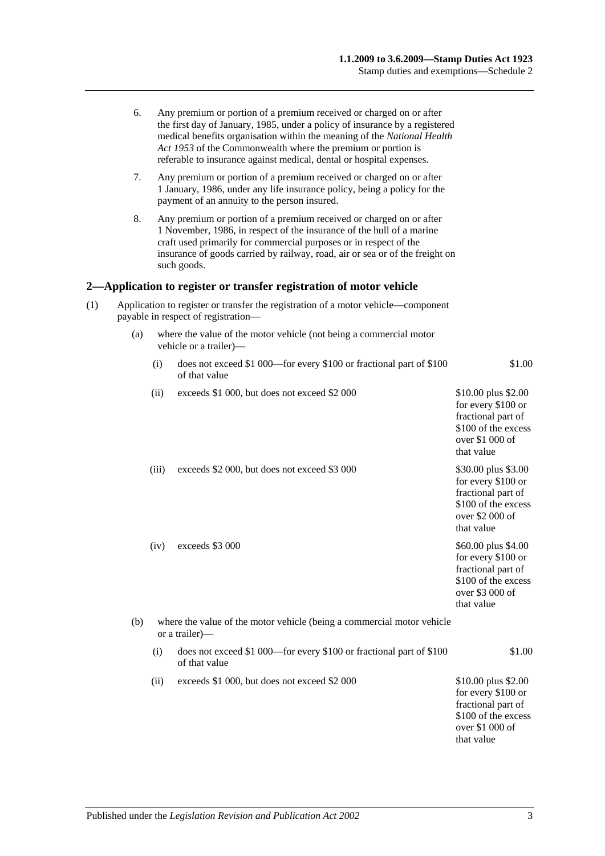|     | 6.  |       | Any premium or portion of a premium received or charged on or after<br>the first day of January, 1985, under a policy of insurance by a registered<br>medical benefits organisation within the meaning of the National Health<br>Act 1953 of the Commonwealth where the premium or portion is<br>referable to insurance against medical, dental or hospital expenses. |                                                                                                                         |
|-----|-----|-------|-----------------------------------------------------------------------------------------------------------------------------------------------------------------------------------------------------------------------------------------------------------------------------------------------------------------------------------------------------------------------|-------------------------------------------------------------------------------------------------------------------------|
|     | 7.  |       | Any premium or portion of a premium received or charged on or after<br>1 January, 1986, under any life insurance policy, being a policy for the<br>payment of an annuity to the person insured.                                                                                                                                                                       |                                                                                                                         |
|     | 8.  |       | Any premium or portion of a premium received or charged on or after<br>1 November, 1986, in respect of the insurance of the hull of a marine<br>craft used primarily for commercial purposes or in respect of the<br>insurance of goods carried by railway, road, air or sea or of the freight on<br>such goods.                                                      |                                                                                                                         |
|     |     |       | 2—Application to register or transfer registration of motor vehicle                                                                                                                                                                                                                                                                                                   |                                                                                                                         |
| (1) |     |       | Application to register or transfer the registration of a motor vehicle—component<br>payable in respect of registration-                                                                                                                                                                                                                                              |                                                                                                                         |
|     | (a) |       | where the value of the motor vehicle (not being a commercial motor<br>vehicle or a trailer)-                                                                                                                                                                                                                                                                          |                                                                                                                         |
|     |     | (i)   | does not exceed \$1 000—for every \$100 or fractional part of \$100<br>of that value                                                                                                                                                                                                                                                                                  | \$1.00                                                                                                                  |
|     |     | (ii)  | exceeds \$1 000, but does not exceed \$2 000                                                                                                                                                                                                                                                                                                                          | \$10.00 plus \$2.00<br>for every \$100 or<br>fractional part of<br>\$100 of the excess<br>over \$1 000 of<br>that value |
|     |     | (iii) | exceeds \$2 000, but does not exceed \$3 000                                                                                                                                                                                                                                                                                                                          | \$30.00 plus \$3.00<br>for every \$100 or<br>fractional part of<br>\$100 of the excess<br>over \$2 000 of<br>that value |
|     |     | (iv)  | exceeds \$3 000                                                                                                                                                                                                                                                                                                                                                       | \$60.00 plus \$4.00<br>for every \$100 or<br>fractional part of<br>\$100 of the excess<br>over \$3 000 of<br>that value |
|     | (b) |       | where the value of the motor vehicle (being a commercial motor vehicle<br>or a trailer)—                                                                                                                                                                                                                                                                              |                                                                                                                         |
|     |     | (i)   | does not exceed \$1 000—for every \$100 or fractional part of \$100<br>of that value                                                                                                                                                                                                                                                                                  | \$1.00                                                                                                                  |
|     |     | (ii)  | exceeds \$1 000, but does not exceed \$2 000                                                                                                                                                                                                                                                                                                                          | \$10.00 plus \$2.00<br>for every \$100 or<br>fractional part of<br>\$100 of the excess<br>over \$1 000 of<br>that value |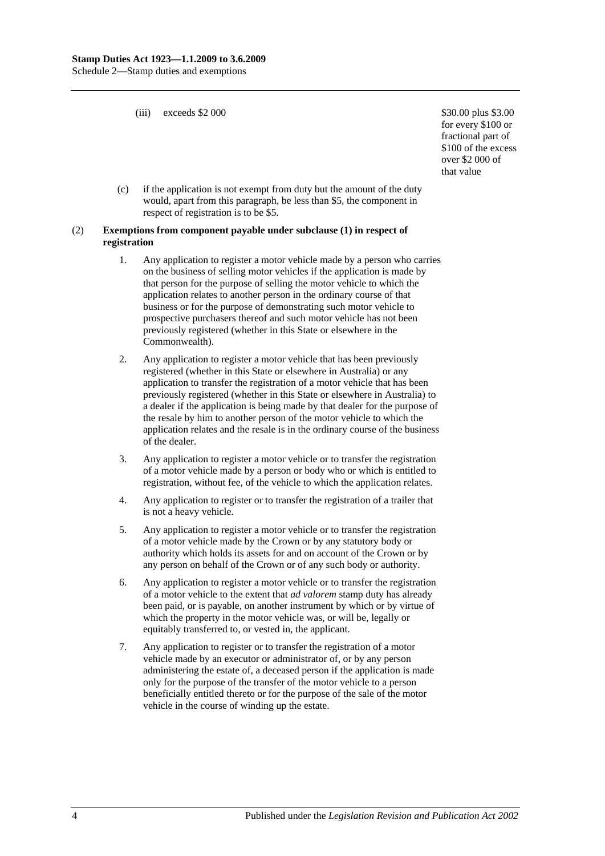(iii) exceeds  $$2\,000$   $$30.00 \, \text{plus } $3.00$ 

for every \$100 or fractional part of \$100 of the excess over \$2 000 of that value

(c) if the application is not exempt from duty but the amount of the duty would, apart from this paragraph, be less than \$5, the component in respect of registration is to be \$5.

#### (2) **Exemptions from component payable under subclause (1) in respect of registration**

- 1. Any application to register a motor vehicle made by a person who carries on the business of selling motor vehicles if the application is made by that person for the purpose of selling the motor vehicle to which the application relates to another person in the ordinary course of that business or for the purpose of demonstrating such motor vehicle to prospective purchasers thereof and such motor vehicle has not been previously registered (whether in this State or elsewhere in the Commonwealth).
- 2. Any application to register a motor vehicle that has been previously registered (whether in this State or elsewhere in Australia) or any application to transfer the registration of a motor vehicle that has been previously registered (whether in this State or elsewhere in Australia) to a dealer if the application is being made by that dealer for the purpose of the resale by him to another person of the motor vehicle to which the application relates and the resale is in the ordinary course of the business of the dealer.
- 3. Any application to register a motor vehicle or to transfer the registration of a motor vehicle made by a person or body who or which is entitled to registration, without fee, of the vehicle to which the application relates.
- 4. Any application to register or to transfer the registration of a trailer that is not a heavy vehicle.
- 5. Any application to register a motor vehicle or to transfer the registration of a motor vehicle made by the Crown or by any statutory body or authority which holds its assets for and on account of the Crown or by any person on behalf of the Crown or of any such body or authority.
- 6. Any application to register a motor vehicle or to transfer the registration of a motor vehicle to the extent that *ad valorem* stamp duty has already been paid, or is payable, on another instrument by which or by virtue of which the property in the motor vehicle was, or will be, legally or equitably transferred to, or vested in, the applicant.
- 7. Any application to register or to transfer the registration of a motor vehicle made by an executor or administrator of, or by any person administering the estate of, a deceased person if the application is made only for the purpose of the transfer of the motor vehicle to a person beneficially entitled thereto or for the purpose of the sale of the motor vehicle in the course of winding up the estate.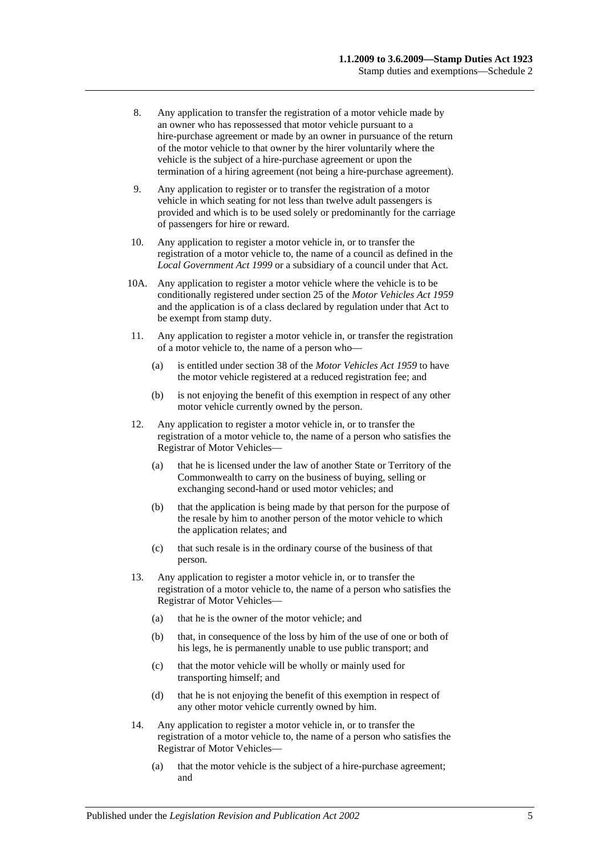- 8. Any application to transfer the registration of a motor vehicle made by an owner who has repossessed that motor vehicle pursuant to a hire-purchase agreement or made by an owner in pursuance of the return of the motor vehicle to that owner by the hirer voluntarily where the vehicle is the subject of a hire-purchase agreement or upon the termination of a hiring agreement (not being a hire-purchase agreement).
- 9. Any application to register or to transfer the registration of a motor vehicle in which seating for not less than twelve adult passengers is provided and which is to be used solely or predominantly for the carriage of passengers for hire or reward.
- 10. Any application to register a motor vehicle in, or to transfer the registration of a motor vehicle to, the name of a council as defined in the *[Local Government Act](http://www.legislation.sa.gov.au/index.aspx?action=legref&type=act&legtitle=Local%20Government%20Act%201999) 1999* or a subsidiary of a council under that Act.
- 10A. Any application to register a motor vehicle where the vehicle is to be conditionally registered under section 25 of the *[Motor Vehicles Act](http://www.legislation.sa.gov.au/index.aspx?action=legref&type=act&legtitle=Motor%20Vehicles%20Act%201959) 1959* and the application is of a class declared by regulation under that Act to be exempt from stamp duty.
- 11. Any application to register a motor vehicle in, or transfer the registration of a motor vehicle to, the name of a person who—
	- (a) is entitled under section 38 of the *[Motor Vehicles Act](http://www.legislation.sa.gov.au/index.aspx?action=legref&type=act&legtitle=Motor%20Vehicles%20Act%201959) 1959* to have the motor vehicle registered at a reduced registration fee; and
	- (b) is not enjoying the benefit of this exemption in respect of any other motor vehicle currently owned by the person.
- 12. Any application to register a motor vehicle in, or to transfer the registration of a motor vehicle to, the name of a person who satisfies the Registrar of Motor Vehicles—
	- (a) that he is licensed under the law of another State or Territory of the Commonwealth to carry on the business of buying, selling or exchanging second-hand or used motor vehicles; and
	- (b) that the application is being made by that person for the purpose of the resale by him to another person of the motor vehicle to which the application relates; and
	- (c) that such resale is in the ordinary course of the business of that person.
- 13. Any application to register a motor vehicle in, or to transfer the registration of a motor vehicle to, the name of a person who satisfies the Registrar of Motor Vehicles—
	- (a) that he is the owner of the motor vehicle; and
	- (b) that, in consequence of the loss by him of the use of one or both of his legs, he is permanently unable to use public transport; and
	- (c) that the motor vehicle will be wholly or mainly used for transporting himself; and
	- (d) that he is not enjoying the benefit of this exemption in respect of any other motor vehicle currently owned by him.
- 14. Any application to register a motor vehicle in, or to transfer the registration of a motor vehicle to, the name of a person who satisfies the Registrar of Motor Vehicles—
	- (a) that the motor vehicle is the subject of a hire-purchase agreement; and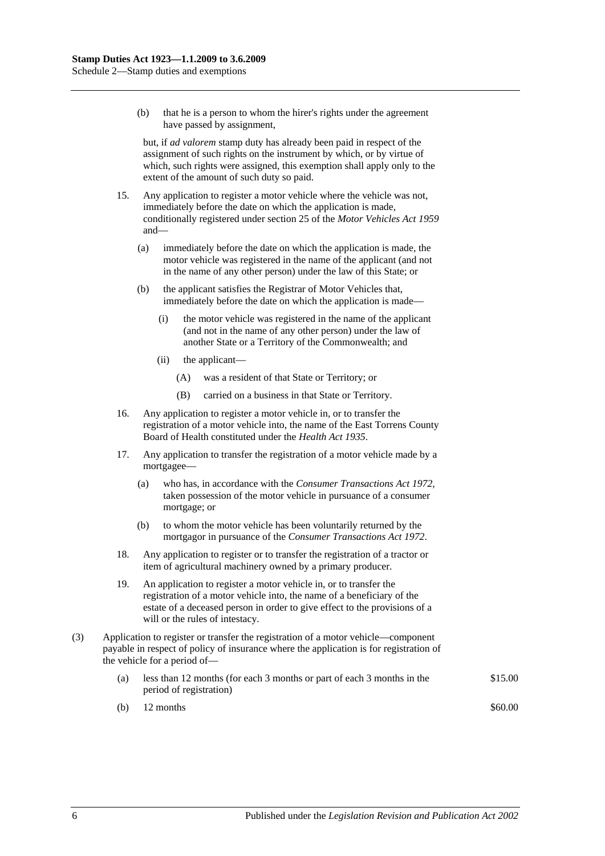(b) that he is a person to whom the hirer's rights under the agreement have passed by assignment,

but, if *ad valorem* stamp duty has already been paid in respect of the assignment of such rights on the instrument by which, or by virtue of which, such rights were assigned, this exemption shall apply only to the extent of the amount of such duty so paid.

- 15. Any application to register a motor vehicle where the vehicle was not, immediately before the date on which the application is made, conditionally registered under section 25 of the *[Motor Vehicles](http://www.legislation.sa.gov.au/index.aspx?action=legref&type=act&legtitle=Motor%20Vehicles%20Act%201959) Act 1959* and—
	- (a) immediately before the date on which the application is made, the motor vehicle was registered in the name of the applicant (and not in the name of any other person) under the law of this State; or
	- (b) the applicant satisfies the Registrar of Motor Vehicles that, immediately before the date on which the application is made—
		- (i) the motor vehicle was registered in the name of the applicant (and not in the name of any other person) under the law of another State or a Territory of the Commonwealth; and
		- (ii) the applicant—
			- (A) was a resident of that State or Territory; or
			- (B) carried on a business in that State or Territory.
- 16. Any application to register a motor vehicle in, or to transfer the registration of a motor vehicle into, the name of the East Torrens County Board of Health constituted under the *[Health Act](http://www.legislation.sa.gov.au/index.aspx?action=legref&type=act&legtitle=Health%20Act%201935) 1935*.
- 17. Any application to transfer the registration of a motor vehicle made by a mortgagee—
	- (a) who has, in accordance with the *[Consumer Transactions Act](http://www.legislation.sa.gov.au/index.aspx?action=legref&type=act&legtitle=Consumer%20Transactions%20Act%201972) 1972*, taken possession of the motor vehicle in pursuance of a consumer mortgage; or
	- (b) to whom the motor vehicle has been voluntarily returned by the mortgagor in pursuance of the *[Consumer Transactions Act](http://www.legislation.sa.gov.au/index.aspx?action=legref&type=act&legtitle=Consumer%20Transactions%20Act%201972) 1972*.
- 18. Any application to register or to transfer the registration of a tractor or item of agricultural machinery owned by a primary producer.
- 19. An application to register a motor vehicle in, or to transfer the registration of a motor vehicle into, the name of a beneficiary of the estate of a deceased person in order to give effect to the provisions of a will or the rules of intestacy.
- (3) Application to register or transfer the registration of a motor vehicle—component payable in respect of policy of insurance where the application is for registration of the vehicle for a period of—
	- (a) less than 12 months (for each 3 months or part of each 3 months in the period of registration) \$15.00
	- (b)  $12 \text{ months}$  \$60.00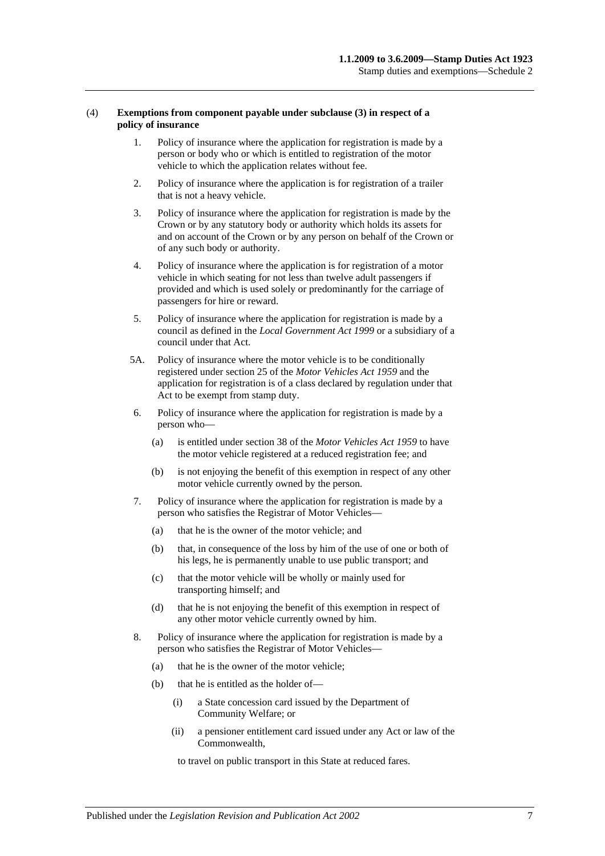#### (4) **Exemptions from component payable under subclause (3) in respect of a policy of insurance**

- 1. Policy of insurance where the application for registration is made by a person or body who or which is entitled to registration of the motor vehicle to which the application relates without fee.
- 2. Policy of insurance where the application is for registration of a trailer that is not a heavy vehicle.
- 3. Policy of insurance where the application for registration is made by the Crown or by any statutory body or authority which holds its assets for and on account of the Crown or by any person on behalf of the Crown or of any such body or authority.
- 4. Policy of insurance where the application is for registration of a motor vehicle in which seating for not less than twelve adult passengers if provided and which is used solely or predominantly for the carriage of passengers for hire or reward.
- 5. Policy of insurance where the application for registration is made by a council as defined in the *[Local Government Act](http://www.legislation.sa.gov.au/index.aspx?action=legref&type=act&legtitle=Local%20Government%20Act%201999) 1999* or a subsidiary of a council under that Act.
- 5A. Policy of insurance where the motor vehicle is to be conditionally registered under section 25 of the *[Motor Vehicles Act](http://www.legislation.sa.gov.au/index.aspx?action=legref&type=act&legtitle=Motor%20Vehicles%20Act%201959) 1959* and the application for registration is of a class declared by regulation under that Act to be exempt from stamp duty.
- 6. Policy of insurance where the application for registration is made by a person who—
	- (a) is entitled under section 38 of the *[Motor Vehicles Act](http://www.legislation.sa.gov.au/index.aspx?action=legref&type=act&legtitle=Motor%20Vehicles%20Act%201959) 1959* to have the motor vehicle registered at a reduced registration fee; and
	- (b) is not enjoying the benefit of this exemption in respect of any other motor vehicle currently owned by the person.
- 7. Policy of insurance where the application for registration is made by a person who satisfies the Registrar of Motor Vehicles—
	- (a) that he is the owner of the motor vehicle; and
	- (b) that, in consequence of the loss by him of the use of one or both of his legs, he is permanently unable to use public transport; and
	- (c) that the motor vehicle will be wholly or mainly used for transporting himself; and
	- (d) that he is not enjoying the benefit of this exemption in respect of any other motor vehicle currently owned by him.
- 8. Policy of insurance where the application for registration is made by a person who satisfies the Registrar of Motor Vehicles—
	- (a) that he is the owner of the motor vehicle;
	- (b) that he is entitled as the holder of—
		- (i) a State concession card issued by the Department of Community Welfare; or
		- (ii) a pensioner entitlement card issued under any Act or law of the Commonwealth,

to travel on public transport in this State at reduced fares.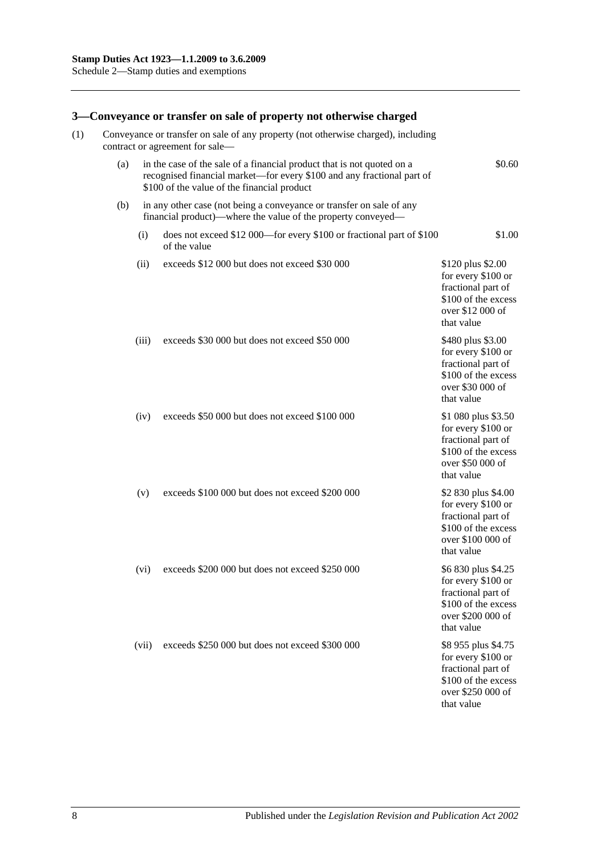## **3—Conveyance or transfer on sale of property not otherwise charged**

| (1) | Conveyance or transfer on sale of any property (not otherwise charged), including<br>contract or agreement for sale- |       |                                                                                                                                                                                                 |                                                                                                                           |  |  |  |
|-----|----------------------------------------------------------------------------------------------------------------------|-------|-------------------------------------------------------------------------------------------------------------------------------------------------------------------------------------------------|---------------------------------------------------------------------------------------------------------------------------|--|--|--|
|     | (a)                                                                                                                  |       | in the case of the sale of a financial product that is not quoted on a<br>recognised financial market—for every \$100 and any fractional part of<br>\$100 of the value of the financial product | \$0.60                                                                                                                    |  |  |  |
|     | (b)                                                                                                                  |       | in any other case (not being a conveyance or transfer on sale of any<br>financial product)—where the value of the property conveyed—                                                            |                                                                                                                           |  |  |  |
|     |                                                                                                                      | (i)   | does not exceed \$12 000—for every \$100 or fractional part of \$100<br>of the value                                                                                                            | \$1.00                                                                                                                    |  |  |  |
|     |                                                                                                                      | (ii)  | exceeds \$12 000 but does not exceed \$30 000                                                                                                                                                   | \$120 plus \$2.00<br>for every \$100 or<br>fractional part of<br>\$100 of the excess<br>over \$12 000 of<br>that value    |  |  |  |
|     |                                                                                                                      | (iii) | exceeds \$30 000 but does not exceed \$50 000                                                                                                                                                   | \$480 plus \$3.00<br>for every \$100 or<br>fractional part of<br>\$100 of the excess<br>over \$30 000 of<br>that value    |  |  |  |
|     |                                                                                                                      | (iv)  | exceeds \$50 000 but does not exceed \$100 000                                                                                                                                                  | \$1 080 plus \$3.50<br>for every \$100 or<br>fractional part of<br>\$100 of the excess<br>over \$50 000 of<br>that value  |  |  |  |
|     |                                                                                                                      | (v)   | exceeds \$100 000 but does not exceed \$200 000                                                                                                                                                 | \$2 830 plus \$4.00<br>for every \$100 or<br>fractional part of<br>\$100 of the excess<br>over \$100 000 of<br>that value |  |  |  |
|     |                                                                                                                      | (vi)  | exceeds \$200 000 but does not exceed \$250 000                                                                                                                                                 | \$6 830 plus \$4.25<br>for every \$100 or<br>fractional part of<br>\$100 of the excess<br>over \$200 000 of<br>that value |  |  |  |
|     |                                                                                                                      | (vii) | exceeds \$250,000 but does not exceed \$300,000                                                                                                                                                 | \$8 955 plus \$4.75<br>for every \$100 or<br>fractional part of<br>\$100 of the excess<br>over \$250 000 of<br>that value |  |  |  |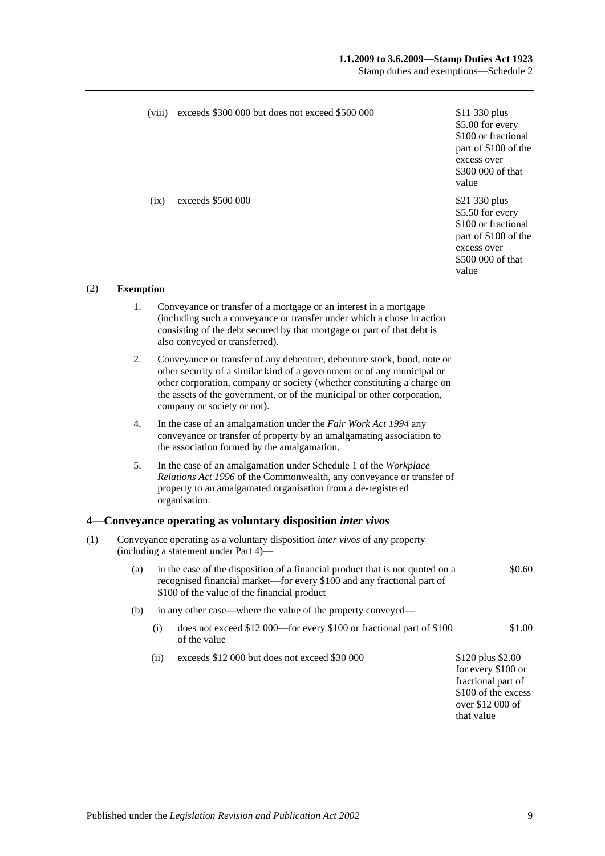#### **1.1.2009 to 3.6.2009—Stamp Duties Act 1923**

Stamp duties and exemptions—Schedule 2

|      |                                                                                                                             | (viii) | exceeds \$300 000 but does not exceed \$500 000                                                                                                                                                                                                                                                                                         | \$11 330 plus<br>\$5.00 for every<br>\$100 or fractional<br>part of \$100 of the<br>excess over<br>\$300 000 of that<br>value |  |
|------|-----------------------------------------------------------------------------------------------------------------------------|--------|-----------------------------------------------------------------------------------------------------------------------------------------------------------------------------------------------------------------------------------------------------------------------------------------------------------------------------------------|-------------------------------------------------------------------------------------------------------------------------------|--|
|      |                                                                                                                             | (ix)   | exceeds \$500 000                                                                                                                                                                                                                                                                                                                       | \$21 330 plus<br>\$5.50 for every<br>\$100 or fractional<br>part of \$100 of the<br>excess over<br>\$500 000 of that<br>value |  |
| (2)  | <b>Exemption</b>                                                                                                            |        |                                                                                                                                                                                                                                                                                                                                         |                                                                                                                               |  |
|      | 1.                                                                                                                          |        | Conveyance or transfer of a mortgage or an interest in a mortgage<br>(including such a conveyance or transfer under which a chose in action<br>consisting of the debt secured by that mortgage or part of that debt is<br>also conveyed or transferred).                                                                                |                                                                                                                               |  |
|      | 2.                                                                                                                          |        | Conveyance or transfer of any debenture, debenture stock, bond, note or<br>other security of a similar kind of a government or of any municipal or<br>other corporation, company or society (whether constituting a charge on<br>the assets of the government, or of the municipal or other corporation,<br>company or society or not). |                                                                                                                               |  |
|      | 4.                                                                                                                          |        | In the case of an amalgamation under the Fair Work Act 1994 any<br>conveyance or transfer of property by an amalgamating association to<br>the association formed by the amalgamation.                                                                                                                                                  |                                                                                                                               |  |
|      | 5.                                                                                                                          |        | In the case of an amalgamation under Schedule 1 of the Workplace<br>Relations Act 1996 of the Commonwealth, any conveyance or transfer of<br>property to an amalgamated organisation from a de-registered<br>organisation.                                                                                                              |                                                                                                                               |  |
| $4-$ |                                                                                                                             |        | Conveyance operating as voluntary disposition <i>inter vivos</i>                                                                                                                                                                                                                                                                        |                                                                                                                               |  |
| (1)  | Conveyance operating as a voluntary disposition <i>inter vivos</i> of any property<br>(including a statement under Part 4)— |        |                                                                                                                                                                                                                                                                                                                                         |                                                                                                                               |  |
|      | (a)                                                                                                                         |        | in the case of the disposition of a financial product that is not quoted on a<br>recognised financial market—for every \$100 and any fractional part of<br>\$100 of the value of the financial product                                                                                                                                  | \$0.60                                                                                                                        |  |
|      | (b)                                                                                                                         |        | in any other case—where the value of the property conveyed—                                                                                                                                                                                                                                                                             |                                                                                                                               |  |
|      |                                                                                                                             | (i)    | does not exceed \$12 000—for every \$100 or fractional part of \$100<br>of the value                                                                                                                                                                                                                                                    | \$1.00                                                                                                                        |  |
|      |                                                                                                                             | (ii)   | exceeds \$12 000 but does not exceed \$30 000                                                                                                                                                                                                                                                                                           | \$120 plus \$2.00<br>for every \$100 or<br>fractional part of<br>\$100 of the excess<br>over \$12 000 of<br>that value        |  |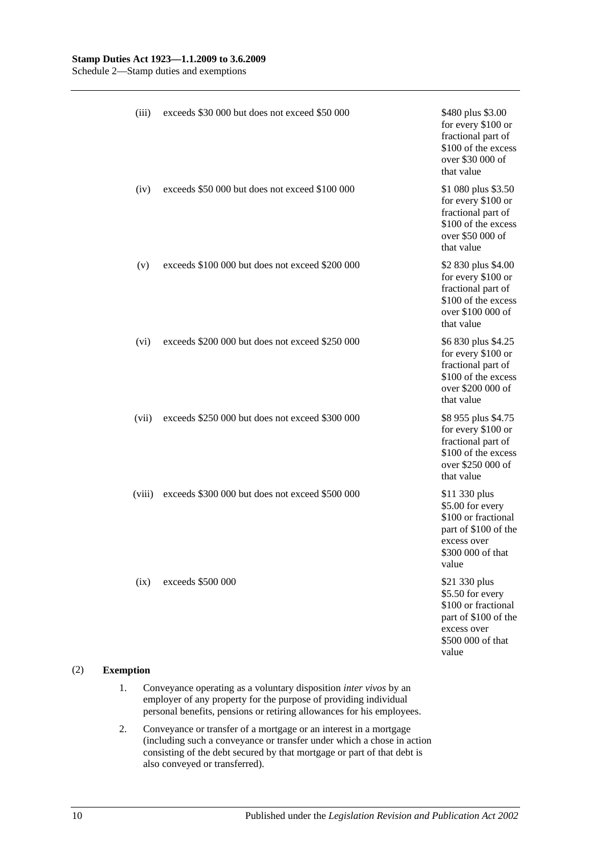(iii) exceeds \$30 000 but does not exceed \$50 000 \$480 plus \$3.00 for every \$100 or fractional part of \$100 of the excess over \$30 000 of that value (iv) exceeds \$50 000 but does not exceed \$100 000 \$1 080 plus \$3.50 for every \$100 or fractional part of \$100 of the excess over \$50 000 of that value (v) exceeds \$100 000 but does not exceed \$200 000 \$2 830 plus \$4.00 for every \$100 or fractional part of \$100 of the excess over \$100 000 of that value (vi) exceeds \$200 000 but does not exceed \$250 000 \$6 830 plus \$4.25 for every \$100 or fractional part of \$100 of the excess over \$200 000 of that value (vii) exceeds \$250 000 but does not exceed \$300 000 \$8 955 plus \$4.75 for every \$100 or fractional part of \$100 of the excess over \$250 000 of that value (viii) exceeds \$300 000 but does not exceed \$500 000 \$11 330 plus \$5.00 for every \$100 or fractional part of \$100 of the excess over \$300 000 of that value (ix) exceeds  $$500,000$  \$21 330 plus \$5.50 for every \$100 or fractional part of \$100 of the excess over \$500 000 of that value

#### (2) **Exemption**

- 1. Conveyance operating as a voluntary disposition *inter vivos* by an employer of any property for the purpose of providing individual personal benefits, pensions or retiring allowances for his employees.
- 2. Conveyance or transfer of a mortgage or an interest in a mortgage (including such a conveyance or transfer under which a chose in action consisting of the debt secured by that mortgage or part of that debt is also conveyed or transferred).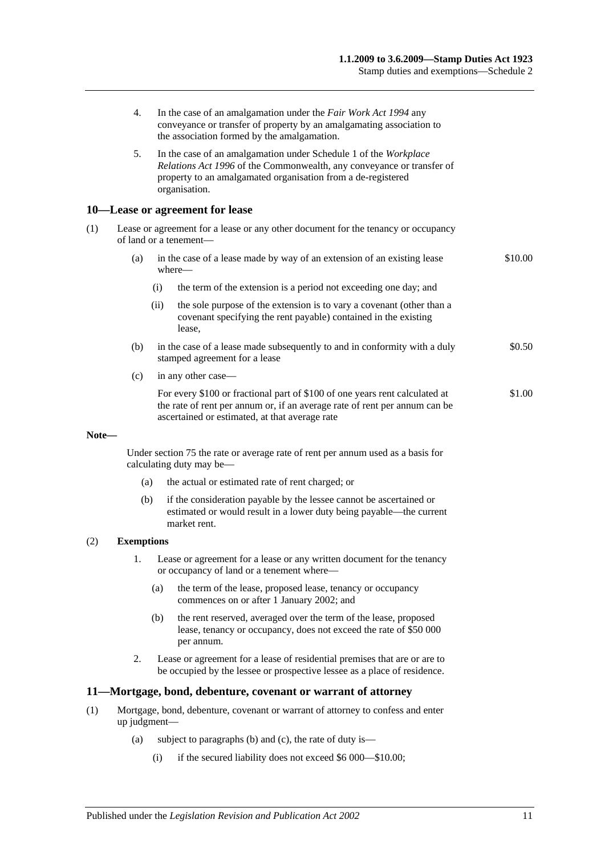|       | 4.                |      | In the case of an amalgamation under the Fair Work Act 1994 any<br>conveyance or transfer of property by an amalgamating association to<br>the association formed by the amalgamation.                                     |         |
|-------|-------------------|------|----------------------------------------------------------------------------------------------------------------------------------------------------------------------------------------------------------------------------|---------|
|       | 5.                |      | In the case of an amalgamation under Schedule 1 of the Workplace<br>Relations Act 1996 of the Commonwealth, any conveyance or transfer of<br>property to an amalgamated organisation from a de-registered<br>organisation. |         |
|       |                   |      | 10—Lease or agreement for lease                                                                                                                                                                                            |         |
| (1)   |                   |      | Lease or agreement for a lease or any other document for the tenancy or occupancy<br>of land or a tenement—                                                                                                                |         |
|       | (a)               |      | in the case of a lease made by way of an extension of an existing lease<br>where—                                                                                                                                          | \$10.00 |
|       |                   | (i)  | the term of the extension is a period not exceeding one day; and                                                                                                                                                           |         |
|       |                   | (ii) | the sole purpose of the extension is to vary a covenant (other than a<br>covenant specifying the rent payable) contained in the existing<br>lease,                                                                         |         |
|       | (b)               |      | in the case of a lease made subsequently to and in conformity with a duly<br>stamped agreement for a lease                                                                                                                 | \$0.50  |
|       | (c)               |      | in any other case—                                                                                                                                                                                                         |         |
|       |                   |      | For every \$100 or fractional part of \$100 of one years rent calculated at<br>the rate of rent per annum or, if an average rate of rent per annum can be<br>ascertained or estimated, at that average rate                | \$1.00  |
| Note- |                   |      |                                                                                                                                                                                                                            |         |
|       |                   |      | Under section 75 the rate or average rate of rent per annum used as a basis for<br>calculating duty may be—                                                                                                                |         |
|       | (a)               |      | the actual or estimated rate of rent charged; or                                                                                                                                                                           |         |
|       | (b)               |      | if the consideration payable by the lessee cannot be ascertained or<br>estimated or would result in a lower duty being payable—the current<br>market rent.                                                                 |         |
| (2)   | <b>Exemptions</b> |      |                                                                                                                                                                                                                            |         |
|       | 1.                |      | Lease or agreement for a lease or any written document for the tenancy<br>or occupancy of land or a tenement where-                                                                                                        |         |
|       |                   | (a)  | the term of the lease, proposed lease, tenancy or occupancy<br>commences on or after 1 January 2002; and                                                                                                                   |         |
|       |                   | (b)  | the rent reserved, averaged over the term of the lease, proposed<br>lease, tenancy or occupancy, does not exceed the rate of \$50 000<br>per annum.                                                                        |         |
|       | 2.                |      | Lease or agreement for a lease of residential premises that are or are to<br>be occupied by the lessee or prospective lessee as a place of residence.                                                                      |         |
|       |                   |      | 11—Mortgage, bond, debenture, covenant or warrant of attorney                                                                                                                                                              |         |
| (1)   | up judgment-      |      | Mortgage, bond, debenture, covenant or warrant of attorney to confess and enter                                                                                                                                            |         |
|       | (a)               |      | subject to paragraphs (b) and (c), the rate of duty is—                                                                                                                                                                    |         |

(i) if the secured liability does not exceed \$6 000—\$10.00;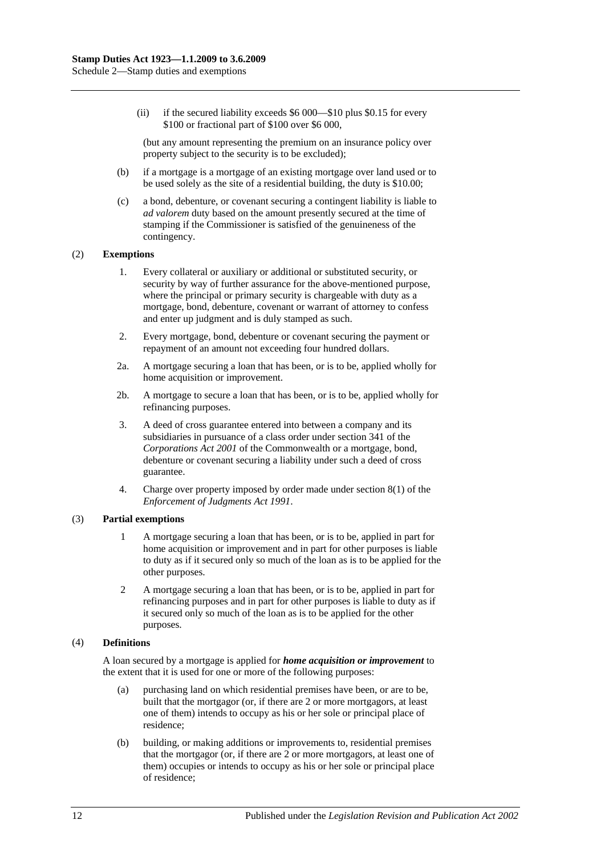(ii) if the secured liability exceeds \$6 000—\$10 plus \$0.15 for every \$100 or fractional part of \$100 over \$6 000,

(but any amount representing the premium on an insurance policy over property subject to the security is to be excluded);

- (b) if a mortgage is a mortgage of an existing mortgage over land used or to be used solely as the site of a residential building, the duty is \$10.00;
- (c) a bond, debenture, or covenant securing a contingent liability is liable to *ad valorem* duty based on the amount presently secured at the time of stamping if the Commissioner is satisfied of the genuineness of the contingency.

#### (2) **Exemptions**

- 1. Every collateral or auxiliary or additional or substituted security, or security by way of further assurance for the above-mentioned purpose, where the principal or primary security is chargeable with duty as a mortgage, bond, debenture, covenant or warrant of attorney to confess and enter up judgment and is duly stamped as such.
- 2. Every mortgage, bond, debenture or covenant securing the payment or repayment of an amount not exceeding four hundred dollars.
- 2a. A mortgage securing a loan that has been, or is to be, applied wholly for home acquisition or improvement.
- 2b. A mortgage to secure a loan that has been, or is to be, applied wholly for refinancing purposes.
- 3. A deed of cross guarantee entered into between a company and its subsidiaries in pursuance of a class order under section 341 of the *Corporations Act 2001* of the Commonwealth or a mortgage, bond, debenture or covenant securing a liability under such a deed of cross guarantee.
- 4. Charge over property imposed by order made under section 8(1) of the *[Enforcement of Judgments Act](http://www.legislation.sa.gov.au/index.aspx?action=legref&type=act&legtitle=Enforcement%20of%20Judgments%20Act%201991) 1991*.

#### (3) **Partial exemptions**

- 1 A mortgage securing a loan that has been, or is to be, applied in part for home acquisition or improvement and in part for other purposes is liable to duty as if it secured only so much of the loan as is to be applied for the other purposes.
- 2 A mortgage securing a loan that has been, or is to be, applied in part for refinancing purposes and in part for other purposes is liable to duty as if it secured only so much of the loan as is to be applied for the other purposes.

#### (4) **Definitions**

A loan secured by a mortgage is applied for *home acquisition or improvement* to the extent that it is used for one or more of the following purposes:

- (a) purchasing land on which residential premises have been, or are to be, built that the mortgagor (or, if there are 2 or more mortgagors, at least one of them) intends to occupy as his or her sole or principal place of residence;
- (b) building, or making additions or improvements to, residential premises that the mortgagor (or, if there are 2 or more mortgagors, at least one of them) occupies or intends to occupy as his or her sole or principal place of residence;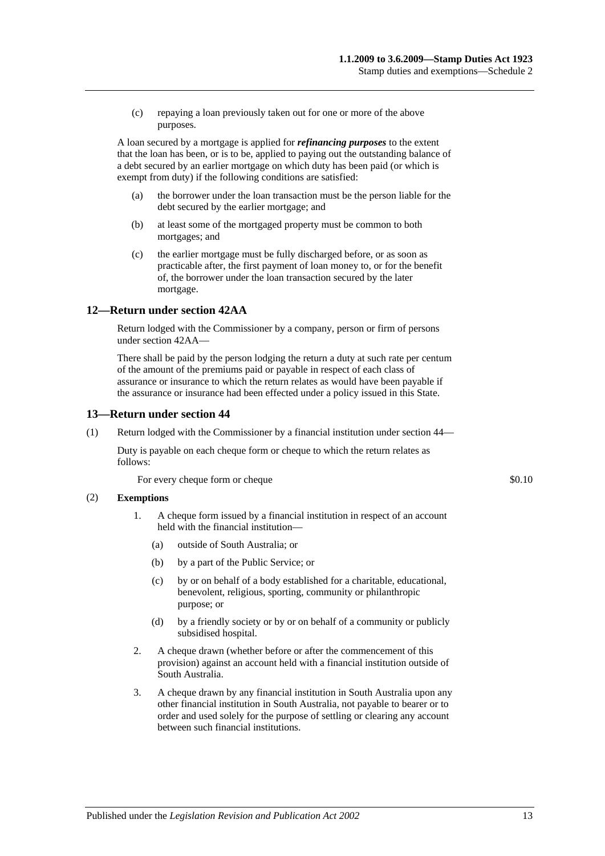(c) repaying a loan previously taken out for one or more of the above purposes.

A loan secured by a mortgage is applied for *refinancing purposes* to the extent that the loan has been, or is to be, applied to paying out the outstanding balance of a debt secured by an earlier mortgage on which duty has been paid (or which is exempt from duty) if the following conditions are satisfied:

- (a) the borrower under the loan transaction must be the person liable for the debt secured by the earlier mortgage; and
- (b) at least some of the mortgaged property must be common to both mortgages; and
- (c) the earlier mortgage must be fully discharged before, or as soon as practicable after, the first payment of loan money to, or for the benefit of, the borrower under the loan transaction secured by the later mortgage.

#### **12—Return under section 42AA**

Return lodged with the Commissioner by a company, person or firm of persons unde[r section](#page-29-0) 42AA—

There shall be paid by the person lodging the return a duty at such rate per centum of the amount of the premiums paid or payable in respect of each class of assurance or insurance to which the return relates as would have been payable if the assurance or insurance had been effected under a policy issued in this State.

#### **13—Return under section 44**

(1) Return lodged with the Commissioner by a financial institution under [section](#page-34-0) 44—

Duty is payable on each cheque form or cheque to which the return relates as follows:

For every cheque form or cheque  $\qquad$  \$0.10

#### (2) **Exemptions**

- 1. A cheque form issued by a financial institution in respect of an account held with the financial institution—
	- (a) outside of South Australia; or
	- (b) by a part of the Public Service; or
	- (c) by or on behalf of a body established for a charitable, educational, benevolent, religious, sporting, community or philanthropic purpose; or
	- (d) by a friendly society or by or on behalf of a community or publicly subsidised hospital.
- 2. A cheque drawn (whether before or after the commencement of this provision) against an account held with a financial institution outside of South Australia.
- 3. A cheque drawn by any financial institution in South Australia upon any other financial institution in South Australia, not payable to bearer or to order and used solely for the purpose of settling or clearing any account between such financial institutions.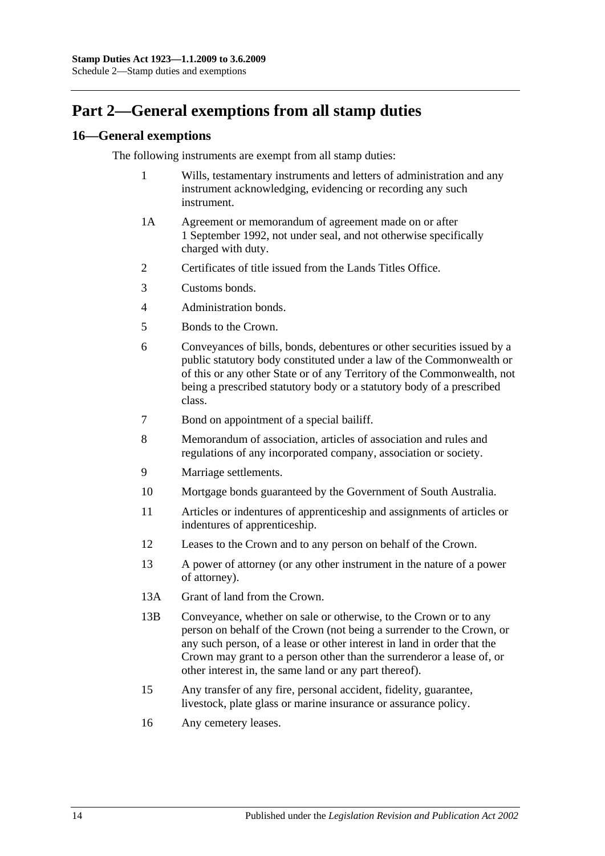## **Part 2—General exemptions from all stamp duties**

### **16—General exemptions**

The following instruments are exempt from all stamp duties:

- 1 Wills, testamentary instruments and letters of administration and any instrument acknowledging, evidencing or recording any such instrument.
- 1A Agreement or memorandum of agreement made on or after 1 September 1992, not under seal, and not otherwise specifically charged with duty.
- 2 Certificates of title issued from the Lands Titles Office.
- 3 Customs bonds.
- 4 Administration bonds.
- 5 Bonds to the Crown.
- 6 Conveyances of bills, bonds, debentures or other securities issued by a public statutory body constituted under a law of the Commonwealth or of this or any other State or of any Territory of the Commonwealth, not being a prescribed statutory body or a statutory body of a prescribed class.
- 7 Bond on appointment of a special bailiff.
- 8 Memorandum of association, articles of association and rules and regulations of any incorporated company, association or society.
- 9 Marriage settlements.
- 10 Mortgage bonds guaranteed by the Government of South Australia.
- 11 Articles or indentures of apprenticeship and assignments of articles or indentures of apprenticeship.
- 12 Leases to the Crown and to any person on behalf of the Crown.
- 13 A power of attorney (or any other instrument in the nature of a power of attorney).
- 13A Grant of land from the Crown.
- 13B Conveyance, whether on sale or otherwise, to the Crown or to any person on behalf of the Crown (not being a surrender to the Crown, or any such person, of a lease or other interest in land in order that the Crown may grant to a person other than the surrenderor a lease of, or other interest in, the same land or any part thereof).
- 15 Any transfer of any fire, personal accident, fidelity, guarantee, livestock, plate glass or marine insurance or assurance policy.
- 16 Any cemetery leases.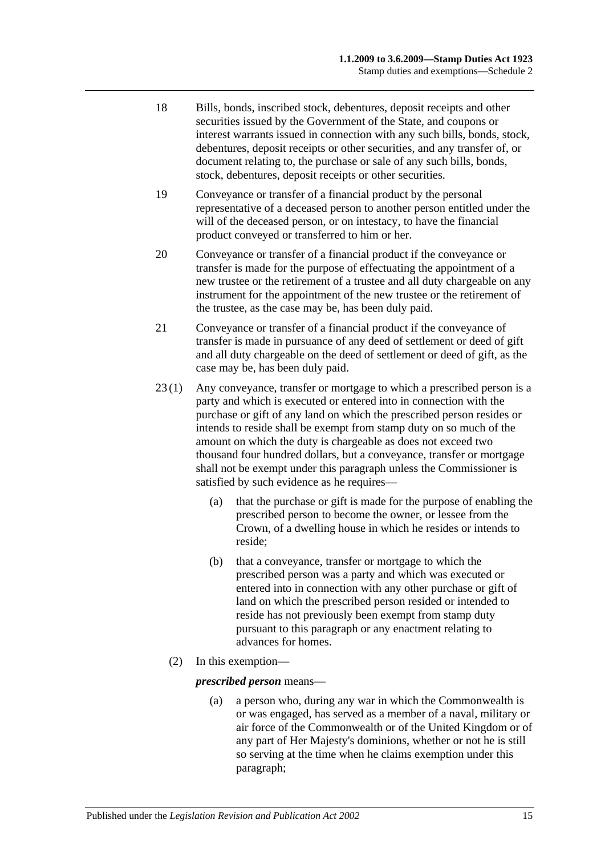- 18 Bills, bonds, inscribed stock, debentures, deposit receipts and other securities issued by the Government of the State, and coupons or interest warrants issued in connection with any such bills, bonds, stock, debentures, deposit receipts or other securities, and any transfer of, or document relating to, the purchase or sale of any such bills, bonds, stock, debentures, deposit receipts or other securities.
- 19 Conveyance or transfer of a financial product by the personal representative of a deceased person to another person entitled under the will of the deceased person, or on intestacy, to have the financial product conveyed or transferred to him or her.
- 20 Conveyance or transfer of a financial product if the conveyance or transfer is made for the purpose of effectuating the appointment of a new trustee or the retirement of a trustee and all duty chargeable on any instrument for the appointment of the new trustee or the retirement of the trustee, as the case may be, has been duly paid.
- 21 Conveyance or transfer of a financial product if the conveyance of transfer is made in pursuance of any deed of settlement or deed of gift and all duty chargeable on the deed of settlement or deed of gift, as the case may be, has been duly paid.
- 23 (1) Any conveyance, transfer or mortgage to which a prescribed person is a party and which is executed or entered into in connection with the purchase or gift of any land on which the prescribed person resides or intends to reside shall be exempt from stamp duty on so much of the amount on which the duty is chargeable as does not exceed two thousand four hundred dollars, but a conveyance, transfer or mortgage shall not be exempt under this paragraph unless the Commissioner is satisfied by such evidence as he requires—
	- (a) that the purchase or gift is made for the purpose of enabling the prescribed person to become the owner, or lessee from the Crown, of a dwelling house in which he resides or intends to reside;
	- (b) that a conveyance, transfer or mortgage to which the prescribed person was a party and which was executed or entered into in connection with any other purchase or gift of land on which the prescribed person resided or intended to reside has not previously been exempt from stamp duty pursuant to this paragraph or any enactment relating to advances for homes.
	- (2) In this exemption—

### <span id="page-110-0"></span>*prescribed person* means—

(a) a person who, during any war in which the Commonwealth is or was engaged, has served as a member of a naval, military or air force of the Commonwealth or of the United Kingdom or of any part of Her Majesty's dominions, whether or not he is still so serving at the time when he claims exemption under this paragraph;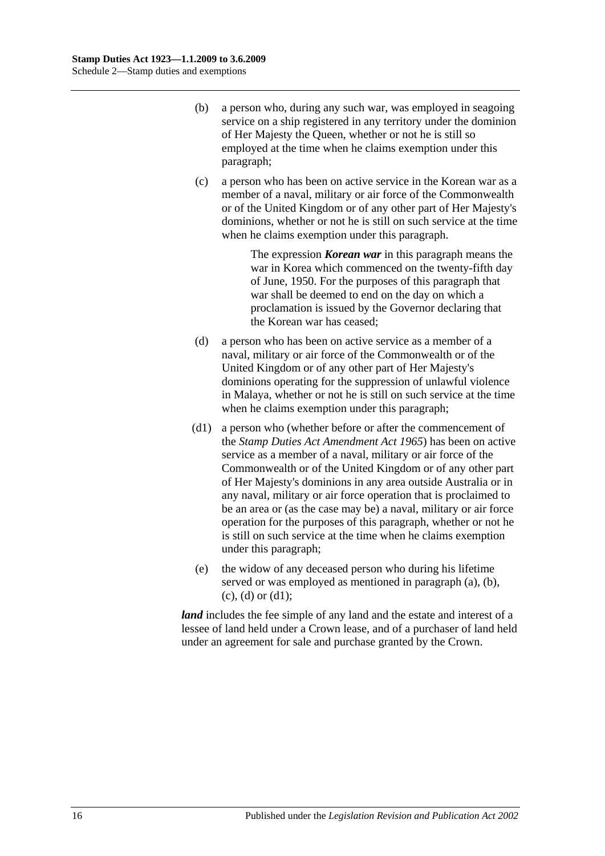- <span id="page-111-0"></span>(b) a person who, during any such war, was employed in seagoing service on a ship registered in any territory under the dominion of Her Majesty the Queen, whether or not he is still so employed at the time when he claims exemption under this paragraph;
- <span id="page-111-1"></span>(c) a person who has been on active service in the Korean war as a member of a naval, military or air force of the Commonwealth or of the United Kingdom or of any other part of Her Majesty's dominions, whether or not he is still on such service at the time when he claims exemption under this paragraph.

The expression *Korean war* in this paragraph means the war in Korea which commenced on the twenty-fifth day of June, 1950. For the purposes of this paragraph that war shall be deemed to end on the day on which a proclamation is issued by the Governor declaring that the Korean war has ceased;

- <span id="page-111-2"></span>(d) a person who has been on active service as a member of a naval, military or air force of the Commonwealth or of the United Kingdom or of any other part of Her Majesty's dominions operating for the suppression of unlawful violence in Malaya, whether or not he is still on such service at the time when he claims exemption under this paragraph;
- <span id="page-111-3"></span>(d1) a person who (whether before or after the commencement of the *[Stamp Duties Act Amendment Act](http://www.legislation.sa.gov.au/index.aspx?action=legref&type=act&legtitle=Stamp%20Duties%20Act%20Amendment%20Act%201965) 1965*) has been on active service as a member of a naval, military or air force of the Commonwealth or of the United Kingdom or of any other part of Her Majesty's dominions in any area outside Australia or in any naval, military or air force operation that is proclaimed to be an area or (as the case may be) a naval, military or air force operation for the purposes of this paragraph, whether or not he is still on such service at the time when he claims exemption under this paragraph;
- (e) the widow of any deceased person who during his lifetime served or was employed as mentioned in [paragraph](#page-110-0) (a), [\(b\),](#page-111-0)  $(c)$ ,  $(d)$  or  $(d1)$ ;

*land* includes the fee simple of any land and the estate and interest of a lessee of land held under a Crown lease, and of a purchaser of land held under an agreement for sale and purchase granted by the Crown.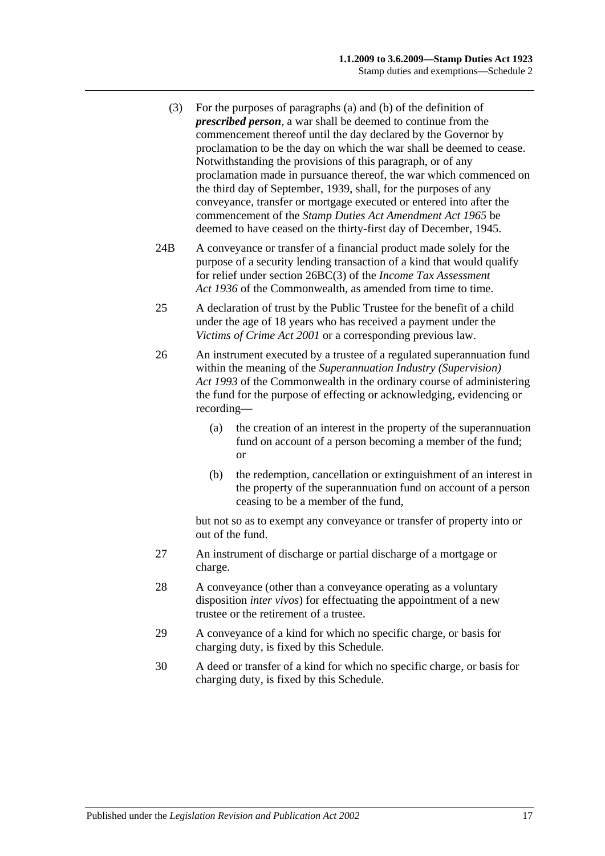- (3) For the purposes of [paragraphs](#page-110-0) (a) and [\(b\)](#page-111-0) of the definition of *prescribed person*, a war shall be deemed to continue from the commencement thereof until the day declared by the Governor by proclamation to be the day on which the war shall be deemed to cease. Notwithstanding the provisions of this paragraph, or of any proclamation made in pursuance thereof, the war which commenced on the third day of September, 1939, shall, for the purposes of any conveyance, transfer or mortgage executed or entered into after the commencement of the *[Stamp Duties Act Amendment Act](http://www.legislation.sa.gov.au/index.aspx?action=legref&type=act&legtitle=Stamp%20Duties%20Act%20Amendment%20Act%201965) 1965* be deemed to have ceased on the thirty-first day of December, 1945.
- 24B A conveyance or transfer of a financial product made solely for the purpose of a security lending transaction of a kind that would qualify for relief under section 26BC(3) of the *Income Tax Assessment*  Act 1936 of the Commonwealth, as amended from time to time.
- 25 A declaration of trust by the Public Trustee for the benefit of a child under the age of 18 years who has received a payment under the *[Victims of Crime Act](http://www.legislation.sa.gov.au/index.aspx?action=legref&type=act&legtitle=Victims%20of%20Crime%20Act%202001) 2001* or a corresponding previous law.
- 26 An instrument executed by a trustee of a regulated superannuation fund within the meaning of the *Superannuation Industry (Supervision) Act 1993* of the Commonwealth in the ordinary course of administering the fund for the purpose of effecting or acknowledging, evidencing or recording—
	- (a) the creation of an interest in the property of the superannuation fund on account of a person becoming a member of the fund; or
	- (b) the redemption, cancellation or extinguishment of an interest in the property of the superannuation fund on account of a person ceasing to be a member of the fund,

but not so as to exempt any conveyance or transfer of property into or out of the fund.

- 27 An instrument of discharge or partial discharge of a mortgage or charge.
- 28 A conveyance (other than a conveyance operating as a voluntary disposition *inter vivos*) for effectuating the appointment of a new trustee or the retirement of a trustee.
- 29 A conveyance of a kind for which no specific charge, or basis for charging duty, is fixed by this Schedule.
- 30 A deed or transfer of a kind for which no specific charge, or basis for charging duty, is fixed by this Schedule.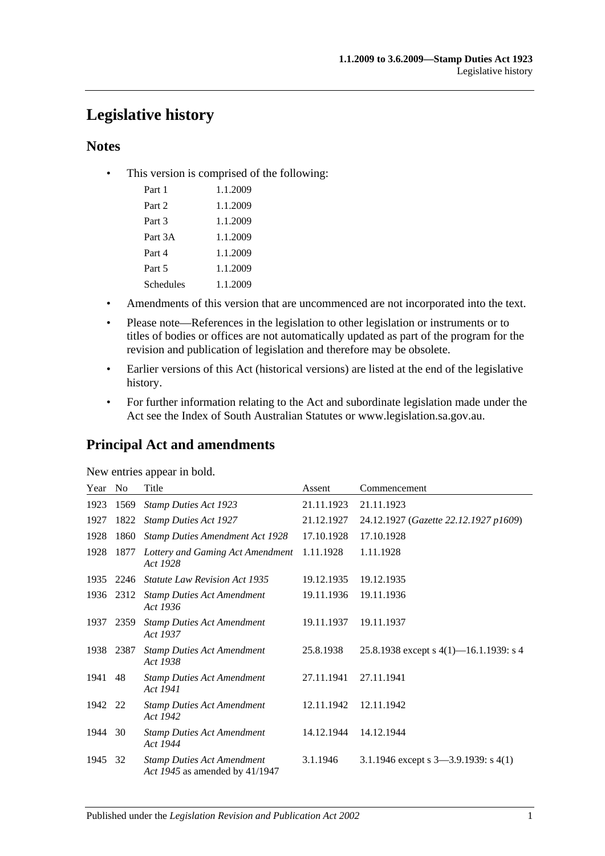# **Legislative history**

## **Notes**

• This version is comprised of the following:

| Part 1    | 1.1.2009 |
|-----------|----------|
| Part 2    | 1.1.2009 |
| Part 3    | 1.1.2009 |
| Part 3A   | 1.1.2009 |
| Part 4    | 1.1.2009 |
| Part 5    | 1.1.2009 |
| Schedules | 1.1.2009 |

- Amendments of this version that are uncommenced are not incorporated into the text.
- Please note—References in the legislation to other legislation or instruments or to titles of bodies or offices are not automatically updated as part of the program for the revision and publication of legislation and therefore may be obsolete.
- Earlier versions of this Act (historical versions) are listed at the end of the legislative history.
- For further information relating to the Act and subordinate legislation made under the Act see the Index of South Australian Statutes or www.legislation.sa.gov.au.

## **Principal Act and amendments**

### New entries appear in bold.

| Year | N <sub>o</sub> | Title                                                               | Assent     | Commencement                              |
|------|----------------|---------------------------------------------------------------------|------------|-------------------------------------------|
| 1923 | 1569           | <b>Stamp Duties Act 1923</b>                                        | 21.11.1923 | 21.11.1923                                |
| 1927 | 1822           | <b>Stamp Duties Act 1927</b>                                        | 21.12.1927 | 24.12.1927 (Gazette 22.12.1927 p1609)     |
| 1928 | 1860           | <b>Stamp Duties Amendment Act 1928</b>                              | 17.10.1928 | 17.10.1928                                |
| 1928 | 1877           | Lottery and Gaming Act Amendment<br>Act 1928                        | 1.11.1928  | 1.11.1928                                 |
| 1935 | 2246           | <b>Statute Law Revision Act 1935</b>                                | 19.12.1935 | 19.12.1935                                |
|      | 1936 2312      | <b>Stamp Duties Act Amendment</b><br>Act 1936                       | 19.11.1936 | 19.11.1936                                |
| 1937 | 2359           | <b>Stamp Duties Act Amendment</b><br>Act 1937                       | 19.11.1937 | 19.11.1937                                |
| 1938 | 2387           | <b>Stamp Duties Act Amendment</b><br>Act 1938                       | 25.8.1938  | 25.8.1938 except s $4(1)$ —16.1.1939: s 4 |
| 1941 | 48             | <b>Stamp Duties Act Amendment</b><br>Act 1941                       | 27.11.1941 | 27.11.1941                                |
| 1942 | 22             | <b>Stamp Duties Act Amendment</b><br>Act 1942                       | 12.11.1942 | 12.11.1942                                |
| 1944 | 30             | <b>Stamp Duties Act Amendment</b><br>Act 1944                       | 14.12.1944 | 14.12.1944                                |
| 1945 | 32             | <b>Stamp Duties Act Amendment</b><br>Act 1945 as amended by 41/1947 | 3.1.1946   | 3.1.1946 except s $3-3.9.1939$ : s $4(1)$ |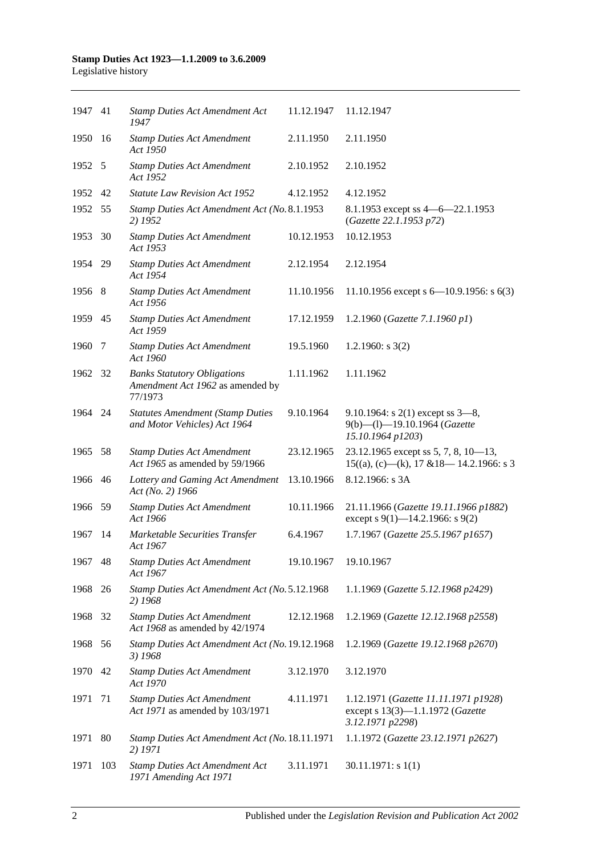| 1947 41 |      | <b>Stamp Duties Act Amendment Act</b><br>1947                                     | 11.12.1947 | 11.12.1947                                                                                   |
|---------|------|-----------------------------------------------------------------------------------|------------|----------------------------------------------------------------------------------------------|
| 1950    | - 16 | <b>Stamp Duties Act Amendment</b><br>Act 1950                                     | 2.11.1950  | 2.11.1950                                                                                    |
| 1952 5  |      | <b>Stamp Duties Act Amendment</b><br>Act 1952                                     | 2.10.1952  | 2.10.1952                                                                                    |
| 1952 42 |      | <b>Statute Law Revision Act 1952</b>                                              | 4.12.1952  | 4.12.1952                                                                                    |
| 1952 55 |      | Stamp Duties Act Amendment Act (No. 8.1.1953<br>2) 1952                           |            | 8.1.1953 except ss 4 - 6 - 22.1.1953<br>(Gazette 22.1.1953 p72)                              |
| 1953    | 30   | <b>Stamp Duties Act Amendment</b><br>Act 1953                                     | 10.12.1953 | 10.12.1953                                                                                   |
| 1954 29 |      | <b>Stamp Duties Act Amendment</b><br>Act 1954                                     | 2.12.1954  | 2.12.1954                                                                                    |
| 1956 8  |      | <b>Stamp Duties Act Amendment</b><br>Act 1956                                     | 11.10.1956 | 11.10.1956 except s $6-10.9.1956$ : s $6(3)$                                                 |
| 1959 45 |      | <b>Stamp Duties Act Amendment</b><br>Act 1959                                     | 17.12.1959 | 1.2.1960 (Gazette 7.1.1960 p1)                                                               |
| 1960    | 7    | <b>Stamp Duties Act Amendment</b><br>Act 1960                                     | 19.5.1960  | 1.2.1960: $s$ 3(2)                                                                           |
| 1962 32 |      | <b>Banks Statutory Obligations</b><br>Amendment Act 1962 as amended by<br>77/1973 | 1.11.1962  | 1.11.1962                                                                                    |
| 1964 24 |      | <b>Statutes Amendment (Stamp Duties</b><br>and Motor Vehicles) Act 1964           | 9.10.1964  | 9.10.1964: s $2(1)$ except ss $3-8$ ,<br>9(b)-(l)-19.10.1964 (Gazette<br>15.10.1964 p1203)   |
| 1965 58 |      | <b>Stamp Duties Act Amendment</b><br>Act 1965 as amended by 59/1966               | 23.12.1965 | 23.12.1965 except ss 5, 7, 8, $10-13$ ,<br>$15((a), (c)$ —(k), 17 & 18—14.2.1966: s 3        |
| 1966    | 46   | Lottery and Gaming Act Amendment<br>Act (No. 2) 1966                              | 13.10.1966 | 8.12.1966: s 3A                                                                              |
| 1966 59 |      | <b>Stamp Duties Act Amendment</b><br>Act 1966                                     | 10.11.1966 | 21.11.1966 (Gazette 19.11.1966 p1882)<br>except s 9(1)-14.2.1966: s 9(2)                     |
| 1967    | -14  | Marketable Securities Transfer<br>Act 1967                                        | 6.4.1967   | 1.7.1967 (Gazette 25.5.1967 p1657)                                                           |
| 1967    | 48   | <b>Stamp Duties Act Amendment</b><br>Act 1967                                     | 19.10.1967 | 19.10.1967                                                                                   |
| 1968    | 26   | Stamp Duties Act Amendment Act (No. 5.12.1968<br>2) 1968                          |            | 1.1.1969 (Gazette 5.12.1968 p2429)                                                           |
| 1968    | 32   | <b>Stamp Duties Act Amendment</b><br>Act 1968 as amended by 42/1974               | 12.12.1968 | 1.2.1969 (Gazette 12.12.1968 p2558)                                                          |
| 1968    | 56   | Stamp Duties Act Amendment Act (No. 19.12.1968<br>3) 1968                         |            | 1.2.1969 (Gazette 19.12.1968 p2670)                                                          |
| 1970    | 42   | <b>Stamp Duties Act Amendment</b><br>Act 1970                                     | 3.12.1970  | 3.12.1970                                                                                    |
| 1971    | 71   | <b>Stamp Duties Act Amendment</b><br>Act 1971 as amended by 103/1971              | 4.11.1971  | 1.12.1971 (Gazette 11.11.1971 p1928)<br>except s 13(3)-1.1.1972 (Gazette<br>3.12.1971 p2298) |
| 1971    | 80   | Stamp Duties Act Amendment Act (No. 18.11.1971<br>2) 1971                         |            | 1.1.1972 (Gazette 23.12.1971 p2627)                                                          |
| 1971    | 103  | <b>Stamp Duties Act Amendment Act</b><br>1971 Amending Act 1971                   | 3.11.1971  | $30.11.1971$ : s 1(1)                                                                        |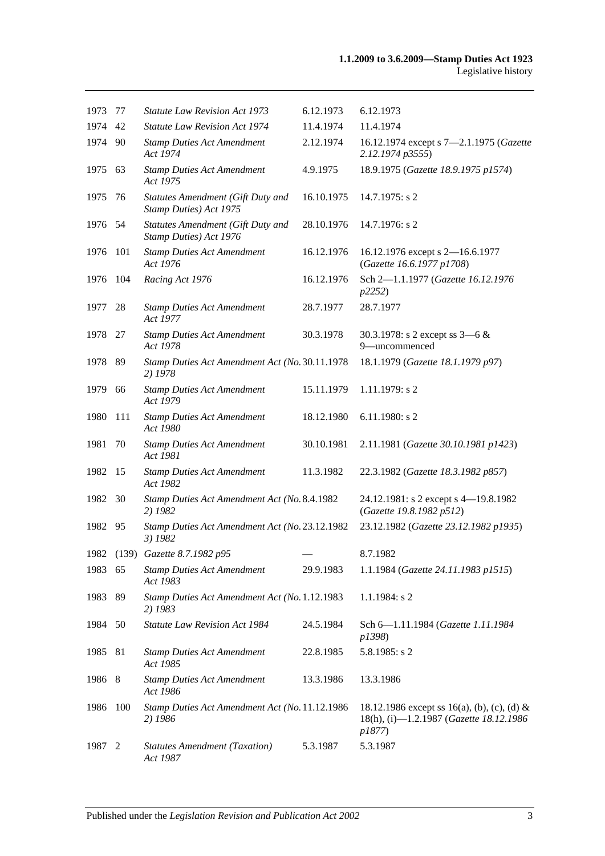| 1973    | 77  | <b>Statute Law Revision Act 1973</b>                        | 6.12.1973  | 6.12.1973                                                                                        |
|---------|-----|-------------------------------------------------------------|------------|--------------------------------------------------------------------------------------------------|
| 1974    | 42  | <b>Statute Law Revision Act 1974</b>                        | 11.4.1974  | 11.4.1974                                                                                        |
| 1974 90 |     | <b>Stamp Duties Act Amendment</b><br>Act 1974               | 2.12.1974  | 16.12.1974 except s 7-2.1.1975 (Gazette<br>2.12.1974 p3555)                                      |
| 1975 63 |     | <b>Stamp Duties Act Amendment</b><br>Act 1975               | 4.9.1975   | 18.9.1975 (Gazette 18.9.1975 p1574)                                                              |
| 1975    | 76  | Statutes Amendment (Gift Duty and<br>Stamp Duties) Act 1975 | 16.10.1975 | $14.7.1975$ : s 2                                                                                |
| 1976 54 |     | Statutes Amendment (Gift Duty and<br>Stamp Duties) Act 1976 | 28.10.1976 | 14.7.1976: s 2                                                                                   |
| 1976    | 101 | <b>Stamp Duties Act Amendment</b><br>Act 1976               | 16.12.1976 | 16.12.1976 except s 2-16.6.1977<br>(Gazette 16.6.1977 p1708)                                     |
| 1976    | 104 | Racing Act 1976                                             | 16.12.1976 | Sch 2-1.1.1977 (Gazette 16.12.1976<br>p2252)                                                     |
| 1977    | 28  | <b>Stamp Duties Act Amendment</b><br>Act 1977               | 28.7.1977  | 28.7.1977                                                                                        |
| 1978 27 |     | <b>Stamp Duties Act Amendment</b><br>Act 1978               | 30.3.1978  | 30.3.1978: s 2 except ss $3-6 &$<br>9-uncommenced                                                |
| 1978 89 |     | Stamp Duties Act Amendment Act (No. 30.11.1978)<br>2) 1978  |            | 18.1.1979 (Gazette 18.1.1979 p97)                                                                |
| 1979    | 66  | <b>Stamp Duties Act Amendment</b><br>Act 1979               | 15.11.1979 | 1.11.1979: s 2                                                                                   |
| 1980    | 111 | <b>Stamp Duties Act Amendment</b><br>Act 1980               | 18.12.1980 | $6.11.1980$ : s 2                                                                                |
| 1981    | 70  | <b>Stamp Duties Act Amendment</b><br>Act 1981               | 30.10.1981 | 2.11.1981 (Gazette 30.10.1981 p1423)                                                             |
| 1982    | -15 | <b>Stamp Duties Act Amendment</b><br>Act 1982               | 11.3.1982  | 22.3.1982 (Gazette 18.3.1982 p857)                                                               |
| 1982    | 30  | Stamp Duties Act Amendment Act (No. 8.4.1982<br>2) 1982     |            | 24.12.1981: s 2 except s 4-19.8.1982<br>(Gazette 19.8.1982 p512)                                 |
| 1982    | 95  | Stamp Duties Act Amendment Act (No. 23.12.1982<br>3) 1982   |            | 23.12.1982 (Gazette 23.12.1982 p1935)                                                            |
|         |     | 1982 (139) Gazette 8.7.1982 p95                             |            | 8.7.1982                                                                                         |
| 1983 65 |     | <b>Stamp Duties Act Amendment</b><br>Act 1983               | 29.9.1983  | 1.1.1984 (Gazette 24.11.1983 p1515)                                                              |
| 1983    | 89  | Stamp Duties Act Amendment Act (No. 1.12.1983<br>2) 1983    |            | 1.1.1984: s 2                                                                                    |
| 1984    | 50  | Statute Law Revision Act 1984                               | 24.5.1984  | Sch 6-1.11.1984 (Gazette 1.11.1984<br>p1398)                                                     |
| 1985    | 81  | <b>Stamp Duties Act Amendment</b><br>Act 1985               | 22.8.1985  | $5.8.1985$ : s 2                                                                                 |
| 1986    | 8   | <b>Stamp Duties Act Amendment</b><br>Act 1986               | 13.3.1986  | 13.3.1986                                                                                        |
| 1986    | 100 | Stamp Duties Act Amendment Act (No. 11.12.1986<br>2) 1986   |            | 18.12.1986 except ss 16(a), (b), (c), (d) &<br>18(h), (i)-1.2.1987 (Gazette 18.12.1986<br>p1877) |
| 1987    | 2   | <b>Statutes Amendment (Taxation)</b><br>Act 1987            | 5.3.1987   | 5.3.1987                                                                                         |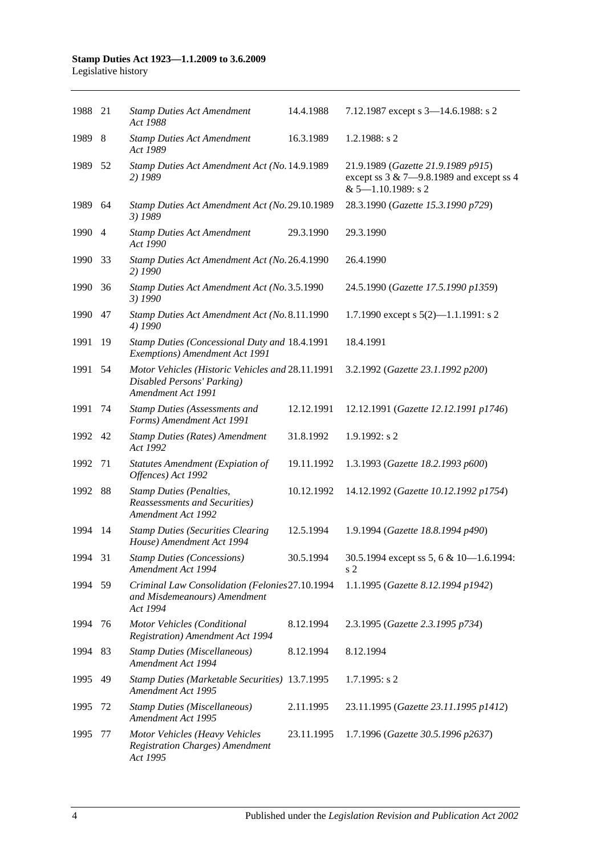# **Stamp Duties Act 1923—1.1.2009 to 3.6.2009**

Legislative history

| 1988 21 |                | <b>Stamp Duties Act Amendment</b><br>Act 1988                                                        | 14.4.1988  | 7.12.1987 except s 3-14.6.1988: s 2                                                                           |
|---------|----------------|------------------------------------------------------------------------------------------------------|------------|---------------------------------------------------------------------------------------------------------------|
| 1989    | 8              | <b>Stamp Duties Act Amendment</b><br>Act 1989                                                        | 16.3.1989  | 1.2.1988: s2                                                                                                  |
| 1989    | 52             | Stamp Duties Act Amendment Act (No. 14.9.1989<br>2) 1989                                             |            | 21.9.1989 (Gazette 21.9.1989 p915)<br>except ss $3 & 7 - 9.8.1989$ and except ss 4<br>$& 5 - 1.10.1989$ : s 2 |
| 1989    | -64            | Stamp Duties Act Amendment Act (No. 29.10.1989<br>3) 1989                                            |            | 28.3.1990 (Gazette 15.3.1990 p729)                                                                            |
| 1990    | $\overline{4}$ | <b>Stamp Duties Act Amendment</b><br>Act 1990                                                        | 29.3.1990  | 29.3.1990                                                                                                     |
| 1990    | 33             | Stamp Duties Act Amendment Act (No. 26.4.1990<br>2) 1990                                             |            | 26.4.1990                                                                                                     |
| 1990    | 36             | Stamp Duties Act Amendment Act (No. 3.5.1990<br>3) 1990                                              |            | 24.5.1990 (Gazette 17.5.1990 p1359)                                                                           |
| 1990    | 47             | Stamp Duties Act Amendment Act (No. 8.11.1990<br>4) 1990                                             |            | 1.7.1990 except s $5(2)$ —1.1.1991: s 2                                                                       |
| 1991    | 19             | Stamp Duties (Concessional Duty and 18.4.1991<br>Exemptions) Amendment Act 1991                      |            | 18.4.1991                                                                                                     |
| 1991    | 54             | Motor Vehicles (Historic Vehicles and 28.11.1991<br>Disabled Persons' Parking)<br>Amendment Act 1991 |            | 3.2.1992 (Gazette 23.1.1992 p200)                                                                             |
| 1991    | 74             | <b>Stamp Duties (Assessments and</b><br>Forms) Amendment Act 1991                                    | 12.12.1991 | 12.12.1991 (Gazette 12.12.1991 p1746)                                                                         |
| 1992    | 42             | <b>Stamp Duties (Rates) Amendment</b><br>Act 1992                                                    | 31.8.1992  | $1.9.1992$ : s 2                                                                                              |
| 1992    | 71             | <b>Statutes Amendment (Expiation of</b><br>Offences) Act 1992                                        | 19.11.1992 | 1.3.1993 (Gazette 18.2.1993 p600)                                                                             |
| 1992    | 88             | <b>Stamp Duties (Penalties,</b><br>Reassessments and Securities)<br>Amendment Act 1992               | 10.12.1992 | 14.12.1992 (Gazette 10.12.1992 p1754)                                                                         |
| 1994    | -14            | <b>Stamp Duties (Securities Clearing</b><br>House) Amendment Act 1994                                | 12.5.1994  | 1.9.1994 (Gazette 18.8.1994 p490)                                                                             |
| 1994 31 |                | <b>Stamp Duties (Concessions)</b><br>Amendment Act 1994                                              | 30.5.1994  | 30.5.1994 except ss 5, 6 & 10-1.6.1994:<br>s 2                                                                |
| 1994 59 |                | Criminal Law Consolidation (Felonies 27.10.1994<br>and Misdemeanours) Amendment<br>Act 1994          |            | 1.1.1995 (Gazette 8.12.1994 p1942)                                                                            |
| 1994    | 76             | Motor Vehicles (Conditional<br><b>Registration</b> ) Amendment Act 1994                              | 8.12.1994  | 2.3.1995 (Gazette 2.3.1995 p734)                                                                              |
| 1994 83 |                | <b>Stamp Duties (Miscellaneous)</b><br>Amendment Act 1994                                            | 8.12.1994  | 8.12.1994                                                                                                     |
| 1995    | 49             | Stamp Duties (Marketable Securities) 13.7.1995<br>Amendment Act 1995                                 |            | $1.7.1995$ : s 2                                                                                              |
| 1995    | 72             | <b>Stamp Duties (Miscellaneous)</b><br>Amendment Act 1995                                            | 2.11.1995  | 23.11.1995 (Gazette 23.11.1995 p1412)                                                                         |
| 1995    | 77             | Motor Vehicles (Heavy Vehicles<br><b>Registration Charges)</b> Amendment<br>Act 1995                 | 23.11.1995 | 1.7.1996 (Gazette 30.5.1996 p2637)                                                                            |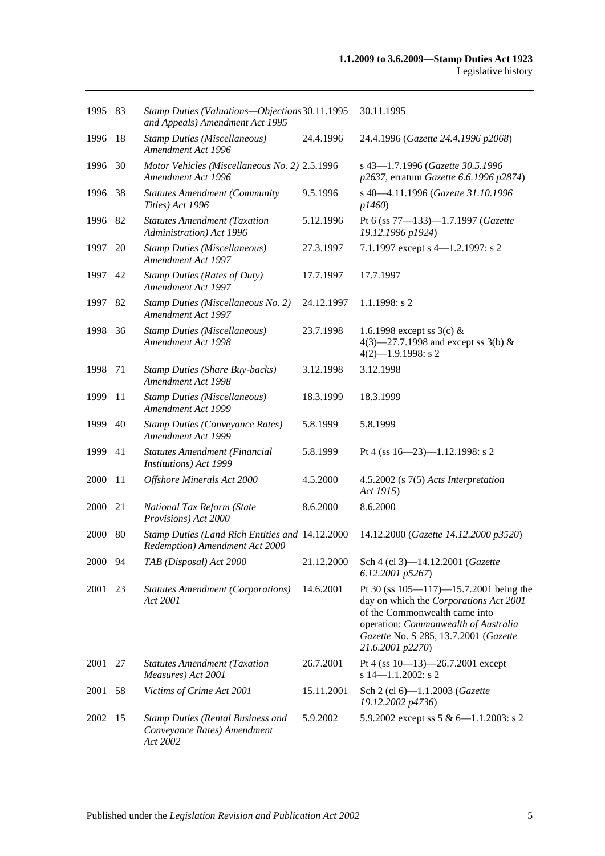| 1995 83 |     | Stamp Duties (Valuations-Objections 30.11.1995<br>and Appeals) Amendment Act 1995   |            | 30.11.1995                                                                                                                                                                                                             |
|---------|-----|-------------------------------------------------------------------------------------|------------|------------------------------------------------------------------------------------------------------------------------------------------------------------------------------------------------------------------------|
| 1996    | -18 | <b>Stamp Duties (Miscellaneous)</b><br>Amendment Act 1996                           | 24.4.1996  | 24.4.1996 (Gazette 24.4.1996 p2068)                                                                                                                                                                                    |
| 1996 30 |     | Motor Vehicles (Miscellaneous No. 2) 2.5.1996<br>Amendment Act 1996                 |            | s 43-1.7.1996 (Gazette 30.5.1996<br>p2637, erratum Gazette 6.6.1996 p2874)                                                                                                                                             |
| 1996    | 38  | <b>Statutes Amendment (Community</b><br>Titles) Act 1996                            | 9.5.1996   | s 40-4.11.1996 (Gazette 31.10.1996<br>p1460)                                                                                                                                                                           |
| 1996 82 |     | <b>Statutes Amendment (Taxation</b><br>Administration) Act 1996                     | 5.12.1996  | Pt 6 (ss 77-133)-1.7.1997 (Gazette<br>19.12.1996 p1924)                                                                                                                                                                |
| 1997    | 20  | <b>Stamp Duties (Miscellaneous)</b><br>Amendment Act 1997                           | 27.3.1997  | 7.1.1997 except s 4-1.2.1997: s 2                                                                                                                                                                                      |
| 1997    | 42  | <b>Stamp Duties (Rates of Duty)</b><br>Amendment Act 1997                           | 17.7.1997  | 17.7.1997                                                                                                                                                                                                              |
| 1997    | 82  | Stamp Duties (Miscellaneous No. 2)<br>Amendment Act 1997                            | 24.12.1997 | $1.1.1998$ : s 2                                                                                                                                                                                                       |
| 1998    | 36  | <b>Stamp Duties (Miscellaneous)</b><br>Amendment Act 1998                           | 23.7.1998  | 1.6.1998 except ss $3(c)$ &<br>4(3)–27.7.1998 and except ss 3(b) $&$<br>$4(2)$ -1.9.1998: s 2                                                                                                                          |
| 1998    | 71  | <b>Stamp Duties (Share Buy-backs)</b><br>Amendment Act 1998                         | 3.12.1998  | 3.12.1998                                                                                                                                                                                                              |
| 1999    | 11  | <b>Stamp Duties (Miscellaneous)</b><br>Amendment Act 1999                           | 18.3.1999  | 18.3.1999                                                                                                                                                                                                              |
| 1999    | 40  | <b>Stamp Duties (Conveyance Rates)</b><br>Amendment Act 1999                        | 5.8.1999   | 5.8.1999                                                                                                                                                                                                               |
| 1999    | 41  | Statutes Amendment (Financial<br>Institutions) Act 1999                             | 5.8.1999   | Pt 4 (ss $16 - 23$ )-1.12.1998: s 2                                                                                                                                                                                    |
| 2000    | 11  | Offshore Minerals Act 2000                                                          | 4.5.2000   | $4.5.2002$ (s $7(5)$ Acts Interpretation<br>Act 1915)                                                                                                                                                                  |
| 2000    | 21  | National Tax Reform (State<br>Provisions) Act 2000                                  | 8.6.2000   | 8.6.2000                                                                                                                                                                                                               |
| 2000    | 80  | Stamp Duties (Land Rich Entities and 14.12.2000<br>Redemption) Amendment Act 2000   |            | 14.12.2000 (Gazette 14.12.2000 p3520)                                                                                                                                                                                  |
| 2000 94 |     | TAB (Disposal) Act 2000                                                             | 21.12.2000 | Sch 4 (cl 3)-14.12.2001 (Gazette<br>6.12.2001 p5267)                                                                                                                                                                   |
| 2001    | 23  | <b>Statutes Amendment (Corporations)</b><br>Act 2001                                | 14.6.2001  | Pt 30 (ss 105-117)-15.7.2001 being the<br>day on which the Corporations Act 2001<br>of the Commonwealth came into<br>operation: Commonwealth of Australia<br>Gazette No. S 285, 13.7.2001 (Gazette<br>21.6.2001 p2270) |
| 2001    | 27  | <b>Statutes Amendment (Taxation</b><br>Measures) Act 2001                           | 26.7.2001  | Pt 4 (ss $10-13$ )-26.7.2001 except<br>s $14 - 1.1.2002$ : s 2                                                                                                                                                         |
| 2001    | 58  | Victims of Crime Act 2001                                                           | 15.11.2001 | Sch 2 (cl 6)-1.1.2003 (Gazette<br>19.12.2002 p4736)                                                                                                                                                                    |
| 2002    | -15 | <b>Stamp Duties (Rental Business and</b><br>Conveyance Rates) Amendment<br>Act 2002 | 5.9.2002   | 5.9.2002 except ss $5 & 6 - 1.1.2003$ : s 2                                                                                                                                                                            |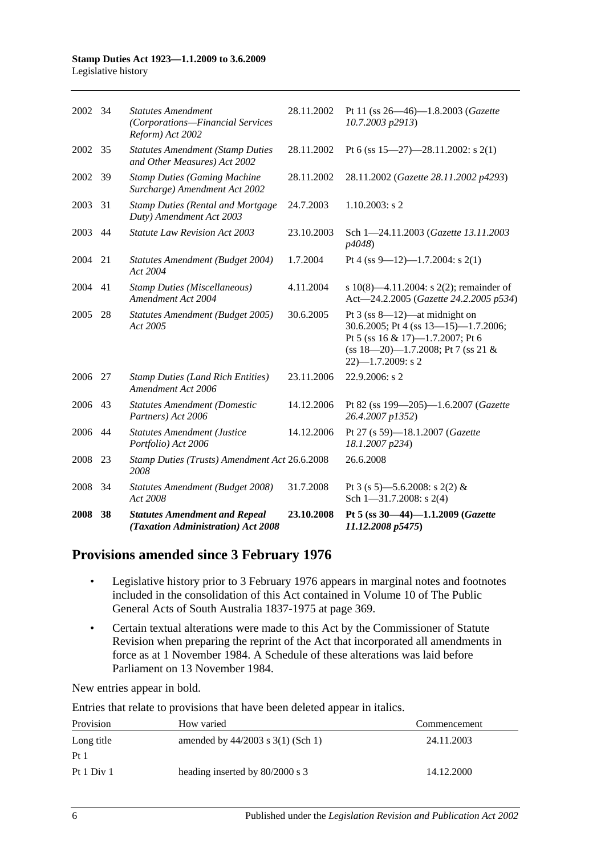| 2008 | 38  | <b>Statutes Amendment and Repeal</b><br>(Taxation Administration) Act 2008        | 23.10.2008 | Pt 5 (ss 30-44)-1.1.2009 (Gazette<br>11.12.2008 p5475)                                                                                                                           |
|------|-----|-----------------------------------------------------------------------------------|------------|----------------------------------------------------------------------------------------------------------------------------------------------------------------------------------|
| 2008 | -34 | Statutes Amendment (Budget 2008)<br>Act 2008                                      | 31.7.2008  | Pt 3 (s 5)—5.6.2008: s 2(2) &<br>Sch $1 - 31.7.2008$ : s 2(4)                                                                                                                    |
| 2008 | 23  | Stamp Duties (Trusts) Amendment Act 26.6.2008<br>2008                             |            | 26.6.2008                                                                                                                                                                        |
| 2006 | 44  | <b>Statutes Amendment (Justice</b><br>Portfolio) Act 2006                         | 14.12.2006 | Pt 27 (s 59)-18.1.2007 (Gazette<br>18.1.2007 p234)                                                                                                                               |
| 2006 | 43  | <b>Statutes Amendment (Domestic</b><br>Partners) Act 2006                         | 14.12.2006 | Pt 82 (ss 199-205)-1.6.2007 (Gazette<br>26.4.2007 p1352)                                                                                                                         |
| 2006 | 27  | <b>Stamp Duties (Land Rich Entities)</b><br>Amendment Act 2006                    | 23.11.2006 | 22.9.2006: s 2                                                                                                                                                                   |
| 2005 | 28  | Statutes Amendment (Budget 2005)<br>Act 2005                                      | 30.6.2005  | Pt $3$ (ss 8—12)—at midnight on<br>30.6.2005; Pt 4 (ss 13-15)-1.7.2006;<br>Pt 5 (ss $16 \& 17$ )—1.7.2007; Pt 6<br>$(ss 18-20)$ -1.7.2008; Pt 7 (ss 21 &<br>$22$ )-1.7.2009: s 2 |
| 2004 | 41  | <b>Stamp Duties (Miscellaneous)</b><br>Amendment Act 2004                         | 4.11.2004  | s 10(8)—4.11.2004: s 2(2); remainder of<br>Act-24.2.2005 (Gazette 24.2.2005 p534)                                                                                                |
| 2004 | 21  | Statutes Amendment (Budget 2004)<br>Act 2004                                      | 1.7.2004   | Pt 4 (ss 9—12)—1.7.2004: s 2(1)                                                                                                                                                  |
| 2003 | 44  | <b>Statute Law Revision Act 2003</b>                                              | 23.10.2003 | Sch 1-24.11.2003 (Gazette 13.11.2003<br>p4048)                                                                                                                                   |
| 2003 | 31  | <b>Stamp Duties (Rental and Mortgage</b><br>Duty) Amendment Act 2003              | 24.7.2003  | $1.10.2003$ : s 2                                                                                                                                                                |
| 2002 | 39  | <b>Stamp Duties (Gaming Machine</b><br>Surcharge) Amendment Act 2002              | 28.11.2002 | 28.11.2002 (Gazette 28.11.2002 p4293)                                                                                                                                            |
| 2002 | 35  | <b>Statutes Amendment (Stamp Duties</b><br>and Other Measures) Act 2002           | 28.11.2002 | Pt 6 (ss $15 - 27$ )-28.11.2002: s 2(1)                                                                                                                                          |
| 2002 | -34 | <b>Statutes Amendment</b><br>(Corporations-Financial Services<br>Reform) Act 2002 | 28.11.2002 | Pt 11 (ss 26-46)-1.8.2003 (Gazette<br>10.7.2003 p2913)                                                                                                                           |
|      |     |                                                                                   |            |                                                                                                                                                                                  |

## **Provisions amended since 3 February 1976**

- Legislative history prior to 3 February 1976 appears in marginal notes and footnotes included in the consolidation of this Act contained in Volume 10 of The Public General Acts of South Australia 1837-1975 at page 369.
- Certain textual alterations were made to this Act by the Commissioner of Statute Revision when preparing the reprint of the Act that incorporated all amendments in force as at 1 November 1984. A Schedule of these alterations was laid before Parliament on 13 November 1984.

New entries appear in bold.

Entries that relate to provisions that have been deleted appear in italics.

| Provision       | How varied                            | Commencement |
|-----------------|---------------------------------------|--------------|
| Long title      | amended by $44/2003$ s $3(1)$ (Sch 1) | 24.11.2003   |
| Pt <sub>1</sub> |                                       |              |
| Pt 1 Div 1      | heading inserted by 80/2000 s 3       | 14.12.2000   |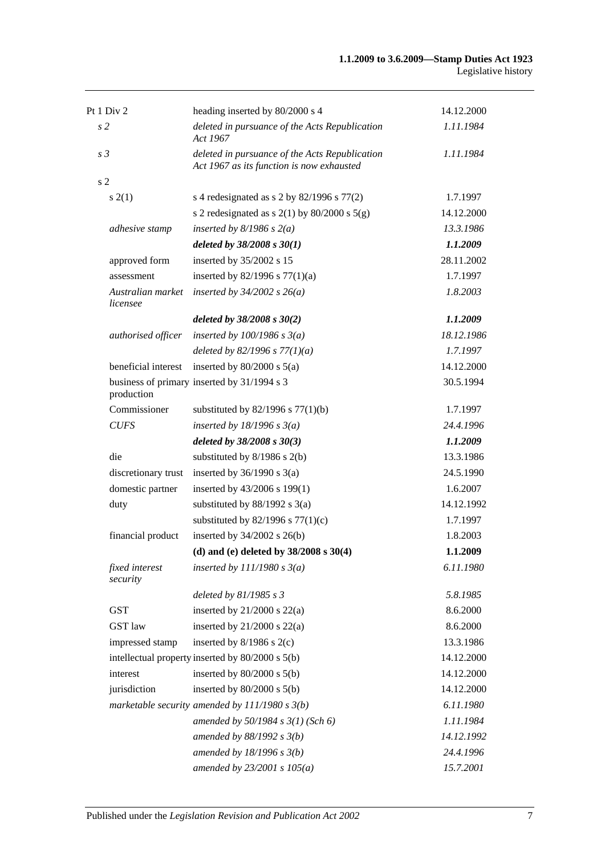| heading inserted by 80/2000 s 4                                                             | 14.12.2000 |
|---------------------------------------------------------------------------------------------|------------|
| deleted in pursuance of the Acts Republication<br>Act 1967                                  | 1.11.1984  |
| deleted in pursuance of the Acts Republication<br>Act 1967 as its function is now exhausted | 1.11.1984  |
|                                                                                             |            |
| s 4 redesignated as s 2 by $82/1996$ s $77(2)$                                              | 1.7.1997   |
| s 2 redesignated as s $2(1)$ by $80/2000$ s $5(g)$                                          | 14.12.2000 |
| inserted by $8/1986$ s $2(a)$                                                               | 13.3.1986  |
| deleted by $38/2008 s 30(1)$                                                                | 1.1.2009   |
| inserted by 35/2002 s 15                                                                    | 28.11.2002 |
| inserted by $82/1996$ s $77(1)(a)$                                                          | 1.7.1997   |
| Australian market<br>inserted by $34/2002$ s $26(a)$                                        | 1.8.2003   |
| deleted by $38/2008$ s $30(2)$                                                              | 1.1.2009   |
| inserted by $100/1986$ s $3(a)$                                                             | 18.12.1986 |
| deleted by 82/1996 s $77(1)(a)$                                                             | 1.7.1997   |
| inserted by $80/2000$ s $5(a)$                                                              | 14.12.2000 |
| business of primary inserted by 31/1994 s 3                                                 | 30.5.1994  |
| substituted by $82/1996$ s $77(1)(b)$                                                       | 1.7.1997   |
| inserted by $18/1996 s 3(a)$                                                                | 24.4.1996  |
| deleted by $38/2008 s 30(3)$                                                                | 1.1.2009   |
| substituted by $8/1986$ s $2(b)$                                                            | 13.3.1986  |
| discretionary trust<br>inserted by $36/1990$ s $3(a)$                                       | 24.5.1990  |
| inserted by 43/2006 s 199(1)                                                                | 1.6.2007   |
| substituted by $88/1992$ s 3(a)                                                             | 14.12.1992 |
| substituted by $82/1996$ s $77(1)(c)$                                                       | 1.7.1997   |
| inserted by 34/2002 s 26(b)                                                                 | 1.8.2003   |
| (d) and (e) deleted by $38/2008$ s $30(4)$                                                  | 1.1.2009   |
| inserted by $111/1980 s 3(a)$                                                               | 6.11.1980  |
| deleted by 81/1985 s 3                                                                      | 5.8.1985   |
| inserted by $21/2000$ s $22(a)$                                                             | 8.6.2000   |
| inserted by $21/2000$ s $22(a)$                                                             | 8.6.2000   |
| inserted by $8/1986$ s $2(c)$                                                               | 13.3.1986  |
| intellectual property inserted by 80/2000 s 5(b)                                            | 14.12.2000 |
| inserted by $80/2000$ s $5(b)$                                                              | 14.12.2000 |
| inserted by $80/2000$ s $5(b)$                                                              | 14.12.2000 |
| marketable security amended by $111/1980 s 3(b)$                                            | 6.11.1980  |
| amended by $50/1984 s 3(1)$ (Sch 6)                                                         | 1.11.1984  |
| amended by $88/1992 s 3(b)$                                                                 | 14.12.1992 |
| amended by $18/1996 s 3(b)$                                                                 | 24.4.1996  |
| amended by $23/2001 s 105(a)$                                                               | 15.7.2001  |
|                                                                                             |            |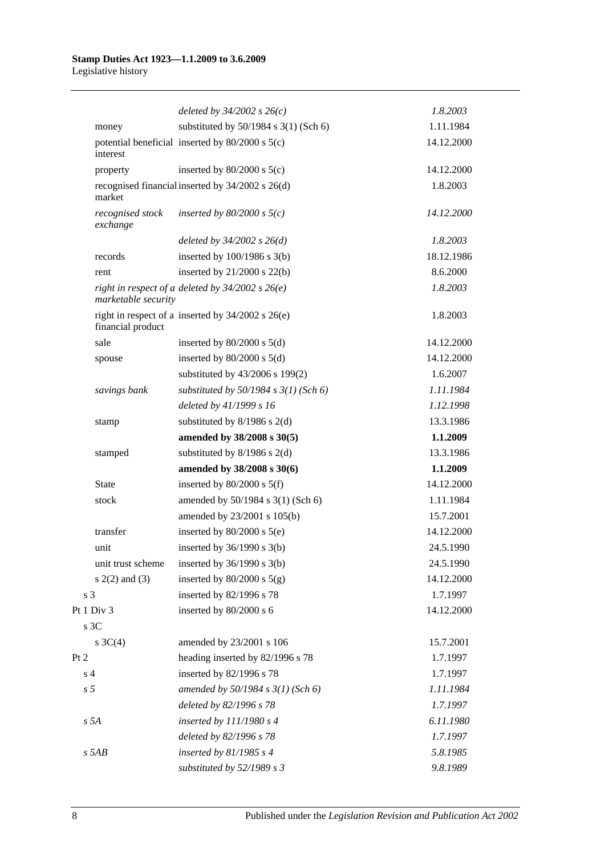|                |                              | deleted by $34/2002$ s $26(c)$                        | 1.8.2003   |
|----------------|------------------------------|-------------------------------------------------------|------------|
|                | money                        | substituted by $50/1984$ s $3(1)$ (Sch 6)             | 1.11.1984  |
|                | interest                     | potential beneficial inserted by $80/2000$ s $5(c)$   | 14.12.2000 |
|                | property                     | inserted by $80/2000$ s $5(c)$                        | 14.12.2000 |
|                | market                       | recognised financial inserted by 34/2002 s 26(d)      | 1.8.2003   |
|                | recognised stock<br>exchange | inserted by $80/2000$ s $5(c)$                        | 14.12.2000 |
|                |                              | deleted by $34/2002$ s $26(d)$                        | 1.8.2003   |
|                | records                      | inserted by $100/1986$ s $3(b)$                       | 18.12.1986 |
|                | rent                         | inserted by $21/2000$ s $22(b)$                       | 8.6.2000   |
|                | marketable security          | right in respect of a deleted by $34/2002$ s $26(e)$  | 1.8.2003   |
|                | financial product            | right in respect of a inserted by $34/2002$ s $26(e)$ | 1.8.2003   |
|                | sale                         | inserted by $80/2000$ s $5(d)$                        | 14.12.2000 |
|                | spouse                       | inserted by $80/2000$ s $5(d)$                        | 14.12.2000 |
|                |                              | substituted by 43/2006 s 199(2)                       | 1.6.2007   |
|                | savings bank                 | substituted by $50/1984$ s $3(1)$ (Sch 6)             | 1.11.1984  |
|                |                              | deleted by 41/1999 s 16                               | 1.12.1998  |
|                | stamp                        | substituted by $8/1986$ s $2(d)$                      | 13.3.1986  |
|                |                              | amended by 38/2008 s 30(5)                            | 1.1.2009   |
|                | stamped                      | substituted by $8/1986$ s $2(d)$                      | 13.3.1986  |
|                |                              | amended by 38/2008 s 30(6)                            | 1.1.2009   |
|                | <b>State</b>                 | inserted by $80/2000$ s $5(f)$                        | 14.12.2000 |
|                | stock                        | amended by 50/1984 s 3(1) (Sch 6)                     | 1.11.1984  |
|                |                              | amended by 23/2001 s 105(b)                           | 15.7.2001  |
|                | transfer                     | inserted by $80/2000$ s $5(e)$                        | 14.12.2000 |
|                | unit                         | inserted by $36/1990$ s $3(b)$                        | 24.5.1990  |
|                | unit trust scheme            | inserted by $36/1990$ s $3(b)$                        | 24.5.1990  |
|                | $s$ 2(2) and (3)             | inserted by $80/2000$ s $5(g)$                        | 14.12.2000 |
| s <sub>3</sub> |                              | inserted by 82/1996 s 78                              | 1.7.1997   |
|                | Pt 1 Div 3                   | inserted by 80/2000 s 6                               | 14.12.2000 |
|                | s 3C                         |                                                       |            |
|                | s $3C(4)$                    | amended by 23/2001 s 106                              | 15.7.2001  |
| Pt 2           |                              | heading inserted by 82/1996 s 78                      | 1.7.1997   |
| s <sub>4</sub> |                              | inserted by 82/1996 s 78                              | 1.7.1997   |
| s <sub>5</sub> |                              | amended by 50/1984 s 3(1) (Sch 6)                     | 1.11.1984  |
|                |                              | deleted by 82/1996 s 78                               | 1.7.1997   |
|                | s 5A                         | inserted by $111/1980 s4$                             | 6.11.1980  |
|                |                              | deleted by 82/1996 s 78                               | 1.7.1997   |
|                | $s$ 5AB                      | inserted by $81/1985 s 4$                             | 5.8.1985   |
|                |                              | substituted by 52/1989 s 3                            | 9.8.1989   |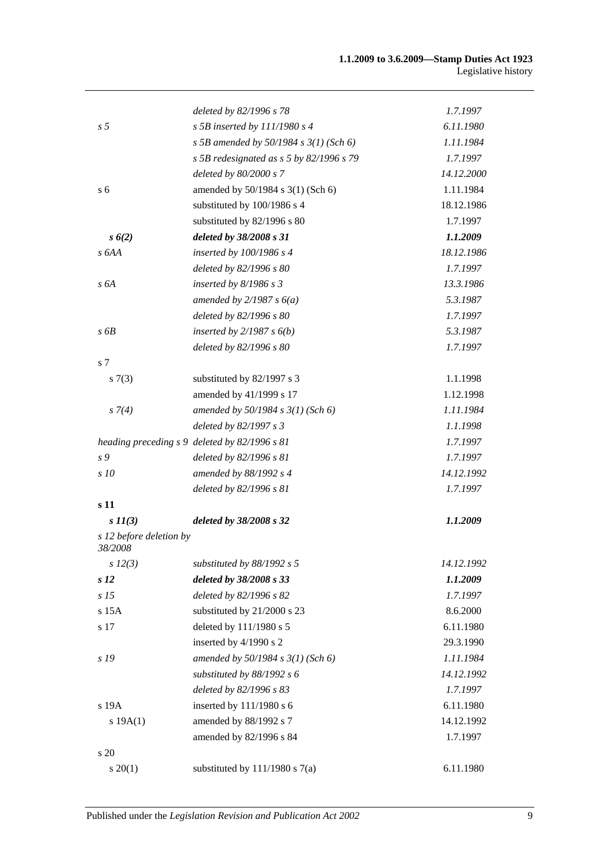|                                    | deleted by 82/1996 s 78                       | 1.7.1997   |
|------------------------------------|-----------------------------------------------|------------|
| s <sub>5</sub>                     | s 5B inserted by $111/1980$ s 4               | 6.11.1980  |
|                                    | s 5B amended by 50/1984 s $3(1)$ (Sch 6)      | 1.11.1984  |
|                                    | s 5B redesignated as $s$ 5 by 82/1996 s 79    | 1.7.1997   |
|                                    | deleted by 80/2000 s 7                        | 14.12.2000 |
| s <sub>6</sub>                     | amended by 50/1984 s 3(1) (Sch 6)             | 1.11.1984  |
|                                    | substituted by 100/1986 s 4                   | 18.12.1986 |
|                                    | substituted by 82/1996 s 80                   | 1.7.1997   |
| s(6(2)                             | deleted by 38/2008 s 31                       | 1.1.2009   |
| s 6AA                              | inserted by $100/1986$ s 4                    | 18.12.1986 |
|                                    | deleted by 82/1996 s 80                       | 1.7.1997   |
| s 6A                               | inserted by $8/1986 s 3$                      | 13.3.1986  |
|                                    | amended by $2/1987 s 6(a)$                    | 5.3.1987   |
|                                    | deleted by 82/1996 s 80                       | 1.7.1997   |
| s6B                                | inserted by $2/1987 s 6(b)$                   | 5.3.1987   |
|                                    | deleted by 82/1996 s 80                       | 1.7.1997   |
| s <sub>7</sub>                     |                                               |            |
| s(7(3))                            | substituted by 82/1997 s 3                    | 1.1.1998   |
|                                    | amended by 41/1999 s 17                       | 1.12.1998  |
| $s \, 7(4)$                        | amended by $50/1984 s 3(1)$ (Sch 6)           | 1.11.1984  |
|                                    | deleted by 82/1997 s 3                        | 1.1.1998   |
|                                    | heading preceding s 9 deleted by 82/1996 s 81 | 1.7.1997   |
| s 9                                | deleted by 82/1996 s 81                       | 1.7.1997   |
| s 10                               | amended by 88/1992 s 4                        | 14.12.1992 |
|                                    | deleted by 82/1996 s 81                       | 1.7.1997   |
| s 11                               |                                               |            |
| $s$ 11(3)                          | deleted by 38/2008 s 32                       | 1.1.2009   |
| s 12 before deletion by<br>38/2008 |                                               |            |
| s 12(3)                            | substituted by $88/1992$ s 5                  | 14.12.1992 |
| s <sub>12</sub>                    | deleted by 38/2008 s 33                       | 1.1.2009   |
| s <sub>15</sub>                    | deleted by 82/1996 s 82                       | 1.7.1997   |
| s 15A                              | substituted by 21/2000 s 23                   | 8.6.2000   |
| s 17                               | deleted by 111/1980 s 5                       | 6.11.1980  |
|                                    | inserted by 4/1990 s 2                        | 29.3.1990  |
| s 19                               | amended by $50/1984 s 3(1)$ (Sch 6)           | 1.11.1984  |
|                                    | substituted by 88/1992 s 6                    | 14.12.1992 |
|                                    | deleted by 82/1996 s 83                       | 1.7.1997   |
| s 19A                              | inserted by 111/1980 s 6                      | 6.11.1980  |
| s 19A(1)                           | amended by 88/1992 s 7                        | 14.12.1992 |
|                                    | amended by 82/1996 s 84                       | 1.7.1997   |
| s 20                               |                                               |            |
| $s \ 20(1)$                        | substituted by $111/1980$ s $7(a)$            | 6.11.1980  |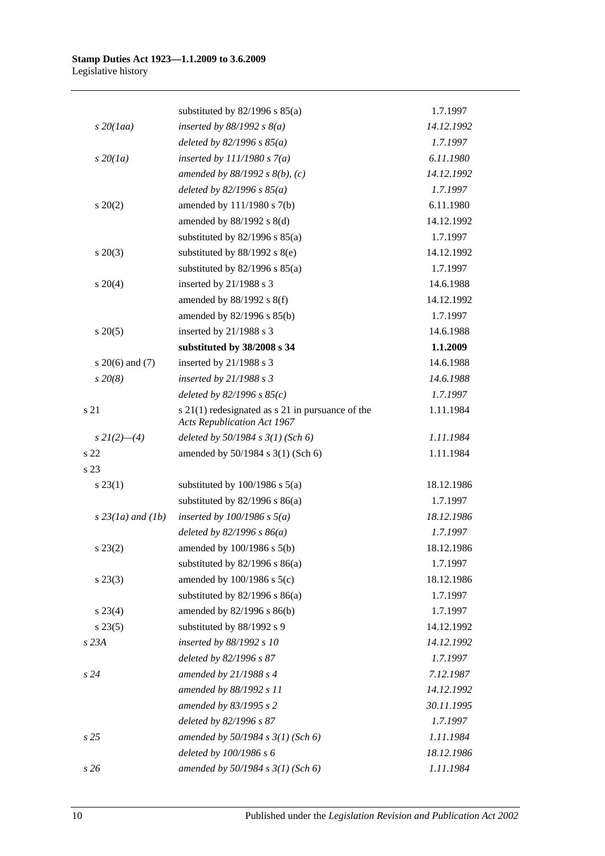|                     | substituted by $82/1996$ s $85(a)$                                                         | 1.7.1997   |
|---------------------|--------------------------------------------------------------------------------------------|------------|
| $s$ 20(1aa)         | inserted by $88/1992 s 8(a)$                                                               | 14.12.1992 |
|                     | deleted by $82/1996 s 85(a)$                                                               | 1.7.1997   |
| $s\,20(1a)$         | inserted by $111/1980 s 7(a)$                                                              | 6.11.1980  |
|                     | amended by $88/1992 s 8(b)$ , (c)                                                          | 14.12.1992 |
|                     | deleted by $82/1996 s 85(a)$                                                               | 1.7.1997   |
| $s \ 20(2)$         | amended by 111/1980 s 7(b)                                                                 | 6.11.1980  |
|                     | amended by $88/1992$ s $8(d)$                                                              | 14.12.1992 |
|                     | substituted by $82/1996$ s $85(a)$                                                         | 1.7.1997   |
| $s \ 20(3)$         | substituted by $88/1992$ s $8(e)$                                                          | 14.12.1992 |
|                     | substituted by $82/1996$ s $85(a)$                                                         | 1.7.1997   |
| $s \ 20(4)$         | inserted by 21/1988 s 3                                                                    | 14.6.1988  |
|                     | amended by $88/1992$ s $8(f)$                                                              | 14.12.1992 |
|                     | amended by 82/1996 s 85(b)                                                                 | 1.7.1997   |
| $s \ 20(5)$         | inserted by 21/1988 s 3                                                                    | 14.6.1988  |
|                     | substituted by 38/2008 s 34                                                                | 1.1.2009   |
| s $20(6)$ and $(7)$ | inserted by 21/1988 s 3                                                                    | 14.6.1988  |
| $s\,20(8)$          | inserted by $21/1988 s3$                                                                   | 14.6.1988  |
|                     | deleted by $82/1996 s 85(c)$                                                               | 1.7.1997   |
| s 21                | $s$ 21(1) redesignated as $s$ 21 in pursuance of the<br><b>Acts Republication Act 1967</b> | 1.11.1984  |
| $s\,2I(2)$ —(4)     | deleted by $50/1984$ s $3(1)$ (Sch 6)                                                      | 1.11.1984  |
| s <sub>22</sub>     | amended by 50/1984 s 3(1) (Sch 6)                                                          | 1.11.1984  |
| s 23                |                                                                                            |            |
| $s\,23(1)$          | substituted by $100/1986$ s $5(a)$                                                         | 18.12.1986 |
|                     | substituted by $82/1996$ s $86(a)$                                                         | 1.7.1997   |
| $s$ 23(1a) and (1b) | inserted by $100/1986$ s $5(a)$                                                            | 18.12.1986 |
|                     | deleted by $82/1996 s 86(a)$                                                               | 1.7.1997   |
| $s\,23(2)$          | amended by 100/1986 s 5(b)                                                                 | 18.12.1986 |
|                     | substituted by $82/1996$ s $86(a)$                                                         | 1.7.1997   |
| $s\,23(3)$          | amended by 100/1986 s 5(c)                                                                 | 18.12.1986 |
|                     | substituted by $82/1996$ s $86(a)$                                                         | 1.7.1997   |
| $s\,23(4)$          | amended by 82/1996 s 86(b)                                                                 | 1.7.1997   |
| s 23(5)             | substituted by 88/1992 s 9                                                                 | 14.12.1992 |
| s23A                | inserted by 88/1992 s 10                                                                   | 14.12.1992 |
|                     | deleted by 82/1996 s 87                                                                    | 1.7.1997   |
| s24                 | amended by 21/1988 s 4                                                                     | 7.12.1987  |
|                     | amended by 88/1992 s 11                                                                    | 14.12.1992 |
|                     | amended by 83/1995 s 2                                                                     | 30.11.1995 |
|                     | deleted by 82/1996 s 87                                                                    | 1.7.1997   |
| s <sub>25</sub>     | amended by $50/1984$ s $3(1)$ (Sch 6)                                                      | 1.11.1984  |
|                     | deleted by 100/1986 s 6                                                                    | 18.12.1986 |
| s26                 | amended by $50/1984 s 3(1)$ (Sch 6)                                                        | 1.11.1984  |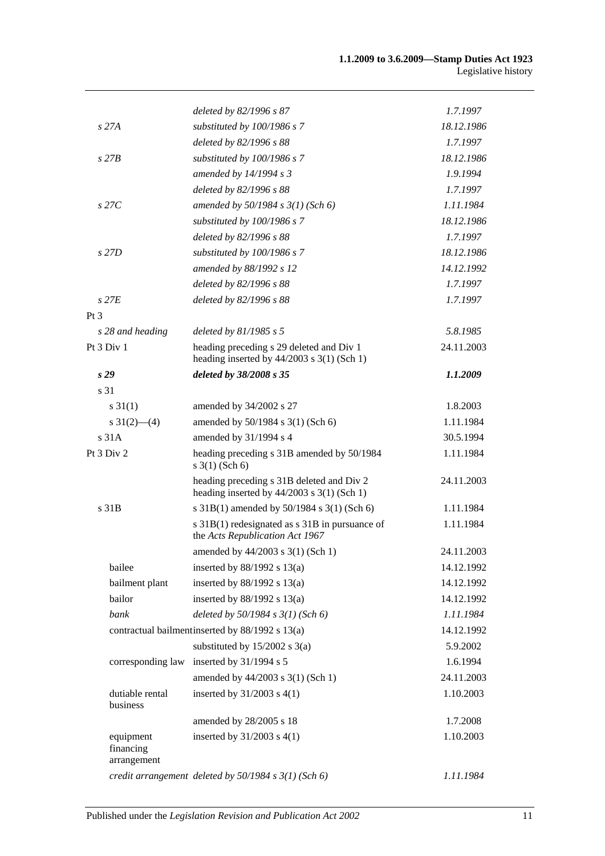|                                       | deleted by 82/1996 s 87                                                                   | 1.7.1997   |
|---------------------------------------|-------------------------------------------------------------------------------------------|------------|
| s 27A                                 | substituted by 100/1986 s 7                                                               | 18.12.1986 |
|                                       | deleted by 82/1996 s 88                                                                   | 1.7.1997   |
| s27B                                  | substituted by 100/1986 s 7                                                               | 18.12.1986 |
|                                       | amended by 14/1994 s 3                                                                    | 1.9.1994   |
|                                       | deleted by 82/1996 s 88                                                                   | 1.7.1997   |
| $s$ 27 $C$                            | amended by $50/1984 s 3(1)$ (Sch 6)                                                       | 1.11.1984  |
|                                       | substituted by 100/1986 s 7                                                               | 18.12.1986 |
|                                       | deleted by 82/1996 s 88                                                                   | 1.7.1997   |
| s 27D                                 | substituted by 100/1986 s 7                                                               | 18.12.1986 |
|                                       | amended by 88/1992 s 12                                                                   | 14.12.1992 |
|                                       | deleted by 82/1996 s 88                                                                   | 1.7.1997   |
| $s$ 27 $E$                            | deleted by 82/1996 s 88                                                                   | 1.7.1997   |
| Pt <sub>3</sub>                       |                                                                                           |            |
| s 28 and heading                      | deleted by $81/1985 s 5$                                                                  | 5.8.1985   |
| Pt 3 Div 1                            | heading preceding s 29 deleted and Div 1<br>heading inserted by $44/2003$ s 3(1) (Sch 1)  | 24.11.2003 |
| s29                                   | deleted by 38/2008 s 35                                                                   | 1.1.2009   |
| s 31                                  |                                                                                           |            |
| $s \, 31(1)$                          | amended by 34/2002 s 27                                                                   | 1.8.2003   |
| $s \frac{31(2)}{6}$ (4)               | amended by 50/1984 s 3(1) (Sch 6)                                                         | 1.11.1984  |
| s31A                                  | amended by 31/1994 s 4                                                                    | 30.5.1994  |
| Pt 3 Div 2                            | heading preceding s 31B amended by 50/1984<br>$s \; 3(1)$ (Sch 6)                         | 1.11.1984  |
|                                       | heading preceding s 31B deleted and Div 2<br>heading inserted by $44/2003$ s 3(1) (Sch 1) | 24.11.2003 |
| s 31B                                 | s 31B(1) amended by 50/1984 s 3(1) (Sch 6)                                                | 1.11.1984  |
|                                       | s 31B(1) redesignated as s 31B in pursuance of<br>the Acts Republication Act 1967         | 1.11.1984  |
|                                       | amended by 44/2003 s 3(1) (Sch 1)                                                         | 24.11.2003 |
| bailee                                | inserted by $88/1992$ s $13(a)$                                                           | 14.12.1992 |
| bailment plant                        | inserted by $88/1992$ s $13(a)$                                                           | 14.12.1992 |
| bailor                                | inserted by $88/1992$ s $13(a)$                                                           | 14.12.1992 |
| bank                                  | deleted by $50/1984 s 3(1)$ (Sch 6)                                                       | 1.11.1984  |
|                                       | contractual bailment inserted by 88/1992 s 13(a)                                          | 14.12.1992 |
|                                       | substituted by $15/2002$ s $3(a)$                                                         | 5.9.2002   |
| corresponding law                     | inserted by 31/1994 s 5                                                                   | 1.6.1994   |
|                                       | amended by 44/2003 s 3(1) (Sch 1)                                                         | 24.11.2003 |
| dutiable rental<br>business           | inserted by $31/2003$ s $4(1)$                                                            | 1.10.2003  |
|                                       | amended by 28/2005 s 18                                                                   | 1.7.2008   |
| equipment<br>financing<br>arrangement | inserted by $31/2003$ s $4(1)$                                                            | 1.10.2003  |
|                                       | credit arrangement deleted by $50/1984$ s $3(1)$ (Sch 6)                                  | 1.11.1984  |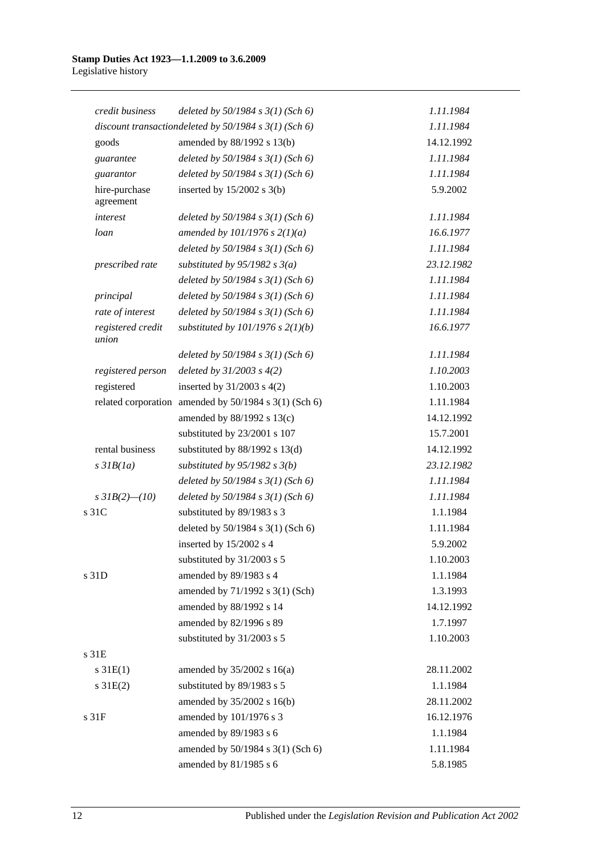| credit business            | deleted by $50/1984$ s $3(1)$ (Sch 6)                     | 1.11.1984  |
|----------------------------|-----------------------------------------------------------|------------|
|                            | discount transactiondeleted by $50/1984$ s $3(1)$ (Sch 6) | 1.11.1984  |
| goods                      | amended by 88/1992 s 13(b)                                | 14.12.1992 |
| guarantee                  | deleted by $50/1984$ s $3(1)$ (Sch 6)                     | 1.11.1984  |
| guarantor                  | deleted by $50/1984$ s $3(1)$ (Sch 6)                     | 1.11.1984  |
| hire-purchase<br>agreement | inserted by $15/2002$ s 3(b)                              | 5.9.2002   |
| interest                   | deleted by $50/1984$ s $3(1)$ (Sch 6)                     | 1.11.1984  |
| loan                       | amended by $101/1976$ s $2(1)(a)$                         | 16.6.1977  |
|                            | deleted by $50/1984$ s $3(1)$ (Sch 6)                     | 1.11.1984  |
| prescribed rate            | substituted by $95/1982$ s $3(a)$                         | 23.12.1982 |
|                            | deleted by $50/1984$ s $3(1)$ (Sch 6)                     | 1.11.1984  |
| principal                  | deleted by $50/1984$ s $3(1)$ (Sch 6)                     | 1.11.1984  |
| rate of interest           | deleted by $50/1984$ s $3(1)$ (Sch 6)                     | 1.11.1984  |
| registered credit<br>union | substituted by $101/1976$ s $2(1)(b)$                     | 16.6.1977  |
|                            | deleted by $50/1984$ s $3(1)$ (Sch 6)                     | 1.11.1984  |
| registered person          | deleted by $31/2003$ s $4(2)$                             | 1.10.2003  |
| registered                 | inserted by $31/2003$ s $4(2)$                            | 1.10.2003  |
|                            | related corporation amended by 50/1984 s 3(1) (Sch 6)     | 1.11.1984  |
|                            | amended by 88/1992 s 13(c)                                | 14.12.1992 |
|                            | substituted by 23/2001 s 107                              | 15.7.2001  |
| rental business            | substituted by $88/1992$ s $13(d)$                        | 14.12.1992 |
| $s$ 31 $B(1a)$             | substituted by $95/1982$ s $3(b)$                         | 23.12.1982 |
|                            | deleted by $50/1984$ s $3(1)$ (Sch 6)                     | 1.11.1984  |
| s $3IB(2)$ (10)            | deleted by $50/1984$ s $3(1)$ (Sch 6)                     | 1.11.1984  |
| s <sub>31C</sub>           | substituted by 89/1983 s 3                                | 1.1.1984   |
|                            | deleted by 50/1984 s 3(1) (Sch 6)                         | 1.11.1984  |
|                            | inserted by 15/2002 s 4                                   | 5.9.2002   |
|                            | substituted by 31/2003 s 5                                | 1.10.2003  |
| s 31D                      | amended by 89/1983 s 4                                    | 1.1.1984   |
|                            | amended by 71/1992 s 3(1) (Sch)                           | 1.3.1993   |
|                            | amended by 88/1992 s 14                                   | 14.12.1992 |
|                            | amended by 82/1996 s 89                                   | 1.7.1997   |
|                            | substituted by 31/2003 s 5                                | 1.10.2003  |
| s 31E                      |                                                           |            |
| $s \, 31E(1)$              | amended by $35/2002$ s 16(a)                              | 28.11.2002 |
| $s \, 31E(2)$              | substituted by 89/1983 s 5                                | 1.1.1984   |
|                            | amended by 35/2002 s 16(b)                                | 28.11.2002 |
| s <sub>31F</sub>           | amended by 101/1976 s 3                                   | 16.12.1976 |
|                            | amended by 89/1983 s 6                                    | 1.1.1984   |
|                            | amended by 50/1984 s 3(1) (Sch 6)                         | 1.11.1984  |
|                            | amended by 81/1985 s 6                                    | 5.8.1985   |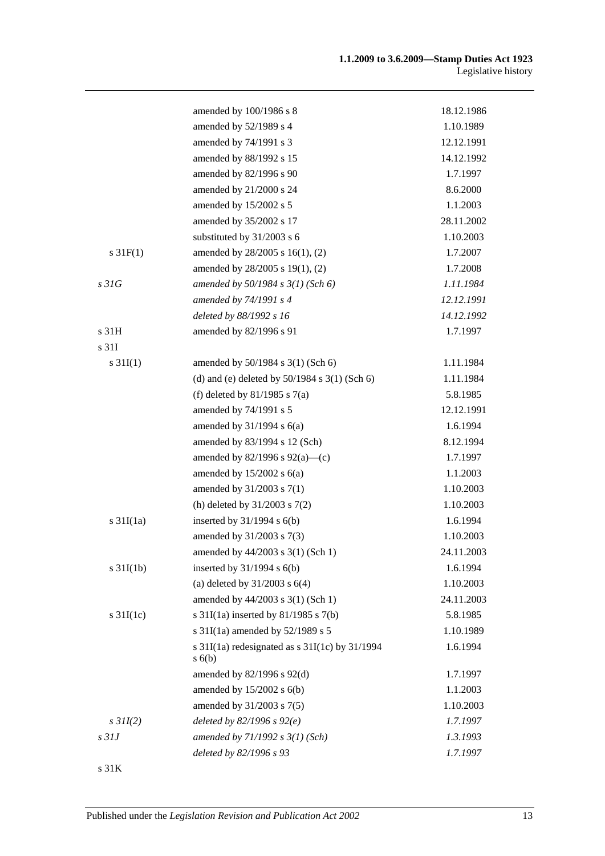|                       | amended by 100/1986 s 8                                      | 18.12.1986 |
|-----------------------|--------------------------------------------------------------|------------|
|                       | amended by 52/1989 s 4                                       | 1.10.1989  |
|                       | amended by 74/1991 s 3                                       | 12.12.1991 |
|                       | amended by 88/1992 s 15                                      | 14.12.1992 |
|                       | amended by 82/1996 s 90                                      | 1.7.1997   |
|                       | amended by 21/2000 s 24                                      | 8.6.2000   |
|                       | amended by 15/2002 s 5                                       | 1.1.2003   |
|                       | amended by 35/2002 s 17                                      | 28.11.2002 |
|                       | substituted by 31/2003 s 6                                   | 1.10.2003  |
| $s \, 31F(1)$         | amended by 28/2005 s 16(1), (2)                              | 1.7.2007   |
|                       | amended by 28/2005 s 19(1), (2)                              | 1.7.2008   |
| s31G                  | amended by $50/1984$ s $3(1)$ (Sch 6)                        | 1.11.1984  |
|                       | amended by 74/1991 s 4                                       | 12.12.1991 |
|                       | deleted by 88/1992 s 16                                      | 14.12.1992 |
| s 31H                 | amended by 82/1996 s 91                                      | 1.7.1997   |
| s 31I                 |                                                              |            |
| $s \, 31I(1)$         | amended by 50/1984 s 3(1) (Sch 6)                            | 1.11.1984  |
|                       | (d) and (e) deleted by $50/1984$ s $3(1)$ (Sch 6)            | 1.11.1984  |
|                       | (f) deleted by $81/1985$ s $7(a)$                            | 5.8.1985   |
|                       | amended by 74/1991 s 5                                       | 12.12.1991 |
|                       | amended by $31/1994$ s $6(a)$                                | 1.6.1994   |
|                       | amended by 83/1994 s 12 (Sch)                                | 8.12.1994  |
|                       | amended by $82/1996$ s $92(a)$ —(c)                          | 1.7.1997   |
|                       | amended by $15/2002$ s $6(a)$                                | 1.1.2003   |
|                       | amended by 31/2003 s 7(1)                                    | 1.10.2003  |
|                       | (h) deleted by $31/2003$ s $7(2)$                            | 1.10.2003  |
| s $31I(1a)$           | inserted by $31/1994$ s $6(b)$                               | 1.6.1994   |
|                       | amended by 31/2003 s 7(3)                                    | 1.10.2003  |
|                       | amended by 44/2003 s 3(1) (Sch 1)                            | 24.11.2003 |
| $s \frac{31I(1b)}{2}$ | inserted by $31/1994$ s $6(b)$                               | 1.6.1994   |
|                       | (a) deleted by $31/2003$ s $6(4)$                            | 1.10.2003  |
|                       | amended by 44/2003 s 3(1) (Sch 1)                            | 24.11.2003 |
| s $31I(1c)$           | s $31I(1a)$ inserted by $81/1985$ s $7(b)$                   | 5.8.1985   |
|                       | s 31I(1a) amended by 52/1989 s 5                             | 1.10.1989  |
|                       | s $31I(1a)$ redesignated as s $31I(1c)$ by $31/1994$<br>s(6) | 1.6.1994   |
|                       | amended by 82/1996 s 92(d)                                   | 1.7.1997   |
|                       | amended by $15/2002$ s $6(b)$                                | 1.1.2003   |
|                       | amended by 31/2003 s 7(5)                                    | 1.10.2003  |
| $s$ 31I(2)            | deleted by $82/1996 s 92(e)$                                 | 1.7.1997   |
| s <sub>31J</sub>      | amended by $71/1992 s 3(1) (Sch)$                            | 1.3.1993   |
|                       | deleted by 82/1996 s 93                                      | 1.7.1997   |
| s 31K                 |                                                              |            |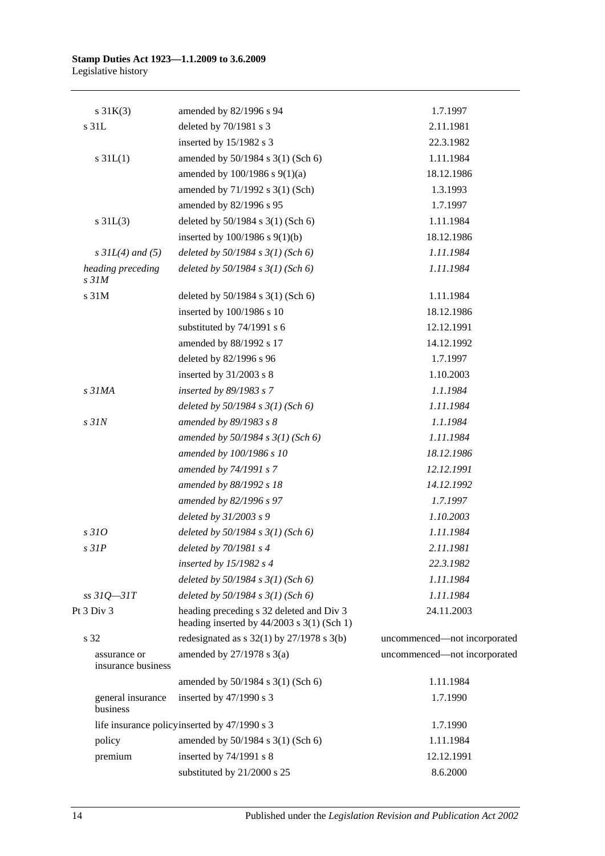| $s \, 31K(3)$                         | amended by 82/1996 s 94                                                                  | 1.7.1997                     |
|---------------------------------------|------------------------------------------------------------------------------------------|------------------------------|
| s 31L                                 | deleted by 70/1981 s 3                                                                   | 2.11.1981                    |
|                                       | inserted by 15/1982 s 3                                                                  | 22.3.1982                    |
| $s \, 31L(1)$                         | amended by 50/1984 s 3(1) (Sch 6)                                                        | 1.11.1984                    |
|                                       | amended by $100/1986$ s $9(1)(a)$                                                        | 18.12.1986                   |
|                                       | amended by 71/1992 s 3(1) (Sch)                                                          | 1.3.1993                     |
|                                       | amended by 82/1996 s 95                                                                  | 1.7.1997                     |
| $s \, 31L(3)$                         | deleted by $50/1984$ s $3(1)$ (Sch 6)                                                    | 1.11.1984                    |
|                                       | inserted by $100/1986$ s $9(1)(b)$                                                       | 18.12.1986                   |
| $s$ 31L(4) and (5)                    | deleted by $50/1984$ s $3(1)$ (Sch 6)                                                    | 1.11.1984                    |
| heading preceding<br>s <sub>31M</sub> | deleted by $50/1984$ s $3(1)$ (Sch 6)                                                    | 1.11.1984                    |
| s 31M                                 | deleted by $50/1984$ s $3(1)$ (Sch 6)                                                    | 1.11.1984                    |
|                                       | inserted by 100/1986 s 10                                                                | 18.12.1986                   |
|                                       | substituted by 74/1991 s 6                                                               | 12.12.1991                   |
|                                       | amended by 88/1992 s 17                                                                  | 14.12.1992                   |
|                                       | deleted by 82/1996 s 96                                                                  | 1.7.1997                     |
|                                       | inserted by 31/2003 s 8                                                                  | 1.10.2003                    |
| s 31MA                                | inserted by 89/1983 s 7                                                                  | 1.1.1984                     |
|                                       | deleted by $50/1984$ s $3(1)$ (Sch 6)                                                    | 1.11.1984                    |
| $s$ 31 $N$                            | amended by 89/1983 s 8                                                                   | 1.1.1984                     |
|                                       | amended by $50/1984$ s $3(1)$ (Sch 6)                                                    | 1.11.1984                    |
|                                       | amended by 100/1986 s 10                                                                 | 18.12.1986                   |
|                                       | amended by 74/1991 s 7                                                                   | 12.12.1991                   |
|                                       | amended by 88/1992 s 18                                                                  | 14.12.1992                   |
|                                       | amended by 82/1996 s 97                                                                  | 1.7.1997                     |
|                                       | deleted by 31/2003 s 9                                                                   | 1.10.2003                    |
| s310                                  | deleted by $50/1984$ s $3(1)$ (Sch 6)                                                    | 1.11.1984                    |
| s3IP                                  | deleted by $70/1981 s4$                                                                  | 2.11.1981                    |
|                                       | inserted by $15/1982$ s 4                                                                | 22.3.1982                    |
|                                       | deleted by $50/1984$ s $3(1)$ (Sch 6)                                                    | 1.11.1984                    |
| $ss31Q - 31T$                         | deleted by $50/1984$ s $3(1)$ (Sch 6)                                                    | 1.11.1984                    |
| Pt 3 Div 3                            | heading preceding s 32 deleted and Div 3<br>heading inserted by $44/2003$ s 3(1) (Sch 1) | 24.11.2003                   |
| s 32                                  | redesignated as $s$ 32(1) by 27/1978 $s$ 3(b)                                            | uncommenced-not incorporated |
| assurance or<br>insurance business    | amended by $27/1978$ s $3(a)$                                                            | uncommenced-not incorporated |
|                                       | amended by 50/1984 s 3(1) (Sch 6)                                                        | 1.11.1984                    |
| general insurance<br>business         | inserted by 47/1990 s 3                                                                  | 1.7.1990                     |
|                                       | life insurance policy inserted by 47/1990 s 3                                            | 1.7.1990                     |
| policy                                | amended by 50/1984 s 3(1) (Sch 6)                                                        | 1.11.1984                    |
| premium                               | inserted by 74/1991 s 8                                                                  | 12.12.1991                   |
|                                       | substituted by 21/2000 s 25                                                              | 8.6.2000                     |
|                                       |                                                                                          |                              |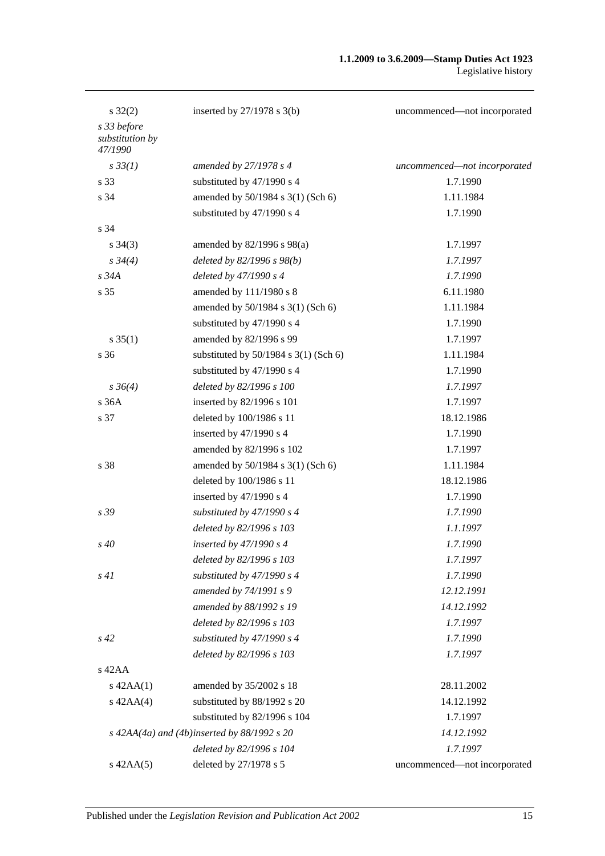| $s \, 32(2)$               | inserted by $27/1978$ s 3(b)                       | uncommenced-not incorporated |
|----------------------------|----------------------------------------------------|------------------------------|
| s 33 before                |                                                    |                              |
| substitution by<br>47/1990 |                                                    |                              |
| $s\,33(1)$                 | amended by 27/1978 s 4                             | uncommenced-not incorporated |
| s 33                       | substituted by 47/1990 s 4                         | 1.7.1990                     |
| s 34                       | amended by 50/1984 s 3(1) (Sch 6)                  | 1.11.1984                    |
|                            | substituted by 47/1990 s 4                         | 1.7.1990                     |
| s 34                       |                                                    |                              |
| $s \, 34(3)$               | amended by $82/1996$ s $98(a)$                     | 1.7.1997                     |
| $s \, 34(4)$               | deleted by $82/1996 s 98(b)$                       | 1.7.1997                     |
| $s\,34A$                   | deleted by 47/1990 s 4                             | 1.7.1990                     |
| s 35                       | amended by 111/1980 s 8                            | 6.11.1980                    |
|                            | amended by 50/1984 s 3(1) (Sch 6)                  | 1.11.1984                    |
|                            | substituted by 47/1990 s 4                         | 1.7.1990                     |
| $s \, 35(1)$               | amended by 82/1996 s 99                            | 1.7.1997                     |
| s 36                       | substituted by $50/1984$ s $3(1)$ (Sch 6)          | 1.11.1984                    |
|                            | substituted by 47/1990 s 4                         | 1.7.1990                     |
|                            | deleted by 82/1996 s 100                           | 1.7.1997                     |
| $s \, 36(4)$<br>s 36A      |                                                    |                              |
| s 37                       | inserted by 82/1996 s 101                          | 1.7.1997                     |
|                            | deleted by 100/1986 s 11                           | 18.12.1986                   |
|                            | inserted by 47/1990 s 4                            | 1.7.1990                     |
|                            | amended by 82/1996 s 102                           | 1.7.1997                     |
| s 38                       | amended by 50/1984 s 3(1) (Sch 6)                  | 1.11.1984                    |
|                            | deleted by 100/1986 s 11                           | 18.12.1986                   |
|                            | inserted by 47/1990 s 4                            | 1.7.1990                     |
| s 39                       | substituted by $47/1990 s 4$                       | 1.7.1990                     |
|                            | deleted by 82/1996 s 103                           | 1.1.1997                     |
| $s\,40$                    | inserted by 47/1990 s 4                            | 1.7.1990                     |
|                            | deleted by 82/1996 s 103                           | 1.7.1997                     |
| s41                        | substituted by $47/1990 s 4$                       | 1.7.1990                     |
|                            | amended by 74/1991 s 9                             | 12.12.1991                   |
|                            | amended by 88/1992 s 19                            | 14.12.1992                   |
|                            | deleted by 82/1996 s 103                           | 1.7.1997                     |
| $s\,42$                    | substituted by $47/1990 s 4$                       | 1.7.1990                     |
|                            | deleted by 82/1996 s 103                           | 1.7.1997                     |
| s 42AA                     |                                                    |                              |
| $s$ 42AA $(1)$             | amended by 35/2002 s 18                            | 28.11.2002                   |
| $s$ 42AA $(4)$             | substituted by 88/1992 s 20                        | 14.12.1992                   |
|                            | substituted by 82/1996 s 104                       | 1.7.1997                     |
|                            | s $42AA(4a)$ and $(4b)$ inserted by $88/1992$ s 20 | 14.12.1992                   |
|                            | deleted by 82/1996 s 104                           | 1.7.1997                     |
| $s$ 42AA $(5)$             | deleted by 27/1978 s 5                             | uncommenced-not incorporated |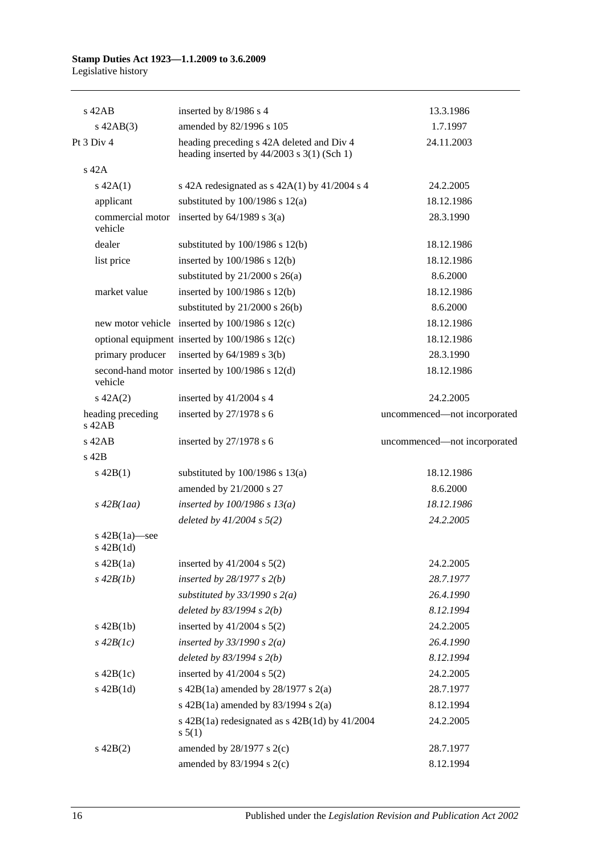## **Stamp Duties Act 1923—1.1.2009 to 3.6.2009**

Legislative history

| $s$ 42 $AB$                        | inserted by 8/1986 s 4                                                                    | 13.3.1986                    |
|------------------------------------|-------------------------------------------------------------------------------------------|------------------------------|
| $s\ 42AB(3)$                       | amended by 82/1996 s 105                                                                  | 1.7.1997                     |
| Pt 3 Div 4                         | heading preceding s 42A deleted and Div 4<br>heading inserted by $44/2003$ s 3(1) (Sch 1) | 24.11.2003                   |
| s 42A                              |                                                                                           |                              |
| $s\ 42A(1)$                        | s 42A redesignated as $s$ 42A(1) by 41/2004 s 4                                           | 24.2.2005                    |
| applicant                          | substituted by $100/1986$ s $12(a)$                                                       | 18.12.1986                   |
| commercial motor<br>vehicle        | inserted by $64/1989$ s $3(a)$                                                            | 28.3.1990                    |
| dealer                             | substituted by $100/1986$ s $12(b)$                                                       | 18.12.1986                   |
| list price                         | inserted by $100/1986$ s $12(b)$                                                          | 18.12.1986                   |
|                                    | substituted by $21/2000$ s $26(a)$                                                        | 8.6.2000                     |
| market value                       | inserted by 100/1986 s 12(b)                                                              | 18.12.1986                   |
|                                    | substituted by $21/2000$ s $26(b)$                                                        | 8.6.2000                     |
|                                    | new motor vehicle inserted by 100/1986 s 12(c)                                            | 18.12.1986                   |
|                                    | optional equipment inserted by 100/1986 s 12(c)                                           | 18.12.1986                   |
| primary producer                   | inserted by $64/1989$ s $3(b)$                                                            | 28.3.1990                    |
| vehicle                            | second-hand motor inserted by 100/1986 s 12(d)                                            | 18.12.1986                   |
| $s\ 42A(2)$                        | inserted by 41/2004 s 4                                                                   | 24.2.2005                    |
| heading preceding<br>s 42AB        | inserted by $27/1978$ s 6                                                                 | uncommenced-not incorporated |
| s 42AB                             | inserted by $27/1978$ s 6                                                                 | uncommenced-not incorporated |
| s 42B                              |                                                                                           |                              |
| $s\ 42B(1)$                        | substituted by $100/1986$ s $13(a)$                                                       | 18.12.1986                   |
|                                    | amended by 21/2000 s 27                                                                   | 8.6.2000                     |
| $s\,42B(1aa)$                      | inserted by $100/1986$ s $13(a)$                                                          | 18.12.1986                   |
|                                    | deleted by $41/2004 s 5(2)$                                                               | 24.2.2005                    |
| s $42B(1a)$ —see<br>$s$ 42B $(1d)$ |                                                                                           |                              |
| $s\ 42B(1a)$                       | inserted by $41/2004$ s $5(2)$                                                            | 24.2.2005                    |
| $s\,42B(1b)$                       | inserted by $28/1977 s 2(b)$                                                              | 28.7.1977                    |
|                                    | substituted by $33/1990 s 2(a)$                                                           | 26.4.1990                    |
|                                    | deleted by $83/1994$ s $2(b)$                                                             | 8.12.1994                    |
| $s$ 42B(1b)                        | inserted by $41/2004$ s $5(2)$                                                            | 24.2.2005                    |
| $s\,42B(Ic)$                       | inserted by $33/1990 s 2(a)$                                                              | 26.4.1990                    |
|                                    | deleted by $83/1994 s 2(b)$                                                               | 8.12.1994                    |
| $s\ 42B(1c)$                       | inserted by $41/2004$ s $5(2)$                                                            | 24.2.2005                    |
| $s\ 42B(1d)$                       | s 42B(1a) amended by $28/1977$ s $2(a)$                                                   | 28.7.1977                    |
|                                    | s $42B(1a)$ amended by $83/1994$ s $2(a)$                                                 | 8.12.1994                    |
|                                    | s $42B(1a)$ redesignated as s $42B(1d)$ by $41/2004$<br>s 5(1)                            | 24.2.2005                    |
| $s\ 42B(2)$                        | amended by $28/1977$ s $2(c)$                                                             | 28.7.1977                    |
|                                    | amended by $83/1994$ s 2(c)                                                               | 8.12.1994                    |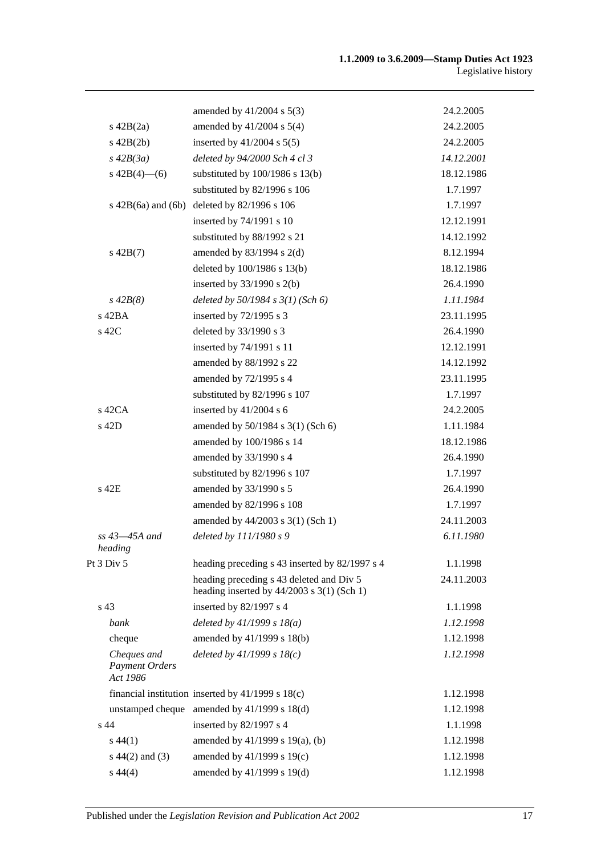|                                                  | amended by $41/2004$ s $5(3)$                                                            | 24.2.2005  |
|--------------------------------------------------|------------------------------------------------------------------------------------------|------------|
| $s\ 42B(2a)$                                     | amended by $41/2004$ s $5(4)$                                                            | 24.2.2005  |
| $s\ 42B(2b)$                                     | inserted by $41/2004$ s $5(5)$                                                           | 24.2.2005  |
| $s\,42B(3a)$                                     | deleted by 94/2000 Sch 4 cl 3                                                            | 14.12.2001 |
| $s\ 42B(4)$ - (6)                                | substituted by $100/1986$ s $13(b)$                                                      | 18.12.1986 |
|                                                  | substituted by 82/1996 s 106                                                             | 1.7.1997   |
| $s\ 42B(6a)$ and $(6b)$                          | deleted by 82/1996 s 106                                                                 | 1.7.1997   |
|                                                  | inserted by 74/1991 s 10                                                                 | 12.12.1991 |
|                                                  | substituted by 88/1992 s 21                                                              | 14.12.1992 |
| $s\ 42B(7)$                                      | amended by $83/1994$ s 2(d)                                                              | 8.12.1994  |
|                                                  | deleted by $100/1986$ s $13(b)$                                                          | 18.12.1986 |
|                                                  | inserted by $33/1990$ s 2(b)                                                             | 26.4.1990  |
| $s\,42B(8)$                                      | deleted by $50/1984$ s $3(1)$ (Sch 6)                                                    | 1.11.1984  |
| $s$ 42BA                                         | inserted by $72/1995$ s 3                                                                | 23.11.1995 |
| s 42C                                            | deleted by 33/1990 s 3                                                                   | 26.4.1990  |
|                                                  | inserted by 74/1991 s 11                                                                 | 12.12.1991 |
|                                                  | amended by 88/1992 s 22                                                                  | 14.12.1992 |
|                                                  | amended by 72/1995 s 4                                                                   | 23.11.1995 |
|                                                  | substituted by 82/1996 s 107                                                             | 1.7.1997   |
| $s$ 42CA                                         | inserted by $41/2004$ s 6                                                                | 24.2.2005  |
| s 42D                                            | amended by 50/1984 s 3(1) (Sch 6)                                                        | 1.11.1984  |
|                                                  | amended by 100/1986 s 14                                                                 | 18.12.1986 |
|                                                  | amended by 33/1990 s 4                                                                   | 26.4.1990  |
|                                                  | substituted by 82/1996 s 107                                                             | 1.7.1997   |
| s 42E                                            | amended by 33/1990 s 5                                                                   | 26.4.1990  |
|                                                  | amended by 82/1996 s 108                                                                 | 1.7.1997   |
|                                                  | amended by 44/2003 s 3(1) (Sch 1)                                                        | 24.11.2003 |
| $ss 43 - 45A$ and<br>heading                     | deleted by 111/1980 s 9                                                                  | 6.11.1980  |
| Pt 3 Div 5                                       | heading preceding s 43 inserted by 82/1997 s 4                                           | 1.1.1998   |
|                                                  | heading preceding s 43 deleted and Div 5<br>heading inserted by $44/2003$ s 3(1) (Sch 1) | 24.11.2003 |
| s <sub>43</sub>                                  | inserted by 82/1997 s 4                                                                  | 1.1.1998   |
| bank                                             | deleted by $41/1999 s 18(a)$                                                             | 1.12.1998  |
| cheque                                           | amended by 41/1999 s 18(b)                                                               | 1.12.1998  |
| Cheques and<br><b>Payment Orders</b><br>Act 1986 | deleted by $41/1999 s 18(c)$                                                             | 1.12.1998  |
|                                                  | financial institution inserted by 41/1999 s 18(c)                                        | 1.12.1998  |
| unstamped cheque                                 | amended by 41/1999 s 18(d)                                                               | 1.12.1998  |
| s 44                                             | inserted by 82/1997 s 4                                                                  | 1.1.1998   |
| $s\,44(1)$                                       | amended by 41/1999 s 19(a), (b)                                                          | 1.12.1998  |
| $s\ 44(2)$ and (3)                               | amended by 41/1999 s 19(c)                                                               | 1.12.1998  |
| $s\,44(4)$                                       | amended by 41/1999 s 19(d)                                                               | 1.12.1998  |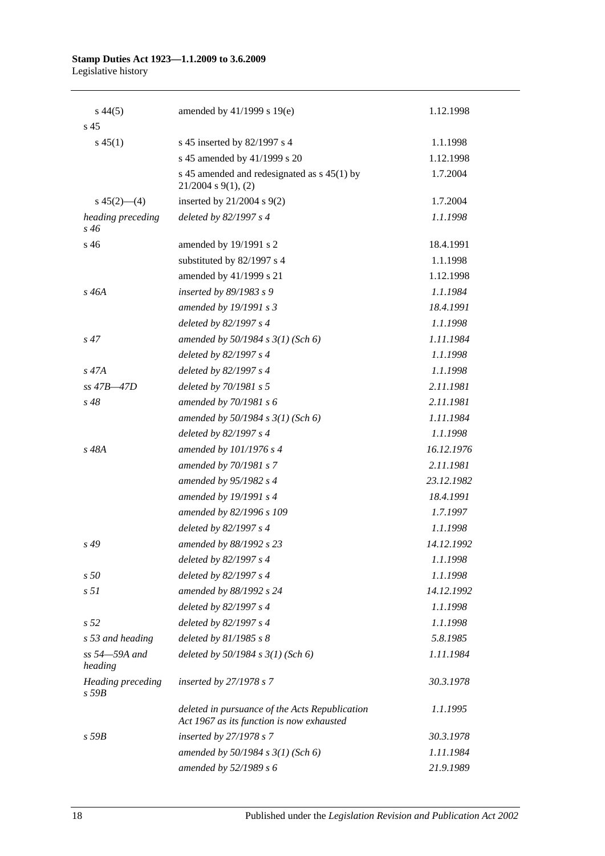### **Stamp Duties Act 1923—1.1.2009 to 3.6.2009**

Legislative history

| $s\,44(5)$                        | amended by 41/1999 s 19(e)                                                                  | 1.12.1998  |
|-----------------------------------|---------------------------------------------------------------------------------------------|------------|
| s <sub>45</sub>                   |                                                                                             |            |
| $s\,45(1)$                        | s 45 inserted by 82/1997 s 4                                                                | 1.1.1998   |
|                                   | s 45 amended by 41/1999 s 20                                                                | 1.12.1998  |
|                                   | s 45 amended and redesignated as $s$ 45(1) by<br>$21/2004$ s $9(1)$ , (2)                   | 1.7.2004   |
| s $45(2)$ —(4)                    | inserted by $21/2004$ s $9(2)$                                                              | 1.7.2004   |
| heading preceding<br>$s\,46$      | deleted by 82/1997 s 4                                                                      | 1.1.1998   |
| s <sub>46</sub>                   | amended by 19/1991 s 2                                                                      | 18.4.1991  |
|                                   | substituted by 82/1997 s 4                                                                  | 1.1.1998   |
|                                   | amended by 41/1999 s 21                                                                     | 1.12.1998  |
| $s\,46A$                          | inserted by 89/1983 s 9                                                                     | 1.1.1984   |
|                                   | amended by 19/1991 s 3                                                                      | 18.4.1991  |
|                                   | deleted by 82/1997 s 4                                                                      | 1.1.1998   |
| $s\,47$                           | amended by 50/1984 s 3(1) (Sch 6)                                                           | 1.11.1984  |
|                                   | deleted by 82/1997 s 4                                                                      | 1.1.1998   |
| $s\,47A$                          | deleted by 82/1997 s 4                                                                      | 1.1.1998   |
| $ss$ 47B $-47D$                   | deleted by 70/1981 s 5                                                                      | 2.11.1981  |
| s 48                              | amended by 70/1981 s 6                                                                      | 2.11.1981  |
|                                   | amended by $50/1984$ s $3(1)$ (Sch 6)                                                       | 1.11.1984  |
|                                   | deleted by 82/1997 s 4                                                                      | 1.1.1998   |
| s 48A                             | amended by 101/1976 s 4                                                                     | 16.12.1976 |
|                                   | amended by 70/1981 s 7                                                                      | 2.11.1981  |
|                                   | amended by 95/1982 s 4                                                                      | 23.12.1982 |
|                                   | amended by 19/1991 s 4                                                                      | 18.4.1991  |
|                                   | amended by 82/1996 s 109                                                                    | 1.7.1997   |
|                                   | deleted by 82/1997 s 4                                                                      | 1.1.1998   |
| $s\,49$                           | amended by 88/1992 s 23                                                                     | 14.12.1992 |
|                                   | deleted by 82/1997 s 4                                                                      | 1.1.1998   |
| s50                               | deleted by 82/1997 s 4                                                                      | 1.1.1998   |
| s <sub>51</sub>                   | amended by 88/1992 s 24                                                                     | 14.12.1992 |
|                                   | deleted by 82/1997 s 4                                                                      | 1.1.1998   |
| s <sub>52</sub>                   | deleted by 82/1997 s 4                                                                      | 1.1.1998   |
| s 53 and heading                  | deleted by $81/1985 s 8$                                                                    | 5.8.1985   |
| ss 54-59A and<br>heading          | deleted by $50/1984$ s $3(1)$ (Sch 6)                                                       | 1.11.1984  |
| <b>Heading</b> preceding<br>s 59B | inserted by 27/1978 s 7                                                                     | 30.3.1978  |
|                                   | deleted in pursuance of the Acts Republication<br>Act 1967 as its function is now exhausted | 1.1.1995   |
| $s$ 59 $B$                        | inserted by 27/1978 s 7                                                                     | 30.3.1978  |
|                                   | amended by $50/1984$ s $3(1)$ (Sch 6)                                                       | 1.11.1984  |
|                                   | amended by 52/1989 s 6                                                                      | 21.9.1989  |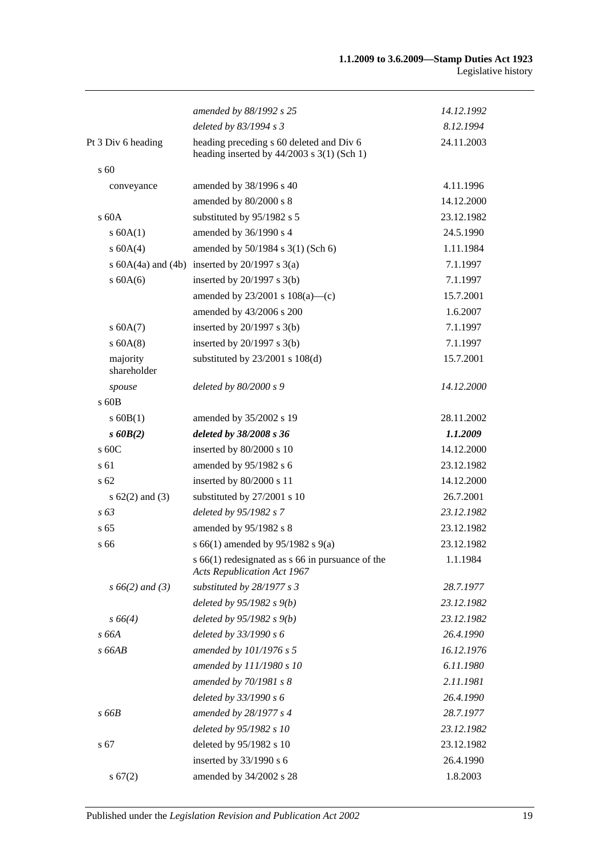|                         | amended by 88/1992 s 25                                                                    | 14.12.1992 |
|-------------------------|--------------------------------------------------------------------------------------------|------------|
|                         | deleted by 83/1994 s 3                                                                     | 8.12.1994  |
| Pt 3 Div 6 heading      | heading preceding s 60 deleted and Div 6<br>heading inserted by $44/2003$ s 3(1) (Sch 1)   | 24.11.2003 |
| $s\,60$                 |                                                                                            |            |
| conveyance              | amended by 38/1996 s 40                                                                    | 4.11.1996  |
|                         | amended by 80/2000 s 8                                                                     | 14.12.2000 |
| $\rm s$ 60A             | substituted by 95/1982 s 5                                                                 | 23.12.1982 |
| s 60A(1)                | amended by 36/1990 s 4                                                                     | 24.5.1990  |
| s 60A(4)                | amended by 50/1984 s 3(1) (Sch 6)                                                          | 1.11.1984  |
|                         | s $60A(4a)$ and $(4b)$ inserted by $20/1997$ s $3(a)$                                      | 7.1.1997   |
| $s$ 60A(6)              | inserted by $20/1997$ s $3(b)$                                                             | 7.1.1997   |
|                         | amended by $23/2001$ s $108(a)$ —(c)                                                       | 15.7.2001  |
|                         | amended by 43/2006 s 200                                                                   | 1.6.2007   |
| s 60A(7)                | inserted by $20/1997$ s $3(b)$                                                             | 7.1.1997   |
| $s$ 60A(8)              | inserted by $20/1997$ s $3(b)$                                                             | 7.1.1997   |
| majority<br>shareholder | substituted by $23/2001$ s $108(d)$                                                        | 15.7.2001  |
| spouse                  | deleted by $80/2000 s9$                                                                    | 14.12.2000 |
| s 60B                   |                                                                                            |            |
| $s$ 60B(1)              | amended by 35/2002 s 19                                                                    | 28.11.2002 |
| $s$ 60 $B(2)$           | deleted by 38/2008 s 36                                                                    | 1.1.2009   |
| s 60C                   | inserted by 80/2000 s 10                                                                   | 14.12.2000 |
| s 61                    | amended by 95/1982 s 6                                                                     | 23.12.1982 |
| s <sub>62</sub>         | inserted by 80/2000 s 11                                                                   | 14.12.2000 |
| s $62(2)$ and $(3)$     | substituted by 27/2001 s 10                                                                | 26.7.2001  |
| $s\,63$                 | deleted by 95/1982 s 7                                                                     | 23.12.1982 |
| s 65                    | amended by 95/1982 s 8                                                                     | 23.12.1982 |
| s 66                    | s 66(1) amended by 95/1982 s 9(a)                                                          | 23.12.1982 |
|                         | $s$ 66(1) redesignated as $s$ 66 in pursuance of the<br><b>Acts Republication Act 1967</b> | 1.1.1984   |
| $s\,66(2)$ and (3)      | substituted by 28/1977 s 3                                                                 | 28.7.1977  |
|                         | deleted by 95/1982 s 9(b)                                                                  | 23.12.1982 |
| $s\,66(4)$              | deleted by $95/1982 s 9(b)$                                                                | 23.12.1982 |
| $s$ 66A                 | deleted by 33/1990 s 6                                                                     | 26.4.1990  |
| s66AB                   | amended by 101/1976 s 5                                                                    | 16.12.1976 |
|                         | amended by 111/1980 s 10                                                                   | 6.11.1980  |
|                         | amended by 70/1981 s 8                                                                     | 2.11.1981  |
|                         | deleted by 33/1990 s 6                                                                     | 26.4.1990  |
| s66B                    | amended by 28/1977 s 4                                                                     | 28.7.1977  |
|                         | deleted by 95/1982 s 10                                                                    | 23.12.1982 |
| s 67                    | deleted by 95/1982 s 10                                                                    | 23.12.1982 |
|                         | inserted by 33/1990 s 6                                                                    | 26.4.1990  |
| s 67(2)                 | amended by 34/2002 s 28                                                                    | 1.8.2003   |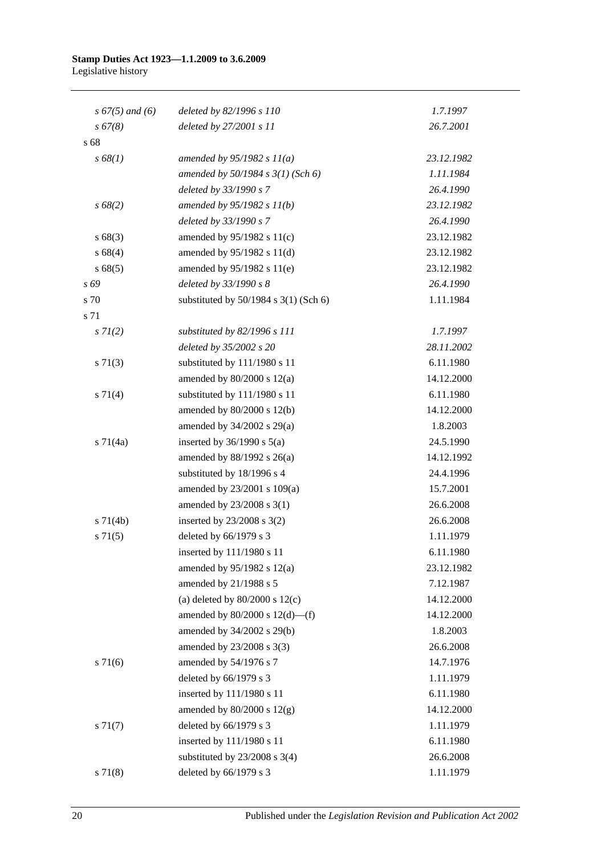| $s\,67(5)$ and (6) | deleted by 82/1996 s 110                  | 1.7.1997   |
|--------------------|-------------------------------------------|------------|
| s 67(8)            | deleted by 27/2001 s 11                   | 26.7.2001  |
| s 68               |                                           |            |
| s 68(1)            | amended by $95/1982 s 11(a)$              | 23.12.1982 |
|                    | amended by $50/1984$ s $3(1)$ (Sch 6)     | 1.11.1984  |
|                    | deleted by 33/1990 s 7                    | 26.4.1990  |
| $s\,68(2)$         | amended by $95/1982 s 11(b)$              | 23.12.1982 |
|                    | deleted by 33/1990 s 7                    | 26.4.1990  |
| s 68(3)            | amended by $95/1982$ s $11(c)$            | 23.12.1982 |
| s 68(4)            | amended by 95/1982 s 11(d)                | 23.12.1982 |
| s 68(5)            | amended by 95/1982 s 11(e)                | 23.12.1982 |
| s 69               | deleted by 33/1990 s 8                    | 26.4.1990  |
| s 70               | substituted by $50/1984$ s $3(1)$ (Sch 6) | 1.11.1984  |
| s 71               |                                           |            |
| $s \, 7l(2)$       | substituted by 82/1996 s 111              | 1.7.1997   |
|                    | deleted by 35/2002 s 20                   | 28.11.2002 |
| $s \, 71(3)$       | substituted by 111/1980 s 11              | 6.11.1980  |
|                    | amended by $80/2000$ s $12(a)$            | 14.12.2000 |
| $s \, 71(4)$       | substituted by 111/1980 s 11              | 6.11.1980  |
|                    | amended by 80/2000 s 12(b)                | 14.12.2000 |
|                    | amended by 34/2002 s 29(a)                | 1.8.2003   |
| $s \, 71(4a)$      | inserted by $36/1990$ s $5(a)$            | 24.5.1990  |
|                    | amended by 88/1992 s 26(a)                | 14.12.1992 |
|                    | substituted by 18/1996 s 4                | 24.4.1996  |
|                    | amended by 23/2001 s 109(a)               | 15.7.2001  |
|                    | amended by 23/2008 s 3(1)                 | 26.6.2008  |
| $s \, 71(4b)$      | inserted by $23/2008$ s $3(2)$            | 26.6.2008  |
| $s \, 71(5)$       | deleted by 66/1979 s 3                    | 1.11.1979  |
|                    | inserted by 111/1980 s 11                 | 6.11.1980  |
|                    | amended by 95/1982 s 12(a)                | 23.12.1982 |
|                    | amended by 21/1988 s 5                    | 7.12.1987  |
|                    | (a) deleted by $80/2000$ s $12(c)$        | 14.12.2000 |
|                    | amended by $80/2000$ s $12(d)$ —(f)       | 14.12.2000 |
|                    | amended by 34/2002 s 29(b)                | 1.8.2003   |
|                    | amended by 23/2008 s 3(3)                 | 26.6.2008  |
| $s \, 71(6)$       | amended by 54/1976 s 7                    | 14.7.1976  |
|                    | deleted by 66/1979 s 3                    | 1.11.1979  |
|                    | inserted by 111/1980 s 11                 | 6.11.1980  |
|                    | amended by $80/2000$ s $12(g)$            | 14.12.2000 |
| $s \, 71(7)$       | deleted by 66/1979 s 3                    | 1.11.1979  |
|                    | inserted by 111/1980 s 11                 | 6.11.1980  |
|                    | substituted by $23/2008$ s 3(4)           | 26.6.2008  |
| s71(8)             | deleted by 66/1979 s 3                    | 1.11.1979  |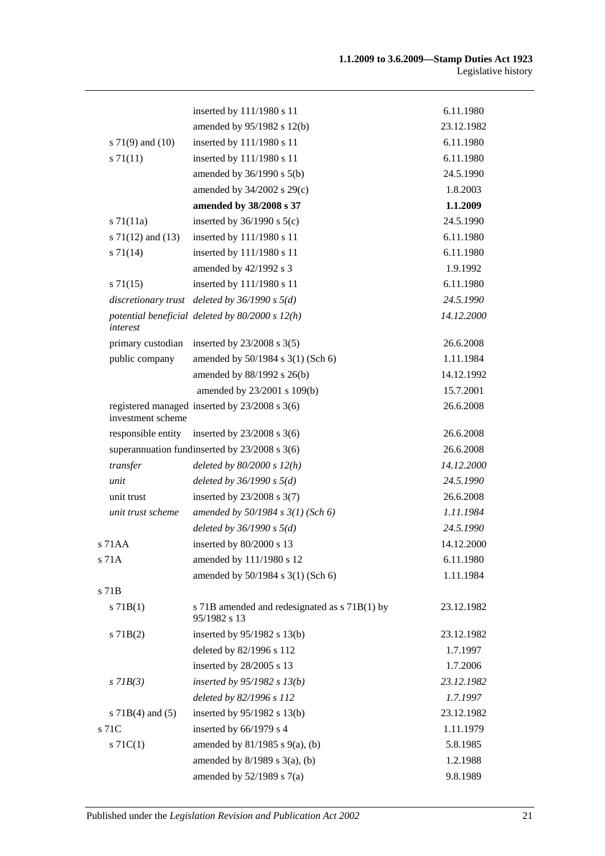|                       | inserted by 111/1980 s 11                                     | 6.11.1980  |
|-----------------------|---------------------------------------------------------------|------------|
|                       | amended by 95/1982 s 12(b)                                    | 23.12.1982 |
| s $71(9)$ and $(10)$  | inserted by 111/1980 s 11                                     | 6.11.1980  |
| $s \, 71(11)$         | inserted by 111/1980 s 11                                     | 6.11.1980  |
|                       | amended by $36/1990$ s $5(b)$                                 | 24.5.1990  |
|                       | amended by $34/2002$ s $29(c)$                                | 1.8.2003   |
|                       | amended by 38/2008 s 37                                       | 1.1.2009   |
| $s \, 71(11a)$        | inserted by $36/1990$ s $5(c)$                                | 24.5.1990  |
| s $71(12)$ and $(13)$ | inserted by 111/1980 s 11                                     | 6.11.1980  |
| $s \, 71(14)$         | inserted by 111/1980 s 11                                     | 6.11.1980  |
|                       | amended by 42/1992 s 3                                        | 1.9.1992   |
| $s \, 71(15)$         | inserted by 111/1980 s 11                                     | 6.11.1980  |
|                       | discretionary trust deleted by $36/1990$ s $5(d)$             | 24.5.1990  |
| interest              | potential beneficial deleted by $80/2000 s 12(h)$             | 14.12.2000 |
| primary custodian     | inserted by $23/2008$ s $3(5)$                                | 26.6.2008  |
| public company        | amended by 50/1984 s 3(1) (Sch 6)                             | 1.11.1984  |
|                       | amended by 88/1992 s 26(b)                                    | 14.12.1992 |
|                       | amended by 23/2001 s 109(b)                                   | 15.7.2001  |
| investment scheme     | registered managed inserted by 23/2008 s 3(6)                 | 26.6.2008  |
| responsible entity    | inserted by $23/2008$ s 3(6)                                  | 26.6.2008  |
|                       | superannuation fundinated by $23/2008$ s $3(6)$               | 26.6.2008  |
| transfer              | deleted by $80/2000 s 12(h)$                                  | 14.12.2000 |
| unit                  | deleted by $36/1990 s 5(d)$                                   | 24.5.1990  |
| unit trust            | inserted by $23/2008$ s $3(7)$                                | 26.6.2008  |
| unit trust scheme     | amended by $50/1984$ s $3(1)$ (Sch 6)                         | 1.11.1984  |
|                       | deleted by $36/1990 s 5(d)$                                   | 24.5.1990  |
| s 71 A A              | inserted by 80/2000 s 13                                      | 14.12.2000 |
| s 71A                 | amended by 111/1980 s 12                                      | 6.11.1980  |
|                       | amended by 50/1984 s 3(1) (Sch 6)                             | 1.11.1984  |
| s 71B                 |                                                               |            |
| s 71B(1)              | s 71B amended and redesignated as s 71B(1) by<br>95/1982 s 13 | 23.12.1982 |
| $s$ 71B(2)            | inserted by 95/1982 s 13(b)                                   | 23.12.1982 |
|                       | deleted by 82/1996 s 112                                      | 1.7.1997   |
|                       | inserted by 28/2005 s 13                                      | 1.7.2006   |
| $s$ 71 $B(3)$         | inserted by $95/1982$ s $13(b)$                               | 23.12.1982 |
|                       | deleted by 82/1996 s 112                                      | 1.7.1997   |
| s $71B(4)$ and $(5)$  | inserted by $95/1982$ s 13(b)                                 | 23.12.1982 |
| s 71C                 | inserted by 66/1979 s 4                                       | 1.11.1979  |
| $s \, 71C(1)$         | amended by $81/1985$ s $9(a)$ , (b)                           | 5.8.1985   |
|                       | amended by $8/1989$ s $3(a)$ , (b)                            | 1.2.1988   |
|                       | amended by $52/1989$ s $7(a)$                                 | 9.8.1989   |
|                       |                                                               |            |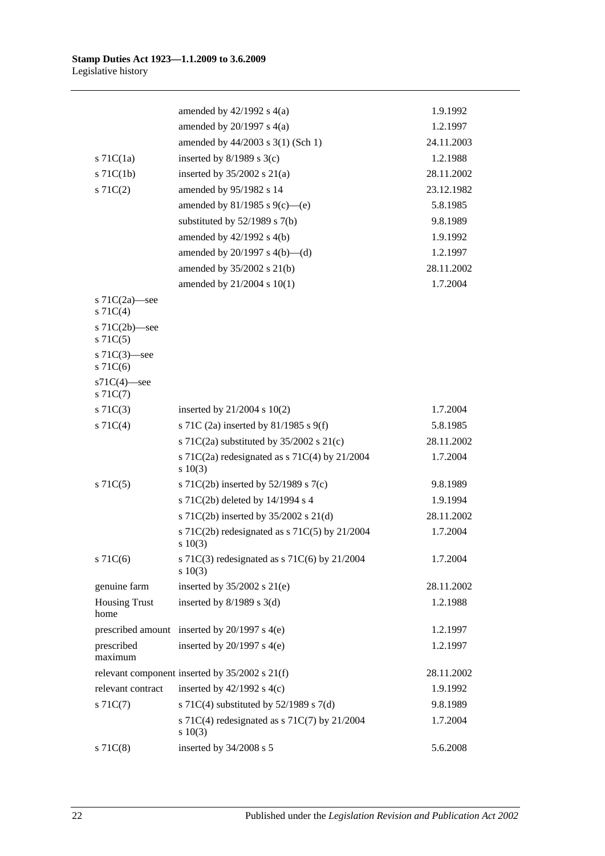|                                   | amended by $42/1992$ s $4(a)$                                        | 1.9.1992   |
|-----------------------------------|----------------------------------------------------------------------|------------|
|                                   | amended by $20/1997$ s $4(a)$                                        | 1.2.1997   |
|                                   | amended by 44/2003 s 3(1) (Sch 1)                                    | 24.11.2003 |
| $s$ 71 $C(1a)$                    | inserted by $8/1989$ s $3(c)$                                        | 1.2.1988   |
| $s$ 71 $C(1b)$                    | inserted by $35/2002$ s $21(a)$                                      | 28.11.2002 |
| $s \, 71C(2)$                     | amended by 95/1982 s 14                                              | 23.12.1982 |
|                                   | amended by 81/1985 s 9(c)—(e)                                        | 5.8.1985   |
|                                   | substituted by 52/1989 s 7(b)                                        | 9.8.1989   |
|                                   | amended by 42/1992 s 4(b)                                            | 1.9.1992   |
|                                   | amended by $20/1997$ s $4(b)$ —(d)                                   | 1.2.1997   |
|                                   | amended by 35/2002 s 21(b)                                           | 28.11.2002 |
|                                   | amended by 21/2004 s 10(1)                                           | 1.7.2004   |
| s $71C(2a)$ —see<br>$s \, 71C(4)$ |                                                                      |            |
| s $71C(2b)$ -see<br>$s$ 71 $C(5)$ |                                                                      |            |
| s $71C(3)$ —see<br>$s$ 71 $C(6)$  |                                                                      |            |
| $s71C(4)$ -see<br>$s \, 71C(7)$   |                                                                      |            |
| $s \, 71C(3)$                     | inserted by $21/2004$ s $10(2)$                                      | 1.7.2004   |
| $s \, 71C(4)$                     | s 71C (2a) inserted by 81/1985 s 9(f)                                | 5.8.1985   |
|                                   | s 71C(2a) substituted by $35/2002$ s 21(c)                           | 28.11.2002 |
|                                   | s 71C(2a) redesignated as s 71C(4) by 21/2004<br>$s\ 10(3)$          | 1.7.2004   |
| $s \, 71C(5)$                     | s 71C(2b) inserted by $52/1989$ s 7(c)                               | 9.8.1989   |
|                                   | s 71C(2b) deleted by 14/1994 s 4                                     | 1.9.1994   |
|                                   | s 71C(2b) inserted by 35/2002 s 21(d)                                | 28.11.2002 |
|                                   | s 71C(2b) redesignated as s 71C(5) by $21/2004$<br>s 10(3)           | 1.7.2004   |
| $s \, 71C(6)$                     | s 71C(3) redesignated as $\frac{71C(6)}{9}$ by 21/2004<br>$s\ 10(3)$ | 1.7.2004   |
| genuine farm                      | inserted by $35/2002$ s $21(e)$                                      | 28.11.2002 |
| <b>Housing Trust</b><br>home      | inserted by $8/1989$ s 3(d)                                          | 1.2.1988   |
|                                   | prescribed amount inserted by 20/1997 s 4(e)                         | 1.2.1997   |
| prescribed<br>maximum             | inserted by $20/1997$ s $4(e)$                                       | 1.2.1997   |
|                                   | relevant component inserted by 35/2002 s 21(f)                       | 28.11.2002 |
| relevant contract                 | inserted by $42/1992$ s $4(c)$                                       | 1.9.1992   |
| $s \, 71C(7)$                     | s 71C(4) substituted by $52/1989$ s 7(d)                             | 9.8.1989   |
|                                   | s 71C(4) redesignated as s 71C(7) by $21/2004$<br>s 10(3)            | 1.7.2004   |
| $s \, 71C(8)$                     | inserted by 34/2008 s 5                                              | 5.6.2008   |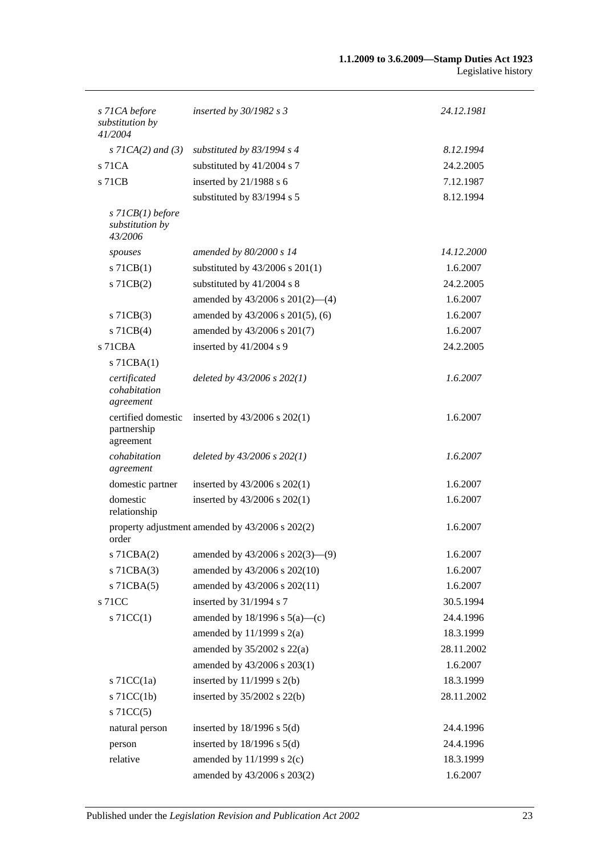| s 71CA before<br>substitution by<br>41/2004      | inserted by $30/1982$ s 3                       | 24.12.1981 |
|--------------------------------------------------|-------------------------------------------------|------------|
| $s$ 71CA(2) and (3)                              | substituted by $83/1994$ s 4                    | 8.12.1994  |
| $s$ 71 $CA$                                      | substituted by 41/2004 s 7                      | 24.2.2005  |
| s 71CB                                           | inserted by 21/1988 s 6                         | 7.12.1987  |
|                                                  | substituted by 83/1994 s 5                      | 8.12.1994  |
| $s$ 71CB(1) before<br>substitution by<br>43/2006 |                                                 |            |
| spouses                                          | amended by 80/2000 s 14                         | 14.12.2000 |
| $s$ 71 $CB(1)$                                   | substituted by $43/2006$ s $201(1)$             | 1.6.2007   |
| s 71CB(2)                                        | substituted by 41/2004 s 8                      | 24.2.2005  |
|                                                  | amended by $43/2006$ s $201(2)$ —(4)            | 1.6.2007   |
| s 71CB(3)                                        | amended by 43/2006 s 201(5), (6)                | 1.6.2007   |
| $s$ 71CB $(4)$                                   | amended by 43/2006 s 201(7)                     | 1.6.2007   |
| $s$ 71 $CBA$                                     | inserted by 41/2004 s 9                         | 24.2.2005  |
| $s$ 71CBA $(1)$                                  |                                                 |            |
| certificated<br>cohabitation<br>agreement        | deleted by $43/2006$ s $202(1)$                 | 1.6.2007   |
| certified domestic<br>partnership<br>agreement   | inserted by $43/2006$ s $202(1)$                | 1.6.2007   |
| cohabitation<br>agreement                        | deleted by $43/2006$ s $202(1)$                 | 1.6.2007   |
| domestic partner                                 | inserted by $43/2006$ s $202(1)$                | 1.6.2007   |
| domestic<br>relationship                         | inserted by 43/2006 s 202(1)                    | 1.6.2007   |
| order                                            | property adjustment amended by 43/2006 s 202(2) | 1.6.2007   |
| s 71CBA(2)                                       | amended by 43/2006 s 202(3)–(9)                 | 1.6.2007   |
| s 71CBA(3)                                       | amended by 43/2006 s 202(10)                    | 1.6.2007   |
| $s$ 71CBA $(5)$                                  | amended by 43/2006 s 202(11)                    | 1.6.2007   |
| s 71CC                                           | inserted by 31/1994 s 7                         | 30.5.1994  |
| $s$ 71CC(1)                                      | amended by $18/1996$ s $5(a)$ —(c)              | 24.4.1996  |
|                                                  | amended by $11/1999$ s $2(a)$                   | 18.3.1999  |
|                                                  | amended by $35/2002$ s $22(a)$                  | 28.11.2002 |
|                                                  | amended by 43/2006 s 203(1)                     | 1.6.2007   |
| s $71CC(1a)$                                     | inserted by $11/1999$ s $2(b)$                  | 18.3.1999  |
| $s$ 71CC(1b)                                     | inserted by $35/2002$ s $22(b)$                 | 28.11.2002 |
| $s$ 71CC(5)                                      |                                                 |            |
| natural person                                   | inserted by $18/1996$ s $5(d)$                  | 24.4.1996  |
| person                                           | inserted by $18/1996$ s $5(d)$                  | 24.4.1996  |
| relative                                         | amended by $11/1999$ s $2(c)$                   | 18.3.1999  |
|                                                  | amended by 43/2006 s 203(2)                     | 1.6.2007   |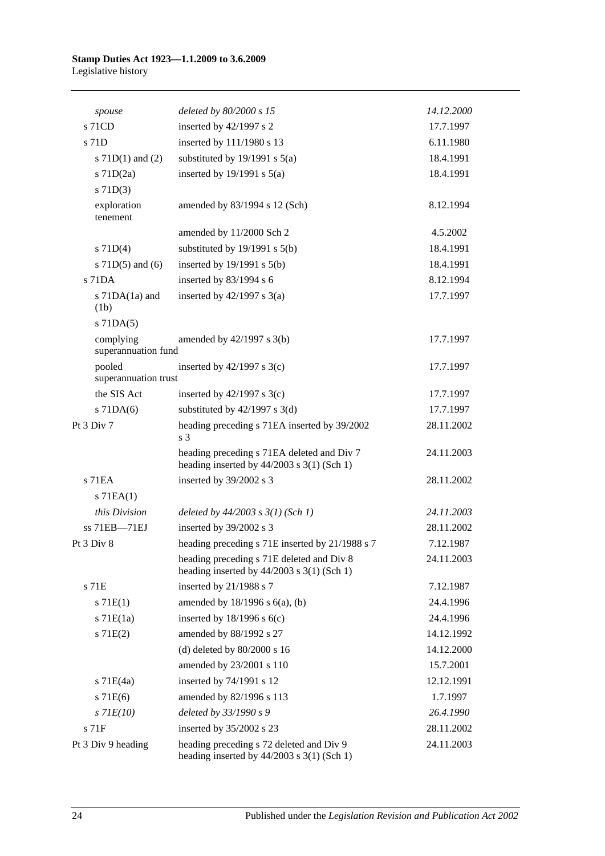| spouse                           | deleted by 80/2000 s 15                                                                   | 14.12.2000 |
|----------------------------------|-------------------------------------------------------------------------------------------|------------|
| s 71CD                           | inserted by 42/1997 s 2                                                                   | 17.7.1997  |
| s 71D                            | inserted by 111/1980 s 13                                                                 | 6.11.1980  |
| s $71D(1)$ and $(2)$             | substituted by $19/1991$ s $5(a)$                                                         | 18.4.1991  |
| $s$ 71D $(2a)$                   | inserted by $19/1991$ s $5(a)$                                                            | 18.4.1991  |
| $s$ 71D(3)                       |                                                                                           |            |
| exploration<br>tenement          | amended by 83/1994 s 12 (Sch)                                                             | 8.12.1994  |
|                                  | amended by 11/2000 Sch 2                                                                  | 4.5.2002   |
| $s$ 71D(4)                       | substituted by $19/1991$ s $5(b)$                                                         | 18.4.1991  |
| s $71D(5)$ and $(6)$             | inserted by $19/1991$ s $5(b)$                                                            | 18.4.1991  |
| s 71DA                           | inserted by 83/1994 s 6                                                                   | 8.12.1994  |
| s $71DA(1a)$ and<br>(1b)         | inserted by $42/1997$ s $3(a)$                                                            | 17.7.1997  |
| s 71DA(5)                        |                                                                                           |            |
| complying<br>superannuation fund | amended by $42/1997$ s $3(b)$                                                             | 17.7.1997  |
| pooled<br>superannuation trust   | inserted by $42/1997$ s 3(c)                                                              | 17.7.1997  |
| the SIS Act                      | inserted by $42/1997$ s 3(c)                                                              | 17.7.1997  |
| $s$ 71DA $(6)$                   | substituted by $42/1997$ s 3(d)                                                           | 17.7.1997  |
| Pt $3$ Div $7$                   | heading preceding s 71EA inserted by 39/2002<br>s <sub>3</sub>                            | 28.11.2002 |
|                                  | heading preceding s 71EA deleted and Div 7<br>heading inserted by 44/2003 s 3(1) (Sch 1)  | 24.11.2003 |
| $s$ 71EA                         | inserted by 39/2002 s 3                                                                   | 28.11.2002 |
| $s$ 71EA $(1)$                   |                                                                                           |            |
| this Division                    | deleted by $44/2003$ s $3(1)$ (Sch 1)                                                     | 24.11.2003 |
| $ss$ 71EB $-71E$ J               | inserted by 39/2002 s 3                                                                   | 28.11.2002 |
| Pt 3 Div 8                       | heading preceding s 71E inserted by 21/1988 s 7                                           | 7.12.1987  |
|                                  | heading preceding s 71E deleted and Div 8<br>heading inserted by $44/2003$ s 3(1) (Sch 1) | 24.11.2003 |
| s 71E                            | inserted by 21/1988 s 7                                                                   | 7.12.1987  |
| s 71E(1)                         | amended by $18/1996$ s $6(a)$ , (b)                                                       | 24.4.1996  |
| $s$ 71 $E(1a)$                   | inserted by $18/1996$ s $6(c)$                                                            | 24.4.1996  |
| s 71E(2)                         | amended by 88/1992 s 27                                                                   | 14.12.1992 |
|                                  | (d) deleted by $80/2000$ s 16                                                             | 14.12.2000 |
|                                  | amended by 23/2001 s 110                                                                  | 15.7.2001  |
| $s$ 71E(4a)                      | inserted by 74/1991 s 12                                                                  | 12.12.1991 |
| $s$ 71 $E(6)$                    | amended by 82/1996 s 113                                                                  | 1.7.1997   |
| $s$ 71 $E(10)$                   | deleted by 33/1990 s 9                                                                    | 26.4.1990  |
| s 71F                            | inserted by 35/2002 s 23                                                                  | 28.11.2002 |
| Pt 3 Div 9 heading               | heading preceding s 72 deleted and Div 9<br>heading inserted by $44/2003$ s 3(1) (Sch 1)  | 24.11.2003 |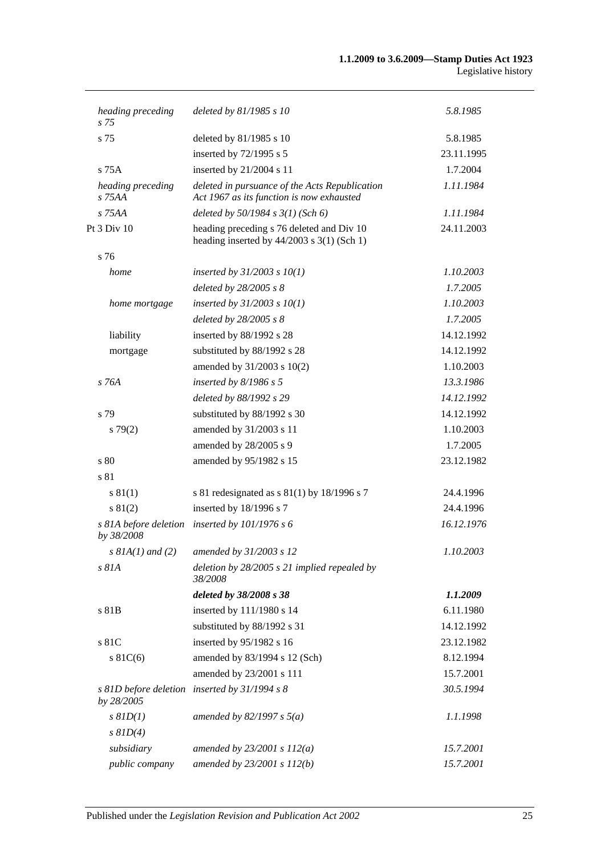| heading preceding<br>s 75   | deleted by 81/1985 s 10                                                                     | 5.8.1985   |
|-----------------------------|---------------------------------------------------------------------------------------------|------------|
| s 75                        | deleted by $81/1985$ s 10                                                                   | 5.8.1985   |
|                             | inserted by 72/1995 s 5                                                                     | 23.11.1995 |
| s 75A                       | inserted by 21/2004 s 11                                                                    | 1.7.2004   |
| heading preceding<br>s 75AA | deleted in pursuance of the Acts Republication<br>Act 1967 as its function is now exhausted | 1.11.1984  |
| s 75AA                      | deleted by $50/1984$ s $3(1)$ (Sch 6)                                                       | 1.11.1984  |
| Pt 3 Div 10                 | heading preceding s 76 deleted and Div 10<br>heading inserted by $44/2003$ s 3(1) (Sch 1)   | 24.11.2003 |
| s 76                        |                                                                                             |            |
| home                        | inserted by $31/2003$ s $10(1)$                                                             | 1.10.2003  |
|                             | deleted by 28/2005 s 8                                                                      | 1.7.2005   |
| home mortgage               | inserted by $31/2003$ s $10(1)$                                                             | 1.10.2003  |
|                             | deleted by 28/2005 s 8                                                                      | 1.7.2005   |
| liability                   | inserted by 88/1992 s 28                                                                    | 14.12.1992 |
| mortgage                    | substituted by 88/1992 s 28                                                                 | 14.12.1992 |
|                             | amended by 31/2003 s 10(2)                                                                  | 1.10.2003  |
| s 76A                       | inserted by $8/1986$ s 5                                                                    | 13.3.1986  |
|                             | deleted by 88/1992 s 29                                                                     | 14.12.1992 |
| s 79                        | substituted by 88/1992 s 30                                                                 | 14.12.1992 |
| s79(2)                      | amended by 31/2003 s 11                                                                     | 1.10.2003  |
|                             | amended by 28/2005 s 9                                                                      | 1.7.2005   |
| s 80                        | amended by 95/1982 s 15                                                                     | 23.12.1982 |
| s 81                        |                                                                                             |            |
| s 81(1)                     | s 81 redesignated as $s$ 81(1) by 18/1996 s 7                                               | 24.4.1996  |
| s 81(2)                     | inserted by 18/1996 s 7                                                                     | 24.4.1996  |
| by 38/2008                  | s 81A before deletion inserted by 101/1976 s 6                                              | 16.12.1976 |
|                             | $s$ 81A(1) and (2) amended by 31/2003 s 12                                                  | 1.10.2003  |
| s 81A                       | deletion by $28/2005$ s 21 implied repealed by<br>38/2008                                   |            |
|                             | deleted by 38/2008 s 38                                                                     | 1.1.2009   |
| s 81B                       | inserted by 111/1980 s 14                                                                   | 6.11.1980  |
|                             | substituted by 88/1992 s 31                                                                 | 14.12.1992 |
| s 81C                       | inserted by 95/1982 s 16                                                                    | 23.12.1982 |
| $s \, 81C(6)$               | amended by 83/1994 s 12 (Sch)                                                               | 8.12.1994  |
|                             | amended by 23/2001 s 111                                                                    | 15.7.2001  |
| by 28/2005                  | s 81D before deletion inserted by 31/1994 s 8                                               | 30.5.1994  |
| $s$ $81D(1)$                | amended by 82/1997 s $5(a)$                                                                 | 1.1.1998   |
| $s$ $81D(4)$                |                                                                                             |            |
| subsidiary                  | amended by $23/2001 s 112(a)$                                                               | 15.7.2001  |
| public company              | amended by 23/2001 s 112(b)                                                                 | 15.7.2001  |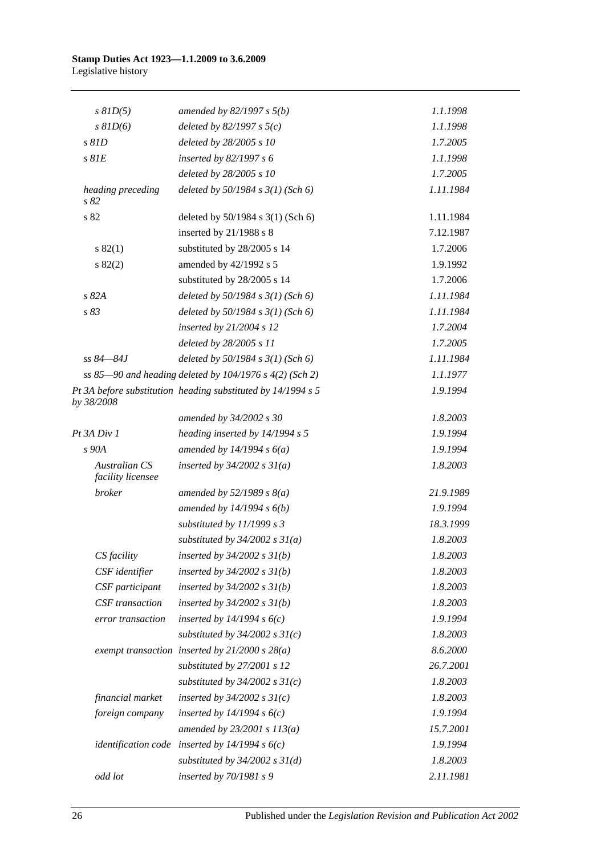| $s$ $81D(5)$                       | amended by $82/1997 s 5(b)$                                  | 1.1.1998  |
|------------------------------------|--------------------------------------------------------------|-----------|
| $s$ $81D(6)$                       | deleted by $82/1997 s 5(c)$                                  | 1.1.1998  |
| $s$ $81D$                          | deleted by 28/2005 s 10                                      | 1.7.2005  |
| $s$ $81E$                          | inserted by $82/1997 s 6$                                    | 1.1.1998  |
|                                    | deleted by 28/2005 s 10                                      | 1.7.2005  |
| heading preceding<br>s82           | deleted by $50/1984$ s $3(1)$ (Sch 6)                        | 1.11.1984 |
| s 82                               | deleted by $50/1984$ s $3(1)$ (Sch 6)                        | 1.11.1984 |
|                                    | inserted by 21/1988 s 8                                      | 7.12.1987 |
| s 82(1)                            | substituted by 28/2005 s 14                                  | 1.7.2006  |
| s 82(2)                            | amended by 42/1992 s 5                                       | 1.9.1992  |
|                                    | substituted by 28/2005 s 14                                  | 1.7.2006  |
| s 82A                              | deleted by $50/1984$ s $3(1)$ (Sch 6)                        | 1.11.1984 |
| s 83                               | deleted by $50/1984$ s $3(1)$ (Sch 6)                        | 1.11.1984 |
|                                    | inserted by 21/2004 s 12                                     | 1.7.2004  |
|                                    | deleted by 28/2005 s 11                                      | 1.7.2005  |
| ss 84–84J                          | deleted by $50/1984 s 3(1)$ (Sch 6)                          | 1.11.1984 |
|                                    | ss 85-90 and heading deleted by 104/1976 s 4(2) (Sch 2)      | 1.1.1977  |
| by 38/2008                         | Pt 3A before substitution heading substituted by 14/1994 s 5 | 1.9.1994  |
|                                    | amended by 34/2002 s 30                                      | 1.8.2003  |
| $Pt$ 3A $Div I$                    | heading inserted by 14/1994 s 5                              | 1.9.1994  |
| s 90A                              | amended by $14/1994 s 6(a)$                                  | 1.9.1994  |
| Australian CS<br>facility licensee | inserted by $34/2002$ s $31(a)$                              | 1.8.2003  |
| broker                             | amended by $52/1989 s 8(a)$                                  | 21.9.1989 |
|                                    | amended by $14/1994 s 6(b)$                                  | 1.9.1994  |
|                                    | substituted by $11/1999 s 3$                                 | 18.3.1999 |
|                                    | substituted by $34/2002$ s $31(a)$                           | 1.8.2003  |
| CS facility                        | inserted by $34/2002$ s $31(b)$                              | 1.8.2003  |
| CSF identifier                     | inserted by $34/2002$ s $31(b)$                              | 1.8.2003  |
| CSF participant                    | inserted by $34/2002$ s $31(b)$                              | 1.8.2003  |
| CSF transaction                    | inserted by $34/2002$ s $31(b)$                              | 1.8.2003  |
| error transaction                  | inserted by $14/1994 s 6(c)$                                 | 1.9.1994  |
|                                    | substituted by $34/2002$ s $31(c)$                           | 1.8.2003  |
|                                    | exempt transaction inserted by $21/2000 s 28(a)$             | 8.6.2000  |
|                                    | substituted by 27/2001 s 12                                  | 26.7.2001 |
|                                    | substituted by $34/2002$ s $31(c)$                           | 1.8.2003  |
| financial market                   | inserted by $34/2002$ s $31(c)$                              | 1.8.2003  |
| foreign company                    | inserted by $14/1994 s 6(c)$                                 | 1.9.1994  |
|                                    | amended by $23/2001 s 113(a)$                                | 15.7.2001 |
|                                    | identification code inserted by $14/1994 s 6(c)$             | 1.9.1994  |
|                                    | substituted by $34/2002$ s $31(d)$                           | 1.8.2003  |
| odd lot                            | inserted by $70/1981 s$ 9                                    | 2.11.1981 |
|                                    |                                                              |           |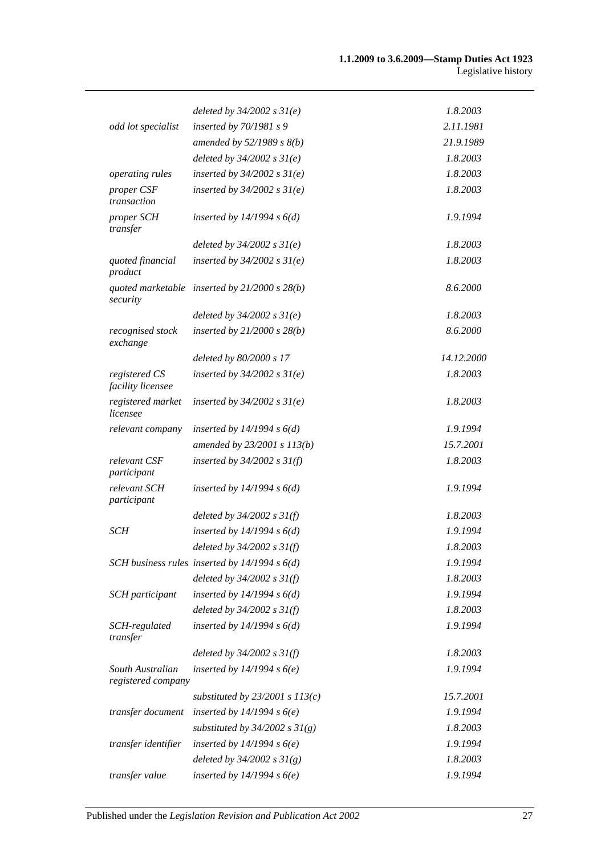|                                        | deleted by $34/2002 s 31(e)$                    | 1.8.2003   |
|----------------------------------------|-------------------------------------------------|------------|
| odd lot specialist                     | inserted by $70/1981 s$ 9                       | 2.11.1981  |
|                                        | amended by $52/1989$ s $8(b)$                   | 21.9.1989  |
|                                        | deleted by $34/2002 s 31(e)$                    | 1.8.2003   |
| operating rules                        | inserted by $34/2002$ s $31(e)$                 | 1.8.2003   |
| proper CSF<br>transaction              | inserted by $34/2002$ s $31(e)$                 | 1.8.2003   |
| proper SCH<br>transfer                 | inserted by $14/1994 s 6(d)$                    | 1.9.1994   |
|                                        | deleted by $34/2002$ s $31(e)$                  | 1.8.2003   |
| quoted financial<br>product            | inserted by $34/2002$ s $31(e)$                 | 1.8.2003   |
| security                               | quoted marketable inserted by $21/2000 s 28(b)$ | 8.6.2000   |
|                                        | deleted by $34/2002 s 31(e)$                    | 1.8.2003   |
| recognised stock<br>exchange           | inserted by $21/2000$ s $28(b)$                 | 8.6.2000   |
|                                        | deleted by 80/2000 s 17                         | 14.12.2000 |
| registered CS<br>facility licensee     | inserted by $34/2002$ s $31(e)$                 | 1.8.2003   |
| registered market<br>licensee          | inserted by $34/2002$ s $31(e)$                 | 1.8.2003   |
| relevant company                       | inserted by $14/1994 s 6(d)$                    | 1.9.1994   |
|                                        | amended by 23/2001 s 113(b)                     | 15.7.2001  |
| relevant CSF<br>participant            | inserted by $34/2002$ s $31(f)$                 | 1.8.2003   |
| relevant SCH<br>participant            | inserted by $14/1994 s 6(d)$                    | 1.9.1994   |
|                                        | deleted by $34/2002 s 31(f)$                    | 1.8.2003   |
| <b>SCH</b>                             | inserted by $14/1994 s 6(d)$                    | 1.9.1994   |
|                                        | deleted by $34/2002 s 31(f)$                    | 1.8.2003   |
|                                        | SCH business rules inserted by $14/1994 s 6(d)$ | 1.9.1994   |
|                                        | deleted by $34/2002 s 31(f)$                    | 1.8.2003   |
| <b>SCH</b> participant                 | inserted by $14/1994 s 6(d)$                    | 1.9.1994   |
|                                        | deleted by $34/2002$ s $31(f)$                  | 1.8.2003   |
| SCH-regulated<br>transfer              | inserted by $14/1994 s 6(d)$                    | 1.9.1994   |
|                                        | deleted by $34/2002$ s $31(f)$                  | 1.8.2003   |
| South Australian<br>registered company | inserted by $14/1994 s6(e)$                     | 1.9.1994   |
|                                        | substituted by $23/2001$ s $113(c)$             | 15.7.2001  |
| transfer document                      | inserted by $14/1994 s6(e)$                     | 1.9.1994   |
|                                        | substituted by $34/2002$ s $31(g)$              | 1.8.2003   |
| transfer identifier                    | inserted by $14/1994 s6(e)$                     | 1.9.1994   |
|                                        | deleted by $34/2002 s 31(g)$                    | 1.8.2003   |
| transfer value                         | inserted by $14/1994 s6(e)$                     | 1.9.1994   |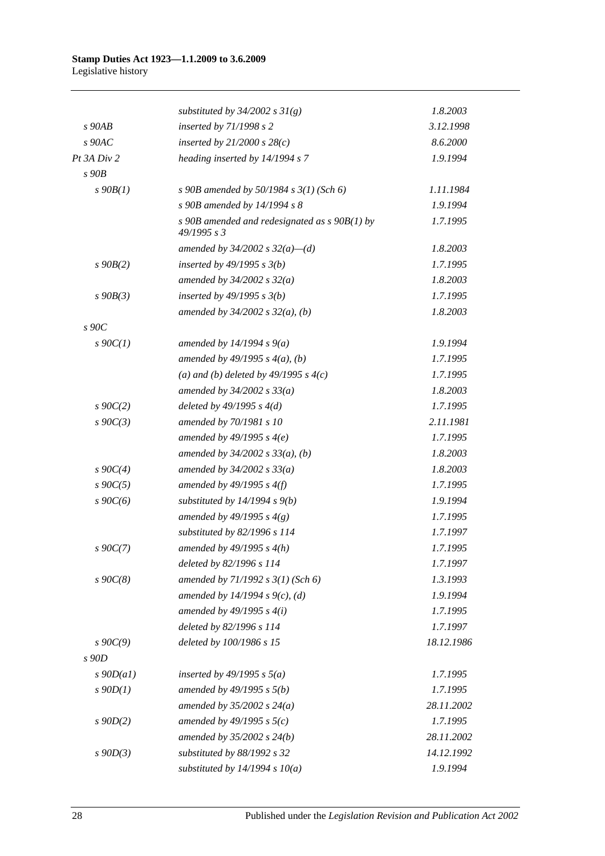|               | substituted by $34/2002$ s $31(g)$                             | 1.8.2003   |
|---------------|----------------------------------------------------------------|------------|
| $s$ 90AB      | inserted by 71/1998 s 2                                        | 3.12.1998  |
| $s$ 90AC      | inserted by $21/2000$ s $28(c)$                                | 8.6.2000   |
| Pt 3A Div 2   | heading inserted by 14/1994 s 7                                | 1.9.1994   |
| $s$ 90 $B$    |                                                                |            |
| $s\ 90B(1)$   | s 90B amended by 50/1984 s $3(1)$ (Sch 6)                      | 1.11.1984  |
|               | s 90B amended by 14/1994 s 8                                   | 1.9.1994   |
|               | s 90B amended and redesignated as $s$ 90B(1) by<br>49/1995 s 3 | 1.7.1995   |
|               | amended by $34/2002$ s $32(a)$ —(d)                            | 1.8.2003   |
| $s\,90B(2)$   | inserted by $49/1995 s 3(b)$                                   | 1.7.1995   |
|               | amended by $34/2002 s 32(a)$                                   | 1.8.2003   |
| $s$ 90 $B(3)$ | inserted by $49/1995 s 3(b)$                                   | 1.7.1995   |
|               | amended by $34/2002$ s $32(a)$ , (b)                           | 1.8.2003   |
| $s\,90C$      |                                                                |            |
| $s\ 90C(1)$   | amended by $14/1994 s 9(a)$                                    | 1.9.1994   |
|               | amended by 49/1995 s $4(a)$ , (b)                              | 1.7.1995   |
|               | (a) and (b) deleted by $49/1995 s 4(c)$                        | 1.7.1995   |
|               | amended by $34/2002$ s $33(a)$                                 | 1.8.2003   |
| $s \, 90C(2)$ | deleted by $49/1995 s 4(d)$                                    | 1.7.1995   |
| $s\ 90C(3)$   | amended by 70/1981 s 10                                        | 2.11.1981  |
|               | amended by $49/1995 s 4(e)$                                    | 1.7.1995   |
|               | amended by $34/2002$ s $33(a)$ , (b)                           | 1.8.2003   |
| $s \, 90C(4)$ | amended by $34/2002$ s $33(a)$                                 | 1.8.2003   |
| $s \, 90C(5)$ | amended by $49/1995 s 4(f)$                                    | 1.7.1995   |
| $s\,90C(6)$   | substituted by $14/1994 s 9(b)$                                | 1.9.1994   |
|               | amended by 49/1995 s $4(g)$                                    | 1.7.1995   |
|               | substituted by 82/1996 s 114                                   | 1.7.1997   |
| $s \, 90C(7)$ | amended by $49/1995 s 4(h)$                                    | 1.7.1995   |
|               | deleted by 82/1996 s 114                                       | 1.7.1997   |
| $s$ 90 $C(8)$ | amended by 71/1992 s 3(1) (Sch 6)                              | 1.3.1993   |
|               | amended by 14/1994 s 9(c), (d)                                 | 1.9.1994   |
|               | amended by $49/1995 s 4(i)$                                    | 1.7.1995   |
|               | deleted by 82/1996 s 114                                       | 1.7.1997   |
| $s \, 90C(9)$ | deleted by 100/1986 s 15                                       | 18.12.1986 |
| $s$ 90 $D$    |                                                                |            |
| $s$ 90D(a1)   | inserted by 49/1995 s $5(a)$                                   | 1.7.1995   |
| $s$ 90 $D(1)$ | amended by $49/1995 s 5(b)$                                    | 1.7.1995   |
|               | amended by $35/2002 s 24(a)$                                   | 28.11.2002 |
| $s$ 90D(2)    | amended by $49/1995$ s $5(c)$                                  | 1.7.1995   |
|               | amended by 35/2002 s 24(b)                                     | 28.11.2002 |
| $s$ 90D(3)    | substituted by 88/1992 s 32                                    | 14.12.1992 |
|               | substituted by $14/1994 s 10(a)$                               | 1.9.1994   |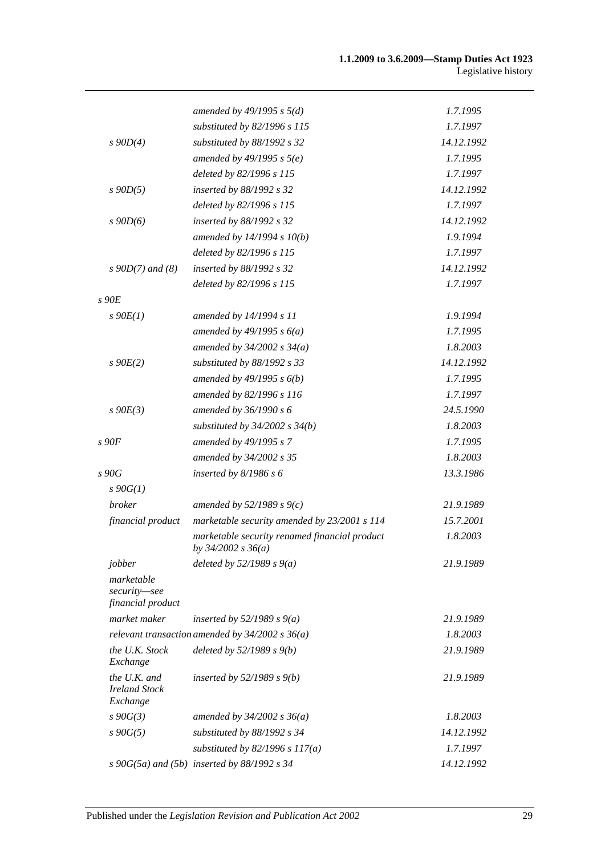|                                                  | amended by $49/1995$ s $5(d)$                                           | 1.7.1995   |
|--------------------------------------------------|-------------------------------------------------------------------------|------------|
|                                                  | substituted by 82/1996 s 115                                            | 1.7.1997   |
| $s$ 90D(4)                                       | substituted by 88/1992 s 32                                             | 14.12.1992 |
|                                                  | amended by $49/1995 s 5(e)$                                             | 1.7.1995   |
|                                                  | deleted by 82/1996 s 115                                                | 1.7.1997   |
| $s$ 90D(5)                                       | inserted by 88/1992 s 32                                                | 14.12.1992 |
|                                                  | deleted by 82/1996 s 115                                                | 1.7.1997   |
| $s$ 90 $D(6)$                                    | inserted by 88/1992 s 32                                                | 14.12.1992 |
|                                                  | amended by 14/1994 s 10(b)                                              | 1.9.1994   |
|                                                  | deleted by 82/1996 s 115                                                | 1.7.1997   |
| $s \, 90D(7)$ and (8)                            | inserted by 88/1992 s 32                                                | 14.12.1992 |
|                                                  | deleted by 82/1996 s 115                                                | 1.7.1997   |
| s90E                                             |                                                                         |            |
| $s\ 90E(1)$                                      | amended by 14/1994 s 11                                                 | 1.9.1994   |
|                                                  | amended by $49/1995 s 6(a)$                                             | 1.7.1995   |
|                                                  | amended by $34/2002$ s $34(a)$                                          | 1.8.2003   |
| $s$ 90 $E(2)$                                    | substituted by 88/1992 s 33                                             | 14.12.1992 |
|                                                  | amended by $49/1995 s 6(b)$                                             | 1.7.1995   |
|                                                  | amended by 82/1996 s 116                                                | 1.7.1997   |
| $s\ 90E(3)$                                      | amended by 36/1990 s 6                                                  | 24.5.1990  |
|                                                  | substituted by $34/2002$ s $34(b)$                                      | 1.8.2003   |
| s90F                                             | amended by 49/1995 s 7                                                  | 1.7.1995   |
|                                                  | amended by 34/2002 s 35                                                 | 1.8.2003   |
| s90G                                             | inserted by $8/1986 s 6$                                                | 13.3.1986  |
| $s\,90G(1)$                                      |                                                                         |            |
| <i>broker</i>                                    | amended by $52/1989 s 9(c)$                                             | 21.9.1989  |
| financial product                                | marketable security amended by 23/2001 s 114                            | 15.7.2001  |
|                                                  | marketable security renamed financial product<br>by $34/2002$ s $36(a)$ | 1.8.2003   |
| jobber                                           | deleted by $52/1989 s 9(a)$                                             | 21.9.1989  |
| marketable<br>security-see<br>financial product  |                                                                         |            |
| market maker                                     | inserted by $52/1989 s 9(a)$                                            | 21.9.1989  |
|                                                  | relevant transaction amended by $34/2002$ s $36(a)$                     | 1.8.2003   |
| the U.K. Stock<br>Exchange                       | deleted by $52/1989 s 9(b)$                                             | 21.9.1989  |
| the U.K. and<br><b>Ireland Stock</b><br>Exchange | inserted by $52/1989 s 9(b)$                                            | 21.9.1989  |
| $s\,90G(3)$                                      | amended by $34/2002$ s $36(a)$                                          | 1.8.2003   |
| $s\,90G(5)$                                      | substituted by 88/1992 s 34                                             | 14.12.1992 |
|                                                  | substituted by $82/1996$ s $117(a)$                                     | 1.7.1997   |
|                                                  | $s\ 90G(5a)$ and (5b) inserted by 88/1992 s 34                          | 14.12.1992 |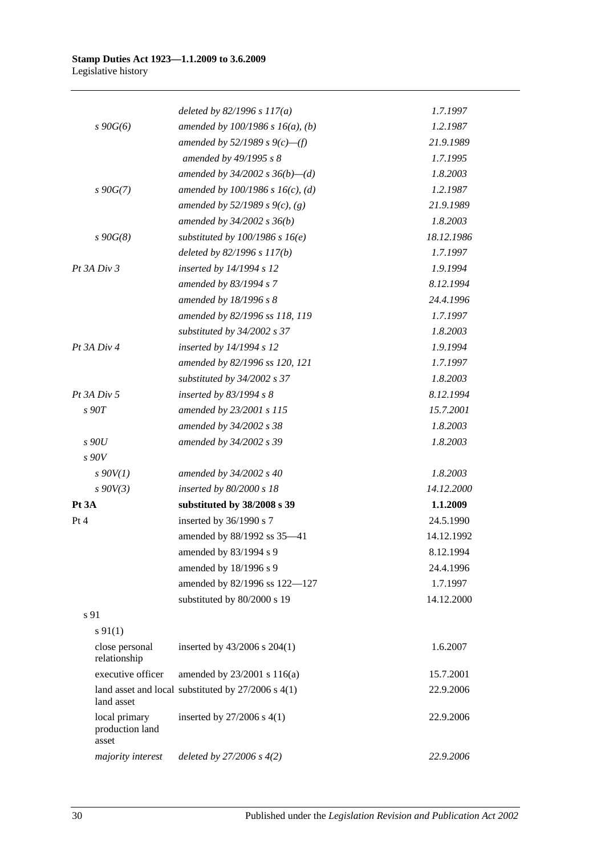|                                           | deleted by $82/1996 s 117(a)$                          | 1.7.1997   |
|-------------------------------------------|--------------------------------------------------------|------------|
| $s\,90G(6)$                               | amended by $100/1986$ s $16(a)$ , (b)                  | 1.2.1987   |
|                                           | amended by 52/1989 s $9(c)$ —(f)                       | 21.9.1989  |
|                                           | amended by 49/1995 s 8                                 | 1.7.1995   |
|                                           | amended by $34/2002$ s $36(b)$ —(d)                    | 1.8.2003   |
| $s\,90G(7)$                               | amended by $100/1986$ s $16(c)$ , (d)                  | 1.2.1987   |
|                                           | amended by 52/1989 s 9(c), (g)                         | 21.9.1989  |
|                                           | amended by $34/2002 s 36(b)$                           | 1.8.2003   |
| $s\,90G(8)$                               | substituted by $100/1986$ s $16(e)$                    | 18.12.1986 |
|                                           | deleted by 82/1996 s 117(b)                            | 1.7.1997   |
| Pt 3A Div 3                               | inserted by 14/1994 s 12                               | 1.9.1994   |
|                                           | amended by 83/1994 s 7                                 | 8.12.1994  |
|                                           | amended by 18/1996 s 8                                 | 24.4.1996  |
|                                           | amended by 82/1996 ss 118, 119                         | 1.7.1997   |
|                                           | substituted by 34/2002 s 37                            | 1.8.2003   |
| Pt 3A Div 4                               | inserted by 14/1994 s 12                               | 1.9.1994   |
|                                           | amended by 82/1996 ss 120, 121                         | 1.7.1997   |
|                                           | substituted by 34/2002 s 37                            | 1.8.2003   |
| Pt 3A Div 5                               | inserted by $83/1994 s 8$                              | 8.12.1994  |
| s90T                                      | amended by 23/2001 s 115                               | 15.7.2001  |
|                                           | amended by 34/2002 s 38                                | 1.8.2003   |
| $s$ 90U<br>s90V                           | amended by 34/2002 s 39                                | 1.8.2003   |
| $s$ 90 $V(1)$                             | amended by 34/2002 s 40                                | 1.8.2003   |
| $s$ 90V(3)                                | inserted by 80/2000 s 18                               | 14.12.2000 |
| Pt 3A                                     | substituted by 38/2008 s 39                            | 1.1.2009   |
| Pt 4                                      | inserted by 36/1990 s 7                                | 24.5.1990  |
|                                           | amended by 88/1992 ss 35-41                            | 14.12.1992 |
|                                           | amended by 83/1994 s 9                                 | 8.12.1994  |
|                                           | amended by 18/1996 s 9                                 | 24.4.1996  |
|                                           | amended by 82/1996 ss 122-127                          | 1.7.1997   |
|                                           | substituted by 80/2000 s 19                            | 14.12.2000 |
| s 91                                      |                                                        |            |
| $s\,91(1)$                                |                                                        |            |
| close personal<br>relationship            | inserted by 43/2006 s 204(1)                           | 1.6.2007   |
| executive officer                         | amended by 23/2001 s 116(a)                            | 15.7.2001  |
| land asset                                | land asset and local substituted by $27/2006$ s $4(1)$ | 22.9.2006  |
| local primary<br>production land<br>asset | inserted by $27/2006$ s $4(1)$                         | 22.9.2006  |
| majority interest                         | deleted by $27/2006 s 4(2)$                            | 22.9.2006  |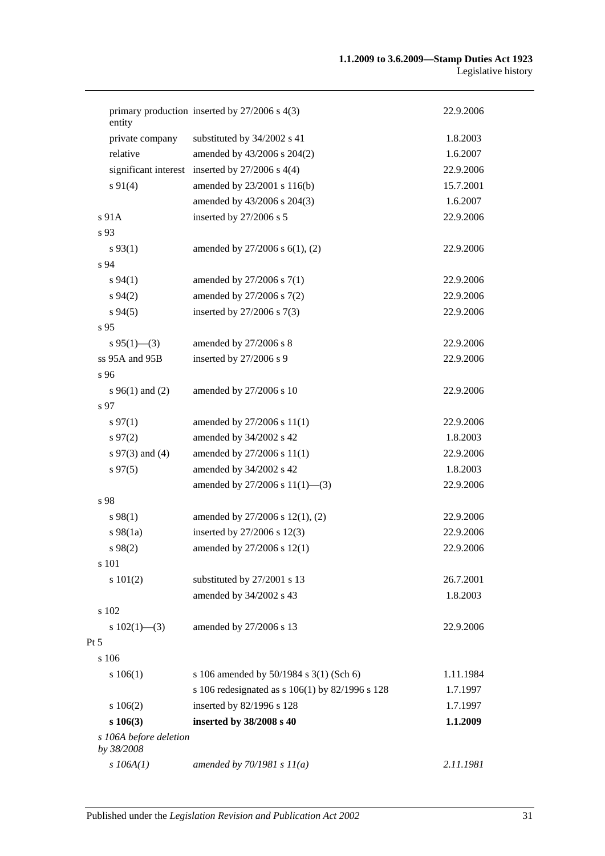| entity                               | primary production inserted by 27/2006 s 4(3)       | 22.9.2006 |
|--------------------------------------|-----------------------------------------------------|-----------|
| private company                      | substituted by 34/2002 s 41                         | 1.8.2003  |
| relative                             | amended by 43/2006 s 204(2)                         | 1.6.2007  |
|                                      | significant interest inserted by $27/2006$ s $4(4)$ | 22.9.2006 |
| $s\ 91(4)$                           | amended by 23/2001 s 116(b)                         | 15.7.2001 |
|                                      | amended by 43/2006 s 204(3)                         | 1.6.2007  |
| s 91A                                | inserted by 27/2006 s 5                             | 22.9.2006 |
| s 93                                 |                                                     |           |
| $s\,93(1)$                           | amended by $27/2006$ s $6(1)$ , (2)                 | 22.9.2006 |
| s 94                                 |                                                     |           |
| $s\,94(1)$                           | amended by $27/2006$ s $7(1)$                       | 22.9.2006 |
| $s\,94(2)$                           | amended by 27/2006 s 7(2)                           | 22.9.2006 |
| $s\,94(5)$                           | inserted by 27/2006 s 7(3)                          | 22.9.2006 |
| s 95                                 |                                                     |           |
| $s\,95(1)$ —(3)                      | amended by 27/2006 s 8                              | 22.9.2006 |
| ss 95A and 95B                       | inserted by 27/2006 s 9                             | 22.9.2006 |
| s 96                                 |                                                     |           |
| $s\,96(1)$ and (2)                   | amended by 27/2006 s 10                             | 22.9.2006 |
| s 97                                 |                                                     |           |
| $s\,97(1)$                           | amended by 27/2006 s 11(1)                          | 22.9.2006 |
| $s\,97(2)$                           | amended by 34/2002 s 42                             | 1.8.2003  |
| $s\ 97(3)$ and (4)                   | amended by 27/2006 s 11(1)                          | 22.9.2006 |
| $s\,97(5)$                           | amended by 34/2002 s 42                             | 1.8.2003  |
|                                      | amended by $27/2006$ s $11(1)$ —(3)                 | 22.9.2006 |
| s 98                                 |                                                     |           |
| $s\,98(1)$                           | amended by 27/2006 s 12(1), (2)                     | 22.9.2006 |
| $s\,98(1a)$                          | inserted by 27/2006 s 12(3)                         | 22.9.2006 |
| $s\,98(2)$                           | amended by 27/2006 s 12(1)                          | 22.9.2006 |
| s 101                                |                                                     |           |
| s 101(2)                             | substituted by 27/2001 s 13                         | 26.7.2001 |
|                                      | amended by 34/2002 s 43                             | 1.8.2003  |
| s 102                                |                                                     |           |
| s $102(1)$ —(3)                      | amended by 27/2006 s 13                             | 22.9.2006 |
| Pt 5                                 |                                                     |           |
| s 106                                |                                                     |           |
| s 106(1)                             | s 106 amended by 50/1984 s 3(1) (Sch 6)             | 1.11.1984 |
|                                      | s 106 redesignated as s 106(1) by 82/1996 s 128     | 1.7.1997  |
| 106(2)                               | inserted by 82/1996 s 128                           | 1.7.1997  |
| $s\ 106(3)$                          | inserted by 38/2008 s 40                            | 1.1.2009  |
| s 106A before deletion<br>by 38/2008 |                                                     |           |
| $s$ 106A(1)                          | amended by $70/1981 s 11(a)$                        | 2.11.1981 |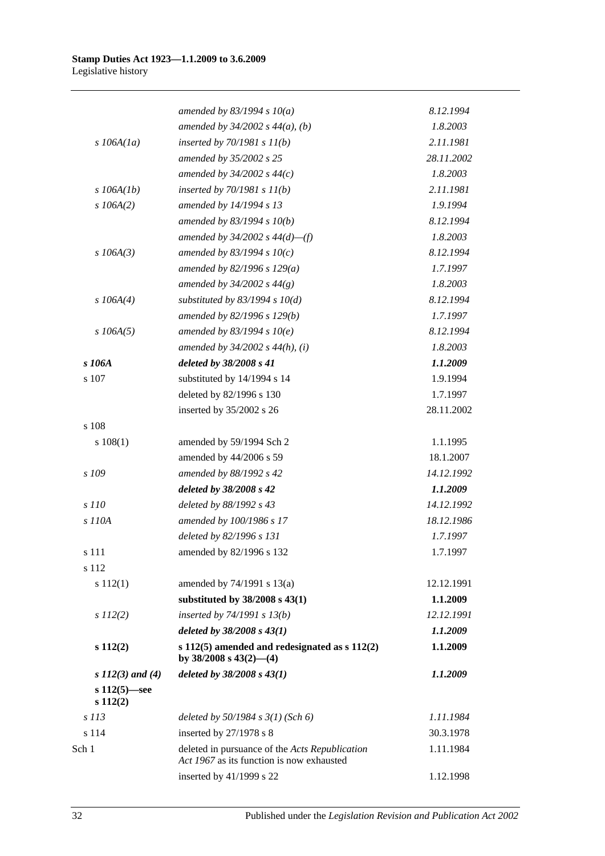|                          | amended by 83/1994 s $10(a)$                                                                | 8.12.1994  |
|--------------------------|---------------------------------------------------------------------------------------------|------------|
|                          | amended by $34/2002$ s $44(a)$ , (b)                                                        | 1.8.2003   |
| $s$ 106A(1a)             | inserted by $70/1981 s 11(b)$                                                               | 2.11.1981  |
|                          | amended by 35/2002 s 25                                                                     | 28.11.2002 |
|                          | amended by $34/2002$ s $44(c)$                                                              | 1.8.2003   |
| $s$ 106A(1b)             | inserted by $70/1981 s 11(b)$                                                               | 2.11.1981  |
| $s$ 106A(2)              | amended by 14/1994 s 13                                                                     | 1.9.1994   |
|                          | amended by $83/1994 s 10(b)$                                                                | 8.12.1994  |
|                          | amended by $34/2002$ s $44(d)$ —(f)                                                         | 1.8.2003   |
| $s$ 106A(3)              | amended by $83/1994 s 10(c)$                                                                | 8.12.1994  |
|                          | amended by 82/1996 s $129(a)$                                                               | 1.7.1997   |
|                          | amended by $34/2002 s 44(g)$                                                                | 1.8.2003   |
| $s$ 106A(4)              | substituted by $83/1994$ s $10(d)$                                                          | 8.12.1994  |
|                          | amended by 82/1996 s 129(b)                                                                 | 1.7.1997   |
| $s$ 106A(5)              | amended by $83/1994 s 10(e)$                                                                | 8.12.1994  |
|                          | amended by $34/2002$ s $44(h)$ , (i)                                                        | 1.8.2003   |
| s 106A                   | deleted by 38/2008 s 41                                                                     | 1.1.2009   |
| s 107                    | substituted by 14/1994 s 14                                                                 | 1.9.1994   |
|                          | deleted by 82/1996 s 130                                                                    | 1.7.1997   |
|                          | inserted by 35/2002 s 26                                                                    | 28.11.2002 |
| s 108                    |                                                                                             |            |
| s 108(1)                 | amended by 59/1994 Sch 2                                                                    | 1.1.1995   |
|                          | amended by 44/2006 s 59                                                                     | 18.1.2007  |
| s 109                    | amended by 88/1992 s 42                                                                     | 14.12.1992 |
|                          | deleted by 38/2008 s 42                                                                     | 1.1.2009   |
| s 110                    | deleted by 88/1992 s 43                                                                     | 14.12.1992 |
| s 110A                   | amended by 100/1986 s 17                                                                    | 18.12.1986 |
|                          | deleted by 82/1996 s 131                                                                    | 1.7.1997   |
| s 111                    | amended by 82/1996 s 132                                                                    | 1.7.1997   |
| s 112                    |                                                                                             |            |
| s 112(1)                 | amended by 74/1991 s 13(a)                                                                  | 12.12.1991 |
|                          | substituted by 38/2008 s 43(1)                                                              | 1.1.2009   |
| $s\ 112(2)$              | inserted by 74/1991 s 13(b)                                                                 | 12.12.1991 |
|                          | deleted by $38/2008$ s $43(1)$                                                              | 1.1.2009   |
| s 112(2)                 | $s$ 112(5) amended and redesignated as $s$ 112(2)<br>by $38/2008$ s $43(2)$ —(4)            | 1.1.2009   |
| s $112(3)$ and (4)       | deleted by $38/2008$ s $43(1)$                                                              | 1.1.2009   |
| s 112(5)-see<br>s 112(2) |                                                                                             |            |
| $s$ 113                  | deleted by $50/1984$ s $3(1)$ (Sch 6)                                                       | 1.11.1984  |
| s 114                    | inserted by $27/1978$ s 8                                                                   | 30.3.1978  |
| Sch 1                    | deleted in pursuance of the Acts Republication<br>Act 1967 as its function is now exhausted | 1.11.1984  |
|                          | inserted by 41/1999 s 22                                                                    | 1.12.1998  |
|                          |                                                                                             |            |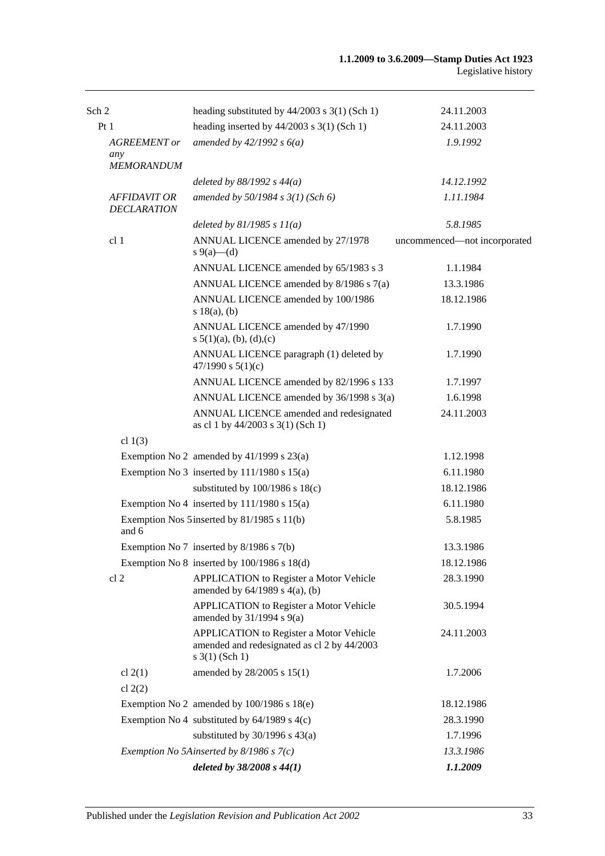| Sch 2                                           | heading substituted by $44/2003$ s 3(1) (Sch 1)                                                                      | 24.11.2003                   |
|-------------------------------------------------|----------------------------------------------------------------------------------------------------------------------|------------------------------|
| Pt1                                             | heading inserted by $44/2003$ s 3(1) (Sch 1)                                                                         | 24.11.2003                   |
| <b>AGREEMENT</b> or<br>any<br><b>MEMORANDUM</b> | amended by $42/1992 s 6(a)$                                                                                          | 1.9.1992                     |
|                                                 | deleted by $88/1992 s 44(a)$                                                                                         | 14.12.1992                   |
| <b>AFFIDAVIT OR</b><br><b>DECLARATION</b>       | amended by 50/1984 s 3(1) (Sch 6)                                                                                    | 1.11.1984                    |
|                                                 | deleted by $81/1985 s 11(a)$                                                                                         | 5.8.1985                     |
| cl 1                                            | ANNUAL LICENCE amended by 27/1978<br>s 9(a)—(d)                                                                      | uncommenced-not incorporated |
|                                                 | ANNUAL LICENCE amended by 65/1983 s 3                                                                                | 1.1.1984                     |
|                                                 | ANNUAL LICENCE amended by 8/1986 s 7(a)                                                                              | 13.3.1986                    |
|                                                 | ANNUAL LICENCE amended by 100/1986<br>s 18(a), (b)                                                                   | 18.12.1986                   |
|                                                 | ANNUAL LICENCE amended by 47/1990<br>s $5(1)(a)$ , (b), (d), (c)                                                     | 1.7.1990                     |
|                                                 | ANNUAL LICENCE paragraph (1) deleted by<br>47/1990 s $5(1)(c)$                                                       | 1.7.1990                     |
|                                                 | ANNUAL LICENCE amended by 82/1996 s 133                                                                              | 1.7.1997                     |
|                                                 | ANNUAL LICENCE amended by 36/1998 s 3(a)                                                                             | 1.6.1998                     |
|                                                 | ANNUAL LICENCE amended and redesignated<br>as cl 1 by 44/2003 s 3(1) (Sch 1)                                         | 24.11.2003                   |
| cl $1(3)$                                       |                                                                                                                      |                              |
|                                                 | Exemption No 2 amended by $41/1999$ s $23(a)$                                                                        | 1.12.1998                    |
|                                                 | Exemption No 3 inserted by $111/1980$ s $15(a)$                                                                      | 6.11.1980                    |
|                                                 | substituted by $100/1986$ s $18(c)$                                                                                  | 18.12.1986                   |
|                                                 | Exemption No 4 inserted by $111/1980$ s $15(a)$                                                                      | 6.11.1980                    |
| and 6                                           | Exemption Nos 5 inserted by 81/1985 s 11(b)                                                                          | 5.8.1985                     |
|                                                 | Exemption No 7 inserted by $8/1986$ s $7(b)$                                                                         | 13.3.1986                    |
|                                                 | Exemption No $8$ inserted by 100/1986 s 18(d)                                                                        | 18.12.1986                   |
| cl <sub>2</sub>                                 | <b>APPLICATION</b> to Register a Motor Vehicle<br>amended by $64/1989$ s $4(a)$ , (b)                                | 28.3.1990                    |
|                                                 | APPLICATION to Register a Motor Vehicle<br>amended by $31/1994$ s $9(a)$                                             | 30.5.1994                    |
|                                                 | <b>APPLICATION</b> to Register a Motor Vehicle<br>amended and redesignated as cl 2 by 44/2003<br>$s \; 3(1)$ (Sch 1) | 24.11.2003                   |
| cl 2(1)<br>cl $2(2)$                            | amended by 28/2005 s 15(1)                                                                                           | 1.7.2006                     |
|                                                 | Exemption No 2 amended by $100/1986$ s $18(e)$                                                                       | 18.12.1986                   |
|                                                 | Exemption No 4 substituted by $64/1989$ s $4(c)$                                                                     | 28.3.1990                    |
|                                                 | substituted by $30/1996$ s $43(a)$                                                                                   | 1.7.1996                     |
|                                                 | Exemption No 5Ainserted by $8/1986$ s $7(c)$                                                                         | 13.3.1986                    |
|                                                 | deleted by $38/2008$ s $44(1)$                                                                                       | 1.1.2009                     |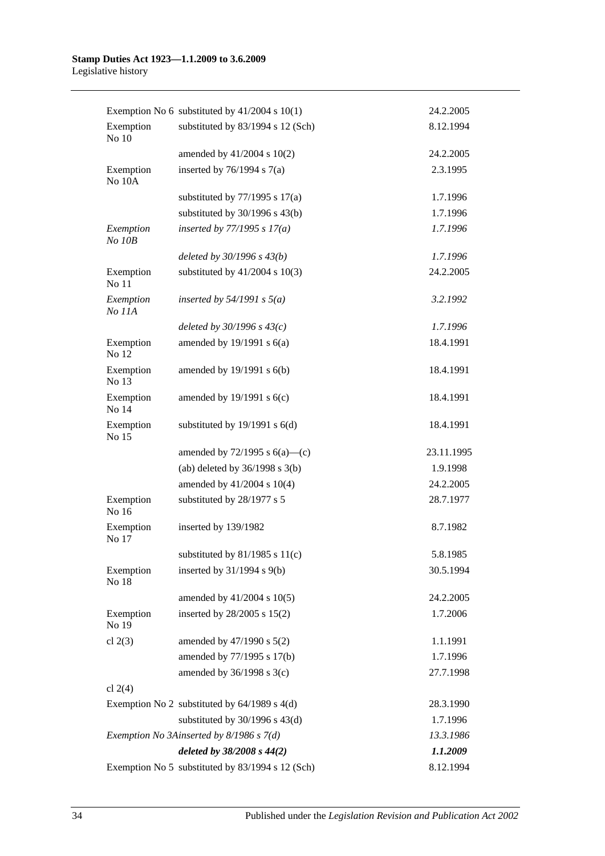|                     | Exemption No 6 substituted by $41/2004$ s 10(1)  | 24.2.2005  |
|---------------------|--------------------------------------------------|------------|
| Exemption<br>No 10  | substituted by 83/1994 s 12 (Sch)                | 8.12.1994  |
|                     | amended by $41/2004$ s $10(2)$                   | 24.2.2005  |
| Exemption<br>No 10A | inserted by $76/1994$ s $7(a)$                   | 2.3.1995   |
|                     | substituted by $77/1995$ s $17(a)$               | 1.7.1996   |
|                     | substituted by $30/1996$ s $43(b)$               | 1.7.1996   |
| Exemption<br>No 10B | inserted by $77/1995 s 17(a)$                    | 1.7.1996   |
|                     | deleted by $30/1996 s 43(b)$                     | 1.7.1996   |
| Exemption<br>No 11  | substituted by $41/2004$ s $10(3)$               | 24.2.2005  |
| Exemption<br>No 11A | inserted by $54/1991$ s $5(a)$                   | 3.2.1992   |
|                     | deleted by $30/1996 s 43(c)$                     | 1.7.1996   |
| Exemption<br>No 12  | amended by $19/1991$ s $6(a)$                    | 18.4.1991  |
| Exemption<br>No 13  | amended by 19/1991 s 6(b)                        | 18.4.1991  |
| Exemption<br>No 14  | amended by $19/1991$ s $6(c)$                    | 18.4.1991  |
| Exemption<br>No 15  | substituted by $19/1991$ s $6(d)$                | 18.4.1991  |
|                     | amended by $72/1995$ s $6(a)$ —(c)               | 23.11.1995 |
|                     | (ab) deleted by $36/1998$ s $3(b)$               | 1.9.1998   |
|                     | amended by 41/2004 s 10(4)                       | 24.2.2005  |
| Exemption<br>No 16  | substituted by 28/1977 s 5                       | 28.7.1977  |
| Exemption<br>No 17  | inserted by 139/1982                             | 8.7.1982   |
|                     | substituted by $81/1985$ s $11(c)$               | 5.8.1985   |
| Exemption<br>No 18  | inserted by $31/1994$ s $9(b)$                   | 30.5.1994  |
|                     | amended by 41/2004 s 10(5)                       | 24.2.2005  |
| Exemption<br>No 19  | inserted by 28/2005 s 15(2)                      | 1.7.2006   |
| cl $2(3)$           | amended by 47/1990 s 5(2)                        | 1.1.1991   |
|                     | amended by 77/1995 s 17(b)                       | 1.7.1996   |
|                     | amended by $36/1998$ s $3(c)$                    | 27.7.1998  |
| cl $2(4)$           |                                                  |            |
|                     | Exemption No 2 substituted by $64/1989$ s $4(d)$ | 28.3.1990  |
|                     | substituted by $30/1996$ s $43(d)$               | 1.7.1996   |
|                     | Exemption No 3Ainserted by 8/1986 s 7(d)         | 13.3.1986  |
|                     | deleted by 38/2008 s 44(2)                       | 1.1.2009   |
|                     | Exemption No 5 substituted by 83/1994 s 12 (Sch) | 8.12.1994  |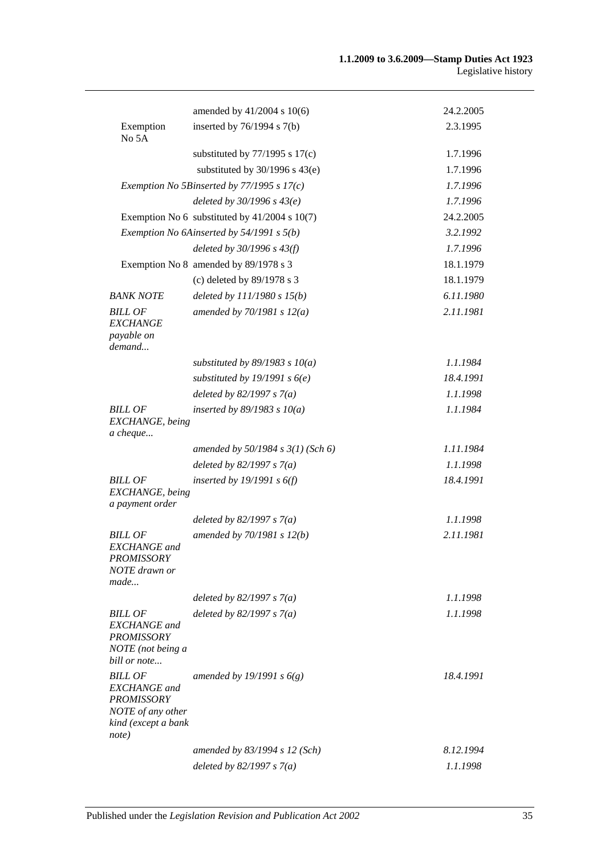|                                                                                                                 | amended by 41/2004 s 10(6)                        | 24.2.2005 |
|-----------------------------------------------------------------------------------------------------------------|---------------------------------------------------|-----------|
| Exemption<br>No 5A                                                                                              | inserted by $76/1994$ s $7(b)$                    | 2.3.1995  |
|                                                                                                                 | substituted by $77/1995$ s $17(c)$                | 1.7.1996  |
|                                                                                                                 | substituted by $30/1996$ s $43(e)$                | 1.7.1996  |
|                                                                                                                 | Exemption No 5Binserted by $77/1995 s 17(c)$      | 1.7.1996  |
|                                                                                                                 | deleted by $30/1996 s 43(e)$                      | 1.7.1996  |
|                                                                                                                 | Exemption No 6 substituted by $41/2004$ s $10(7)$ | 24.2.2005 |
|                                                                                                                 | Exemption No 6Ainserted by $54/1991$ s $5(b)$     | 3.2.1992  |
|                                                                                                                 | deleted by $30/1996 s 43(f)$                      | 1.7.1996  |
|                                                                                                                 | Exemption No 8 amended by 89/1978 s 3             | 18.1.1979 |
|                                                                                                                 | (c) deleted by $89/1978$ s 3                      | 18.1.1979 |
| <b>BANK NOTE</b>                                                                                                | deleted by $111/1980 s 15(b)$                     | 6.11.1980 |
| <b>BILL OF</b><br><b>EXCHANGE</b><br>payable on<br>demand                                                       | amended by $70/1981 s 12(a)$                      | 2.11.1981 |
|                                                                                                                 | substituted by $89/1983$ s $10(a)$                | 1.1.1984  |
|                                                                                                                 | substituted by 19/1991 s $6(e)$                   | 18.4.1991 |
|                                                                                                                 | deleted by $82/1997 s 7(a)$                       | 1.1.1998  |
| <b>BILL OF</b><br>EXCHANGE, being<br>a cheque                                                                   | inserted by $89/1983$ s $10(a)$                   | 1.1.1984  |
|                                                                                                                 | amended by $50/1984$ s $3(1)$ (Sch 6)             | 1.11.1984 |
|                                                                                                                 | deleted by $82/1997 s 7(a)$                       | 1.1.1998  |
| <b>BILL OF</b><br>EXCHANGE, being<br>a payment order                                                            | inserted by 19/1991 s $6(f)$                      | 18.4.1991 |
|                                                                                                                 | deleted by $82/1997 s 7(a)$                       | 1.1.1998  |
| <b>BILL OF</b><br><b>EXCHANGE</b> and<br>PROMISSORY<br>NOTE drawn or<br>made                                    | amended by 70/1981 s 12(b)                        | 2.11.1981 |
|                                                                                                                 | deleted by $82/1997 s 7(a)$                       | 1.1.1998  |
| <b>BILL OF</b><br><b>EXCHANGE</b> and<br><b>PROMISSORY</b><br>NOTE (not being a<br>bill or note                 | deleted by $82/1997 s 7(a)$                       | 1.1.1998  |
| <b>BILL OF</b><br><b>EXCHANGE</b> and<br><b>PROMISSORY</b><br>NOTE of any other<br>kind (except a bank<br>note) | amended by 19/1991 s $6(g)$                       | 18.4.1991 |
|                                                                                                                 | amended by 83/1994 s 12 (Sch)                     | 8.12.1994 |
|                                                                                                                 | deleted by $82/1997 s 7(a)$                       | 1.1.1998  |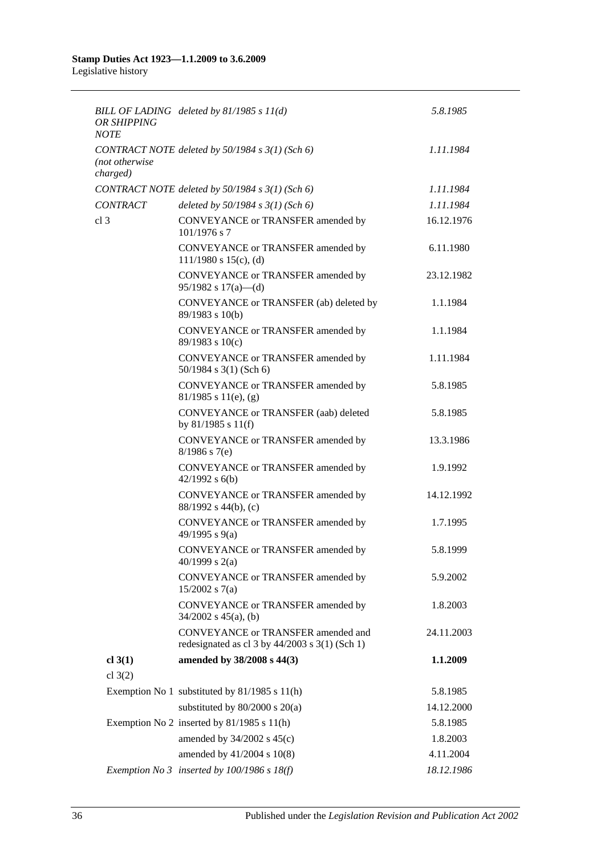#### **Stamp Duties Act 1923—1.1.2009 to 3.6.2009** Legislative history

|                                   | BILL OF LADING deleted by $81/1985 s 11(d)$                                                | 5.8.1985   |
|-----------------------------------|--------------------------------------------------------------------------------------------|------------|
| <b>OR SHIPPING</b><br><b>NOTE</b> |                                                                                            |            |
| (not otherwise<br>charged)        | CONTRACT NOTE deleted by 50/1984 s 3(1) (Sch 6)                                            | 1.11.1984  |
|                                   | CONTRACT NOTE deleted by 50/1984 s 3(1) (Sch 6)                                            | 1.11.1984  |
| <b>CONTRACT</b>                   | deleted by $50/1984 s 3(1)$ (Sch 6)                                                        | 1.11.1984  |
| cl <sub>3</sub>                   | CONVEYANCE or TRANSFER amended by<br>$101/1976$ s 7                                        | 16.12.1976 |
|                                   | CONVEYANCE or TRANSFER amended by<br>111/1980 s 15(c), (d)                                 | 6.11.1980  |
|                                   | CONVEYANCE or TRANSFER amended by<br>$95/1982$ s $17(a)$ —(d)                              | 23.12.1982 |
|                                   | CONVEYANCE or TRANSFER (ab) deleted by<br>89/1983 s 10(b)                                  | 1.1.1984   |
|                                   | CONVEYANCE or TRANSFER amended by<br>$89/1983$ s $10(c)$                                   | 1.1.1984   |
|                                   | <b>CONVEYANCE or TRANSFER amended by</b><br>50/1984 s 3(1) (Sch 6)                         | 1.11.1984  |
|                                   | CONVEYANCE or TRANSFER amended by<br>$81/1985$ s $11(e)$ , (g)                             | 5.8.1985   |
|                                   | CONVEYANCE or TRANSFER (aab) deleted<br>by 81/1985 s 11(f)                                 | 5.8.1985   |
|                                   | CONVEYANCE or TRANSFER amended by<br>$8/1986$ s 7(e)                                       | 13.3.1986  |
|                                   | CONVEYANCE or TRANSFER amended by<br>$42/1992$ s $6(b)$                                    | 1.9.1992   |
|                                   | CONVEYANCE or TRANSFER amended by<br>88/1992 s 44(b), (c)                                  | 14.12.1992 |
|                                   | CONVEYANCE or TRANSFER amended by<br>49/1995 s 9(a)                                        | 1.7.1995   |
|                                   | CONVEYANCE or TRANSFER amended by<br>40/1999 s $2(a)$                                      | 5.8.1999   |
|                                   | CONVEYANCE or TRANSFER amended by<br>$15/2002$ s 7(a)                                      | 5.9.2002   |
|                                   | CONVEYANCE or TRANSFER amended by<br>$34/2002$ s $45(a)$ , (b)                             | 1.8.2003   |
|                                   | CONVEYANCE or TRANSFER amended and<br>redesignated as cl $3$ by $44/2003$ s $3(1)$ (Sch 1) | 24.11.2003 |
| cl $3(1)$                         | amended by 38/2008 s 44(3)                                                                 | 1.1.2009   |
| cl $3(2)$                         |                                                                                            |            |
|                                   | Exemption No 1 substituted by 81/1985 s 11(h)                                              | 5.8.1985   |
|                                   | substituted by $80/2000$ s $20(a)$                                                         | 14.12.2000 |
|                                   | Exemption No 2 inserted by 81/1985 s 11(h)                                                 | 5.8.1985   |
|                                   | amended by 34/2002 s 45(c)                                                                 | 1.8.2003   |
|                                   | amended by 41/2004 s 10(8)                                                                 | 4.11.2004  |
|                                   | Exemption No 3 inserted by $100/1986$ s $18(f)$                                            | 18.12.1986 |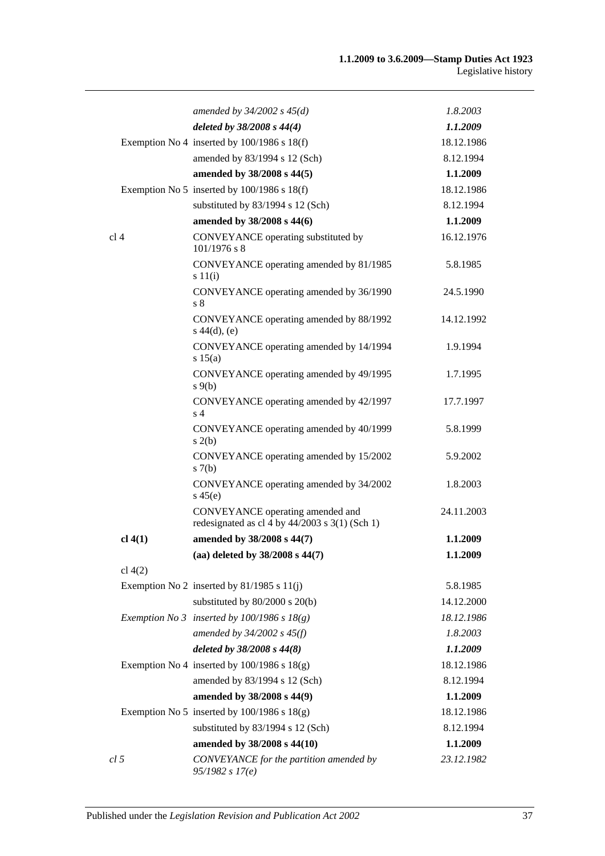|                 | amended by $34/2002$ s $45(d)$                                                       | 1.8.2003   |
|-----------------|--------------------------------------------------------------------------------------|------------|
|                 | deleted by 38/2008 s 44(4)                                                           | 1.1.2009   |
|                 | Exemption No 4 inserted by $100/1986$ s $18(f)$                                      | 18.12.1986 |
|                 | amended by 83/1994 s 12 (Sch)                                                        | 8.12.1994  |
|                 | amended by 38/2008 s 44(5)                                                           | 1.1.2009   |
|                 | Exemption No 5 inserted by $100/1986$ s $18(f)$                                      | 18.12.1986 |
|                 | substituted by 83/1994 s 12 (Sch)                                                    | 8.12.1994  |
|                 | amended by 38/2008 s 44(6)                                                           | 1.1.2009   |
| cl <sub>4</sub> | CONVEYANCE operating substituted by<br>101/1976 s 8                                  | 16.12.1976 |
|                 | CONVEYANCE operating amended by 81/1985<br>s 11(i)                                   | 5.8.1985   |
|                 | CONVEYANCE operating amended by 36/1990<br>s 8                                       | 24.5.1990  |
|                 | CONVEYANCE operating amended by 88/1992<br>$s\,44(d), (e)$                           | 14.12.1992 |
|                 | CONVEYANCE operating amended by 14/1994<br>s 15(a)                                   | 1.9.1994   |
|                 | CONVEYANCE operating amended by 49/1995<br>$s \theta(b)$                             | 1.7.1995   |
|                 | CONVEYANCE operating amended by 42/1997<br>s <sub>4</sub>                            | 17.7.1997  |
|                 | CONVEYANCE operating amended by 40/1999<br>s(2(b)                                    | 5.8.1999   |
|                 | CONVEYANCE operating amended by 15/2002<br>s(7(b)                                    | 5.9.2002   |
|                 | CONVEYANCE operating amended by 34/2002<br>$s\,45(e)$                                | 1.8.2003   |
|                 | CONVEYANCE operating amended and<br>redesignated as cl 4 by $44/2003$ s 3(1) (Sch 1) | 24.11.2003 |
| $cl$ 4(1)       | amended by 38/2008 s 44(7)                                                           | 1.1.2009   |
|                 | (aa) deleted by $38/2008$ s $44(7)$                                                  | 1.1.2009   |
| cl $4(2)$       |                                                                                      |            |
|                 | Exemption No 2 inserted by $81/1985$ s $11(j)$                                       | 5.8.1985   |
|                 | substituted by 80/2000 s 20(b)                                                       | 14.12.2000 |
|                 | Exemption No 3 inserted by $100/1986$ s $18(g)$                                      | 18.12.1986 |
|                 | amended by $34/2002$ s $45(f)$                                                       | 1.8.2003   |
|                 | deleted by 38/2008 s 44(8)                                                           | 1.1.2009   |
|                 | Exemption No 4 inserted by $100/1986$ s $18(g)$                                      | 18.12.1986 |
|                 | amended by 83/1994 s 12 (Sch)                                                        | 8.12.1994  |
|                 | amended by 38/2008 s 44(9)                                                           | 1.1.2009   |
|                 | Exemption No 5 inserted by $100/1986$ s $18(g)$                                      | 18.12.1986 |
|                 | substituted by 83/1994 s 12 (Sch)                                                    | 8.12.1994  |
|                 | amended by 38/2008 s 44(10)                                                          | 1.1.2009   |
| cl <sub>5</sub> | CONVEYANCE for the partition amended by<br>95/1982 s 17(e)                           | 23.12.1982 |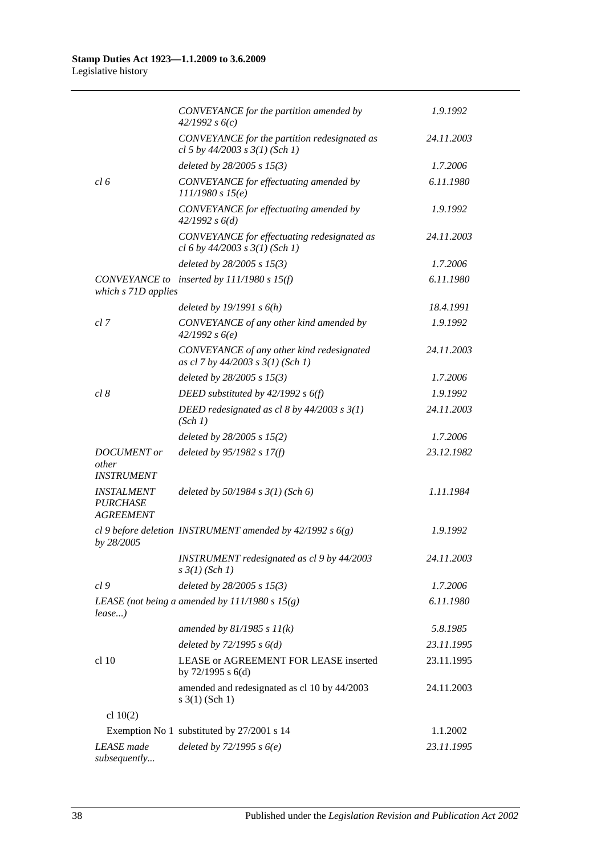|                                                                 | CONVEYANCE for the partition amended by<br>42/1992 s6(c)                           | 1.9.1992   |
|-----------------------------------------------------------------|------------------------------------------------------------------------------------|------------|
|                                                                 | CONVEYANCE for the partition redesignated as<br>cl 5 by $44/2003$ s $3(1)$ (Sch 1) | 24.11.2003 |
|                                                                 | deleted by $28/2005 s 15(3)$                                                       | 1.7.2006   |
| cl 6                                                            | CONVEYANCE for effectuating amended by<br>111/1980 s 15(e)                         | 6.11.1980  |
|                                                                 | CONVEYANCE for effectuating amended by<br>42/1992 s 6(d)                           | 1.9.1992   |
|                                                                 | CONVEYANCE for effectuating redesignated as<br>cl 6 by $44/2003$ s $3(1)$ (Sch 1)  | 24.11.2003 |
|                                                                 | deleted by 28/2005 s 15(3)                                                         | 1.7.2006   |
| which s 71D applies                                             | CONVEYANCE to inserted by $111/1980 s 15(f)$                                       | 6.11.1980  |
|                                                                 | deleted by $19/1991 s 6(h)$                                                        | 18.4.1991  |
| cl 7                                                            | CONVEYANCE of any other kind amended by<br>42/1992 s6(e)                           | 1.9.1992   |
|                                                                 | CONVEYANCE of any other kind redesignated<br>as cl 7 by 44/2003 s 3(1) (Sch 1)     | 24.11.2003 |
|                                                                 | deleted by 28/2005 s 15(3)                                                         | 1.7.2006   |
| cl 8                                                            | DEED substituted by $42/1992 s 6(f)$                                               | 1.9.1992   |
|                                                                 | DEED redesignated as cl 8 by $44/2003$ s $3(1)$<br>(Sch 1)                         | 24.11.2003 |
|                                                                 | deleted by 28/2005 s 15(2)                                                         | 1.7.2006   |
| <b>DOCUMENT</b> or<br>other<br><b>INSTRUMENT</b>                | deleted by $95/1982 s 17(f)$                                                       | 23.12.1982 |
| <i><b>INSTALMENT</b></i><br><b>PURCHASE</b><br><b>AGREEMENT</b> | deleted by $50/1984$ s $3(1)$ (Sch 6)                                              | 1.11.1984  |
| by 28/2005                                                      | cl 9 before deletion INSTRUMENT amended by $42/1992 s 6(g)$                        | 1.9.1992   |
|                                                                 | INSTRUMENT redesignated as cl 9 by 44/2003<br>$s \frac{3}{1}$ (Sch 1)              | 24.11.2003 |
| cl9                                                             | deleted by $28/2005$ s $15(3)$                                                     | 1.7.2006   |
| lease)                                                          | LEASE (not being a amended by $111/1980 s 15(g)$ )                                 | 6.11.1980  |
|                                                                 | amended by $81/1985 s 11(k)$                                                       | 5.8.1985   |
|                                                                 | deleted by $72/1995 s 6(d)$                                                        | 23.11.1995 |
| cl 10                                                           | LEASE or AGREEMENT FOR LEASE inserted<br>by $72/1995$ s $6(d)$                     | 23.11.1995 |
|                                                                 | amended and redesignated as cl 10 by 44/2003<br>$s \; 3(1)$ (Sch 1)                | 24.11.2003 |
| cl $10(2)$                                                      |                                                                                    |            |
|                                                                 | Exemption No 1 substituted by 27/2001 s 14                                         | 1.1.2002   |
| <b>LEASE</b> made<br>subsequently                               | deleted by $72/1995 s 6(e)$                                                        | 23.11.1995 |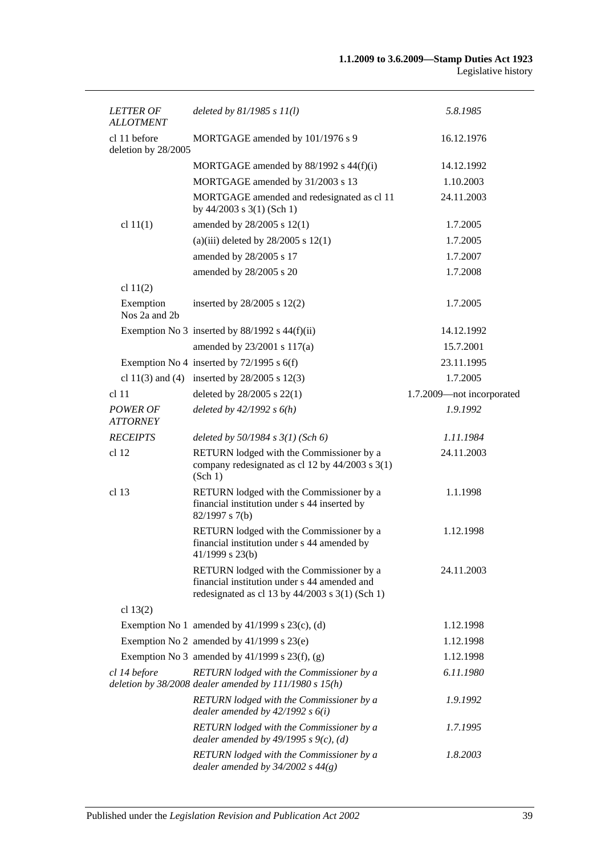| <b>LETTER OF</b><br><b>ALLOTMENT</b> | deleted by $81/1985 s 11(l)$                                                                                                                  | 5.8.1985                  |
|--------------------------------------|-----------------------------------------------------------------------------------------------------------------------------------------------|---------------------------|
| cl 11 before<br>deletion by 28/2005  | MORTGAGE amended by 101/1976 s 9                                                                                                              | 16.12.1976                |
|                                      | MORTGAGE amended by 88/1992 s 44(f)(i)                                                                                                        | 14.12.1992                |
|                                      | MORTGAGE amended by 31/2003 s 13                                                                                                              | 1.10.2003                 |
|                                      | MORTGAGE amended and redesignated as cl 11<br>by $44/2003$ s $3(1)$ (Sch 1)                                                                   | 24.11.2003                |
| cl $11(1)$                           | amended by $28/2005$ s $12(1)$                                                                                                                | 1.7.2005                  |
|                                      | (a)(iii) deleted by $28/2005$ s 12(1)                                                                                                         | 1.7.2005                  |
|                                      | amended by 28/2005 s 17                                                                                                                       | 1.7.2007                  |
|                                      | amended by 28/2005 s 20                                                                                                                       | 1.7.2008                  |
| cl $11(2)$                           |                                                                                                                                               |                           |
| Exemption<br>Nos 2a and 2b           | inserted by $28/2005$ s $12(2)$                                                                                                               | 1.7.2005                  |
|                                      | Exemption No 3 inserted by $88/1992$ s $44(f)(ii)$                                                                                            | 14.12.1992                |
|                                      | amended by $23/2001$ s $117(a)$                                                                                                               | 15.7.2001                 |
|                                      | Exemption No 4 inserted by $72/1995$ s 6(f)                                                                                                   | 23.11.1995                |
|                                      | cl 11(3) and (4) inserted by $28/2005$ s 12(3)                                                                                                | 1.7.2005                  |
| cl 11                                | deleted by 28/2005 s 22(1)                                                                                                                    | 1.7.2009-not incorporated |
| <b>POWER OF</b><br><b>ATTORNEY</b>   | deleted by $42/1992 s 6(h)$                                                                                                                   | 1.9.1992                  |
| <b>RECEIPTS</b>                      | deleted by $50/1984$ s $3(1)$ (Sch 6)                                                                                                         | 1.11.1984                 |
| cl <sub>12</sub>                     | RETURN lodged with the Commissioner by a<br>company redesignated as cl 12 by 44/2003 s 3(1)<br>(Sch 1)                                        | 24.11.2003                |
| cl <sub>13</sub>                     | RETURN lodged with the Commissioner by a<br>financial institution under s 44 inserted by<br>82/1997 s 7(b)                                    | 1.1.1998                  |
|                                      | RETURN lodged with the Commissioner by a<br>financial institution under s 44 amended by<br>$41/1999$ s 23(b)                                  | 1.12.1998                 |
|                                      | RETURN lodged with the Commissioner by a<br>financial institution under s 44 amended and<br>redesignated as cl 13 by $44/2003$ s 3(1) (Sch 1) | 24.11.2003                |
| cl $13(2)$                           |                                                                                                                                               |                           |
|                                      | Exemption No 1 amended by $41/1999$ s $23(c)$ , (d)                                                                                           | 1.12.1998                 |
|                                      | Exemption No 2 amended by $41/1999$ s $23(e)$                                                                                                 | 1.12.1998                 |
|                                      | Exemption No 3 amended by $41/1999$ s $23(f)$ , (g)                                                                                           | 1.12.1998                 |
| cl 14 before                         | <b>RETURN</b> lodged with the Commissioner by a<br>deletion by $38/2008$ dealer amended by $111/1980$ s $15(h)$                               | 6.11.1980                 |
|                                      | RETURN lodged with the Commissioner by a<br>dealer amended by $42/1992 s 6(i)$                                                                | 1.9.1992                  |
|                                      | RETURN lodged with the Commissioner by a<br>dealer amended by $49/1995 s$ $9(c)$ , (d)                                                        | 1.7.1995                  |
|                                      | RETURN lodged with the Commissioner by a<br>dealer amended by $34/2002$ s $44(g)$                                                             | 1.8.2003                  |
|                                      |                                                                                                                                               |                           |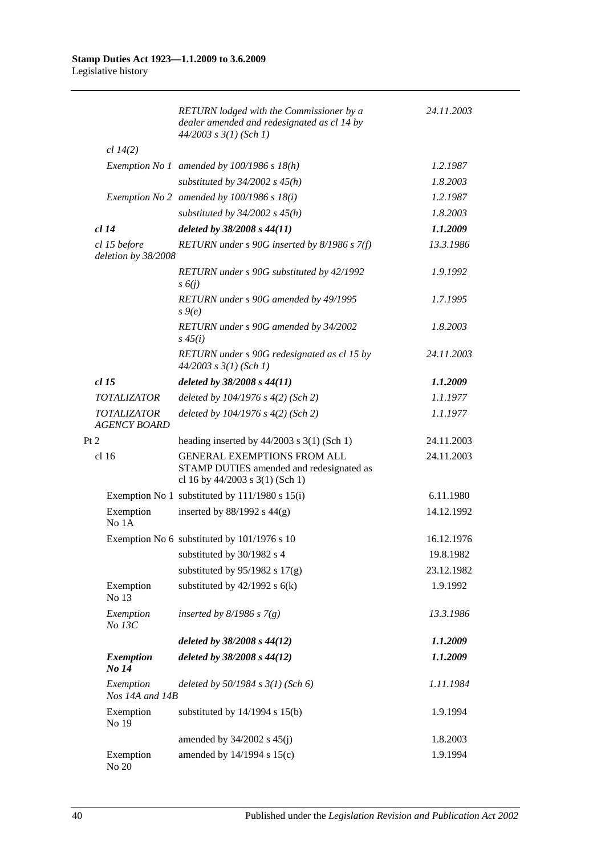|                                           | RETURN lodged with the Commissioner by a<br>dealer amended and redesignated as cl 14 by<br>$44/2003$ s $3(1)$ (Sch 1) | 24.11.2003 |
|-------------------------------------------|-----------------------------------------------------------------------------------------------------------------------|------------|
| cl 14(2)                                  |                                                                                                                       |            |
|                                           | Exemption No 1 amended by $100/1986$ s $18(h)$                                                                        | 1.2.1987   |
|                                           | substituted by $34/2002$ s $45(h)$                                                                                    | 1.8.2003   |
|                                           | Exemption No 2 amended by $100/1986$ s $18(i)$                                                                        | 1.2.1987   |
|                                           | substituted by $34/2002$ s $45(h)$                                                                                    | 1.8.2003   |
| cl 14                                     | deleted by 38/2008 s 44(11)                                                                                           | 1.1.2009   |
| cl 15 before<br>deletion by 38/2008       | RETURN under $s$ 90G inserted by 8/1986 $s$ 7(f)                                                                      | 13.3.1986  |
|                                           | RETURN under s 90G substituted by 42/1992<br>$s\delta(j)$                                                             | 1.9.1992   |
|                                           | RETURN under s 90G amended by 49/1995<br>$s \theta(e)$                                                                | 1.7.1995   |
|                                           | RETURN under s 90G amended by 34/2002<br>$s\,45(i)$                                                                   | 1.8.2003   |
|                                           | RETURN under s 90G redesignated as cl 15 by<br>$44/2003$ s $3(1)$ (Sch 1)                                             | 24.11.2003 |
| cl 15                                     | deleted by 38/2008 s 44(11)                                                                                           | 1.1.2009   |
| <b>TOTALIZATOR</b>                        | deleted by $104/1976$ s $4(2)$ (Sch 2)                                                                                | 1.1.1977   |
| <b>TOTALIZATOR</b><br><b>AGENCY BOARD</b> | deleted by $104/1976$ s $4(2)$ (Sch 2)                                                                                | 1.1.1977   |
| Pt 2                                      | heading inserted by $44/2003$ s 3(1) (Sch 1)                                                                          | 24.11.2003 |
| cl 16                                     | <b>GENERAL EXEMPTIONS FROM ALL</b><br>STAMP DUTIES amended and redesignated as<br>cl 16 by 44/2003 s 3(1) (Sch 1)     | 24.11.2003 |
|                                           | Exemption No 1 substituted by 111/1980 s 15(i)                                                                        | 6.11.1980  |
| Exemption<br>No 1A                        | inserted by $88/1992$ s $44(g)$                                                                                       | 14.12.1992 |
|                                           | Exemption No 6 substituted by 101/1976 s 10                                                                           | 16.12.1976 |
|                                           | substituted by $30/1982$ s 4                                                                                          | 19.8.1982  |
|                                           | substituted by $95/1982$ s $17(g)$                                                                                    | 23.12.1982 |
| Exemption<br>No 13                        | substituted by $42/1992$ s $6(k)$                                                                                     | 1.9.1992   |
| Exemption<br>No 13C                       | inserted by $8/1986$ s $7(g)$                                                                                         | 13.3.1986  |
|                                           | deleted by 38/2008 s 44(12)                                                                                           | 1.1.2009   |
| <b>Exemption</b><br><b>No 14</b>          | deleted by 38/2008 s 44(12)                                                                                           | 1.1.2009   |
| Exemption<br>Nos 14A and 14B              | deleted by $50/1984$ s $3(1)$ (Sch 6)                                                                                 | 1.11.1984  |
| Exemption<br>No 19                        | substituted by $14/1994$ s $15(b)$                                                                                    | 1.9.1994   |
|                                           | amended by $34/2002$ s $45(j)$                                                                                        | 1.8.2003   |
| Exemption<br>No 20                        | amended by 14/1994 s 15(c)                                                                                            | 1.9.1994   |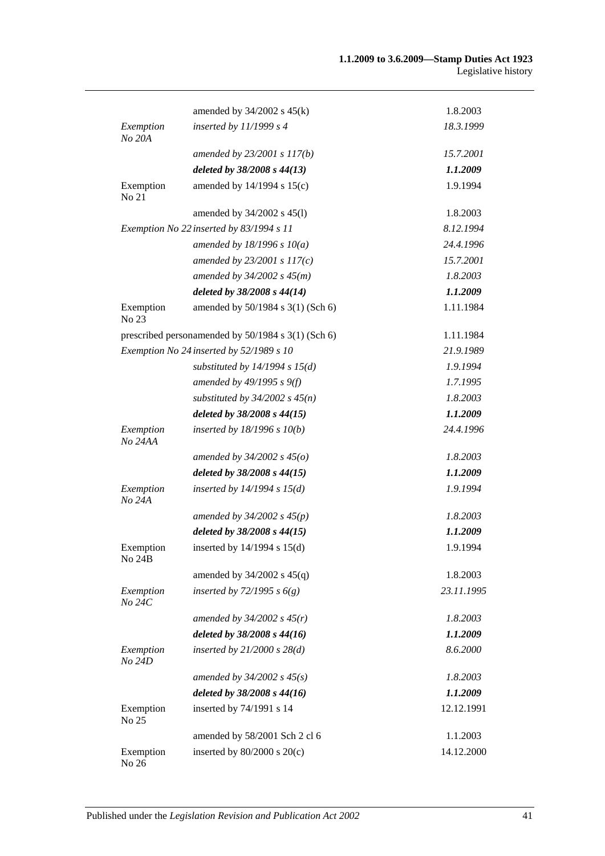|                      | amended by $34/2002$ s $45(k)$                     | 1.8.2003   |
|----------------------|----------------------------------------------------|------------|
| Exemption<br>No 20A  | inserted by $11/1999 s 4$                          | 18.3.1999  |
|                      | amended by 23/2001 s 117(b)                        | 15.7.2001  |
|                      | deleted by 38/2008 s 44(13)                        | 1.1.2009   |
| Exemption<br>No 21   | amended by $14/1994$ s $15(c)$                     | 1.9.1994   |
|                      | amended by 34/2002 s 45(l)                         | 1.8.2003   |
|                      | Exemption No 22 inserted by 83/1994 s 11           | 8.12.1994  |
|                      | amended by $18/1996 s 10(a)$                       | 24.4.1996  |
|                      | amended by $23/2001 s 117(c)$                      | 15.7.2001  |
|                      | amended by $34/2002$ s $45(m)$                     | 1.8.2003   |
|                      | deleted by 38/2008 s 44(14)                        | 1.1.2009   |
| Exemption<br>No 23   | amended by 50/1984 s 3(1) (Sch 6)                  | 1.11.1984  |
|                      | prescribed personamended by 50/1984 s 3(1) (Sch 6) | 1.11.1984  |
|                      | Exemption No 24 inserted by 52/1989 s 10           | 21.9.1989  |
|                      | substituted by $14/1994$ s $15(d)$                 | 1.9.1994   |
|                      | amended by 49/1995 s 9(f)                          | 1.7.1995   |
|                      | substituted by $34/2002$ s $45(n)$                 | 1.8.2003   |
|                      | deleted by 38/2008 s 44(15)                        | 1.1.2009   |
| Exemption<br>No 24AA | inserted by $18/1996$ s $10(b)$                    | 24.4.1996  |
|                      | amended by $34/2002$ s $45(o)$                     | 1.8.2003   |
|                      | deleted by 38/2008 s 44(15)                        | 1.1.2009   |
| Exemption<br>No 24A  | inserted by $14/1994$ s $15(d)$                    | 1.9.1994   |
|                      | amended by $34/2002$ s $45(p)$                     | 1.8.2003   |
|                      | deleted by 38/2008 s 44(15)                        | 1.1.2009   |
| Exemption<br>No 24B  | inserted by $14/1994$ s $15(d)$                    | 1.9.1994   |
|                      | amended by $34/2002$ s $45(q)$                     | 1.8.2003   |
| Exemption<br>No 24C  | inserted by $72/1995 s 6(g)$                       | 23.11.1995 |
|                      | amended by $34/2002$ s $45(r)$                     | 1.8.2003   |
|                      | deleted by 38/2008 s 44(16)                        | 1.1.2009   |
| Exemption<br>No 24D  | inserted by $21/2000$ s $28(d)$                    | 8.6.2000   |
|                      | amended by $34/2002 s 45(s)$                       | 1.8.2003   |
|                      | deleted by 38/2008 s 44(16)                        | 1.1.2009   |
| Exemption<br>No 25   | inserted by 74/1991 s 14                           | 12.12.1991 |
|                      | amended by 58/2001 Sch 2 cl 6                      | 1.1.2003   |
| Exemption<br>No 26   | inserted by $80/2000$ s $20(c)$                    | 14.12.2000 |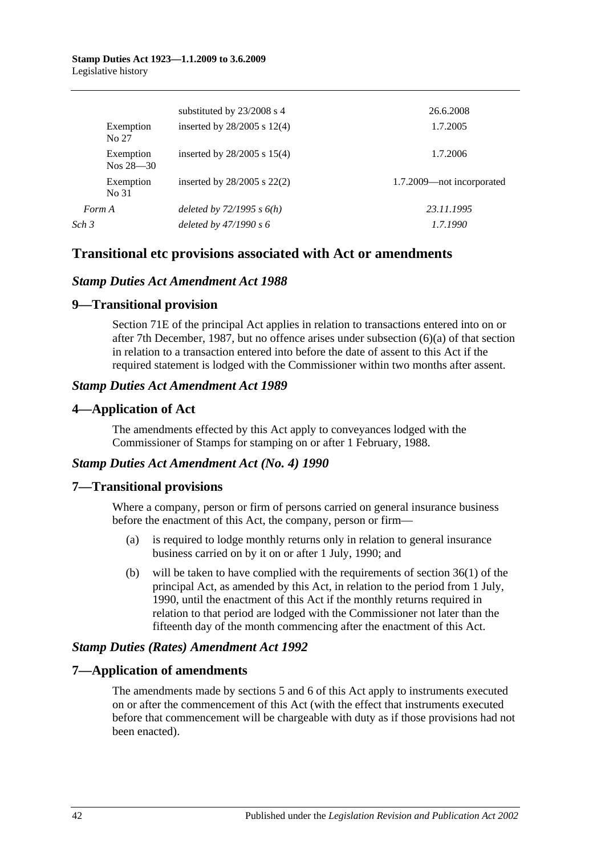|                            | substituted by 23/2008 s 4      | 26.6.2008                 |
|----------------------------|---------------------------------|---------------------------|
| Exemption<br>No 27         | inserted by $28/2005$ s 12(4)   | 1.7.2005                  |
| Exemption<br>$Nos 28 - 30$ | inserted by $28/2005$ s $15(4)$ | 1.7.2006                  |
| Exemption<br>No 31         | inserted by $28/2005$ s $22(2)$ | 1.7.2009—not incorporated |
| Form A                     | deleted by $72/1995 s 6(h)$     | 23.11.1995                |
| Sch <sub>3</sub>           | deleted by $47/1990 s 6$        | 1.7.1990                  |

## **Transitional etc provisions associated with Act or amendments**

### *Stamp Duties Act Amendment Act 1988*

### **9—Transitional provision**

Section 71E of the principal Act applies in relation to transactions entered into on or after 7th December, 1987, but no offence arises under subsection (6)(a) of that section in relation to a transaction entered into before the date of assent to this Act if the required statement is lodged with the Commissioner within two months after assent.

### *Stamp Duties Act Amendment Act 1989*

### **4—Application of Act**

The amendments effected by this Act apply to conveyances lodged with the Commissioner of Stamps for stamping on or after 1 February, 1988.

#### *Stamp Duties Act Amendment Act (No. 4) 1990*

#### **7—Transitional provisions**

Where a company, person or firm of persons carried on general insurance business before the enactment of this Act, the company, person or firm—

- (a) is required to lodge monthly returns only in relation to general insurance business carried on by it on or after 1 July, 1990; and
- (b) will be taken to have complied with the requirements of section 36(1) of the principal Act, as amended by this Act, in relation to the period from 1 July, 1990, until the enactment of this Act if the monthly returns required in relation to that period are lodged with the Commissioner not later than the fifteenth day of the month commencing after the enactment of this Act.

### *Stamp Duties (Rates) Amendment Act 1992*

#### **7—Application of amendments**

The amendments made by sections 5 and 6 of this Act apply to instruments executed on or after the commencement of this Act (with the effect that instruments executed before that commencement will be chargeable with duty as if those provisions had not been enacted).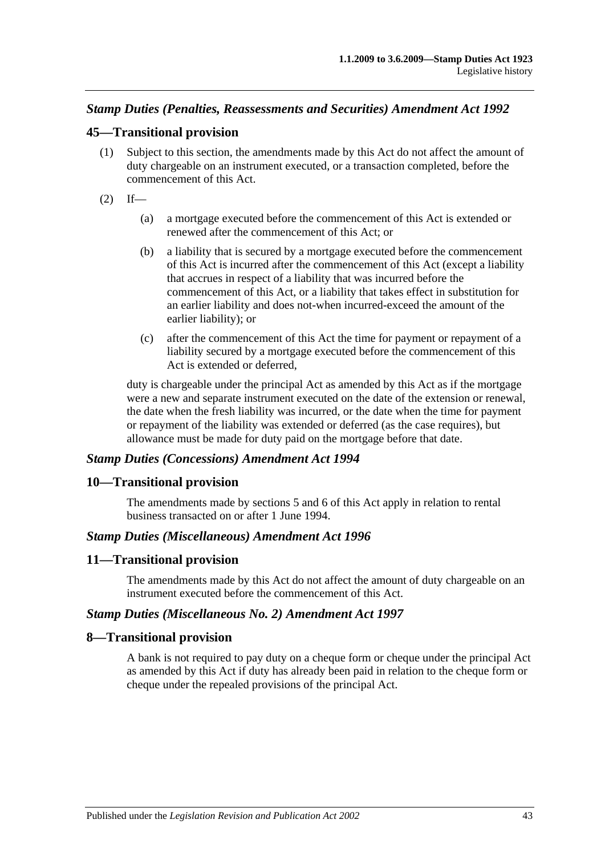## *Stamp Duties (Penalties, Reassessments and Securities) Amendment Act 1992*

### **45—Transitional provision**

- (1) Subject to this section, the amendments made by this Act do not affect the amount of duty chargeable on an instrument executed, or a transaction completed, before the commencement of this Act.
- $(2)$  If—
	- (a) a mortgage executed before the commencement of this Act is extended or renewed after the commencement of this Act; or
	- (b) a liability that is secured by a mortgage executed before the commencement of this Act is incurred after the commencement of this Act (except a liability that accrues in respect of a liability that was incurred before the commencement of this Act, or a liability that takes effect in substitution for an earlier liability and does not-when incurred-exceed the amount of the earlier liability); or
	- (c) after the commencement of this Act the time for payment or repayment of a liability secured by a mortgage executed before the commencement of this Act is extended or deferred,

duty is chargeable under the principal Act as amended by this Act as if the mortgage were a new and separate instrument executed on the date of the extension or renewal, the date when the fresh liability was incurred, or the date when the time for payment or repayment of the liability was extended or deferred (as the case requires), but allowance must be made for duty paid on the mortgage before that date.

#### *Stamp Duties (Concessions) Amendment Act 1994*

#### **10—Transitional provision**

The amendments made by sections 5 and 6 of this Act apply in relation to rental business transacted on or after 1 June 1994.

#### *Stamp Duties (Miscellaneous) Amendment Act 1996*

#### **11—Transitional provision**

The amendments made by this Act do not affect the amount of duty chargeable on an instrument executed before the commencement of this Act.

#### *Stamp Duties (Miscellaneous No. 2) Amendment Act 1997*

#### **8—Transitional provision**

A bank is not required to pay duty on a cheque form or cheque under the principal Act as amended by this Act if duty has already been paid in relation to the cheque form or cheque under the repealed provisions of the principal Act.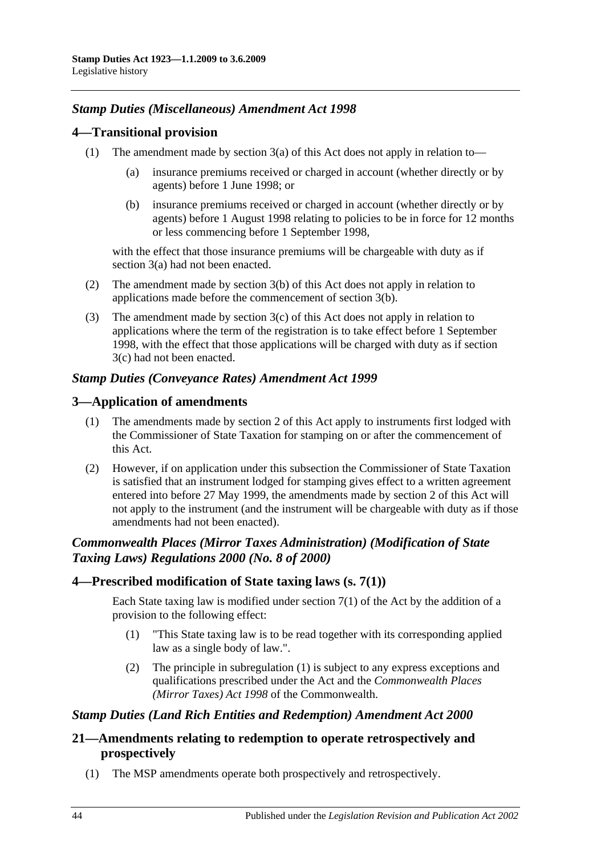# *Stamp Duties (Miscellaneous) Amendment Act 1998*

## **4—Transitional provision**

- (1) The amendment made by section 3(a) of this Act does not apply in relation to—
	- (a) insurance premiums received or charged in account (whether directly or by agents) before 1 June 1998; or
	- (b) insurance premiums received or charged in account (whether directly or by agents) before 1 August 1998 relating to policies to be in force for 12 months or less commencing before 1 September 1998,

with the effect that those insurance premiums will be chargeable with duty as if section 3(a) had not been enacted.

- (2) The amendment made by section 3(b) of this Act does not apply in relation to applications made before the commencement of section 3(b).
- (3) The amendment made by section 3(c) of this Act does not apply in relation to applications where the term of the registration is to take effect before 1 September 1998, with the effect that those applications will be charged with duty as if section 3(c) had not been enacted.

## *Stamp Duties (Conveyance Rates) Amendment Act 1999*

## **3—Application of amendments**

- (1) The amendments made by section 2 of this Act apply to instruments first lodged with the Commissioner of State Taxation for stamping on or after the commencement of this Act.
- (2) However, if on application under this subsection the Commissioner of State Taxation is satisfied that an instrument lodged for stamping gives effect to a written agreement entered into before 27 May 1999, the amendments made by section 2 of this Act will not apply to the instrument (and the instrument will be chargeable with duty as if those amendments had not been enacted).

## *Commonwealth Places (Mirror Taxes Administration) (Modification of State Taxing Laws) Regulations 2000 (No. 8 of 2000)*

### **4—Prescribed modification of State taxing laws (s. 7(1))**

Each State taxing law is modified under section  $7(1)$  of the Act by the addition of a provision to the following effect:

- (1) "This State taxing law is to be read together with its corresponding applied law as a single body of law.".
- (2) The principle in subregulation (1) is subject to any express exceptions and qualifications prescribed under the Act and the *Commonwealth Places (Mirror Taxes) Act 1998* of the Commonwealth.

## *Stamp Duties (Land Rich Entities and Redemption) Amendment Act 2000*

## **21—Amendments relating to redemption to operate retrospectively and prospectively**

(1) The MSP amendments operate both prospectively and retrospectively.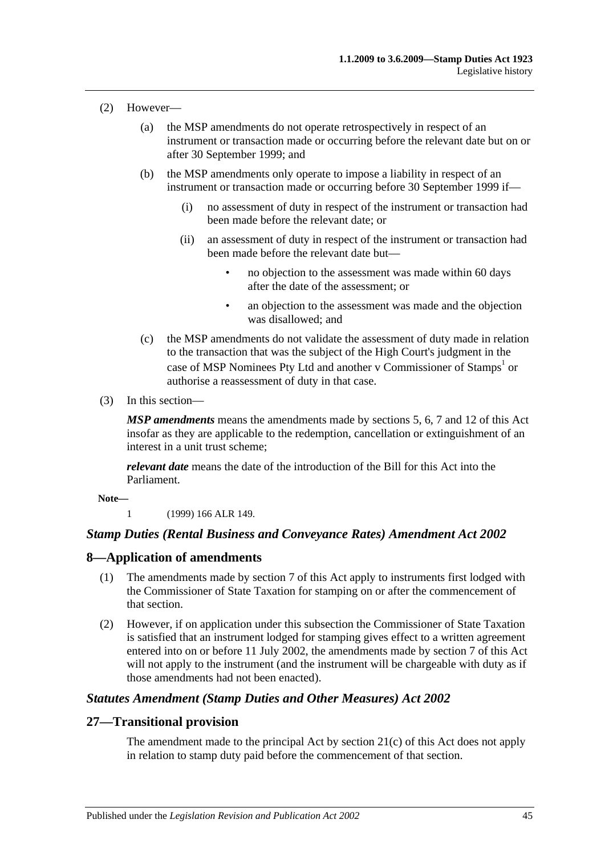- (2) However—
	- (a) the MSP amendments do not operate retrospectively in respect of an instrument or transaction made or occurring before the relevant date but on or after 30 September 1999; and
	- (b) the MSP amendments only operate to impose a liability in respect of an instrument or transaction made or occurring before 30 September 1999 if—
		- (i) no assessment of duty in respect of the instrument or transaction had been made before the relevant date; or
		- (ii) an assessment of duty in respect of the instrument or transaction had been made before the relevant date but—
			- no objection to the assessment was made within 60 days after the date of the assessment; or
			- an objection to the assessment was made and the objection was disallowed; and
	- (c) the MSP amendments do not validate the assessment of duty made in relation to the transaction that was the subject of the High Court's judgment in the case of MSP Nominees Pty Ltd and another v Commissioner of Stamps<sup>1</sup> or authorise a reassessment of duty in that case.
- (3) In this section—

*MSP amendments* means the amendments made by sections 5, 6, 7 and 12 of this Act insofar as they are applicable to the redemption, cancellation or extinguishment of an interest in a unit trust scheme;

*relevant date* means the date of the introduction of the Bill for this Act into the Parliament.

**Note—**

1 (1999) 166 ALR 149.

#### *Stamp Duties (Rental Business and Conveyance Rates) Amendment Act 2002*

#### **8—Application of amendments**

- (1) The amendments made by section 7 of this Act apply to instruments first lodged with the Commissioner of State Taxation for stamping on or after the commencement of that section.
- (2) However, if on application under this subsection the Commissioner of State Taxation is satisfied that an instrument lodged for stamping gives effect to a written agreement entered into on or before 11 July 2002, the amendments made by section 7 of this Act will not apply to the instrument (and the instrument will be chargeable with duty as if those amendments had not been enacted).

#### *Statutes Amendment (Stamp Duties and Other Measures) Act 2002*

#### **27—Transitional provision**

The amendment made to the principal Act by section 21(c) of this Act does not apply in relation to stamp duty paid before the commencement of that section.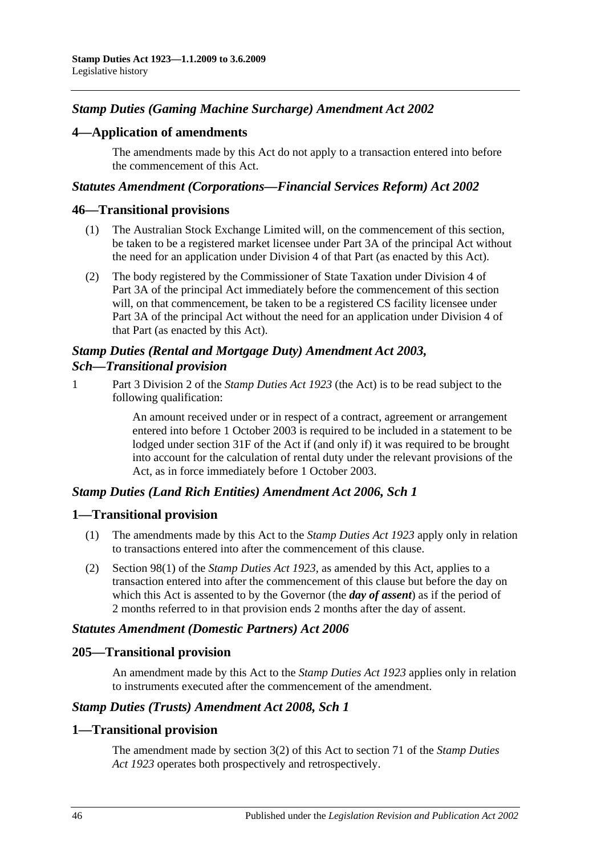# *Stamp Duties (Gaming Machine Surcharge) Amendment Act 2002*

### **4—Application of amendments**

The amendments made by this Act do not apply to a transaction entered into before the commencement of this Act.

### *Statutes Amendment (Corporations—Financial Services Reform) Act 2002*

### **46—Transitional provisions**

- (1) The Australian Stock Exchange Limited will, on the commencement of this section, be taken to be a registered market licensee under Part 3A of the principal Act without the need for an application under Division 4 of that Part (as enacted by this Act).
- (2) The body registered by the Commissioner of State Taxation under Division 4 of Part 3A of the principal Act immediately before the commencement of this section will, on that commencement, be taken to be a registered CS facility licensee under Part 3A of the principal Act without the need for an application under Division 4 of that Part (as enacted by this Act).

## *Stamp Duties (Rental and Mortgage Duty) Amendment Act 2003, Sch—Transitional provision*

1 Part 3 Division 2 of the *[Stamp Duties Act](http://www.legislation.sa.gov.au/index.aspx?action=legref&type=act&legtitle=Stamp%20Duties%20Act%201923) 1923* (the Act) is to be read subject to the following qualification:

> An amount received under or in respect of a contract, agreement or arrangement entered into before 1 October 2003 is required to be included in a statement to be lodged under section 31F of the Act if (and only if) it was required to be brought into account for the calculation of rental duty under the relevant provisions of the Act, as in force immediately before 1 October 2003.

### *Stamp Duties (Land Rich Entities) Amendment Act 2006, Sch 1*

### **1—Transitional provision**

- (1) The amendments made by this Act to the *[Stamp Duties Act](http://www.legislation.sa.gov.au/index.aspx?action=legref&type=act&legtitle=Stamp%20Duties%20Act%201923) 1923* apply only in relation to transactions entered into after the commencement of this clause.
- (2) Section 98(1) of the *[Stamp Duties Act](http://www.legislation.sa.gov.au/index.aspx?action=legref&type=act&legtitle=Stamp%20Duties%20Act%201923) 1923*, as amended by this Act, applies to a transaction entered into after the commencement of this clause but before the day on which this Act is assented to by the Governor (the *day of assent*) as if the period of 2 months referred to in that provision ends 2 months after the day of assent.

### *Statutes Amendment (Domestic Partners) Act 2006*

### **205—Transitional provision**

An amendment made by this Act to the *[Stamp Duties Act](http://www.legislation.sa.gov.au/index.aspx?action=legref&type=act&legtitle=Stamp%20Duties%20Act%201923) 1923* applies only in relation to instruments executed after the commencement of the amendment.

### *Stamp Duties (Trusts) Amendment Act 2008, Sch 1*

### **1—Transitional provision**

The amendment made by section 3(2) of this Act to section 71 of the *[Stamp Duties](http://www.legislation.sa.gov.au/index.aspx?action=legref&type=act&legtitle=Stamp%20Duties%20Act%201923)  Act [1923](http://www.legislation.sa.gov.au/index.aspx?action=legref&type=act&legtitle=Stamp%20Duties%20Act%201923)* operates both prospectively and retrospectively.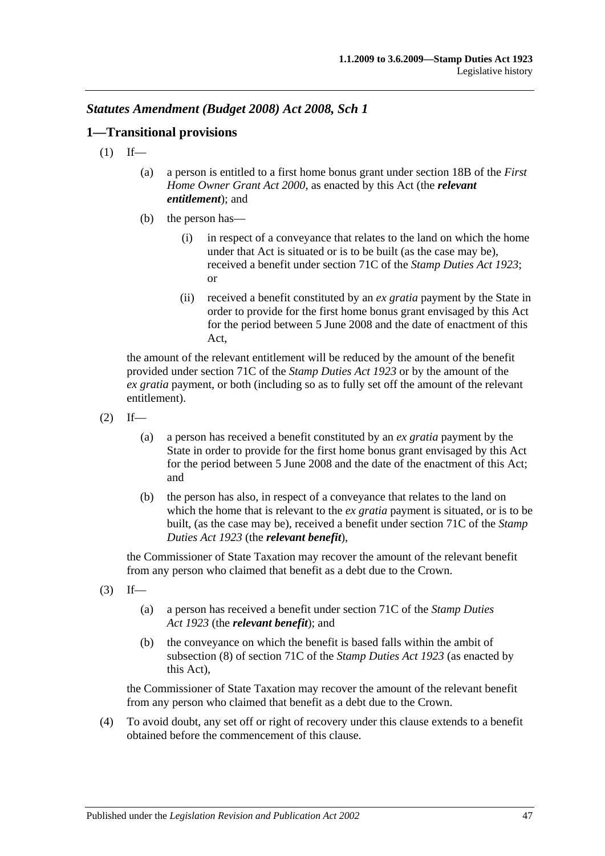## *Statutes Amendment (Budget 2008) Act 2008, Sch 1*

## **1—Transitional provisions**

- $(1)$  If—
	- (a) a person is entitled to a first home bonus grant under section 18B of the *[First](http://www.legislation.sa.gov.au/index.aspx?action=legref&type=act&legtitle=First%20Home%20Owner%20Grant%20Act%202000)  [Home Owner Grant Act](http://www.legislation.sa.gov.au/index.aspx?action=legref&type=act&legtitle=First%20Home%20Owner%20Grant%20Act%202000) 2000*, as enacted by this Act (the *relevant entitlement*); and
	- (b) the person has—
		- (i) in respect of a conveyance that relates to the land on which the home under that Act is situated or is to be built (as the case may be), received a benefit under section 71C of the *[Stamp Duties Act](http://www.legislation.sa.gov.au/index.aspx?action=legref&type=act&legtitle=Stamp%20Duties%20Act%201923) 1923*; or
		- (ii) received a benefit constituted by an *ex gratia* payment by the State in order to provide for the first home bonus grant envisaged by this Act for the period between 5 June 2008 and the date of enactment of this Act,

the amount of the relevant entitlement will be reduced by the amount of the benefit provided under section 71C of the *[Stamp Duties Act](http://www.legislation.sa.gov.au/index.aspx?action=legref&type=act&legtitle=Stamp%20Duties%20Act%201923) 1923* or by the amount of the *ex gratia* payment, or both (including so as to fully set off the amount of the relevant entitlement).

- $(2)$  If—
	- (a) a person has received a benefit constituted by an *ex gratia* payment by the State in order to provide for the first home bonus grant envisaged by this Act for the period between 5 June 2008 and the date of the enactment of this Act; and
	- (b) the person has also, in respect of a conveyance that relates to the land on which the home that is relevant to the *ex gratia* payment is situated, or is to be built, (as the case may be), received a benefit under section 71C of the *[Stamp](http://www.legislation.sa.gov.au/index.aspx?action=legref&type=act&legtitle=Stamp%20Duties%20Act%201923)  [Duties Act](http://www.legislation.sa.gov.au/index.aspx?action=legref&type=act&legtitle=Stamp%20Duties%20Act%201923) 1923* (the *relevant benefit*),

the Commissioner of State Taxation may recover the amount of the relevant benefit from any person who claimed that benefit as a debt due to the Crown.

- $(3)$  If—
	- (a) a person has received a benefit under section 71C of the *[Stamp Duties](http://www.legislation.sa.gov.au/index.aspx?action=legref&type=act&legtitle=Stamp%20Duties%20Act%201923)  Act [1923](http://www.legislation.sa.gov.au/index.aspx?action=legref&type=act&legtitle=Stamp%20Duties%20Act%201923)* (the *relevant benefit*); and
	- (b) the conveyance on which the benefit is based falls within the ambit of subsection (8) of section 71C of the *[Stamp Duties Act](http://www.legislation.sa.gov.au/index.aspx?action=legref&type=act&legtitle=Stamp%20Duties%20Act%201923) 1923* (as enacted by this Act),

the Commissioner of State Taxation may recover the amount of the relevant benefit from any person who claimed that benefit as a debt due to the Crown.

(4) To avoid doubt, any set off or right of recovery under this clause extends to a benefit obtained before the commencement of this clause.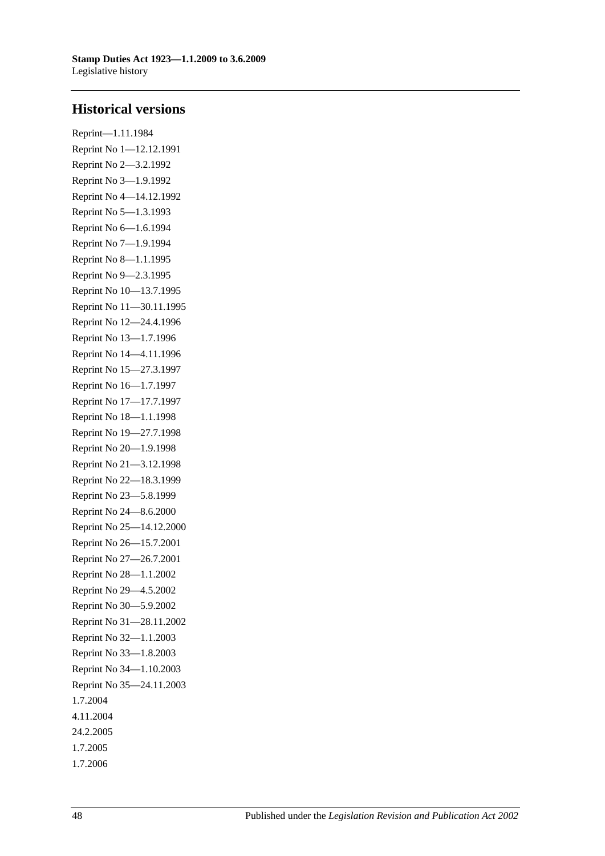## **Historical versions**

Reprint—1.11.1984 Reprint No 1—12.12.1991 Reprint No 2—3.2.1992 Reprint No 3—1.9.1992 Reprint No 4—14.12.1992 Reprint No 5—1.3.1993 Reprint No 6—1.6.1994 Reprint No 7—1.9.1994 Reprint No 8—1.1.1995 Reprint No 9—2.3.1995 Reprint No 10—13.7.1995 Reprint No 11—30.11.1995 Reprint No 12—24.4.1996 Reprint No 13—1.7.1996 Reprint No 14—4.11.1996 Reprint No 15—27.3.1997 Reprint No 16—1.7.1997 Reprint No 17—17.7.1997 Reprint No 18—1.1.1998 Reprint No 19—27.7.1998 Reprint No 20—1.9.1998 Reprint No 21—3.12.1998 Reprint No 22—18.3.1999 Reprint No 23—5.8.1999 Reprint No 24—8.6.2000 Reprint No 25—14.12.2000 Reprint No 26—15.7.2001 Reprint No 27—26.7.2001 Reprint No 28—1.1.2002 Reprint No 29—4.5.2002 Reprint No 30—5.9.2002 Reprint No 31—28.11.2002 Reprint No 32—1.1.2003 Reprint No 33—1.8.2003 Reprint No 34—1.10.2003 Reprint No 35—24.11.2003 1.7.2004 4.11.2004 24.2.2005 1.7.2005 1.7.2006